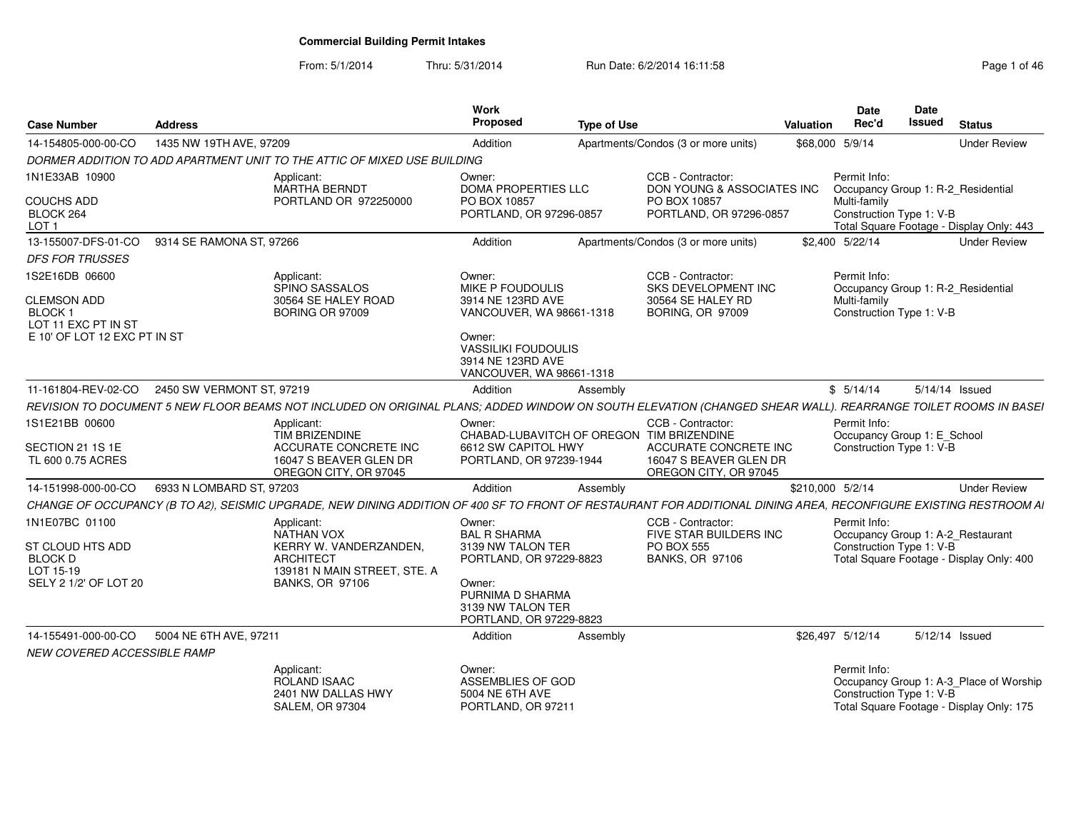### From: 5/1/2014Thru: 5/31/2014 Run Date: 6/2/2014 16:11:58 Rege 1 of 46

| <b>Case Number</b>                                                | <b>Address</b>            |                                                                                                                                                                   | Work<br><b>Proposed</b>                                                                               | <b>Type of Use</b> |                                                                                               | <b>Valuation</b> | Date<br>Rec'd                                                                 | Date<br>Issued | <b>Status</b>                                                                       |
|-------------------------------------------------------------------|---------------------------|-------------------------------------------------------------------------------------------------------------------------------------------------------------------|-------------------------------------------------------------------------------------------------------|--------------------|-----------------------------------------------------------------------------------------------|------------------|-------------------------------------------------------------------------------|----------------|-------------------------------------------------------------------------------------|
| 14-154805-000-00-CO                                               | 1435 NW 19TH AVE, 97209   |                                                                                                                                                                   | Addition                                                                                              |                    | Apartments/Condos (3 or more units)                                                           |                  | \$68,000 5/9/14                                                               |                | <b>Under Review</b>                                                                 |
|                                                                   |                           | DORMER ADDITION TO ADD APARTMENT UNIT TO THE ATTIC OF MIXED USE BUILDING                                                                                          |                                                                                                       |                    |                                                                                               |                  |                                                                               |                |                                                                                     |
| 1N1E33AB 10900                                                    |                           | Applicant:<br><b>MARTHA BERNDT</b>                                                                                                                                | Owner:<br>DOMA PROPERTIES LLC                                                                         |                    | CCB - Contractor:<br>DON YOUNG & ASSOCIATES INC                                               |                  | Permit Info:<br>Occupancy Group 1: R-2 Residential                            |                |                                                                                     |
| <b>COUCHS ADD</b><br>BLOCK 264<br>LOT <sub>1</sub>                |                           | PORTLAND OR 972250000                                                                                                                                             | PO BOX 10857<br>PORTLAND, OR 97296-0857                                                               |                    | PO BOX 10857<br>PORTLAND, OR 97296-0857                                                       |                  | Multi-family<br>Construction Type 1: V-B                                      |                | Total Square Footage - Display Only: 443                                            |
| 13-155007-DFS-01-CO                                               | 9314 SE RAMONA ST, 97266  |                                                                                                                                                                   | Addition                                                                                              |                    | Apartments/Condos (3 or more units)                                                           |                  | \$2,400 5/22/14                                                               |                | <b>Under Review</b>                                                                 |
| <b>DFS FOR TRUSSES</b>                                            |                           |                                                                                                                                                                   |                                                                                                       |                    |                                                                                               |                  |                                                                               |                |                                                                                     |
| 1S2E16DB 06600                                                    |                           | Applicant:<br>SPINO SASSALOS                                                                                                                                      | Owner:<br><b>MIKE P FOUDOULIS</b>                                                                     |                    | CCB - Contractor:<br>SKS DEVELOPMENT INC                                                      |                  | Permit Info:<br>Occupancy Group 1: R-2 Residential                            |                |                                                                                     |
| <b>CLEMSON ADD</b><br>BLOCK <sub>1</sub><br>LOT 11 EXC PT IN ST   |                           | 30564 SE HALEY ROAD<br><b>BORING OR 97009</b>                                                                                                                     | 3914 NE 123RD AVE<br>VANCOUVER, WA 98661-1318                                                         |                    | 30564 SE HALEY RD<br><b>BORING, OR 97009</b>                                                  |                  | Multi-family<br>Construction Type 1: V-B                                      |                |                                                                                     |
| E 10' OF LOT 12 EXC PT IN ST                                      |                           |                                                                                                                                                                   | Owner:<br><b>VASSILIKI FOUDOULIS</b><br>3914 NE 123RD AVE<br>VANCOUVER, WA 98661-1318                 |                    |                                                                                               |                  |                                                                               |                |                                                                                     |
| 11-161804-REV-02-CO                                               | 2450 SW VERMONT ST, 97219 |                                                                                                                                                                   | Addition                                                                                              | Assembly           |                                                                                               |                  | \$5/14/14                                                                     |                | 5/14/14 Issued                                                                      |
|                                                                   |                           | REVISION TO DOCUMENT 5 NEW FLOOR BEAMS NOT INCLUDED ON ORIGINAL PLANS; ADDED WINDOW ON SOUTH ELEVATION (CHANGED SHEAR WALL). REARRANGE TOILET ROOMS IN BASEI      |                                                                                                       |                    |                                                                                               |                  |                                                                               |                |                                                                                     |
| 1S1E21BB 00600<br>SECTION 21 1S 1E<br>TL 600 0.75 ACRES           |                           | Applicant:<br><b>TIM BRIZENDINE</b><br>ACCURATE CONCRETE INC<br>16047 S BEAVER GLEN DR<br>OREGON CITY, OR 97045                                                   | Owner:<br>CHABAD-LUBAVITCH OF OREGON TIM BRIZENDINE<br>6612 SW CAPITOL HWY<br>PORTLAND, OR 97239-1944 |                    | CCB - Contractor:<br>ACCURATE CONCRETE INC<br>16047 S BEAVER GLEN DR<br>OREGON CITY, OR 97045 |                  | Permit Info:<br>Occupancy Group 1: E_School<br>Construction Type 1: V-B       |                |                                                                                     |
| 14-151998-000-00-CO                                               | 6933 N LOMBARD ST, 97203  |                                                                                                                                                                   | Addition                                                                                              |                    |                                                                                               | \$210,000 5/2/14 |                                                                               |                | <b>Under Review</b>                                                                 |
|                                                                   |                           | CHANGE OF OCCUPANCY (B TO A2), SEISMIC UPGRADE, NEW DINING ADDITION OF 400 SF TO FRONT OF RESTAURANT FOR ADDITIONAL DINING AREA, RECONFIGURE EXISTING RESTROOM AI |                                                                                                       | Assembly           |                                                                                               |                  |                                                                               |                |                                                                                     |
| 1N1E07BC 01100<br>ST CLOUD HTS ADD<br><b>BLOCK D</b><br>LOT 15-19 |                           | Applicant:<br>NATHAN VOX<br>KERRY W. VANDERZANDEN.<br><b>ARCHITECT</b><br>139181 N MAIN STREET, STE, A                                                            | Owner:<br><b>BAL R SHARMA</b><br>3139 NW TALON TER<br>PORTLAND, OR 97229-8823                         |                    | CCB - Contractor:<br>FIVE STAR BUILDERS INC<br><b>PO BOX 555</b><br><b>BANKS, OR 97106</b>    |                  | Permit Info:<br>Occupancy Group 1: A-2_Restaurant<br>Construction Type 1: V-B |                | Total Square Footage - Display Only: 400                                            |
| SELY 2 1/2' OF LOT 20                                             |                           | <b>BANKS, OR 97106</b>                                                                                                                                            | Owner:<br>PURNIMA D SHARMA<br>3139 NW TALON TER<br>PORTLAND, OR 97229-8823                            |                    |                                                                                               |                  |                                                                               |                |                                                                                     |
| 14-155491-000-00-CO                                               | 5004 NE 6TH AVE, 97211    |                                                                                                                                                                   | Addition                                                                                              | Assembly           |                                                                                               |                  | \$26,497 5/12/14                                                              |                | 5/12/14 Issued                                                                      |
| NEW COVERED ACCESSIBLE RAMP                                       |                           |                                                                                                                                                                   |                                                                                                       |                    |                                                                                               |                  |                                                                               |                |                                                                                     |
|                                                                   |                           | Applicant:<br>ROLAND ISAAC<br>2401 NW DALLAS HWY<br><b>SALEM, OR 97304</b>                                                                                        | Owner:<br>ASSEMBLIES OF GOD<br>5004 NE 6TH AVE<br>PORTLAND, OR 97211                                  |                    |                                                                                               |                  | Permit Info:<br>Construction Type 1: V-B                                      |                | Occupancy Group 1: A-3_Place of Worship<br>Total Square Footage - Display Only: 175 |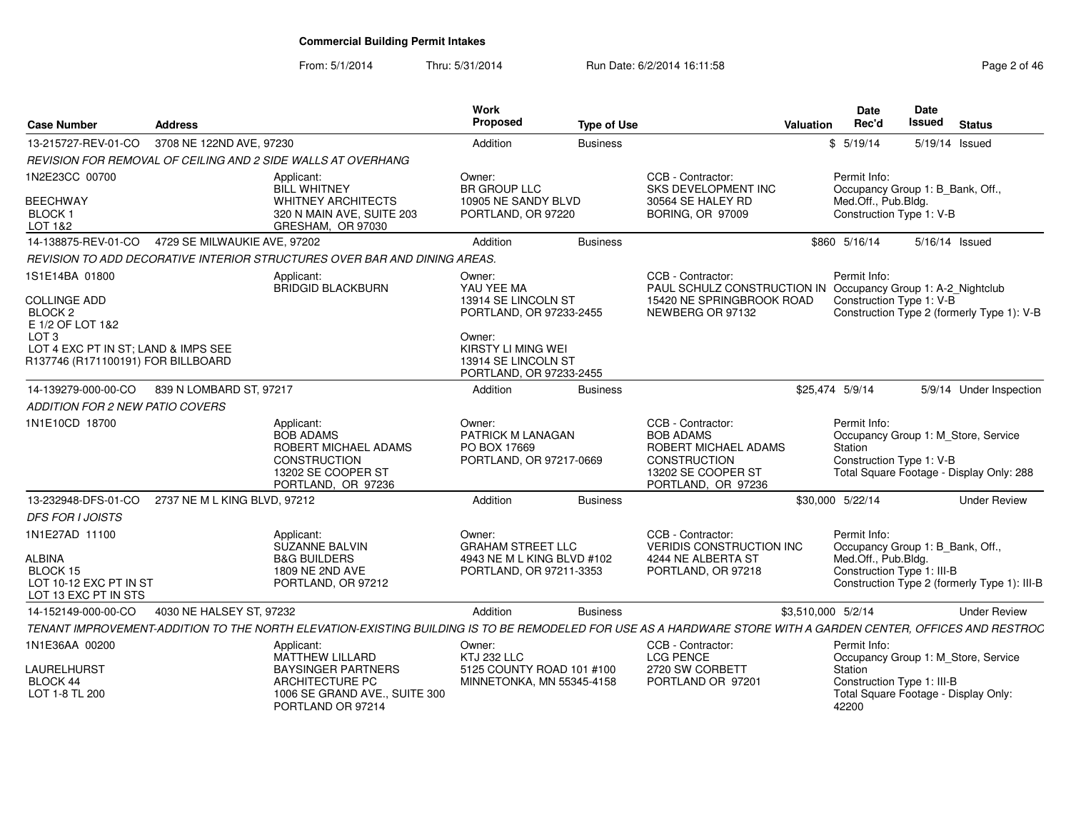From: 5/1/2014Thru: 5/31/2014 Run Date: 6/2/2014 16:11:58 Research 2014 19:11:58

| <b>Case Number</b>                                                                                                                         | <b>Address</b>                                    |                                                                                                                                                               | Work<br><b>Proposed</b>                                                                                | <b>Type of Use</b> |                                                                                                                                    | Valuation          | <b>Date</b><br>Rec'd                                                                                  | <b>Date</b><br>Issued | <b>Status</b>                                                                   |
|--------------------------------------------------------------------------------------------------------------------------------------------|---------------------------------------------------|---------------------------------------------------------------------------------------------------------------------------------------------------------------|--------------------------------------------------------------------------------------------------------|--------------------|------------------------------------------------------------------------------------------------------------------------------------|--------------------|-------------------------------------------------------------------------------------------------------|-----------------------|---------------------------------------------------------------------------------|
| 13-215727-REV-01-CO                                                                                                                        | 3708 NE 122ND AVE, 97230                          |                                                                                                                                                               | Addition                                                                                               | <b>Business</b>    |                                                                                                                                    |                    | \$5/19/14                                                                                             | 5/19/14 Issued        |                                                                                 |
|                                                                                                                                            |                                                   | REVISION FOR REMOVAL OF CEILING AND 2 SIDE WALLS AT OVERHANG                                                                                                  |                                                                                                        |                    |                                                                                                                                    |                    |                                                                                                       |                       |                                                                                 |
| 1N2E23CC 00700<br><b>BEECHWAY</b><br>BLOCK <sub>1</sub><br>LOT 1&2                                                                         |                                                   | Applicant:<br><b>BILL WHITNEY</b><br><b>WHITNEY ARCHITECTS</b><br>320 N MAIN AVE, SUITE 203<br>GRESHAM, OR 97030                                              | Owner:<br><b>BR GROUP LLC</b><br>10905 NE SANDY BLVD<br>PORTLAND, OR 97220                             |                    | CCB - Contractor:<br>SKS DEVELOPMENT INC<br>30564 SE HALEY RD<br><b>BORING, OR 97009</b>                                           |                    | Permit Info:<br>Occupancy Group 1: B Bank, Off<br>Med.Off., Pub.Bldg.<br>Construction Type 1: V-B     |                       |                                                                                 |
|                                                                                                                                            | 14-138875-REV-01-CO  4729 SE MILWAUKIE AVE, 97202 |                                                                                                                                                               | Addition                                                                                               | <b>Business</b>    |                                                                                                                                    |                    | \$860 5/16/14                                                                                         | 5/16/14 Issued        |                                                                                 |
|                                                                                                                                            |                                                   | REVISION TO ADD DECORATIVE INTERIOR STRUCTURES OVER BAR AND DINING AREAS.                                                                                     |                                                                                                        |                    |                                                                                                                                    |                    |                                                                                                       |                       |                                                                                 |
| 1S1E14BA 01800<br><b>COLLINGE ADD</b><br>BLOCK <sub>2</sub><br>E 1/2 OF LOT 1&2<br>LOT <sub>3</sub><br>LOT 4 EXC PT IN ST; LAND & IMPS SEE |                                                   | Applicant:<br>BRIDGID BLACKBURN                                                                                                                               | Owner:<br>YAU YEE MA<br>13914 SE LINCOLN ST<br>PORTLAND, OR 97233-2455<br>Owner:<br>KIRSTY LI MING WEI |                    | CCB - Contractor:<br>PAUL SCHULZ CONSTRUCTION IN Occupancy Group 1: A-2 Nightclub<br>15420 NE SPRINGBROOK ROAD<br>NEWBERG OR 97132 |                    | Permit Info:<br>Construction Type 1: V-B                                                              |                       | Construction Type 2 (formerly Type 1): V-B                                      |
| R137746 (R171100191) FOR BILLBOARD                                                                                                         |                                                   |                                                                                                                                                               | 13914 SE LINCOLN ST<br>PORTLAND, OR 97233-2455                                                         |                    |                                                                                                                                    |                    |                                                                                                       |                       |                                                                                 |
| 14-139279-000-00-CO<br><i>ADDITION FOR 2 NEW PATIO COVERS</i>                                                                              | 839 N LOMBARD ST, 97217                           |                                                                                                                                                               | Addition                                                                                               | <b>Business</b>    |                                                                                                                                    | \$25,474 5/9/14    |                                                                                                       |                       | 5/9/14 Under Inspection                                                         |
| 1N1E10CD 18700                                                                                                                             |                                                   | Applicant:<br>BOB ADAMS<br>ROBERT MICHAEL ADAMS<br><b>CONSTRUCTION</b><br>13202 SE COOPER ST<br>PORTLAND, OR 97236                                            | Owner:<br>PATRICK M LANAGAN<br>PO BOX 17669<br>PORTLAND, OR 97217-0669                                 |                    | CCB - Contractor:<br><b>BOB ADAMS</b><br>ROBERT MICHAEL ADAMS<br><b>CONSTRUCTION</b><br>13202 SE COOPER ST<br>PORTLAND, OR 97236   |                    | Permit Info:<br>Station<br>Construction Type 1: V-B                                                   |                       | Occupancy Group 1: M Store, Service<br>Total Square Footage - Display Only: 288 |
| 13-232948-DFS-01-CO                                                                                                                        | 2737 NE M L KING BLVD, 97212                      |                                                                                                                                                               | Addition                                                                                               | <b>Business</b>    |                                                                                                                                    |                    | \$30,000 5/22/14                                                                                      |                       | <b>Under Review</b>                                                             |
| <b>DFS FOR I JOISTS</b>                                                                                                                    |                                                   |                                                                                                                                                               |                                                                                                        |                    |                                                                                                                                    |                    |                                                                                                       |                       |                                                                                 |
| 1N1E27AD 11100<br><b>ALBINA</b><br>BLOCK 15<br>LOT 10-12 EXC PT IN ST<br>LOT 13 EXC PT IN STS                                              |                                                   | Applicant:<br><b>SUZANNE BALVIN</b><br><b>B&amp;G BUILDERS</b><br>1809 NE 2ND AVE<br>PORTLAND, OR 97212                                                       | Owner:<br><b>GRAHAM STREET LLC</b><br>4943 NE M L KING BLVD #102<br>PORTLAND, OR 97211-3353            |                    | CCB - Contractor:<br><b>VERIDIS CONSTRUCTION INC</b><br>4244 NE ALBERTA ST<br>PORTLAND, OR 97218                                   |                    | Permit Info:<br>Occupancy Group 1: B Bank, Off.,<br>Med.Off., Pub.Bldg.<br>Construction Type 1: III-B |                       | Construction Type 2 (formerly Type 1): III-B                                    |
| 14-152149-000-00-CO                                                                                                                        | 4030 NE HALSEY ST. 97232                          |                                                                                                                                                               | Addition                                                                                               | <b>Business</b>    |                                                                                                                                    | \$3,510,000 5/2/14 |                                                                                                       |                       | <b>Under Review</b>                                                             |
|                                                                                                                                            |                                                   | TENANT IMPROVEMENT-ADDITION TO THE NORTH ELEVATION-EXISTING BUILDING IS TO BE REMODELED FOR USE AS A HARDWARE STORE WITH A GARDEN CENTER, OFFICES AND RESTROC |                                                                                                        |                    |                                                                                                                                    |                    |                                                                                                       |                       |                                                                                 |
| 1N1E36AA 00200                                                                                                                             |                                                   | Applicant:<br>MATTHEW LILLARD                                                                                                                                 | Owner:<br><b>KTJ 232 LLC</b>                                                                           |                    | CCB - Contractor:<br><b>LCG PENCE</b>                                                                                              |                    | Permit Info:                                                                                          |                       | Occupancy Group 1: M_Store, Service                                             |
| LAURELHURST<br>BLOCK 44<br>LOT 1-8 TL 200                                                                                                  |                                                   | <b>BAYSINGER PARTNERS</b><br>ARCHITECTURE PC<br>1006 SE GRAND AVE., SUITE 300<br>PORTLAND OR 97214                                                            | 5125 COUNTY ROAD 101 #100<br>MINNETONKA, MN 55345-4158                                                 |                    | 2720 SW CORBETT<br>PORTLAND OR 97201                                                                                               |                    | Station<br>Construction Type 1: III-B<br>42200                                                        |                       | Total Square Footage - Display Only:                                            |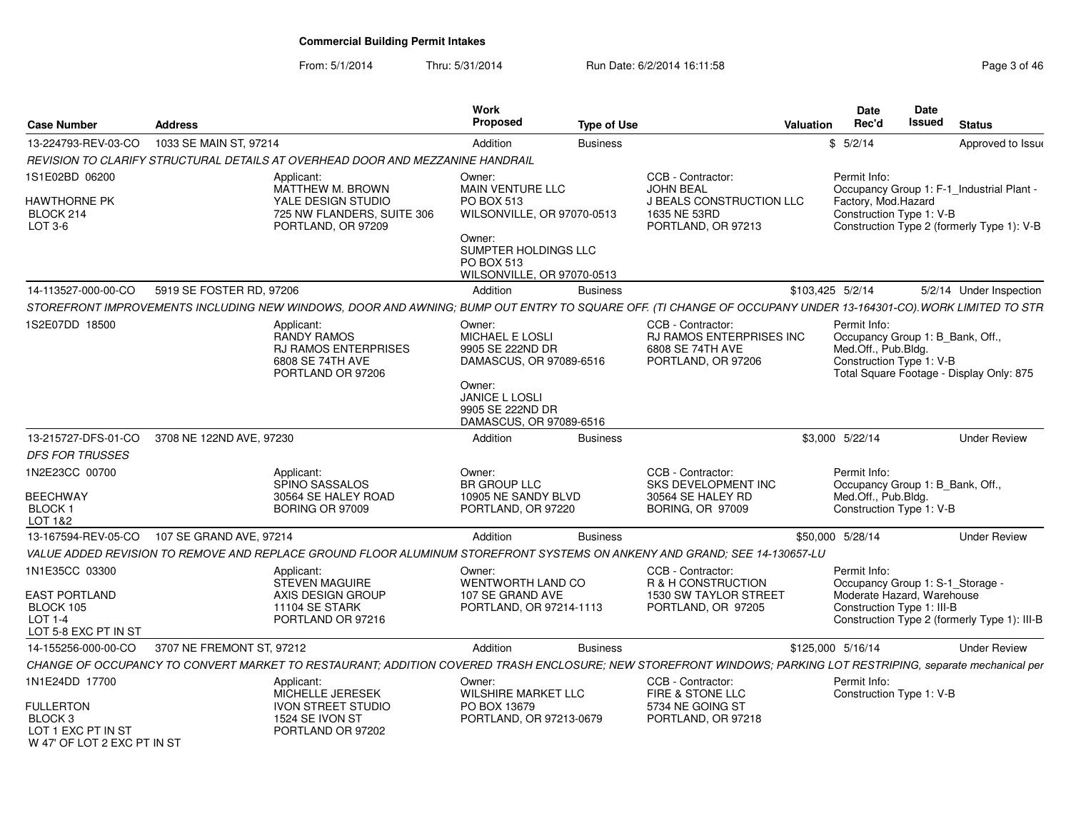From: 5/1/2014Thru: 5/31/2014 Run Date: 6/2/2014 16:11:58 Research 2010 12:00 Page 3 of 46

| <b>Case Number</b>                                                                                            | <b>Address</b>            |                                                                                                                                                                | <b>Work</b><br><b>Proposed</b>                                                          | <b>Type of Use</b> |                                                                                                                | Valuation         | <b>Date</b><br>Rec'd                                                                                         | Date<br><b>Issued</b> | <b>Status</b>                                                                           |
|---------------------------------------------------------------------------------------------------------------|---------------------------|----------------------------------------------------------------------------------------------------------------------------------------------------------------|-----------------------------------------------------------------------------------------|--------------------|----------------------------------------------------------------------------------------------------------------|-------------------|--------------------------------------------------------------------------------------------------------------|-----------------------|-----------------------------------------------------------------------------------------|
| 13-224793-REV-03-CO                                                                                           | 1033 SE MAIN ST, 97214    |                                                                                                                                                                | Addition                                                                                | <b>Business</b>    |                                                                                                                | \$                | 5/2/14                                                                                                       |                       | Approved to Issue                                                                       |
|                                                                                                               |                           | REVISION TO CLARIFY STRUCTURAL DETAILS AT OVERHEAD DOOR AND MEZZANINE HANDRAIL                                                                                 |                                                                                         |                    |                                                                                                                |                   |                                                                                                              |                       |                                                                                         |
| 1S1E02BD 06200<br>HAWTHORNE PK<br>BLOCK 214<br>LOT 3-6                                                        |                           | Applicant:<br>MATTHEW M. BROWN<br>YALE DESIGN STUDIO<br>725 NW FLANDERS, SUITE 306<br>PORTLAND, OR 97209                                                       | Owner:<br><b>MAIN VENTURE LLC</b><br>PO BOX 513<br>WILSONVILLE, OR 97070-0513<br>Owner: |                    | CCB - Contractor:<br><b>JOHN BEAL</b><br><b>J BEALS CONSTRUCTION LLC</b><br>1635 NE 53RD<br>PORTLAND, OR 97213 |                   | Permit Info:<br>Factory, Mod.Hazard<br>Construction Type 1: V-B                                              |                       | Occupancy Group 1: F-1 Industrial Plant -<br>Construction Type 2 (formerly Type 1): V-B |
|                                                                                                               |                           |                                                                                                                                                                | SUMPTER HOLDINGS LLC<br>PO BOX 513<br>WILSONVILLE, OR 97070-0513                        |                    |                                                                                                                |                   |                                                                                                              |                       |                                                                                         |
| 14-113527-000-00-CO                                                                                           | 5919 SE FOSTER RD, 97206  |                                                                                                                                                                | Addition                                                                                | Business           |                                                                                                                | \$103,425 5/2/14  |                                                                                                              |                       | 5/2/14 Under Inspection                                                                 |
|                                                                                                               |                           | STOREFRONT IMPROVEMENTS INCLUDING NEW WINDOWS, DOOR AND AWNING; BUMP OUT ENTRY TO SQUARE OFF. (TI CHANGE OF OCCUPANY UNDER 13-164301-CO). WORK LIMITED TO STR  |                                                                                         |                    |                                                                                                                |                   |                                                                                                              |                       |                                                                                         |
| 1S2E07DD 18500                                                                                                |                           | Applicant:<br><b>RANDY RAMOS</b><br><b>RJ RAMOS ENTERPRISES</b><br>6808 SE 74TH AVE<br>PORTLAND OR 97206                                                       | Owner:<br>MICHAEL E LOSLI<br>9905 SE 222ND DR<br>DAMASCUS, OR 97089-6516<br>Owner:      |                    | CCB - Contractor:<br>RJ RAMOS ENTERPRISES INC<br>6808 SE 74TH AVE<br>PORTLAND, OR 97206                        |                   | Permit Info:<br>Occupancy Group 1: B_Bank, Off.,<br>Med.Off., Pub.Bldg.<br>Construction Type 1: V-B          |                       | Total Square Footage - Display Only: 875                                                |
|                                                                                                               |                           |                                                                                                                                                                | <b>JANICE L LOSLI</b><br>9905 SE 222ND DR<br>DAMASCUS, OR 97089-6516                    |                    |                                                                                                                |                   |                                                                                                              |                       |                                                                                         |
| 13-215727-DFS-01-CO                                                                                           | 3708 NE 122ND AVE, 97230  |                                                                                                                                                                | Addition                                                                                | <b>Business</b>    |                                                                                                                |                   | \$3,000 5/22/14                                                                                              |                       | <b>Under Review</b>                                                                     |
| <b>DFS FOR TRUSSES</b>                                                                                        |                           |                                                                                                                                                                |                                                                                         |                    |                                                                                                                |                   |                                                                                                              |                       |                                                                                         |
| 1N2E23CC 00700<br>BEECHWAY<br>BLOCK 1<br>LOT 1&2                                                              |                           | Applicant:<br><b>SPINO SASSALOS</b><br>30564 SE HALEY ROAD<br><b>BORING OR 97009</b>                                                                           | Owner:<br><b>BR GROUP LLC</b><br>10905 NE SANDY BLVD<br>PORTLAND, OR 97220              |                    | CCB - Contractor:<br><b>SKS DEVELOPMENT INC</b><br>30564 SE HALEY RD<br><b>BORING, OR 97009</b>                |                   | Permit Info:<br>Occupancy Group 1: B_Bank, Off.,<br>Med.Off., Pub.Bldg.<br>Construction Type 1: V-B          |                       |                                                                                         |
| 13-167594-REV-05-CO                                                                                           | 107 SE GRAND AVE, 97214   |                                                                                                                                                                | Addition                                                                                | <b>Business</b>    |                                                                                                                | \$50,000 5/28/14  |                                                                                                              |                       | <b>Under Review</b>                                                                     |
|                                                                                                               |                           | VALUE ADDED REVISION TO REMOVE AND REPLACE GROUND FLOOR ALUMINUM STOREFRONT SYSTEMS ON ANKENY AND GRAND; SEE 14-130657-LU                                      |                                                                                         |                    |                                                                                                                |                   |                                                                                                              |                       |                                                                                         |
| 1N1E35CC 03300<br>EAST PORTLAND<br>BLOCK 105<br><b>LOT 1-4</b><br>LOT 5-8 EXC PT IN ST                        |                           | Applicant:<br><b>STEVEN MAGUIRE</b><br>AXIS DESIGN GROUP<br>11104 SE STARK<br>PORTLAND OR 97216                                                                | Owner:<br>WENTWORTH LAND CO<br>107 SE GRAND AVE<br>PORTLAND, OR 97214-1113              |                    | CCB - Contractor:<br>R & H CONSTRUCTION<br>1530 SW TAYLOR STREET<br>PORTLAND, OR 97205                         |                   | Permit Info:<br>Occupancy Group 1: S-1_Storage -<br>Moderate Hazard, Warehouse<br>Construction Type 1: III-B |                       | Construction Type 2 (formerly Type 1): III-B                                            |
| 14-155256-000-00-CO                                                                                           | 3707 NE FREMONT ST, 97212 |                                                                                                                                                                | Addition                                                                                | <b>Business</b>    |                                                                                                                | \$125,000 5/16/14 |                                                                                                              |                       | <b>Under Review</b>                                                                     |
|                                                                                                               |                           | CHANGE OF OCCUPANCY TO CONVERT MARKET TO RESTAURANT; ADDITION COVERED TRASH ENCLOSURE; NEW STOREFRONT WINDOWS; PARKING LOT RESTRIPING, separate mechanical per |                                                                                         |                    |                                                                                                                |                   |                                                                                                              |                       |                                                                                         |
| 1N1E24DD 17700<br><b>FULLERTON</b><br>BLOCK <sub>3</sub><br>LOT 1 EXC PT IN ST<br>W 47' OF LOT 2 FXC PT IN ST |                           | Applicant:<br>MICHELLE JERESEK<br><b>IVON STREET STUDIO</b><br>1524 SE IVON ST<br>PORTLAND OR 97202                                                            | Owner:<br><b>WILSHIRE MARKET LLC</b><br>PO BOX 13679<br>PORTLAND, OR 97213-0679         |                    | CCB - Contractor:<br>FIRE & STONE LLC<br>5734 NE GOING ST<br>PORTLAND, OR 97218                                |                   | Permit Info:<br>Construction Type 1: V-B                                                                     |                       |                                                                                         |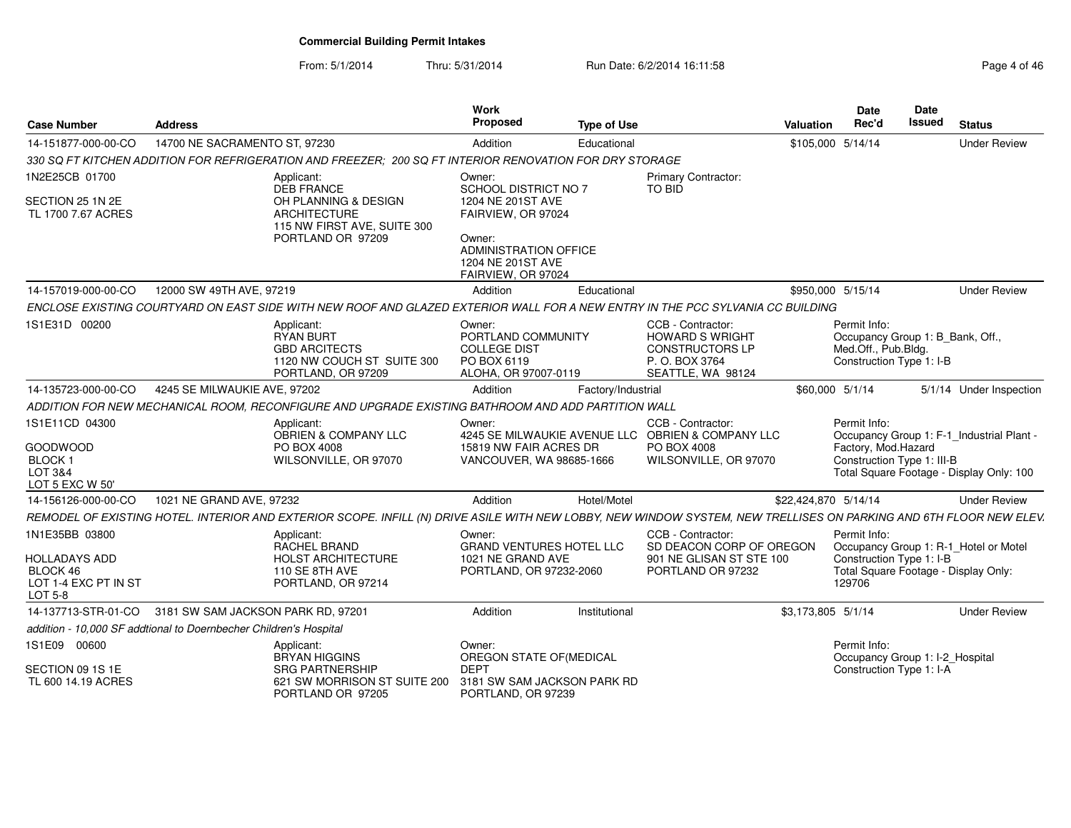From: 5/1/2014

| Page 4 of 46 |  |  |  |
|--------------|--|--|--|
|--------------|--|--|--|

| <b>Case Number</b>                                                         | <b>Address</b>                                                    |                                                                                                                                                                    | Work<br>Proposed                                                                           | <b>Type of Use</b> |                                                                                                                | <b>Valuation</b>     | <b>Date</b><br>Rec'd                                                                                | <b>Date</b><br><b>Issued</b> | <b>Status</b>                                                                         |
|----------------------------------------------------------------------------|-------------------------------------------------------------------|--------------------------------------------------------------------------------------------------------------------------------------------------------------------|--------------------------------------------------------------------------------------------|--------------------|----------------------------------------------------------------------------------------------------------------|----------------------|-----------------------------------------------------------------------------------------------------|------------------------------|---------------------------------------------------------------------------------------|
| 14-151877-000-00-CO                                                        | 14700 NE SACRAMENTO ST, 97230                                     |                                                                                                                                                                    | Addition                                                                                   | Educational        |                                                                                                                | \$105,000 5/14/14    |                                                                                                     |                              | <b>Under Review</b>                                                                   |
|                                                                            |                                                                   | 330 SQ FT KITCHEN ADDITION FOR REFRIGERATION AND FREEZER: 200 SQ FT INTERIOR RENOVATION FOR DRY STORAGE                                                            |                                                                                            |                    |                                                                                                                |                      |                                                                                                     |                              |                                                                                       |
| 1N2E25CB 01700                                                             |                                                                   | Applicant:<br><b>DEB FRANCE</b>                                                                                                                                    | Owner:<br>SCHOOL DISTRICT NO 7                                                             |                    | Primary Contractor:<br>TO BID                                                                                  |                      |                                                                                                     |                              |                                                                                       |
| SECTION 25 1N 2E<br>TL 1700 7.67 ACRES                                     |                                                                   | OH PLANNING & DESIGN<br><b>ARCHITECTURE</b><br>115 NW FIRST AVE, SUITE 300                                                                                         | 1204 NE 201ST AVE<br>FAIRVIEW, OR 97024                                                    |                    |                                                                                                                |                      |                                                                                                     |                              |                                                                                       |
|                                                                            |                                                                   | PORTLAND OR 97209                                                                                                                                                  | Owner:<br><b>ADMINISTRATION OFFICE</b><br>1204 NE 201ST AVE<br>FAIRVIEW, OR 97024          |                    |                                                                                                                |                      |                                                                                                     |                              |                                                                                       |
| 14-157019-000-00-CO                                                        | 12000 SW 49TH AVE, 97219                                          |                                                                                                                                                                    | Addition                                                                                   | Educational        |                                                                                                                | \$950,000 5/15/14    |                                                                                                     |                              | <b>Under Review</b>                                                                   |
|                                                                            |                                                                   | ENCLOSE EXISTING COURTYARD ON EAST SIDE WITH NEW ROOF AND GLAZED EXTERIOR WALL FOR A NEW ENTRY IN THE PCC SYLVANIA CC BUILDING                                     |                                                                                            |                    |                                                                                                                |                      |                                                                                                     |                              |                                                                                       |
| 1S1E31D 00200                                                              |                                                                   | Applicant:<br>RYAN BURT<br><b>GBD ARCITECTS</b><br>1120 NW COUCH ST SUITE 300<br>PORTLAND, OR 97209                                                                | Owner:<br>PORTLAND COMMUNITY<br><b>COLLEGE DIST</b><br>PO BOX 6119<br>ALOHA, OR 97007-0119 |                    | CCB - Contractor:<br><b>HOWARD S WRIGHT</b><br>CONSTRUCTORS LP<br>P.O. BOX 3764<br>SEATTLE, WA 98124           |                      | Permit Info:<br>Occupancy Group 1: B_Bank, Off.,<br>Med.Off., Pub.Bldg.<br>Construction Type 1: I-B |                              |                                                                                       |
| 14-135723-000-00-CO                                                        | 4245 SE MILWAUKIE AVE, 97202                                      |                                                                                                                                                                    | Addition                                                                                   | Factory/Industrial |                                                                                                                | \$60,000 5/1/14      |                                                                                                     |                              | 5/1/14 Under Inspection                                                               |
|                                                                            |                                                                   | ADDITION FOR NEW MECHANICAL ROOM, RECONFIGURE AND UPGRADE EXISTING BATHROOM AND ADD PARTITION WALL                                                                 |                                                                                            |                    |                                                                                                                |                      |                                                                                                     |                              |                                                                                       |
| 1S1E11CD 04300<br><b>GOODWOOD</b><br>BLOCK 1<br>LOT 3&4<br>LOT 5 EXC W 50' |                                                                   | Applicant:<br>OBRIEN & COMPANY LLC<br>PO BOX 4008<br>WILSONVILLE, OR 97070                                                                                         | Owner:<br>15819 NW FAIR ACRES DR<br>VANCOUVER, WA 98685-1666                               |                    | CCB - Contractor:<br>4245 SE MILWAUKIE AVENUE LLC OBRIEN & COMPANY LLC<br>PO BOX 4008<br>WILSONVILLE, OR 97070 |                      | Permit Info:<br>Factory, Mod.Hazard<br>Construction Type 1: III-B                                   |                              | Occupancy Group 1: F-1_Industrial Plant -<br>Total Square Footage - Display Only: 100 |
| 14-156126-000-00-CO                                                        | 1021 NE GRAND AVE, 97232                                          |                                                                                                                                                                    | Addition                                                                                   | Hotel/Motel        |                                                                                                                | \$22,424,870 5/14/14 |                                                                                                     |                              | <b>Under Review</b>                                                                   |
|                                                                            |                                                                   | REMODEL OF EXISTING HOTEL. INTERIOR AND EXTERIOR SCOPE. INFILL (N) DRIVE ASILE WITH NEW LOBBY, NEW WINDOW SYSTEM, NEW TRELLISES ON PARKING AND 6TH FLOOR NEW ELEV. |                                                                                            |                    |                                                                                                                |                      |                                                                                                     |                              |                                                                                       |
| 1N1E35BB 03800                                                             |                                                                   | Applicant:<br>RACHEL BRAND                                                                                                                                         | Owner:<br><b>GRAND VENTURES HOTEL LLC</b>                                                  |                    | CCB - Contractor:<br>SD DEACON CORP OF OREGON                                                                  |                      | Permit Info:                                                                                        |                              | Occupancy Group 1: R-1_Hotel or Motel                                                 |
| <b>HOLLADAYS ADD</b>                                                       |                                                                   | <b>HOLST ARCHITECTURE</b>                                                                                                                                          | 1021 NE GRAND AVE                                                                          |                    | 901 NE GLISAN ST STE 100                                                                                       |                      | Construction Type 1: I-B                                                                            |                              |                                                                                       |
| BLOCK 46<br>LOT 1-4 EXC PT IN ST<br><b>LOT 5-8</b>                         |                                                                   | 110 SE 8TH AVE<br>PORTLAND, OR 97214                                                                                                                               | PORTLAND, OR 97232-2060                                                                    |                    | PORTLAND OR 97232                                                                                              |                      | 129706                                                                                              |                              | Total Square Footage - Display Only:                                                  |
|                                                                            | 14-137713-STR-01-CO 3181 SW SAM JACKSON PARK RD, 97201            |                                                                                                                                                                    | Addition                                                                                   | Institutional      |                                                                                                                | \$3,173,805 5/1/14   |                                                                                                     |                              | <b>Under Review</b>                                                                   |
|                                                                            | addition - 10,000 SF addtional to Doernbecher Children's Hospital |                                                                                                                                                                    |                                                                                            |                    |                                                                                                                |                      |                                                                                                     |                              |                                                                                       |
| 1S1E09 00600                                                               |                                                                   | Applicant:<br><b>BRYAN HIGGINS</b>                                                                                                                                 | Owner:<br>OREGON STATE OF (MEDICAL                                                         |                    |                                                                                                                |                      | Permit Info:<br>Occupancy Group 1: I-2_Hospital                                                     |                              |                                                                                       |
| SECTION 09 1S 1E<br>TL 600 14.19 ACRES                                     |                                                                   | <b>SRG PARTNERSHIP</b><br>621 SW MORRISON ST SUITE 200<br>PORTLAND OR 97205                                                                                        | <b>DEPT</b><br>3181 SW SAM JACKSON PARK RD<br>PORTLAND, OR 97239                           |                    |                                                                                                                |                      | Construction Type 1: I-A                                                                            |                              |                                                                                       |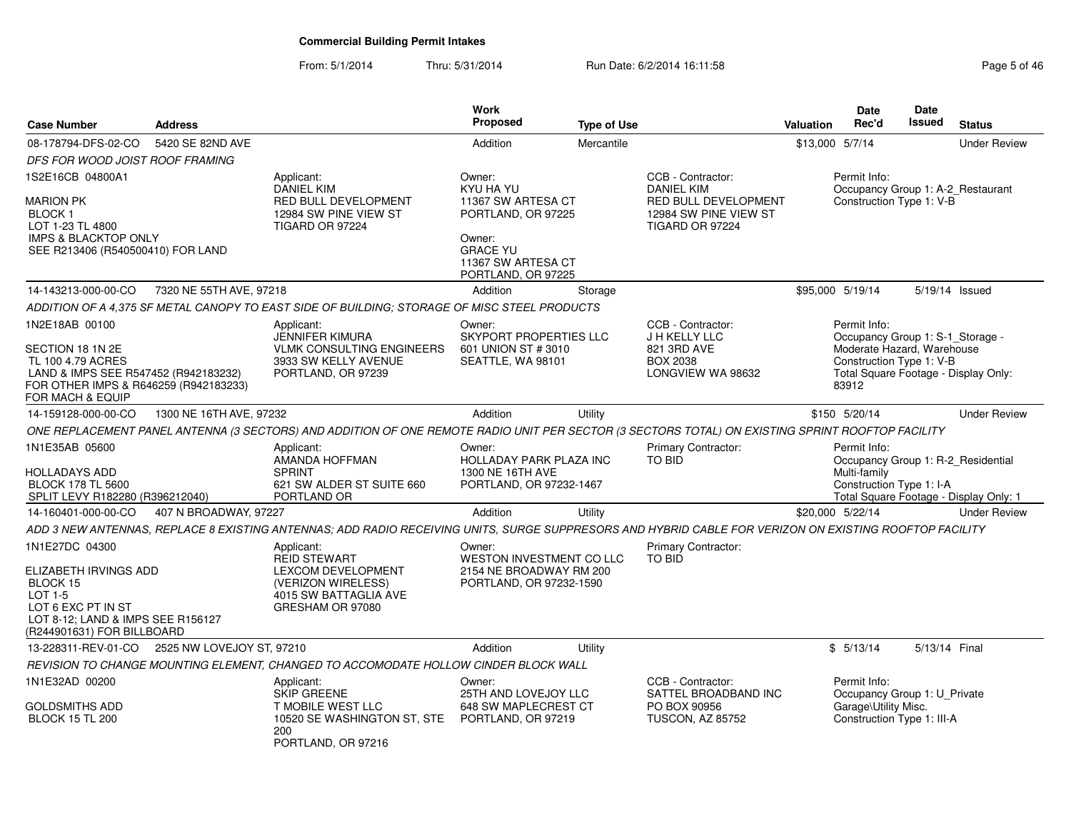### From: 5/1/2014Thru: 5/31/2014 Run Date: 6/2/2014 16:11:58 Research 2010 12:04 8 Page 5 of 46

| <b>Case Number</b>                                                                                                                                           | <b>Address</b>          |                                                                                                                                                        | Work<br><b>Proposed</b>                                                                                                        | <b>Type of Use</b> |                                                                                              | <b>Valuation</b>                                              | <b>Date</b><br>Rec'd                                                                                                | <b>Date</b><br><b>Issued</b> | <b>Status</b>                                                                |
|--------------------------------------------------------------------------------------------------------------------------------------------------------------|-------------------------|--------------------------------------------------------------------------------------------------------------------------------------------------------|--------------------------------------------------------------------------------------------------------------------------------|--------------------|----------------------------------------------------------------------------------------------|---------------------------------------------------------------|---------------------------------------------------------------------------------------------------------------------|------------------------------|------------------------------------------------------------------------------|
| 08-178794-DFS-02-CO                                                                                                                                          | 5420 SE 82ND AVE        |                                                                                                                                                        | Addition                                                                                                                       | Mercantile         |                                                                                              | \$13,000 5/7/14                                               |                                                                                                                     |                              | <b>Under Review</b>                                                          |
| DFS FOR WOOD JOIST ROOF FRAMING                                                                                                                              |                         |                                                                                                                                                        |                                                                                                                                |                    |                                                                                              |                                                               |                                                                                                                     |                              |                                                                              |
| 1S2E16CB 04800A1                                                                                                                                             |                         | Applicant:                                                                                                                                             | Owner:                                                                                                                         |                    | CCB - Contractor:                                                                            |                                                               | Permit Info:                                                                                                        |                              |                                                                              |
| MARION PK<br>BLOCK 1<br>LOT 1-23 TL 4800<br><b>IMPS &amp; BLACKTOP ONLY</b><br>SEE R213406 (R540500410) FOR LAND                                             |                         | <b>DANIEL KIM</b><br><b>RED BULL DEVELOPMENT</b><br>12984 SW PINE VIEW ST<br>TIGARD OR 97224                                                           | KYU HA YU<br>11367 SW ARTESA CT<br>PORTLAND, OR 97225<br>Owner:<br><b>GRACE YU</b><br>11367 SW ARTESA CT<br>PORTLAND, OR 97225 |                    | <b>DANIEL KIM</b><br><b>RED BULL DEVELOPMENT</b><br>12984 SW PINE VIEW ST<br>TIGARD OR 97224 | Occupancy Group 1: A-2_Restaurant<br>Construction Type 1: V-B |                                                                                                                     |                              |                                                                              |
| 14-143213-000-00-CO                                                                                                                                          | 7320 NE 55TH AVE, 97218 |                                                                                                                                                        | Addition                                                                                                                       | Storage            |                                                                                              |                                                               | \$95,000 5/19/14                                                                                                    |                              | 5/19/14 Issued                                                               |
|                                                                                                                                                              |                         | ADDITION OF A 4,375 SF METAL CANOPY TO EAST SIDE OF BUILDING; STORAGE OF MISC STEEL PRODUCTS                                                           |                                                                                                                                |                    |                                                                                              |                                                               |                                                                                                                     |                              |                                                                              |
| 1N2E18AB 00100<br>SECTION 18 1N 2E<br>TL 100 4.79 ACRES<br>LAND & IMPS SEE R547452 (R942183232)<br>FOR OTHER IMPS & R646259 (R942183233)<br>FOR MACH & EQUIP |                         | Applicant:<br>JENNIFER KIMURA<br><b>VLMK CONSULTING ENGINEERS</b><br>3933 SW KELLY AVENUE<br>PORTLAND, OR 97239                                        | Owner:<br>SKYPORT PROPERTIES LLC<br>601 UNION ST # 3010<br>SEATTLE, WA 98101                                                   |                    | CCB - Contractor:<br>J H KELLY LLC<br>821 3RD AVE<br><b>BOX 2038</b><br>LONGVIEW WA 98632    |                                                               | Permit Info:<br>Occupancy Group 1: S-1_Storage -<br>Moderate Hazard, Warehouse<br>Construction Type 1: V-B<br>83912 |                              | Total Square Footage - Display Only:                                         |
| 14-159128-000-00-CO                                                                                                                                          | 1300 NE 16TH AVE, 97232 |                                                                                                                                                        | Addition                                                                                                                       | Utility            |                                                                                              |                                                               | \$150 5/20/14                                                                                                       |                              | <b>Under Review</b>                                                          |
|                                                                                                                                                              |                         | ONE REPLACEMENT PANEL ANTENNA (3 SECTORS) AND ADDITION OF ONE REMOTE RADIO UNIT PER SECTOR (3 SECTORS TOTAL) ON EXISTING SPRINT ROOFTOP FACILITY       |                                                                                                                                |                    |                                                                                              |                                                               |                                                                                                                     |                              |                                                                              |
| 1N1E35AB 05600<br>HOLLADAYS ADD<br><b>BLOCK 178 TL 5600</b><br>SPLIT LEVY R182280 (R396212040)                                                               |                         | Applicant:<br>AMANDA HOFFMAN<br><b>SPRINT</b><br>621 SW ALDER ST SUITE 660<br>PORTLAND OR                                                              | Owner:<br><b>HOLLADAY PARK PLAZA INC</b><br>1300 NE 16TH AVE<br>PORTLAND, OR 97232-1467                                        |                    | Primary Contractor:<br>TO BID                                                                |                                                               | Permit Info:<br>Multi-family<br>Construction Type 1: I-A                                                            |                              | Occupancy Group 1: R-2_Residential<br>Total Square Footage - Display Only: 1 |
| 14-160401-000-00-CO                                                                                                                                          | 407 N BROADWAY, 97227   |                                                                                                                                                        | Addition                                                                                                                       | Utility            |                                                                                              |                                                               | \$20,000 5/22/14                                                                                                    |                              | <b>Under Review</b>                                                          |
|                                                                                                                                                              |                         | ADD 3 NEW ANTENNAS, REPLACE 8 EXISTING ANTENNAS; ADD RADIO RECEIVING UNITS, SURGE SUPPRESORS AND HYBRID CABLE FOR VERIZON ON EXISTING ROOFTOP FACILITY |                                                                                                                                |                    |                                                                                              |                                                               |                                                                                                                     |                              |                                                                              |
| 1N1E27DC 04300<br>ELIZABETH IRVINGS ADD<br>BLOCK 15<br>LOT 1-5<br>LOT 6 EXC PT IN ST<br>LOT 8-12; LAND & IMPS SEE R156127<br>(R244901631) FOR BILLBOARD      |                         | Applicant:<br><b>REID STEWART</b><br>LEXCOM DEVELOPMENT<br>(VERIZON WIRELESS)<br>4015 SW BATTAGLIA AVE<br>GRESHAM OR 97080                             | Owner:<br>WESTON INVESTMENT CO LLC<br>2154 NE BROADWAY RM 200<br>PORTLAND, OR 97232-1590                                       |                    | Primary Contractor:<br><b>TO BID</b>                                                         |                                                               |                                                                                                                     |                              |                                                                              |
| 13-228311-REV-01-CO   2525 NW LOVEJOY ST, 97210                                                                                                              |                         |                                                                                                                                                        | Addition                                                                                                                       | Utility            |                                                                                              |                                                               | \$5/13/14                                                                                                           | 5/13/14 Final                |                                                                              |
|                                                                                                                                                              |                         | REVISION TO CHANGE MOUNTING ELEMENT, CHANGED TO ACCOMODATE HOLLOW CINDER BLOCK WALL                                                                    |                                                                                                                                |                    |                                                                                              |                                                               |                                                                                                                     |                              |                                                                              |
| 1N1E32AD 00200<br>GOLDSMITHS ADD<br><b>BLOCK 15 TL 200</b>                                                                                                   |                         | Applicant:<br><b>SKIP GREENE</b><br>T MOBILE WEST LLC<br>10520 SE WASHINGTON ST, STE<br>200<br>PORTLAND, OR 97216                                      | Owner:<br>25TH AND LOVEJOY LLC<br>648 SW MAPLECREST CT<br>PORTLAND, OR 97219                                                   |                    | CCB - Contractor:<br>SATTEL BROADBAND INC<br>PO BOX 90956<br><b>TUSCON, AZ 85752</b>         |                                                               | Permit Info:<br>Occupancy Group 1: U_Private<br>Garage\Utility Misc.<br>Construction Type 1: III-A                  |                              |                                                                              |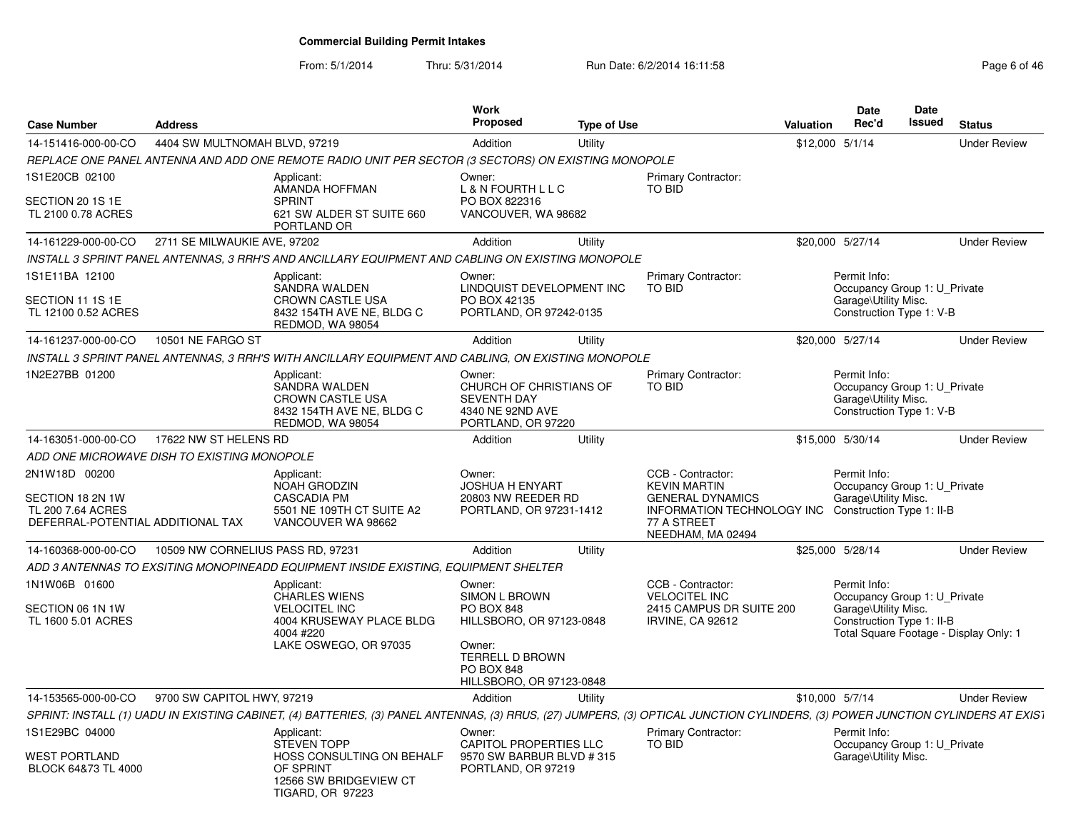From: 5/1/2014Thru: 5/31/2014 Run Date: 6/2/2014 16:11:58 Research 2010 12:00 Page 6 of 46

| <b>Case Number</b>                                                                          | <b>Address</b>                    |                                                                                                                                                                                | <b>Work</b><br><b>Proposed</b>                                                                        | <b>Type of Use</b> |                                                                                                                                       | Valuation       | <b>Date</b><br>Rec'd                                                                              | <b>Date</b><br><b>Issued</b> | <b>Status</b>                          |
|---------------------------------------------------------------------------------------------|-----------------------------------|--------------------------------------------------------------------------------------------------------------------------------------------------------------------------------|-------------------------------------------------------------------------------------------------------|--------------------|---------------------------------------------------------------------------------------------------------------------------------------|-----------------|---------------------------------------------------------------------------------------------------|------------------------------|----------------------------------------|
| 14-151416-000-00-CO                                                                         | 4404 SW MULTNOMAH BLVD, 97219     |                                                                                                                                                                                | Addition                                                                                              | Utility            |                                                                                                                                       | \$12,000 5/1/14 |                                                                                                   |                              | <b>Under Review</b>                    |
|                                                                                             |                                   | REPLACE ONE PANEL ANTENNA AND ADD ONE REMOTE RADIO UNIT PER SECTOR (3 SECTORS) ON EXISTING MONOPOLE                                                                            |                                                                                                       |                    |                                                                                                                                       |                 |                                                                                                   |                              |                                        |
| 1S1E20CB 02100<br>SECTION 20 1S 1E<br>TL 2100 0.78 ACRES                                    |                                   | Applicant:<br>AMANDA HOFFMAN<br><b>SPRINT</b><br>621 SW ALDER ST SUITE 660<br>PORTLAND OR                                                                                      | Owner:<br>L & N FOURTH L L C<br>PO BOX 822316<br>VANCOUVER, WA 98682                                  |                    | <b>Primary Contractor:</b><br>TO BID                                                                                                  |                 |                                                                                                   |                              |                                        |
| 14-161229-000-00-CO                                                                         | 2711 SE MILWAUKIE AVE, 97202      |                                                                                                                                                                                | Addition                                                                                              | Utility            |                                                                                                                                       |                 | \$20,000 5/27/14                                                                                  |                              | <b>Under Review</b>                    |
|                                                                                             |                                   | INSTALL 3 SPRINT PANEL ANTENNAS, 3 RRH'S AND ANCILLARY EQUIPMENT AND CABLING ON EXISTING MONOPOLE                                                                              |                                                                                                       |                    |                                                                                                                                       |                 |                                                                                                   |                              |                                        |
| 1S1E11BA 12100<br>SECTION 11 1S 1E                                                          |                                   | Applicant:<br>SANDRA WALDEN<br><b>CROWN CASTLE USA</b>                                                                                                                         | Owner:<br>LINDQUIST DEVELOPMENT INC<br>PO BOX 42135                                                   |                    | Primary Contractor:<br><b>TO BID</b>                                                                                                  |                 | Permit Info:<br>Occupancy Group 1: U Private<br>Garage\Utility Misc.                              |                              |                                        |
| TL 12100 0.52 ACRES                                                                         |                                   | 8432 154TH AVE NE, BLDG C<br>REDMOD, WA 98054                                                                                                                                  | PORTLAND, OR 97242-0135                                                                               |                    |                                                                                                                                       |                 | Construction Type 1: V-B                                                                          |                              |                                        |
| 14-161237-000-00-CO                                                                         | 10501 NE FARGO ST                 |                                                                                                                                                                                | Addition                                                                                              | Utility            |                                                                                                                                       |                 | \$20,000 5/27/14                                                                                  |                              | <b>Under Review</b>                    |
|                                                                                             |                                   | INSTALL 3 SPRINT PANEL ANTENNAS, 3 RRH'S WITH ANCILLARY EQUIPMENT AND CABLING, ON EXISTING MONOPOLE                                                                            |                                                                                                       |                    |                                                                                                                                       |                 |                                                                                                   |                              |                                        |
| 1N2E27BB 01200                                                                              |                                   | Applicant:<br>SANDRA WALDEN<br><b>CROWN CASTLE USA</b><br>8432 154TH AVE NE, BLDG C<br>REDMOD, WA 98054                                                                        | Owner:<br>CHURCH OF CHRISTIANS OF<br><b>SEVENTH DAY</b><br>4340 NE 92ND AVE<br>PORTLAND, OR 97220     |                    | Primary Contractor:<br>TO BID                                                                                                         |                 | Permit Info:<br>Occupancy Group 1: U_Private<br>Garage\Utility Misc.<br>Construction Type 1: V-B  |                              |                                        |
| 14-163051-000-00-CO                                                                         | 17622 NW ST HELENS RD             |                                                                                                                                                                                | Addition                                                                                              | Utility            |                                                                                                                                       |                 | \$15,000 5/30/14                                                                                  |                              | <b>Under Review</b>                    |
| ADD ONE MICROWAVE DISH TO EXISTING MONOPOLE                                                 |                                   |                                                                                                                                                                                |                                                                                                       |                    |                                                                                                                                       |                 |                                                                                                   |                              |                                        |
| 2N1W18D 00200<br>SECTION 18 2N 1W<br>TL 200 7.64 ACRES<br>DEFERRAL-POTENTIAL ADDITIONAL TAX |                                   | Applicant:<br><b>NOAH GRODZIN</b><br><b>CASCADIA PM</b><br>5501 NE 109TH CT SUITE A2<br>VANCOUVER WA 98662                                                                     | Owner:<br><b>JOSHUA H ENYART</b><br>20803 NW REEDER RD<br>PORTLAND, OR 97231-1412                     |                    | CCB - Contractor:<br><b>KEVIN MARTIN</b><br><b>GENERAL DYNAMICS</b><br>INFORMATION TECHNOLOGY INC<br>77 A STREET<br>NEEDHAM, MA 02494 |                 | Permit Info:<br>Occupancy Group 1: U_Private<br>Garage\Utility Misc.<br>Construction Type 1: II-B |                              |                                        |
| 14-160368-000-00-CO                                                                         | 10509 NW CORNELIUS PASS RD, 97231 |                                                                                                                                                                                | Addition                                                                                              | Utility            |                                                                                                                                       |                 | \$25,000 5/28/14                                                                                  |                              | <b>Under Review</b>                    |
|                                                                                             |                                   | ADD 3 ANTENNAS TO EXSITING MONOPINEADD EQUIPMENT INSIDE EXISTING. EQUIPMENT SHELTER                                                                                            |                                                                                                       |                    |                                                                                                                                       |                 |                                                                                                   |                              |                                        |
| 1N1W06B 01600<br>SECTION 06 1N 1W<br>TL 1600 5.01 ACRES                                     |                                   | Applicant:<br><b>CHARLES WIENS</b><br><b>VELOCITEL INC</b><br>4004 KRUSEWAY PLACE BLDG<br>4004 #220<br>LAKE OSWEGO, OR 97035                                                   | Owner:<br>SIMON L BROWN<br>PO BOX 848<br>HILLSBORO, OR 97123-0848<br>Owner:<br><b>TERRELL D BROWN</b> |                    | CCB - Contractor:<br><b>VELOCITEL INC</b><br>2415 CAMPUS DR SUITE 200<br><b>IRVINE, CA 92612</b>                                      |                 | Permit Info:<br>Occupancy Group 1: U_Private<br>Garage\Utility Misc.<br>Construction Type 1: II-B |                              | Total Square Footage - Display Only: 1 |
|                                                                                             |                                   |                                                                                                                                                                                | <b>PO BOX 848</b><br>HILLSBORO, OR 97123-0848                                                         |                    |                                                                                                                                       |                 |                                                                                                   |                              |                                        |
| 14-153565-000-00-CO                                                                         | 9700 SW CAPITOL HWY, 97219        |                                                                                                                                                                                | Addition                                                                                              | Utility            |                                                                                                                                       | \$10,000 5/7/14 |                                                                                                   |                              | <b>Under Review</b>                    |
|                                                                                             |                                   | SPRINT: INSTALL (1) UADU IN EXISTING CABINET, (4) BATTERIES, (3) PANEL ANTENNAS, (3) RRUS, (27) JUMPERS, (3) OPTICAL JUNCTION CYLINDERS, (3) POWER JUNCTION CYLINDERS AT EXIST |                                                                                                       |                    |                                                                                                                                       |                 |                                                                                                   |                              |                                        |
| 1S1E29BC 04000<br>WEST PORTLAND                                                             |                                   | Applicant:<br><b>STEVEN TOPP</b><br>HOSS CONSULTING ON BEHALF                                                                                                                  | Owner:<br><b>CAPITOL PROPERTIES LLC</b><br>9570 SW BARBUR BLVD # 315                                  |                    | <b>Primary Contractor:</b><br>TO BID                                                                                                  |                 | Permit Info:<br>Occupancy Group 1: U Private<br>Garage\Utility Misc.                              |                              |                                        |
| BLOCK 64&73 TL 4000                                                                         |                                   | OF SPRINT<br>12566 SW BRIDGEVIEW CT<br><b>TIGARD, OR 97223</b>                                                                                                                 | PORTLAND, OR 97219                                                                                    |                    |                                                                                                                                       |                 |                                                                                                   |                              |                                        |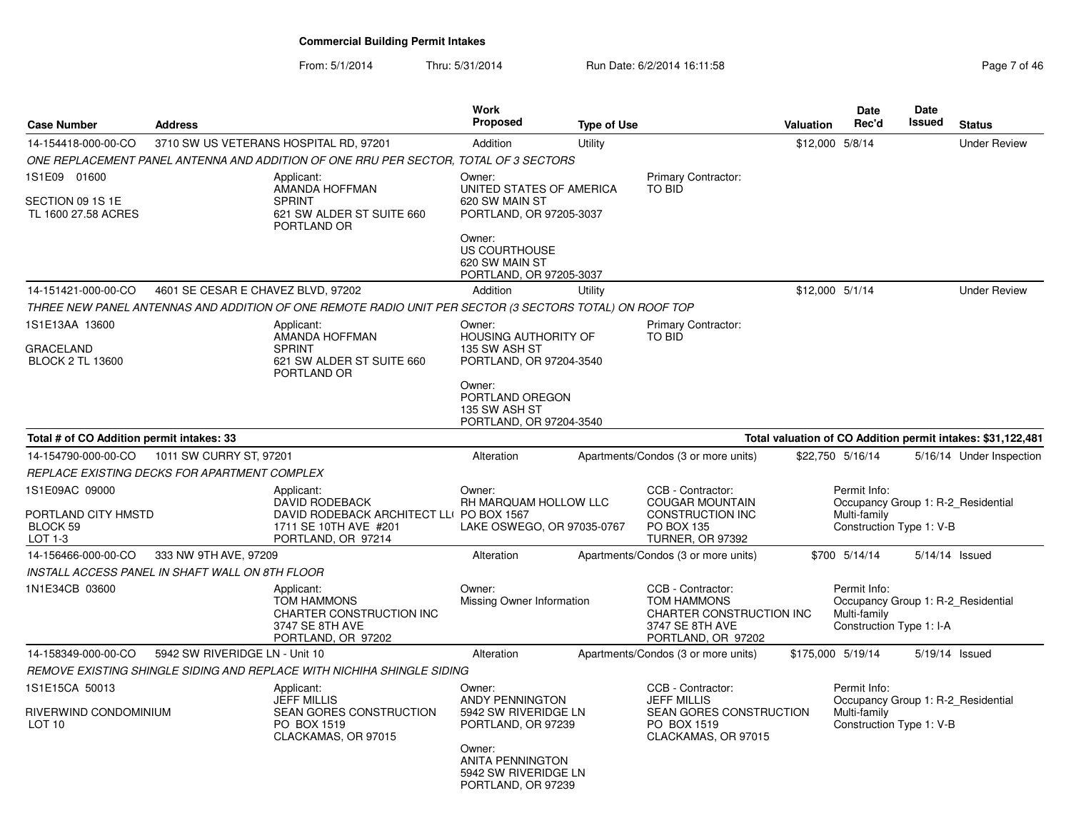From: 5/1/2014Thru: 5/31/2014 Run Date: 6/2/2014 16:11:58 Run Date: 6/2/2014 16:11:58

| <b>Case Number</b>                                            | <b>Address</b>                     |                                                                                                                                | Work<br><b>Proposed</b>                                                                                                                     | <b>Type of Use</b> |                                                                                                                 | <b>Valuation</b> | Date<br>Rec'd                                            | Date<br>Issued | <b>Status</b>                                               |
|---------------------------------------------------------------|------------------------------------|--------------------------------------------------------------------------------------------------------------------------------|---------------------------------------------------------------------------------------------------------------------------------------------|--------------------|-----------------------------------------------------------------------------------------------------------------|------------------|----------------------------------------------------------|----------------|-------------------------------------------------------------|
| 14-154418-000-00-CO                                           |                                    | 3710 SW US VETERANS HOSPITAL RD, 97201                                                                                         | Addition                                                                                                                                    | Utility            |                                                                                                                 |                  | \$12,000 5/8/14                                          |                | <b>Under Review</b>                                         |
|                                                               |                                    | ONE REPLACEMENT PANEL ANTENNA AND ADDITION OF ONE RRU PER SECTOR. TOTAL OF 3 SECTORS                                           |                                                                                                                                             |                    |                                                                                                                 |                  |                                                          |                |                                                             |
| 1S1E09 01600<br>SECTION 09 1S 1E<br>TL 1600 27.58 ACRES       |                                    | Applicant:<br>AMANDA HOFFMAN<br><b>SPRINT</b><br>621 SW ALDER ST SUITE 660<br>PORTLAND OR                                      | Owner:<br>UNITED STATES OF AMERICA<br>620 SW MAIN ST<br>PORTLAND, OR 97205-3037<br>Owner:                                                   |                    | Primary Contractor:<br>TO BID                                                                                   |                  |                                                          |                |                                                             |
|                                                               |                                    |                                                                                                                                | <b>US COURTHOUSE</b><br>620 SW MAIN ST<br>PORTLAND, OR 97205-3037                                                                           |                    |                                                                                                                 |                  |                                                          |                |                                                             |
| 14-151421-000-00-CO                                           | 4601 SE CESAR E CHAVEZ BLVD, 97202 |                                                                                                                                | Addition                                                                                                                                    | Utility            |                                                                                                                 |                  | \$12,000 5/1/14                                          |                | <b>Under Review</b>                                         |
|                                                               |                                    | THREE NEW PANEL ANTENNAS AND ADDITION OF ONE REMOTE RADIO UNIT PER SECTOR (3 SECTORS TOTAL) ON ROOF TOP                        |                                                                                                                                             |                    |                                                                                                                 |                  |                                                          |                |                                                             |
| 1S1E13AA 13600<br><b>GRACELAND</b><br><b>BLOCK 2 TL 13600</b> |                                    | Applicant:<br>AMANDA HOFFMAN<br><b>SPRINT</b><br>621 SW ALDER ST SUITE 660<br>PORTLAND OR                                      | Owner:<br>HOUSING AUTHORITY OF<br>135 SW ASH ST<br>PORTLAND, OR 97204-3540                                                                  |                    | Primary Contractor:<br><b>TO BID</b>                                                                            |                  |                                                          |                |                                                             |
|                                                               |                                    |                                                                                                                                | Owner:<br>PORTLAND OREGON<br>135 SW ASH ST<br>PORTLAND, OR 97204-3540                                                                       |                    |                                                                                                                 |                  |                                                          |                |                                                             |
| Total # of CO Addition permit intakes: 33                     |                                    |                                                                                                                                |                                                                                                                                             |                    |                                                                                                                 |                  |                                                          |                | Total valuation of CO Addition permit intakes: \$31,122,481 |
| 14-154790-000-00-CO                                           | 1011 SW CURRY ST, 97201            |                                                                                                                                | Alteration                                                                                                                                  |                    | Apartments/Condos (3 or more units)                                                                             |                  | \$22,750 5/16/14                                         |                | 5/16/14 Under Inspection                                    |
| REPLACE EXISTING DECKS FOR APARTMENT COMPLEX                  |                                    |                                                                                                                                |                                                                                                                                             |                    |                                                                                                                 |                  |                                                          |                |                                                             |
| 1S1E09AC 09000<br>PORTLAND CITY HMSTD<br>BLOCK 59<br>LOT 1-3  |                                    | Applicant:<br><b>DAVID RODEBACK</b><br>DAVID RODEBACK ARCHITECT LLI PO BOX 1567<br>1711 SE 10TH AVE #201<br>PORTLAND, OR 97214 | Owner:<br>RH MARQUAM HOLLOW LLC<br>LAKE OSWEGO, OR 97035-0767                                                                               |                    | CCB - Contractor:<br><b>COUGAR MOUNTAIN</b><br><b>CONSTRUCTION INC</b><br>PO BOX 135<br><b>TURNER, OR 97392</b> |                  | Permit Info:<br>Multi-family<br>Construction Type 1: V-B |                | Occupancy Group 1: R-2 Residential                          |
| 14-156466-000-00-CO                                           | 333 NW 9TH AVE, 97209              |                                                                                                                                | Alteration                                                                                                                                  |                    | Apartments/Condos (3 or more units)                                                                             |                  | \$700 5/14/14                                            |                | 5/14/14 Issued                                              |
| INSTALL ACCESS PANEL IN SHAFT WALL ON 8TH FLOOR               |                                    |                                                                                                                                |                                                                                                                                             |                    |                                                                                                                 |                  |                                                          |                |                                                             |
| 1N1E34CB 03600                                                |                                    | Applicant:<br><b>TOM HAMMONS</b><br>CHARTER CONSTRUCTION INC<br>3747 SE 8TH AVE<br>PORTLAND, OR 97202                          | Owner:<br>Missing Owner Information                                                                                                         |                    | CCB - Contractor:<br><b>TOM HAMMONS</b><br>CHARTER CONSTRUCTION INC<br>3747 SE 8TH AVE<br>PORTLAND, OR 97202    |                  | Permit Info:<br>Multi-family<br>Construction Type 1: I-A |                | Occupancy Group 1: R-2 Residential                          |
| 14-158349-000-00-CO                                           | 5942 SW RIVERIDGE LN - Unit 10     |                                                                                                                                | Alteration                                                                                                                                  |                    | Apartments/Condos (3 or more units)                                                                             |                  | \$175,000 5/19/14                                        |                | 5/19/14 Issued                                              |
|                                                               |                                    | REMOVE EXISTING SHINGLE SIDING AND REPLACE WITH NICHIHA SHINGLE SIDING                                                         |                                                                                                                                             |                    |                                                                                                                 |                  |                                                          |                |                                                             |
| 1S1E15CA 50013<br>RIVERWIND CONDOMINIUM<br>LOT 10             |                                    | Applicant:<br><b>JEFF MILLIS</b><br>SEAN GORES CONSTRUCTION<br>PO BOX 1519<br>CLACKAMAS, OR 97015                              | Owner:<br><b>ANDY PENNINGTON</b><br>5942 SW RIVERIDGE LN<br>PORTLAND, OR 97239<br>Owner:<br><b>ANITA PENNINGTON</b><br>5942 SW RIVERIDGE LN |                    | CCB - Contractor:<br><b>JEFF MILLIS</b><br>SEAN GORES CONSTRUCTION<br>PO BOX 1519<br>CLACKAMAS, OR 97015        |                  | Permit Info:<br>Multi-family<br>Construction Type 1: V-B |                | Occupancy Group 1: R-2 Residential                          |
|                                                               |                                    |                                                                                                                                | PORTLAND, OR 97239                                                                                                                          |                    |                                                                                                                 |                  |                                                          |                |                                                             |

**DateRec'd**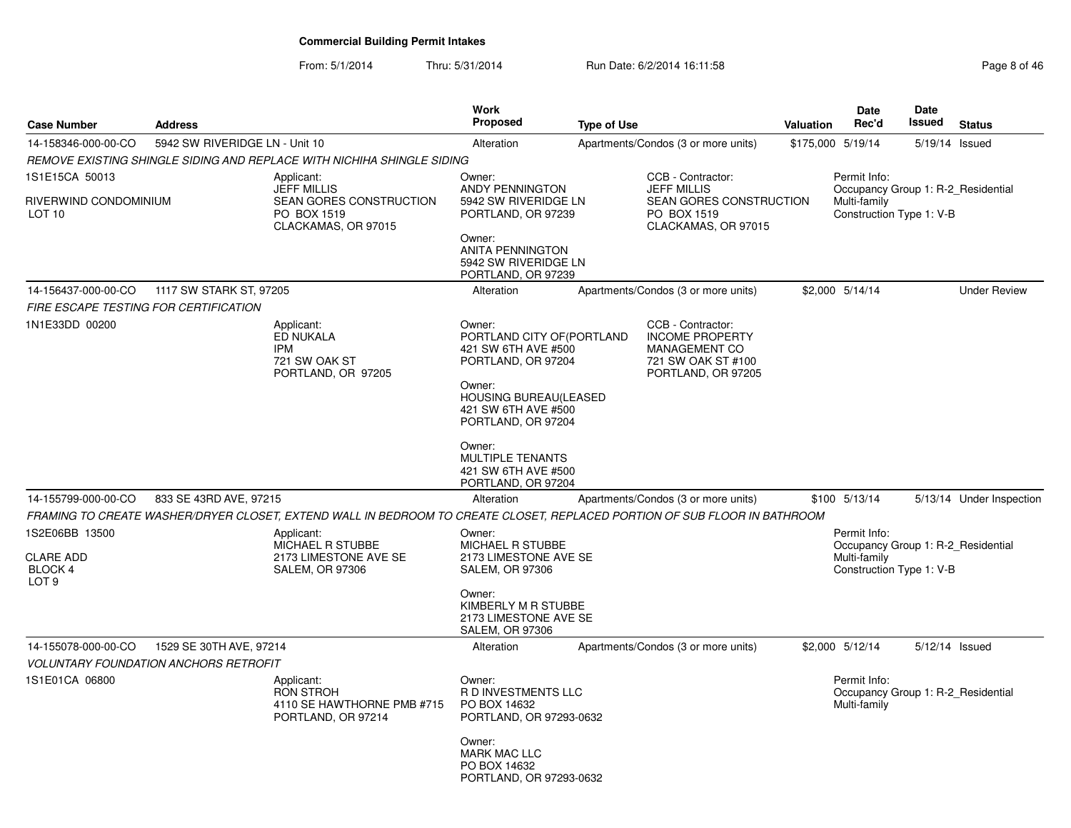From: 5/1/2014Thru: 5/31/2014 Run Date: 6/2/2014 16:11:58 Rege 8 of 46

| <b>Case Number</b>                                                       | <b>Address</b>                                                          |                                                                                                                           | <b>Work</b><br><b>Proposed</b>                                                                                                                                                                                                       | <b>Type of Use</b> |                                                                                                                 | <b>Valuation</b>  | <b>Date</b><br>Rec'd                                                                           | Date<br>Issued | <b>Status</b>            |
|--------------------------------------------------------------------------|-------------------------------------------------------------------------|---------------------------------------------------------------------------------------------------------------------------|--------------------------------------------------------------------------------------------------------------------------------------------------------------------------------------------------------------------------------------|--------------------|-----------------------------------------------------------------------------------------------------------------|-------------------|------------------------------------------------------------------------------------------------|----------------|--------------------------|
| 14-158346-000-00-CO                                                      | 5942 SW RIVERIDGE LN - Unit 10                                          |                                                                                                                           | Alteration                                                                                                                                                                                                                           |                    | Apartments/Condos (3 or more units)                                                                             | \$175,000 5/19/14 |                                                                                                | 5/19/14 Issued |                          |
|                                                                          |                                                                         | REMOVE EXISTING SHINGLE SIDING AND REPLACE WITH NICHIHA SHINGLE SIDING                                                    |                                                                                                                                                                                                                                      |                    |                                                                                                                 |                   |                                                                                                |                |                          |
| 1S1E15CA 50013<br>RIVERWIND CONDOMINIUM<br>LOT <sub>10</sub>             |                                                                         | Applicant:<br><b>JEFF MILLIS</b><br>SEAN GORES CONSTRUCTION<br>PO BOX 1519<br>CLACKAMAS, OR 97015                         | Owner:<br><b>ANDY PENNINGTON</b><br>5942 SW RIVERIDGE LN<br>PORTLAND, OR 97239<br>Owner:<br><b>ANITA PENNINGTON</b><br>5942 SW RIVERIDGE LN<br>PORTLAND, OR 97239                                                                    |                    | CCB - Contractor:<br><b>JEFF MILLIS</b><br>SEAN GORES CONSTRUCTION<br>PO BOX 1519<br>CLACKAMAS, OR 97015        |                   | Permit Info:<br>Occupancy Group 1: R-2 Residential<br>Multi-family<br>Construction Type 1: V-B |                |                          |
| 14-156437-000-00-CO                                                      | 1117 SW STARK ST, 97205                                                 |                                                                                                                           | Alteration                                                                                                                                                                                                                           |                    | Apartments/Condos (3 or more units)                                                                             |                   | \$2,000 5/14/14                                                                                |                | <b>Under Review</b>      |
| FIRE ESCAPE TESTING FOR CERTIFICATION                                    |                                                                         |                                                                                                                           |                                                                                                                                                                                                                                      |                    |                                                                                                                 |                   |                                                                                                |                |                          |
| 1N1E33DD 00200                                                           |                                                                         | Applicant:<br><b>ED NUKALA</b><br><b>IPM</b><br>721 SW OAK ST<br>PORTLAND, OR 97205                                       | Owner:<br>PORTLAND CITY OF (PORTLAND<br>421 SW 6TH AVE #500<br>PORTLAND, OR 97204<br>Owner:<br><b>HOUSING BUREAU(LEASED</b><br>421 SW 6TH AVE #500<br>PORTLAND, OR 97204<br>Owner:<br><b>MULTIPLE TENANTS</b><br>421 SW 6TH AVE #500 |                    | CCB - Contractor:<br><b>INCOME PROPERTY</b><br><b>MANAGEMENT CO</b><br>721 SW OAK ST #100<br>PORTLAND, OR 97205 |                   |                                                                                                |                |                          |
| 14-155799-000-00-CO                                                      | 833 SE 43RD AVE, 97215                                                  |                                                                                                                           | PORTLAND, OR 97204<br>Alteration                                                                                                                                                                                                     |                    | Apartments/Condos (3 or more units)                                                                             |                   | \$100 5/13/14                                                                                  |                | 5/13/14 Under Inspection |
|                                                                          |                                                                         | FRAMING TO CREATE WASHER/DRYER CLOSET. EXTEND WALL IN BEDROOM TO CREATE CLOSET. REPLACED PORTION OF SUB FLOOR IN BATHROOM |                                                                                                                                                                                                                                      |                    |                                                                                                                 |                   |                                                                                                |                |                          |
| 1S2E06BB 13500<br><b>CLARE ADD</b><br><b>BLOCK 4</b><br>LOT <sub>9</sub> |                                                                         | Applicant:<br>MICHAEL R STUBBE<br>2173 LIMESTONE AVE SE<br><b>SALEM, OR 97306</b>                                         | Owner:<br>MICHAEL R STUBBE<br>2173 LIMESTONE AVE SE<br><b>SALEM, OR 97306</b><br>Owner:<br>KIMBERLY M R STUBBE<br>2173 LIMESTONE AVE SE<br><b>SALEM, OR 97306</b>                                                                    |                    |                                                                                                                 |                   | Permit Info:<br>Occupancy Group 1: R-2 Residential<br>Multi-family<br>Construction Type 1: V-B |                |                          |
| 14-155078-000-00-CO                                                      | 1529 SE 30TH AVE, 97214<br><b>VOLUNTARY FOUNDATION ANCHORS RETROFIT</b> |                                                                                                                           | Alteration                                                                                                                                                                                                                           |                    | Apartments/Condos (3 or more units)                                                                             |                   | \$2,000 5/12/14                                                                                | 5/12/14 Issued |                          |
| 1S1E01CA 06800                                                           |                                                                         | Applicant:<br><b>RON STROH</b><br>4110 SE HAWTHORNE PMB #715<br>PORTLAND, OR 97214                                        | Owner:<br><b>RD INVESTMENTS LLC</b><br>PO BOX 14632<br>PORTLAND, OR 97293-0632<br>Owner:                                                                                                                                             |                    |                                                                                                                 |                   | Permit Info:<br>Occupancy Group 1: R-2 Residential<br>Multi-family                             |                |                          |
|                                                                          |                                                                         |                                                                                                                           | <b>MARK MAC LLC</b><br>PO BOX 14632<br>PORTLAND, OR 97293-0632                                                                                                                                                                       |                    |                                                                                                                 |                   |                                                                                                |                |                          |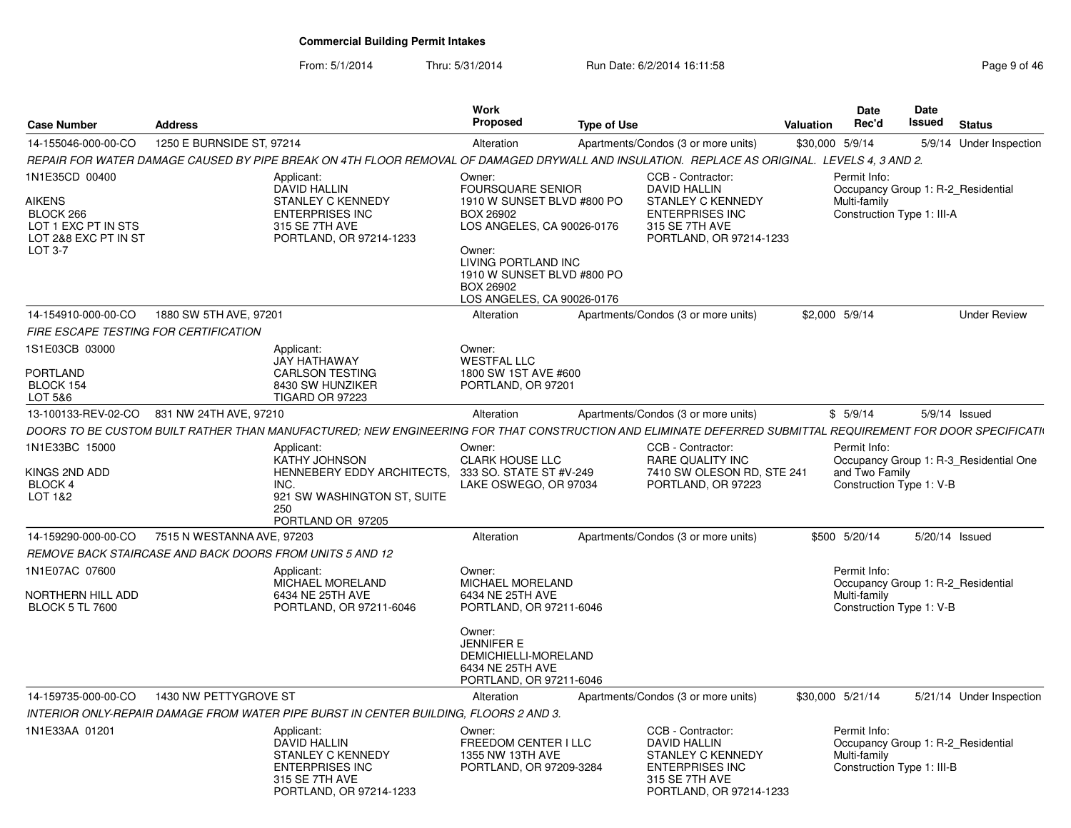From: 5/1/2014

Thru: 5/31/2014 Run Date: 6/2/2014 16:11:58 Research 2010 12:04 Rage 9 of 46

| <b>Case Number</b>                                                                                            | <b>Address</b>             |                                                                                                                                                            | <b>Work</b><br><b>Proposed</b>                                                                                                                                                                                        | <b>Type of Use</b> |                                                                                                                                             | Valuation | <b>Date</b><br>Rec'd                                                                             | Date<br>Issued | <b>Status</b>                          |
|---------------------------------------------------------------------------------------------------------------|----------------------------|------------------------------------------------------------------------------------------------------------------------------------------------------------|-----------------------------------------------------------------------------------------------------------------------------------------------------------------------------------------------------------------------|--------------------|---------------------------------------------------------------------------------------------------------------------------------------------|-----------|--------------------------------------------------------------------------------------------------|----------------|----------------------------------------|
| 14-155046-000-00-CO                                                                                           | 1250 E BURNSIDE ST, 97214  |                                                                                                                                                            | Alteration                                                                                                                                                                                                            |                    | Apartments/Condos (3 or more units)                                                                                                         |           | \$30,000 5/9/14                                                                                  |                | 5/9/14 Under Inspection                |
|                                                                                                               |                            | REPAIR FOR WATER DAMAGE CAUSED BY PIPE BREAK ON 4TH FLOOR REMOVAL OF DAMAGED DRYWALL AND INSULATION. REPLACE AS ORIGINAL. LEVELS 4, 3 AND 2.               |                                                                                                                                                                                                                       |                    |                                                                                                                                             |           |                                                                                                  |                |                                        |
| 1N1E35CD 00400<br><b>AIKENS</b><br>BLOCK 266<br>LOT 1 EXC PT IN STS<br>LOT 2&8 EXC PT IN ST<br><b>LOT 3-7</b> |                            | Applicant:<br><b>DAVID HALLIN</b><br>STANLEY C KENNEDY<br><b>ENTERPRISES INC</b><br>315 SE 7TH AVE<br>PORTLAND, OR 97214-1233                              | Owner:<br><b>FOURSQUARE SENIOR</b><br>1910 W SUNSET BLVD #800 PO<br>BOX 26902<br>LOS ANGELES, CA 90026-0176<br>Owner:<br>LIVING PORTLAND INC<br>1910 W SUNSET BLVD #800 PO<br>BOX 26902<br>LOS ANGELES, CA 90026-0176 |                    | CCB - Contractor:<br><b>DAVID HALLIN</b><br><b>STANLEY C KENNEDY</b><br><b>ENTERPRISES INC</b><br>315 SE 7TH AVE<br>PORTLAND, OR 97214-1233 |           | Permit Info:<br>Occupancy Group 1: R-2 Residential<br>Multi-family<br>Construction Type 1: III-A |                |                                        |
| 14-154910-000-00-CO                                                                                           | 1880 SW 5TH AVE, 97201     |                                                                                                                                                            | Alteration                                                                                                                                                                                                            |                    | Apartments/Condos (3 or more units)                                                                                                         |           | \$2,000 5/9/14                                                                                   |                | <b>Under Review</b>                    |
| FIRE ESCAPE TESTING FOR CERTIFICATION                                                                         |                            |                                                                                                                                                            |                                                                                                                                                                                                                       |                    |                                                                                                                                             |           |                                                                                                  |                |                                        |
| 1S1E03CB 03000<br><b>PORTLAND</b><br>BLOCK 154<br>LOT 5&6                                                     |                            | Applicant:<br>JAY HATHAWAY<br><b>CARLSON TESTING</b><br>8430 SW HUNZIKER<br><b>TIGARD OR 97223</b>                                                         | Owner:<br><b>WESTFAL LLC</b><br>1800 SW 1ST AVE #600<br>PORTLAND, OR 97201                                                                                                                                            |                    |                                                                                                                                             |           |                                                                                                  |                |                                        |
| 13-100133-REV-02-CO                                                                                           | 831 NW 24TH AVE, 97210     |                                                                                                                                                            | Alteration                                                                                                                                                                                                            |                    | Apartments/Condos (3 or more units)                                                                                                         |           | \$5/9/14                                                                                         |                | 5/9/14 Issued                          |
|                                                                                                               |                            | DOORS TO BE CUSTOM BUILT RATHER THAN MANUFACTURED; NEW ENGINEERING FOR THAT CONSTRUCTION AND ELIMINATE DEFERRED SUBMITTAL REQUIREMENT FOR DOOR SPECIFICATI |                                                                                                                                                                                                                       |                    |                                                                                                                                             |           |                                                                                                  |                |                                        |
| 1N1E33BC 15000<br>KINGS 2ND ADD<br><b>BLOCK 4</b><br>LOT 1&2                                                  |                            | Applicant:<br><b>KATHY JOHNSON</b><br>HENNEBERY EDDY ARCHITECTS.<br>INC.<br>921 SW WASHINGTON ST, SUITE<br>250<br>PORTLAND OR 97205                        | Owner:<br><b>CLARK HOUSE LLC</b><br>333 SO. STATE ST #V-249<br>LAKE OSWEGO, OR 97034                                                                                                                                  |                    | CCB - Contractor:<br><b>RARE QUALITY INC</b><br>7410 SW OLESON RD, STE 241<br>PORTLAND, OR 97223                                            |           | Permit Info:<br>and Two Family<br>Construction Type 1: V-B                                       |                | Occupancy Group 1: R-3 Residential One |
| 14-159290-000-00-CO                                                                                           | 7515 N WESTANNA AVE, 97203 |                                                                                                                                                            | Alteration                                                                                                                                                                                                            |                    | Apartments/Condos (3 or more units)                                                                                                         |           | \$500 5/20/14                                                                                    | 5/20/14 Issued |                                        |
|                                                                                                               |                            | REMOVE BACK STAIRCASE AND BACK DOORS FROM UNITS 5 AND 12                                                                                                   |                                                                                                                                                                                                                       |                    |                                                                                                                                             |           |                                                                                                  |                |                                        |
| 1N1E07AC 07600<br>NORTHERN HILL ADD<br><b>BLOCK 5 TL 7600</b>                                                 |                            | Applicant:<br>MICHAEL MORELAND<br>6434 NE 25TH AVE<br>PORTLAND, OR 97211-6046                                                                              | Owner:<br><b>MICHAEL MORELAND</b><br>6434 NE 25TH AVE<br>PORTLAND, OR 97211-6046                                                                                                                                      |                    |                                                                                                                                             |           | Permit Info:<br>Occupancy Group 1: R-2 Residential<br>Multi-family<br>Construction Type 1: V-B   |                |                                        |
|                                                                                                               |                            |                                                                                                                                                            | Owner:<br><b>JENNIFER E</b><br>DEMICHIELLI-MORELAND<br>6434 NE 25TH AVE<br>PORTLAND, OR 97211-6046                                                                                                                    |                    |                                                                                                                                             |           |                                                                                                  |                |                                        |
| 14-159735-000-00-CO                                                                                           | 1430 NW PETTYGROVE ST      |                                                                                                                                                            | Alteration                                                                                                                                                                                                            |                    | Apartments/Condos (3 or more units)                                                                                                         |           | \$30,000 5/21/14                                                                                 |                | 5/21/14 Under Inspection               |
|                                                                                                               |                            | INTERIOR ONLY-REPAIR DAMAGE FROM WATER PIPE BURST IN CENTER BUILDING, FLOORS 2 AND 3.                                                                      |                                                                                                                                                                                                                       |                    |                                                                                                                                             |           |                                                                                                  |                |                                        |
| 1N1E33AA 01201                                                                                                |                            | Applicant:<br>DAVID HALLIN<br>STANLEY C KENNEDY<br><b>ENTERPRISES INC</b><br>315 SE 7TH AVE<br>PORTLAND, OR 97214-1233                                     | Owner:<br>FREEDOM CENTER I LLC<br>1355 NW 13TH AVE<br>PORTLAND, OR 97209-3284                                                                                                                                         |                    | CCB - Contractor:<br>DAVID HALLIN<br>STANLEY C KENNEDY<br><b>ENTERPRISES INC</b><br>315 SE 7TH AVE<br>PORTLAND, OR 97214-1233               |           | Permit Info:<br>Occupancy Group 1: R-2 Residential<br>Multi-family<br>Construction Type 1: III-B |                |                                        |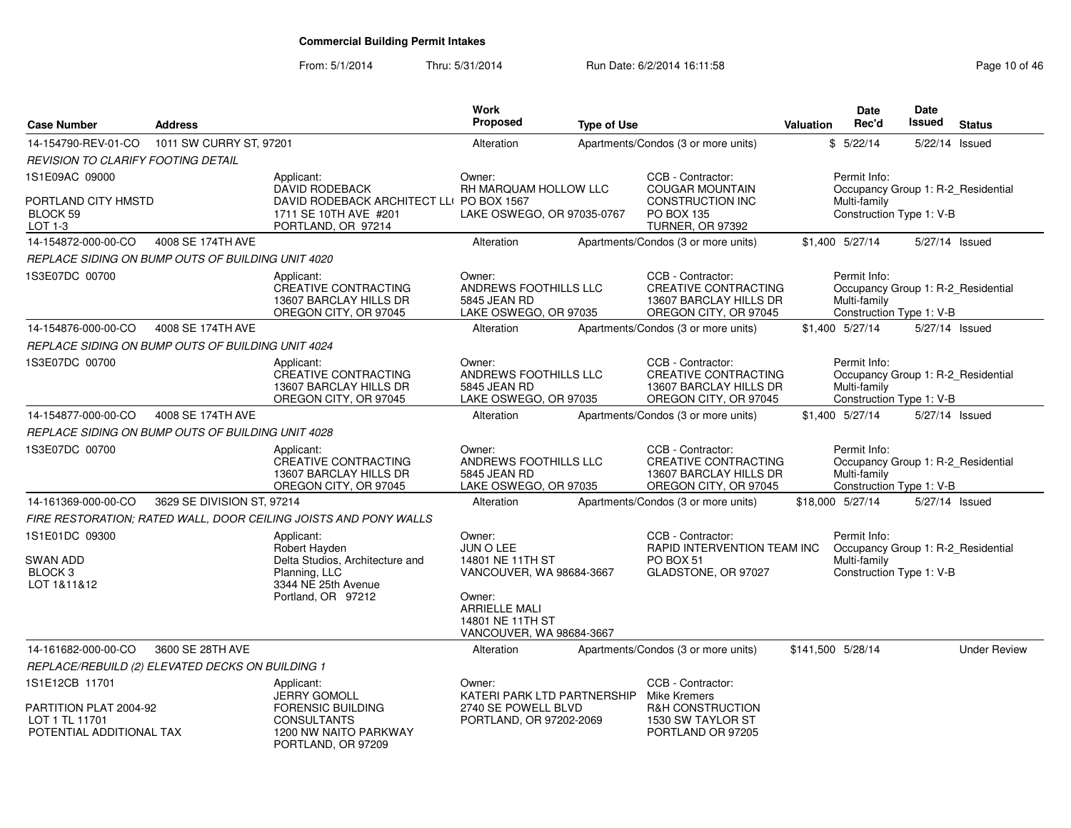### From: 5/1/2014Thru: 5/31/2014 Run Date: 6/2/2014 16:11:58 Research 2010 146

| <b>Case Number</b>                                                                     | <b>Address</b>             |                                                                                                                                | Work<br>Proposed                                                                                                                                      | <b>Type of Use</b> |                                                                                                                 | Valuation                                                                                      | <b>Date</b><br>Rec'd                                     | Date<br>Issued | <b>Status</b>                      |
|----------------------------------------------------------------------------------------|----------------------------|--------------------------------------------------------------------------------------------------------------------------------|-------------------------------------------------------------------------------------------------------------------------------------------------------|--------------------|-----------------------------------------------------------------------------------------------------------------|------------------------------------------------------------------------------------------------|----------------------------------------------------------|----------------|------------------------------------|
| 14-154790-REV-01-CO                                                                    | 1011 SW CURRY ST, 97201    |                                                                                                                                | Alteration                                                                                                                                            |                    | Apartments/Condos (3 or more units)                                                                             |                                                                                                | \$5/22/14                                                | 5/22/14 Issued |                                    |
| REVISION TO CLARIFY FOOTING DETAIL                                                     |                            |                                                                                                                                |                                                                                                                                                       |                    |                                                                                                                 |                                                                                                |                                                          |                |                                    |
| 1S1E09AC 09000<br>PORTLAND CITY HMSTD<br>BLOCK 59<br>LOT 1-3                           |                            | Applicant:<br><b>DAVID RODEBACK</b><br>DAVID RODEBACK ARCHITECT LL( PO BOX 1567<br>1711 SE 10TH AVE #201<br>PORTLAND, OR 97214 | Owner:<br>RH MARQUAM HOLLOW LLC<br>LAKE OSWEGO, OR 97035-0767                                                                                         |                    | CCB - Contractor:<br><b>COUGAR MOUNTAIN</b><br><b>CONSTRUCTION INC</b><br>PO BOX 135<br><b>TURNER, OR 97392</b> | Permit Info:<br>Occupancy Group 1: R-2 Residential<br>Multi-family<br>Construction Type 1: V-B |                                                          |                |                                    |
| 14-154872-000-00-CO                                                                    | 4008 SE 174TH AVE          |                                                                                                                                | Alteration                                                                                                                                            |                    | Apartments/Condos (3 or more units)                                                                             |                                                                                                | \$1,400 5/27/14                                          | 5/27/14 Issued |                                    |
| REPLACE SIDING ON BUMP OUTS OF BUILDING UNIT 4020                                      |                            |                                                                                                                                |                                                                                                                                                       |                    |                                                                                                                 |                                                                                                |                                                          |                |                                    |
| 1S3E07DC 00700                                                                         |                            | Applicant:<br>CREATIVE CONTRACTING<br>13607 BARCLAY HILLS DR<br>OREGON CITY, OR 97045                                          | Owner:<br>ANDREWS FOOTHILLS LLC<br>5845 JEAN RD<br>LAKE OSWEGO, OR 97035                                                                              |                    | CCB - Contractor:<br>CREATIVE CONTRACTING<br>13607 BARCLAY HILLS DR<br>OREGON CITY, OR 97045                    |                                                                                                | Permit Info:<br>Multi-family<br>Construction Type 1: V-B |                | Occupancy Group 1: R-2_Residential |
| 14-154876-000-00-CO                                                                    | 4008 SE 174TH AVE          |                                                                                                                                | Alteration                                                                                                                                            |                    | Apartments/Condos (3 or more units)                                                                             |                                                                                                | \$1.400 5/27/14                                          | 5/27/14 Issued |                                    |
| REPLACE SIDING ON BUMP OUTS OF BUILDING UNIT 4024                                      |                            |                                                                                                                                |                                                                                                                                                       |                    |                                                                                                                 |                                                                                                |                                                          |                |                                    |
| 1S3E07DC 00700                                                                         |                            | Applicant:<br><b>CREATIVE CONTRACTING</b><br>13607 BARCLAY HILLS DR<br>OREGON CITY, OR 97045                                   | Owner:<br>ANDREWS FOOTHILLS LLC<br>5845 JEAN RD<br>LAKE OSWEGO, OR 97035                                                                              |                    | CCB - Contractor:<br><b>CREATIVE CONTRACTING</b><br>13607 BARCLAY HILLS DR<br>OREGON CITY, OR 97045             |                                                                                                | Permit Info:<br>Multi-family<br>Construction Type 1: V-B |                | Occupancy Group 1: R-2 Residential |
| 14-154877-000-00-CO                                                                    | 4008 SE 174TH AVE          |                                                                                                                                | Alteration                                                                                                                                            |                    | Apartments/Condos (3 or more units)                                                                             |                                                                                                | \$1.400 5/27/14                                          | 5/27/14 Issued |                                    |
| REPLACE SIDING ON BUMP OUTS OF BUILDING UNIT 4028                                      |                            |                                                                                                                                |                                                                                                                                                       |                    |                                                                                                                 |                                                                                                |                                                          |                |                                    |
| 1S3E07DC 00700                                                                         |                            | Applicant:<br><b>CREATIVE CONTRACTING</b><br>13607 BARCLAY HILLS DR<br>OREGON CITY, OR 97045                                   | Owner:<br>ANDREWS FOOTHILLS LLC<br>5845 JEAN RD<br>LAKE OSWEGO, OR 97035                                                                              |                    | CCB - Contractor:<br><b>CREATIVE CONTRACTING</b><br>13607 BARCLAY HILLS DR<br>OREGON CITY, OR 97045             |                                                                                                | Permit Info:<br>Multi-family<br>Construction Type 1: V-B |                | Occupancy Group 1: R-2 Residential |
| 14-161369-000-00-CO                                                                    | 3629 SE DIVISION ST, 97214 |                                                                                                                                | Alteration                                                                                                                                            |                    | Apartments/Condos (3 or more units)                                                                             | \$18,000 5/27/14                                                                               |                                                          | 5/27/14 Issued |                                    |
|                                                                                        |                            | FIRE RESTORATION; RATED WALL, DOOR CEILING JOISTS AND PONY WALLS                                                               |                                                                                                                                                       |                    |                                                                                                                 |                                                                                                |                                                          |                |                                    |
| 1S1E01DC 09300<br><b>SWAN ADD</b><br>BLOCK <sub>3</sub><br>LOT 1&11&12                 |                            | Applicant:<br>Robert Hayden<br>Delta Studios, Architecture and<br>Planning, LLC<br>3344 NE 25th Avenue<br>Portland, OR 97212   | Owner:<br>JUN O LEE<br>14801 NE 11TH ST<br>VANCOUVER, WA 98684-3667<br>Owner:<br><b>ARRIELLE MALI</b><br>14801 NE 11TH ST<br>VANCOUVER, WA 98684-3667 |                    | CCB - Contractor:<br>RAPID INTERVENTION TEAM INC<br>PO BOX 51<br>GLADSTONE, OR 97027                            |                                                                                                | Permit Info:<br>Multi-family<br>Construction Type 1: V-B |                | Occupancy Group 1: R-2_Residential |
| 14-161682-000-00-CO                                                                    | 3600 SE 28TH AVE           |                                                                                                                                | Alteration                                                                                                                                            |                    | Apartments/Condos (3 or more units)                                                                             | \$141,500 5/28/14                                                                              |                                                          |                | <b>Under Review</b>                |
| REPLACE/REBUILD (2) ELEVATED DECKS ON BUILDING 1                                       |                            |                                                                                                                                |                                                                                                                                                       |                    |                                                                                                                 |                                                                                                |                                                          |                |                                    |
| 1S1E12CB 11701<br>PARTITION PLAT 2004-92<br>LOT 1 TL 11701<br>POTENTIAL ADDITIONAL TAX |                            | Applicant:<br>JERRY GOMOLL<br><b>FORENSIC BUILDING</b><br><b>CONSULTANTS</b><br>1200 NW NAITO PARKWAY<br>PORTLAND, OR 97209    | Owner:<br>KATERI PARK LTD PARTNERSHIP<br>2740 SE POWELL BLVD<br>PORTLAND, OR 97202-2069                                                               |                    | CCB - Contractor:<br><b>Mike Kremers</b><br>R&H CONSTRUCTION<br>1530 SW TAYLOR ST<br>PORTLAND OR 97205          |                                                                                                |                                                          |                |                                    |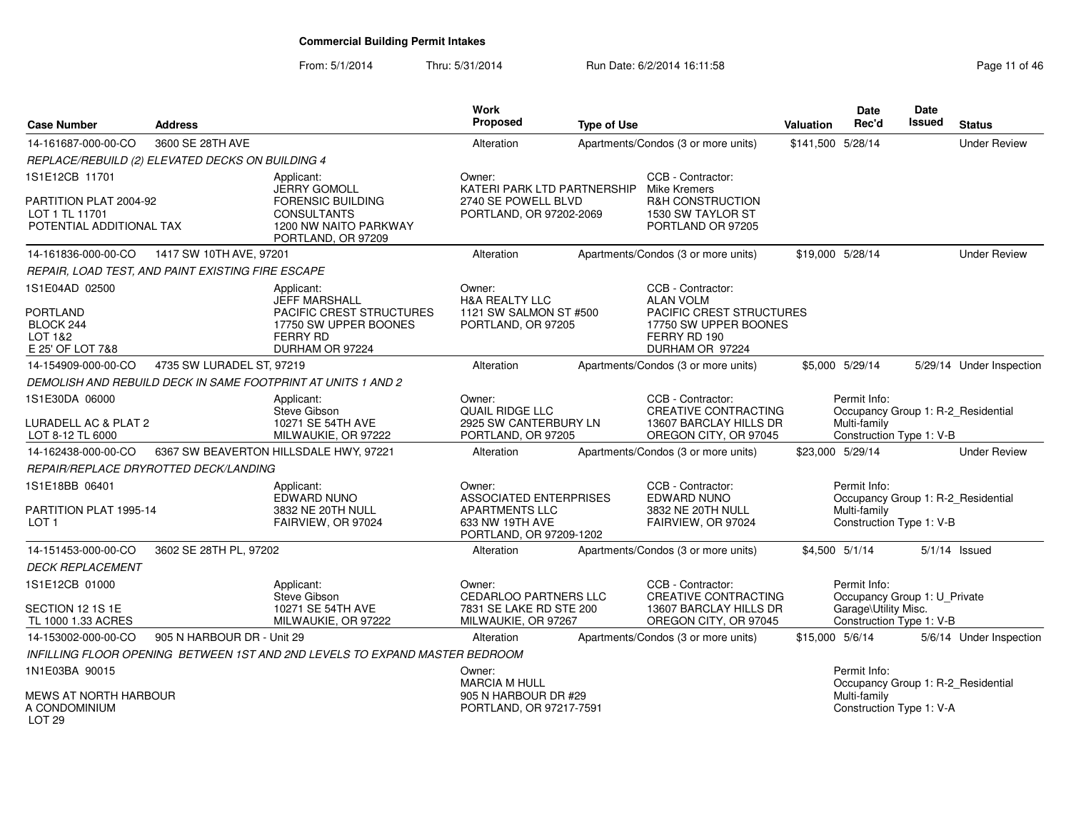From: 5/1/2014Thru: 5/31/2014 Run Date: 6/2/2014 16:11:58 Research 2010 11 of 46

| <b>Case Number</b>                                                   | <b>Address</b>                                    |                                                                                                     | Work<br>Proposed                                                                                        | <b>Type of Use</b> |                                                                                                            | Valuation         | Date<br>Rec'd                                                                    | Date<br>Issued | <b>Status</b>                      |
|----------------------------------------------------------------------|---------------------------------------------------|-----------------------------------------------------------------------------------------------------|---------------------------------------------------------------------------------------------------------|--------------------|------------------------------------------------------------------------------------------------------------|-------------------|----------------------------------------------------------------------------------|----------------|------------------------------------|
| 14-161687-000-00-CO                                                  | 3600 SE 28TH AVE                                  |                                                                                                     | Alteration                                                                                              |                    | Apartments/Condos (3 or more units)                                                                        | \$141,500 5/28/14 |                                                                                  |                | <b>Under Review</b>                |
|                                                                      | REPLACE/REBUILD (2) ELEVATED DECKS ON BUILDING 4  |                                                                                                     |                                                                                                         |                    |                                                                                                            |                   |                                                                                  |                |                                    |
| 1S1E12CB 11701                                                       |                                                   | Applicant:<br><b>JERRY GOMOLL</b>                                                                   | Owner:<br>KATERI PARK LTD PARTNERSHIP                                                                   |                    | CCB - Contractor:<br><b>Mike Kremers</b>                                                                   |                   |                                                                                  |                |                                    |
| PARTITION PLAT 2004-92<br>LOT 1 TL 11701<br>POTENTIAL ADDITIONAL TAX |                                                   | <b>FORENSIC BUILDING</b><br><b>CONSULTANTS</b><br>1200 NW NAITO PARKWAY<br>PORTLAND, OR 97209       | 2740 SE POWELL BLVD<br>PORTLAND, OR 97202-2069                                                          |                    | <b>R&amp;H CONSTRUCTION</b><br>1530 SW TAYLOR ST<br>PORTLAND OR 97205                                      |                   |                                                                                  |                |                                    |
| 14-161836-000-00-CO                                                  | 1417 SW 10TH AVE, 97201                           |                                                                                                     | Alteration                                                                                              |                    | Apartments/Condos (3 or more units)                                                                        |                   | \$19,000 5/28/14                                                                 |                | <b>Under Review</b>                |
|                                                                      | REPAIR, LOAD TEST, AND PAINT EXISTING FIRE ESCAPE |                                                                                                     |                                                                                                         |                    |                                                                                                            |                   |                                                                                  |                |                                    |
| 1S1E04AD 02500<br><b>PORTLAND</b><br>BLOCK 244<br>LOT 1&2            |                                                   | Applicant:<br><b>JEFF MARSHALL</b><br>PACIFIC CREST STRUCTURES<br>17750 SW UPPER BOONES<br>FERRY RD | Owner:<br><b>H&amp;A REALTY LLC</b><br>1121 SW SALMON ST #500<br>PORTLAND, OR 97205                     |                    | CCB - Contractor:<br><b>ALAN VOLM</b><br>PACIFIC CREST STRUCTURES<br>17750 SW UPPER BOONES<br>FERRY RD 190 |                   |                                                                                  |                |                                    |
| E 25' OF LOT 7&8<br>14-154909-000-00-CO                              | 4735 SW LURADEL ST, 97219                         | DURHAM OR 97224                                                                                     | Alteration                                                                                              |                    | DURHAM OR 97224                                                                                            |                   | \$5,000 5/29/14                                                                  |                |                                    |
|                                                                      |                                                   | DEMOLISH AND REBUILD DECK IN SAME FOOTPRINT AT UNITS 1 AND 2                                        |                                                                                                         |                    | Apartments/Condos (3 or more units)                                                                        |                   |                                                                                  |                | 5/29/14 Under Inspection           |
|                                                                      |                                                   |                                                                                                     |                                                                                                         |                    |                                                                                                            |                   |                                                                                  |                |                                    |
| 1S1E30DA 06000<br>LURADELL AC & PLAT 2<br>LOT 8-12 TL 6000           |                                                   | Applicant:<br>Steve Gibson<br>10271 SE 54TH AVE<br>MILWAUKIE, OR 97222                              | Owner:<br>QUAIL RIDGE LLC<br>2925 SW CANTERBURY LN<br>PORTLAND, OR 97205                                |                    | CCB - Contractor:<br><b>CREATIVE CONTRACTING</b><br>13607 BARCLAY HILLS DR<br>OREGON CITY, OR 97045        |                   | Permit Info:<br>Multi-family<br>Construction Type 1: V-B                         |                | Occupancy Group 1: R-2_Residential |
| 14-162438-000-00-CO                                                  |                                                   | 6367 SW BEAVERTON HILLSDALE HWY, 97221                                                              | Alteration                                                                                              |                    | Apartments/Condos (3 or more units)                                                                        |                   | \$23,000 5/29/14                                                                 |                | <b>Under Review</b>                |
|                                                                      | REPAIR/REPLACE DRYROTTED DECK/LANDING             |                                                                                                     |                                                                                                         |                    |                                                                                                            |                   |                                                                                  |                |                                    |
| 1S1E18BB 06401<br>PARTITION PLAT 1995-14<br>LOT <sub>1</sub>         |                                                   | Applicant:<br>EDWARD NUNO<br>3832 NE 20TH NULL<br>FAIRVIEW, OR 97024                                | Owner:<br>ASSOCIATED ENTERPRISES<br><b>APARTMENTS LLC</b><br>633 NW 19TH AVE<br>PORTLAND, OR 97209-1202 |                    | CCB - Contractor:<br><b>EDWARD NUNO</b><br>3832 NE 20TH NULL<br>FAIRVIEW, OR 97024                         |                   | Permit Info:<br>Multi-family<br>Construction Type 1: V-B                         |                | Occupancy Group 1: R-2_Residential |
| 14-151453-000-00-CO                                                  | 3602 SE 28TH PL, 97202                            |                                                                                                     | Alteration                                                                                              |                    | Apartments/Condos (3 or more units)                                                                        |                   | \$4,500 5/1/14                                                                   |                | $5/1/14$ Issued                    |
| <b>DECK REPLACEMENT</b>                                              |                                                   |                                                                                                     |                                                                                                         |                    |                                                                                                            |                   |                                                                                  |                |                                    |
| 1S1E12CB 01000                                                       |                                                   | Applicant:<br>Steve Gibson                                                                          | Owner:<br><b>CEDARLOO PARTNERS LLC</b>                                                                  |                    | CCB - Contractor:<br><b>CREATIVE CONTRACTING</b>                                                           |                   | Permit Info:                                                                     |                |                                    |
| SECTION 12 1S 1E<br>TL 1000 1.33 ACRES                               |                                                   | 10271 SE 54TH AVE<br>MILWAUKIE, OR 97222                                                            | 7831 SE LAKE RD STE 200<br>MILWAUKIE, OR 97267                                                          |                    | 13607 BARCLAY HILLS DR<br>OREGON CITY, OR 97045                                                            |                   | Occupancy Group 1: U_Private<br>Garage\Utility Misc.<br>Construction Type 1: V-B |                |                                    |
| 14-153002-000-00-CO                                                  | 905 N HARBOUR DR - Unit 29                        |                                                                                                     | Alteration                                                                                              |                    | Apartments/Condos (3 or more units)                                                                        | \$15,000 5/6/14   |                                                                                  |                | 5/6/14 Under Inspection            |
|                                                                      |                                                   | INFILLING FLOOR OPENING BETWEEN 1ST AND 2ND LEVELS TO EXPAND MASTER BEDROOM                         |                                                                                                         |                    |                                                                                                            |                   |                                                                                  |                |                                    |
| 1N1E03BA 90015                                                       |                                                   |                                                                                                     | Owner:<br><b>MARCIA M HULL</b>                                                                          |                    |                                                                                                            |                   | Permit Info:                                                                     |                | Occupancy Group 1: R-2_Residential |
| <b>MEWS AT NORTH HARBOUR</b><br>A CONDOMINIUM<br>LOT <sub>29</sub>   |                                                   |                                                                                                     | 905 N HARBOUR DR #29<br>PORTLAND, OR 97217-7591                                                         |                    |                                                                                                            |                   | Multi-family<br>Construction Type 1: V-A                                         |                |                                    |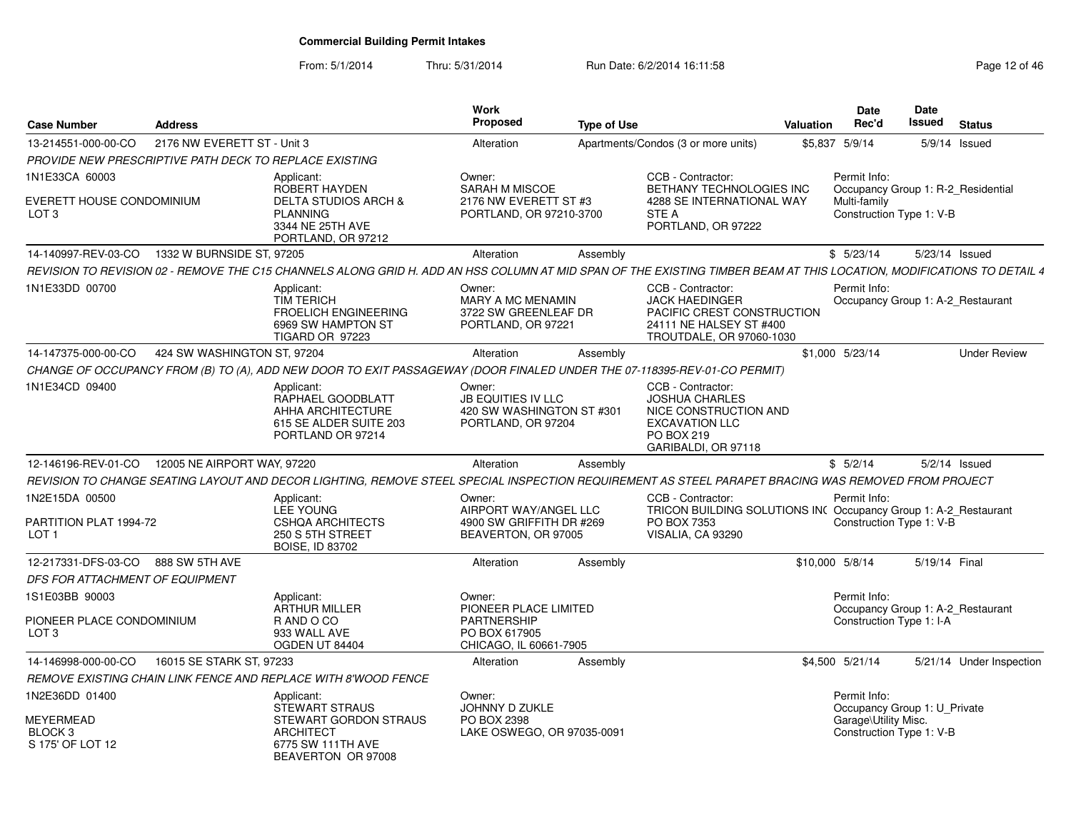| <b>Case Number</b>                                                    | <b>Address</b>                                         |                                                                                                                                                                       | Work<br>Proposed                                                                                 | <b>Type of Use</b> |                                                                                                                                 | Valuation | <b>Date</b><br>Rec'd                     | Date<br><b>Issued</b>                                          | <b>Status</b>            |
|-----------------------------------------------------------------------|--------------------------------------------------------|-----------------------------------------------------------------------------------------------------------------------------------------------------------------------|--------------------------------------------------------------------------------------------------|--------------------|---------------------------------------------------------------------------------------------------------------------------------|-----------|------------------------------------------|----------------------------------------------------------------|--------------------------|
| 13-214551-000-00-CO                                                   | 2176 NW EVERETT ST - Unit 3                            |                                                                                                                                                                       | Alteration                                                                                       |                    | Apartments/Condos (3 or more units)                                                                                             |           | \$5,837 5/9/14                           |                                                                | 5/9/14 Issued            |
|                                                                       | PROVIDE NEW PRESCRIPTIVE PATH DECK TO REPLACE EXISTING |                                                                                                                                                                       |                                                                                                  |                    |                                                                                                                                 |           |                                          |                                                                |                          |
| 1N1E33CA 60003<br>EVERETT HOUSE CONDOMINIUM<br>LOT 3                  |                                                        | Applicant:<br>ROBERT HAYDEN<br><b>DELTA STUDIOS ARCH &amp;</b><br><b>PLANNING</b><br>3344 NE 25TH AVE<br>PORTLAND, OR 97212                                           | Owner:<br>SARAH M MISCOE<br>2176 NW EVERETT ST #3<br>PORTLAND, OR 97210-3700                     |                    | CCB - Contractor:<br>BETHANY TECHNOLOGIES INC<br>4288 SE INTERNATIONAL WAY<br>STE A<br>PORTLAND, OR 97222                       |           | Permit Info:<br>Multi-family             | Occupancy Group 1: R-2_Residential<br>Construction Type 1: V-B |                          |
| 14-140997-REV-03-CO                                                   | 1332 W BURNSIDE ST, 97205                              |                                                                                                                                                                       | Alteration                                                                                       | Assembly           |                                                                                                                                 |           | \$5/23/14                                | 5/23/14 Issued                                                 |                          |
|                                                                       |                                                        | REVISION TO REVISION 02 - REMOVE THE C15 CHANNELS ALONG GRID H. ADD AN HSS COLUMN AT MID SPAN OF THE EXISTING TIMBER BEAM AT THIS LOCATION, MODIFICATIONS TO DETAIL 4 |                                                                                                  |                    |                                                                                                                                 |           |                                          |                                                                |                          |
| 1N1E33DD 00700                                                        |                                                        | Applicant:<br><b>TIM TERICH</b><br><b>FROELICH ENGINEERING</b><br>6969 SW HAMPTON ST<br>TIGARD OR 97223                                                               | Owner:<br>MARY A MC MENAMIN<br>3722 SW GREENLEAF DR<br>PORTLAND, OR 97221                        |                    | CCB - Contractor:<br><b>JACK HAEDINGER</b><br>PACIFIC CREST CONSTRUCTION<br>24111 NE HALSEY ST #400<br>TROUTDALE, OR 97060-1030 |           | Permit Info:                             | Occupancy Group 1: A-2 Restaurant                              |                          |
| 14-147375-000-00-CO                                                   | 424 SW WASHINGTON ST, 97204                            |                                                                                                                                                                       | Alteration                                                                                       | Assembly           |                                                                                                                                 |           | \$1,000 5/23/14                          |                                                                | <b>Under Review</b>      |
|                                                                       |                                                        | CHANGE OF OCCUPANCY FROM (B) TO (A), ADD NEW DOOR TO EXIT PASSAGEWAY (DOOR FINALED UNDER THE 07-118395-REV-01-CO PERMIT)                                              |                                                                                                  |                    |                                                                                                                                 |           |                                          |                                                                |                          |
| 1N1E34CD 09400                                                        |                                                        | Applicant:<br>RAPHAEL GOODBLATT<br>AHHA ARCHITECTURE<br>615 SE ALDER SUITE 203<br>PORTLAND OR 97214                                                                   | Owner:<br><b>JB EQUITIES IV LLC</b><br>420 SW WASHINGTON ST #301<br>PORTLAND, OR 97204           |                    | CCB - Contractor:<br>JOSHUA CHARLES<br>NICE CONSTRUCTION AND<br><b>EXCAVATION LLC</b><br>PO BOX 219<br>GARIBALDI, OR 97118      |           |                                          |                                                                |                          |
|                                                                       | 12-146196-REV-01-CO  12005 NE AIRPORT WAY, 97220       |                                                                                                                                                                       | Alteration                                                                                       | Assembly           |                                                                                                                                 |           | \$5/2/14                                 |                                                                | $5/2/14$ Issued          |
|                                                                       |                                                        | REVISION TO CHANGE SEATING LAYOUT AND DECOR LIGHTING, REMOVE STEEL SPECIAL INSPECTION REQUIREMENT AS STEEL PARAPET BRACING WAS REMOVED FROM PROJECT                   |                                                                                                  |                    |                                                                                                                                 |           |                                          |                                                                |                          |
| 1N2E15DA 00500<br>PARTITION PLAT 1994-72<br>LOT <sub>1</sub>          |                                                        | Applicant:<br><b>LEE YOUNG</b><br><b>CSHQA ARCHITECTS</b><br>250 S 5TH STREET<br><b>BOISE, ID 83702</b>                                                               | Owner:<br>AIRPORT WAY/ANGEL LLC<br>4900 SW GRIFFITH DR #269<br>BEAVERTON, OR 97005               |                    | CCB - Contractor:<br>TRICON BUILDING SOLUTIONS INC Occupancy Group 1: A-2_Restaurant<br>PO BOX 7353<br>VISALIA, CA 93290        |           | Permit Info:                             | Construction Type 1: V-B                                       |                          |
| 12-217331-DFS-03-CO                                                   | 888 SW 5TH AVE                                         |                                                                                                                                                                       | Alteration                                                                                       | Assembly           |                                                                                                                                 |           | \$10,000 5/8/14                          | 5/19/14 Final                                                  |                          |
| DFS FOR ATTACHMENT OF EQUIPMENT                                       |                                                        |                                                                                                                                                                       |                                                                                                  |                    |                                                                                                                                 |           |                                          |                                                                |                          |
| 1S1E03BB 90003<br>PIONEER PLACE CONDOMINIUM<br>LOT <sub>3</sub>       |                                                        | Applicant:<br><b>ARTHUR MILLER</b><br>R AND O CO<br>933 WALL AVE<br>OGDEN UT 84404                                                                                    | Owner:<br>PIONEER PLACE LIMITED<br><b>PARTNERSHIP</b><br>PO BOX 617905<br>CHICAGO, IL 60661-7905 |                    |                                                                                                                                 |           | Permit Info:<br>Construction Type 1: I-A | Occupancy Group 1: A-2_Restaurant                              |                          |
| 14-146998-000-00-CO                                                   | 16015 SE STARK ST, 97233                               |                                                                                                                                                                       | Alteration                                                                                       | Assembly           |                                                                                                                                 |           | \$4,500 5/21/14                          |                                                                | 5/21/14 Under Inspection |
|                                                                       |                                                        | REMOVE EXISTING CHAIN LINK FENCE AND REPLACE WITH 8'WOOD FENCE                                                                                                        |                                                                                                  |                    |                                                                                                                                 |           |                                          |                                                                |                          |
| 1N2E36DD 01400<br>MEYERMEAD<br>BLOCK <sub>3</sub><br>S 175' OF LOT 12 |                                                        | Applicant:<br><b>STEWART STRAUS</b><br>STEWART GORDON STRAUS<br><b>ARCHITECT</b><br>6775 SW 111TH AVE<br>BEAVERTON OR 97008                                           | Owner:<br>JOHNNY D ZUKLE<br>PO BOX 2398<br>LAKE OSWEGO, OR 97035-0091                            |                    |                                                                                                                                 |           | Permit Info:<br>Garage\Utility Misc.     | Occupancy Group 1: U_Private<br>Construction Type 1: V-B       |                          |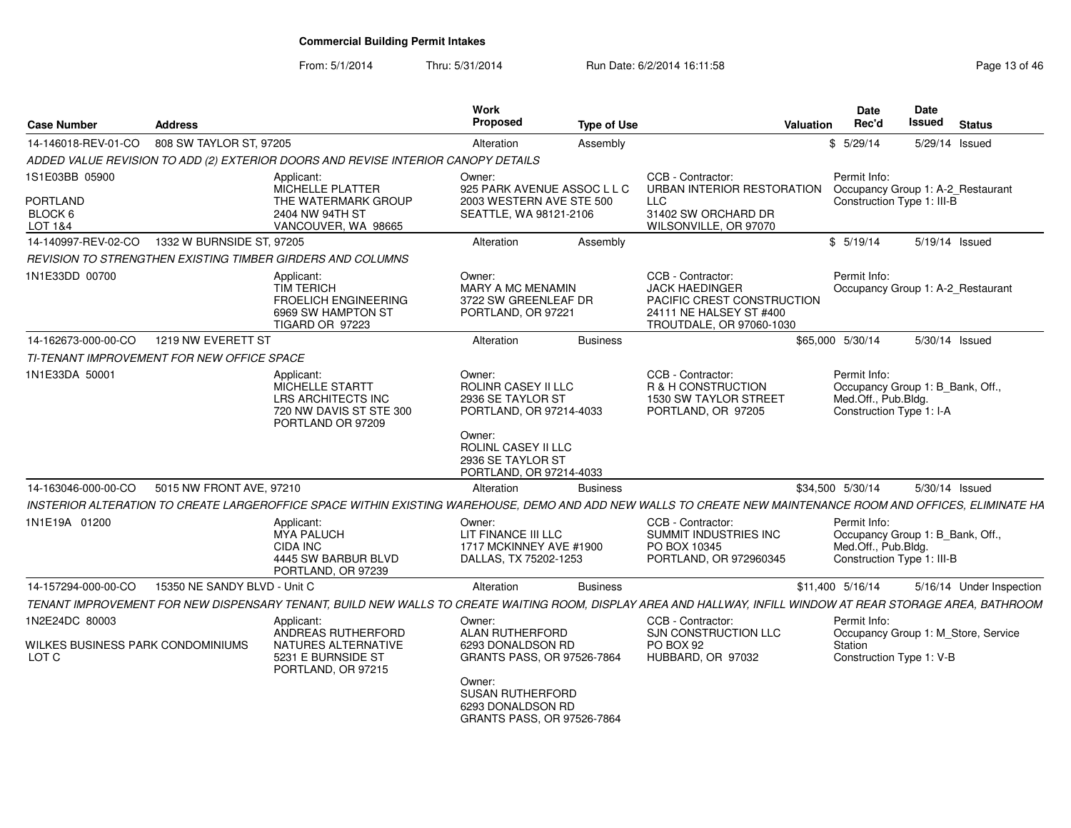From: 5/1/2014

| <b>Case Number</b>                         | <b>Address</b>               |                                                                                                                                                              | Work<br>Proposed                                                                     | <b>Type of Use</b> |                                                                                                                                 | <b>Valuation</b> | Date<br>Rec'd                                                                                         | <b>Date</b><br><b>Issued</b> | <b>Status</b>                       |
|--------------------------------------------|------------------------------|--------------------------------------------------------------------------------------------------------------------------------------------------------------|--------------------------------------------------------------------------------------|--------------------|---------------------------------------------------------------------------------------------------------------------------------|------------------|-------------------------------------------------------------------------------------------------------|------------------------------|-------------------------------------|
| 14-146018-REV-01-CO                        | 808 SW TAYLOR ST, 97205      |                                                                                                                                                              | Alteration                                                                           | Assembly           |                                                                                                                                 |                  | \$5/29/14                                                                                             |                              | 5/29/14 Issued                      |
|                                            |                              | ADDED VALUE REVISION TO ADD (2) EXTERIOR DOORS AND REVISE INTERIOR CANOPY DETAILS                                                                            |                                                                                      |                    |                                                                                                                                 |                  |                                                                                                       |                              |                                     |
| 1S1E03BB 05900                             |                              | Applicant:<br>MICHELLE PLATTER                                                                                                                               | Owner:<br>925 PARK AVENUE ASSOC L L C                                                |                    | CCB - Contractor:<br>URBAN INTERIOR RESTORATION                                                                                 |                  | Permit Info:<br>Occupancy Group 1: A-2_Restaurant                                                     |                              |                                     |
| <b>PORTLAND</b><br>BLOCK 6<br>LOT 1&4      |                              | THE WATERMARK GROUP<br>2404 NW 94TH ST<br>VANCOUVER, WA 98665                                                                                                | 2003 WESTERN AVE STE 500<br>SEATTLE, WA 98121-2106                                   |                    | LLC<br>31402 SW ORCHARD DR<br>WILSONVILLE, OR 97070                                                                             |                  | Construction Type 1: III-B                                                                            |                              |                                     |
| 14-140997-REV-02-CO                        | 1332 W BURNSIDE ST, 97205    |                                                                                                                                                              | Alteration                                                                           | Assembly           |                                                                                                                                 |                  | \$5/19/14                                                                                             |                              | 5/19/14 Issued                      |
|                                            |                              | REVISION TO STRENGTHEN EXISTING TIMBER GIRDERS AND COLUMNS                                                                                                   |                                                                                      |                    |                                                                                                                                 |                  |                                                                                                       |                              |                                     |
| 1N1E33DD 00700                             |                              | Applicant:<br><b>TIM TERICH</b><br><b>FROELICH ENGINEERING</b><br>6969 SW HAMPTON ST<br>TIGARD OR 97223                                                      | Owner:<br>MARY A MC MENAMIN<br>3722 SW GREENLEAF DR<br>PORTLAND, OR 97221            |                    | CCB - Contractor:<br><b>JACK HAEDINGER</b><br>PACIFIC CREST CONSTRUCTION<br>24111 NE HALSEY ST #400<br>TROUTDALE, OR 97060-1030 |                  | Permit Info:<br>Occupancy Group 1: A-2_Restaurant                                                     |                              |                                     |
| 14-162673-000-00-CO                        | 1219 NW EVERETT ST           |                                                                                                                                                              | Alteration                                                                           | <b>Business</b>    |                                                                                                                                 |                  | \$65,000 5/30/14                                                                                      |                              | 5/30/14 Issued                      |
| TI-TENANT IMPROVEMENT FOR NEW OFFICE SPACE |                              |                                                                                                                                                              |                                                                                      |                    |                                                                                                                                 |                  |                                                                                                       |                              |                                     |
| 1N1E33DA 50001                             |                              | Applicant:<br>MICHELLE STARTT<br><b>LRS ARCHITECTS INC</b><br>720 NW DAVIS ST STE 300<br>PORTLAND OR 97209                                                   | Owner:<br><b>ROLINR CASEY II LLC</b><br>2936 SE TAYLOR ST<br>PORTLAND, OR 97214-4033 |                    | CCB - Contractor:<br>R & H CONSTRUCTION<br>1530 SW TAYLOR STREET<br>PORTLAND, OR 97205                                          |                  | Permit Info:<br>Occupancy Group 1: B_Bank, Off.,<br>Med.Off., Pub.Bldg.<br>Construction Type 1: I-A   |                              |                                     |
|                                            |                              |                                                                                                                                                              | Owner:<br>ROLINL CASEY II LLC<br>2936 SE TAYLOR ST<br>PORTLAND, OR 97214-4033        |                    |                                                                                                                                 |                  |                                                                                                       |                              |                                     |
| 14-163046-000-00-CO                        | 5015 NW FRONT AVE, 97210     |                                                                                                                                                              | Alteration                                                                           | <b>Business</b>    |                                                                                                                                 |                  | \$34,500 5/30/14                                                                                      |                              | 5/30/14 Issued                      |
|                                            |                              | INSTERIOR ALTERATION TO CREATE LARGEROFFICE SPACE WITHIN EXISTING WAREHOUSE, DEMO AND ADD NEW WALLS TO CREATE NEW MAINTENANCE ROOM AND OFFICES, ELIMINATE HA |                                                                                      |                    |                                                                                                                                 |                  |                                                                                                       |                              |                                     |
| 1N1E19A 01200                              |                              | Applicant:<br><b>MYA PALUCH</b><br>CIDA INC<br>4445 SW BARBUR BLVD<br>PORTLAND, OR 97239                                                                     | Owner:<br>LIT FINANCE III LLC<br>1717 MCKINNEY AVE #1900<br>DALLAS, TX 75202-1253    |                    | CCB - Contractor:<br>SUMMIT INDUSTRIES INC<br>PO BOX 10345<br>PORTLAND, OR 972960345                                            |                  | Permit Info:<br>Occupancy Group 1: B_Bank, Off.,<br>Med.Off., Pub.Bldg.<br>Construction Type 1: III-B |                              |                                     |
| 14-157294-000-00-CO                        | 15350 NE SANDY BLVD - Unit C |                                                                                                                                                              | Alteration                                                                           | <b>Business</b>    |                                                                                                                                 |                  | \$11,400 5/16/14                                                                                      |                              | 5/16/14 Under Inspection            |
|                                            |                              | TENANT IMPROVEMENT FOR NEW DISPENSARY TENANT, BUILD NEW WALLS TO CREATE WAITING ROOM, DISPLAY AREA AND HALLWAY, INFILL WINDOW AT REAR STORAGE AREA, BATHROOM |                                                                                      |                    |                                                                                                                                 |                  |                                                                                                       |                              |                                     |
| 1N2E24DC 80003                             |                              | Applicant:<br>ANDREAS RUTHERFORD                                                                                                                             | Owner:<br>ALAN RUTHERFORD                                                            |                    | CCB - Contractor:<br>SJN CONSTRUCTION LLC                                                                                       |                  | Permit Info:                                                                                          |                              | Occupancy Group 1: M_Store, Service |
| WILKES BUSINESS PARK CONDOMINIUMS<br>LOT C |                              | NATURES ALTERNATIVE<br>5231 E BURNSIDE ST<br>PORTLAND, OR 97215                                                                                              | 6293 DONALDSON RD<br>GRANTS PASS, OR 97526-7864                                      |                    | PO BOX 92<br>HUBBARD, OR 97032                                                                                                  |                  | Station<br>Construction Type 1: V-B                                                                   |                              |                                     |
|                                            |                              |                                                                                                                                                              | Owner:<br><b>SUSAN RUTHERFORD</b><br>6293 DONALDSON RD<br>GRANTS PASS, OR 97526-7864 |                    |                                                                                                                                 |                  |                                                                                                       |                              |                                     |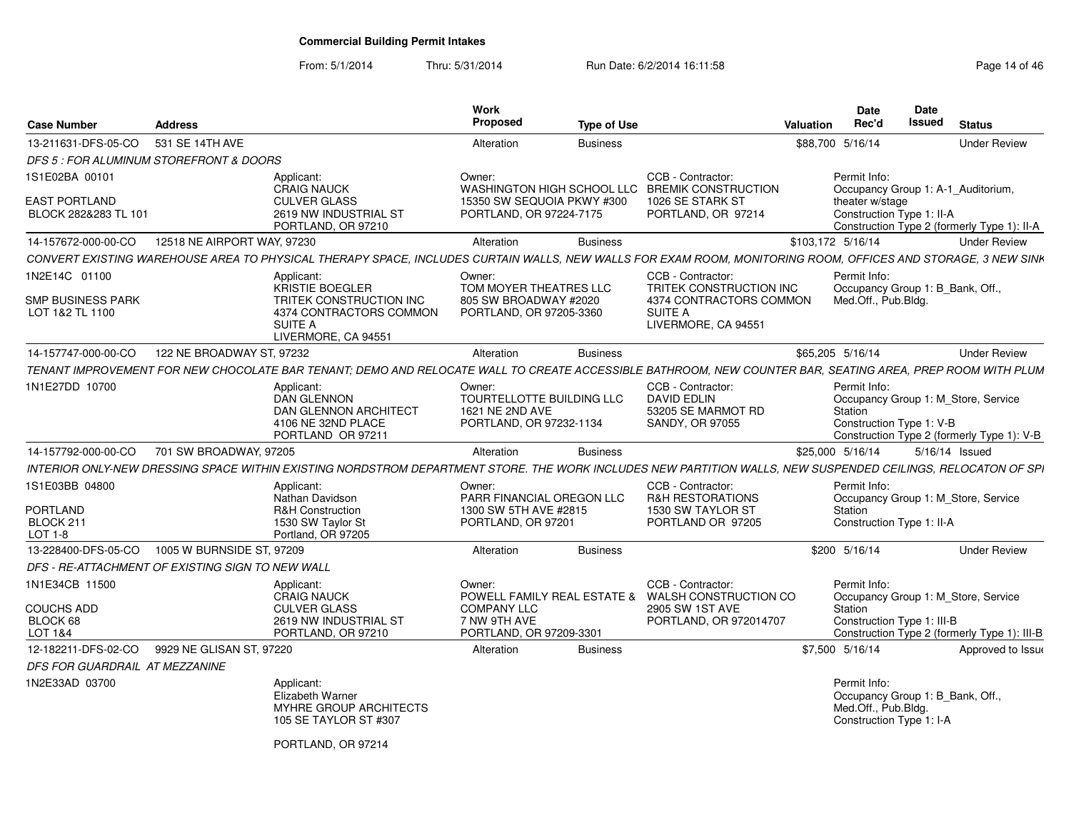| <b>Case Number</b>                           | <b>Address</b>                                   |                                                                                                                                                              | Work<br>Proposed                                                                  | <b>Type of Use</b> |                                                                                         | <b>Valuation</b> | <b>Date</b><br>Rec'd                                                                                | <b>Date</b><br><b>Issued</b> | <b>Status</b>                                                                     |
|----------------------------------------------|--------------------------------------------------|--------------------------------------------------------------------------------------------------------------------------------------------------------------|-----------------------------------------------------------------------------------|--------------------|-----------------------------------------------------------------------------------------|------------------|-----------------------------------------------------------------------------------------------------|------------------------------|-----------------------------------------------------------------------------------|
| 13-211631-DFS-05-CO                          | 531 SE 14TH AVE                                  |                                                                                                                                                              | Alteration                                                                        | <b>Business</b>    |                                                                                         |                  | \$88,700 5/16/14                                                                                    |                              | <b>Under Review</b>                                                               |
|                                              | DFS 5 : FOR ALUMINUM STOREFRONT & DOORS          |                                                                                                                                                              |                                                                                   |                    |                                                                                         |                  |                                                                                                     |                              |                                                                                   |
| 1S1E02BA 00101                               |                                                  | Applicant:<br><b>CRAIG NAUCK</b>                                                                                                                             | Owner:<br>WASHINGTON HIGH SCHOOL LLC                                              |                    | CCB - Contractor:<br><b>BREMIK CONSTRUCTION</b>                                         |                  | Permit Info:                                                                                        |                              | Occupancy Group 1: A-1_Auditorium,                                                |
| <b>EAST PORTLAND</b><br>BLOCK 282&283 TL 101 |                                                  | <b>CULVER GLASS</b><br>2619 NW INDUSTRIAL ST<br>PORTLAND, OR 97210                                                                                           | 15350 SW SEQUOIA PKWY #300<br>PORTLAND, OR 97224-7175                             |                    | 1026 SE STARK ST<br>PORTLAND, OR 97214                                                  |                  | theater w/stage<br>Construction Type 1: II-A                                                        |                              | Construction Type 2 (formerly Type 1): II-A                                       |
| 14-157672-000-00-CO                          | 12518 NE AIRPORT WAY, 97230                      |                                                                                                                                                              | Alteration                                                                        | <b>Business</b>    |                                                                                         |                  | \$103,172 5/16/14                                                                                   |                              | <b>Under Review</b>                                                               |
|                                              |                                                  | CONVERT EXISTING WAREHOUSE AREA TO PHYSICAL THERAPY SPACE, INCLUDES CURTAIN WALLS, NEW WALLS FOR EXAM ROOM, MONITORING ROOM, OFFICES AND STORAGE, 3 NEW SINK |                                                                                   |                    |                                                                                         |                  |                                                                                                     |                              |                                                                                   |
| 1N2E14C 01100<br><b>SMP BUSINESS PARK</b>    |                                                  | Applicant:<br><b>KRISTIE BOEGLER</b><br>TRITEK CONSTRUCTION INC                                                                                              | Owner:<br>TOM MOYER THEATRES LLC<br>805 SW BROADWAY #2020                         |                    | CCB - Contractor:<br>TRITEK CONSTRUCTION INC<br>4374 CONTRACTORS COMMON                 |                  | Permit Info:<br>Occupancy Group 1: B Bank, Off.,<br>Med.Off., Pub.Bldg.                             |                              |                                                                                   |
| LOT 1&2 TL 1100                              |                                                  | 4374 CONTRACTORS COMMON<br>SUITE A<br>LIVERMORE, CA 94551                                                                                                    | PORTLAND, OR 97205-3360                                                           |                    | <b>SUITE A</b><br>LIVERMORE, CA 94551                                                   |                  |                                                                                                     |                              |                                                                                   |
| 14-157747-000-00-CO                          | 122 NE BROADWAY ST, 97232                        |                                                                                                                                                              | Alteration                                                                        | <b>Business</b>    |                                                                                         |                  | \$65,205 5/16/14                                                                                    |                              | <b>Under Review</b>                                                               |
|                                              |                                                  | TENANT IMPROVEMENT FOR NEW CHOCOLATE BAR TENANT; DEMO AND RELOCATE WALL TO CREATE ACCESSIBLE BATHROOM, NEW COUNTER BAR, SEATING AREA, PREP ROOM WITH PLUM    |                                                                                   |                    |                                                                                         |                  |                                                                                                     |                              |                                                                                   |
| 1N1E27DD 10700                               |                                                  | Applicant:<br><b>DAN GLENNON</b><br>DAN GLENNON ARCHITECT<br>4106 NE 32ND PLACE<br>PORTLAND OR 97211                                                         | Owner:<br>TOURTELLOTTE BUILDING LLC<br>1621 NE 2ND AVE<br>PORTLAND, OR 97232-1134 |                    | CCB - Contractor:<br><b>DAVID EDLIN</b><br>53205 SE MARMOT RD<br><b>SANDY, OR 97055</b> |                  | Permit Info:<br>Station<br>Construction Type 1: V-B                                                 |                              | Occupancy Group 1: M_Store, Service<br>Construction Type 2 (formerly Type 1): V-B |
| 14-157792-000-00-CO                          | 701 SW BROADWAY, 97205                           |                                                                                                                                                              | Alteration                                                                        | <b>Business</b>    |                                                                                         |                  | \$25,000 5/16/14                                                                                    |                              | 5/16/14 Issued                                                                    |
|                                              |                                                  | INTERIOR ONLY-NEW DRESSING SPACE WITHIN EXISTING NORDSTROM DEPARTMENT STORE. THE WORK INCLUDES NEW PARTITION WALLS, NEW SUSPENDED CEILINGS, RELOCATON OF SPI |                                                                                   |                    |                                                                                         |                  |                                                                                                     |                              |                                                                                   |
| 1S1E03BB 04800                               |                                                  | Applicant:<br>Nathan Davidson                                                                                                                                | Owner<br>PARR FINANCIAL OREGON LLC                                                |                    | CCB - Contractor:<br><b>R&amp;H RESTORATIONS</b>                                        |                  | Permit Info:                                                                                        |                              | Occupancy Group 1: M Store, Service                                               |
| PORTLAND<br>BLOCK 211<br>LOT 1-8             |                                                  | <b>R&amp;H Construction</b><br>1530 SW Taylor St<br>Portland, OR 97205                                                                                       | 1300 SW 5TH AVE #2815<br>PORTLAND, OR 97201                                       |                    | 1530 SW TAYLOR ST<br>PORTLAND OR 97205                                                  |                  | Station<br>Construction Type 1: II-A                                                                |                              |                                                                                   |
| 13-228400-DFS-05-CO                          | 1005 W BURNSIDE ST, 97209                        |                                                                                                                                                              | Alteration                                                                        | <b>Business</b>    |                                                                                         |                  | \$200 5/16/14                                                                                       |                              | <b>Under Review</b>                                                               |
|                                              | DFS - RE-ATTACHMENT OF EXISTING SIGN TO NEW WALL |                                                                                                                                                              |                                                                                   |                    |                                                                                         |                  |                                                                                                     |                              |                                                                                   |
| 1N1E34CB 11500                               |                                                  | Applicant:<br><b>CRAIG NAUCK</b>                                                                                                                             | Owner:                                                                            |                    | CCB - Contractor:<br>POWELL FAMILY REAL ESTATE & WALSH CONSTRUCTION CO                  |                  | Permit Info:                                                                                        |                              | Occupancy Group 1: M_Store, Service                                               |
| <b>COUCHS ADD</b>                            |                                                  | <b>CULVER GLASS</b>                                                                                                                                          | <b>COMPANY LLC</b>                                                                |                    | 2905 SW 1ST AVE                                                                         |                  | Station                                                                                             |                              |                                                                                   |
| BLOCK 68<br>LOT 1&4                          |                                                  | 2619 NW INDUSTRIAL ST<br>PORTLAND, OR 97210                                                                                                                  | 7 NW 9TH AVE<br>PORTLAND, OR 97209-3301                                           |                    | PORTLAND, OR 972014707                                                                  |                  | Construction Type 1: III-B                                                                          |                              | Construction Type 2 (formerly Type 1): III-B                                      |
| 12-182211-DFS-02-CO                          | 9929 NE GLISAN ST. 97220                         |                                                                                                                                                              | Alteration                                                                        | <b>Business</b>    |                                                                                         |                  | \$7,500 5/16/14                                                                                     |                              | Approved to Issue                                                                 |
| DFS FOR GUARDRAIL AT MEZZANINE               |                                                  |                                                                                                                                                              |                                                                                   |                    |                                                                                         |                  |                                                                                                     |                              |                                                                                   |
| 1N2E33AD 03700                               |                                                  | Applicant:<br>Elizabeth Warner<br>MYHRE GROUP ARCHITECTS<br>105 SE TAYLOR ST #307<br>PORTLAND, OR 97214                                                      |                                                                                   |                    |                                                                                         |                  | Permit Info:<br>Occupancy Group 1: B Bank, Off.,<br>Med.Off., Pub.Bldg.<br>Construction Type 1: I-A |                              |                                                                                   |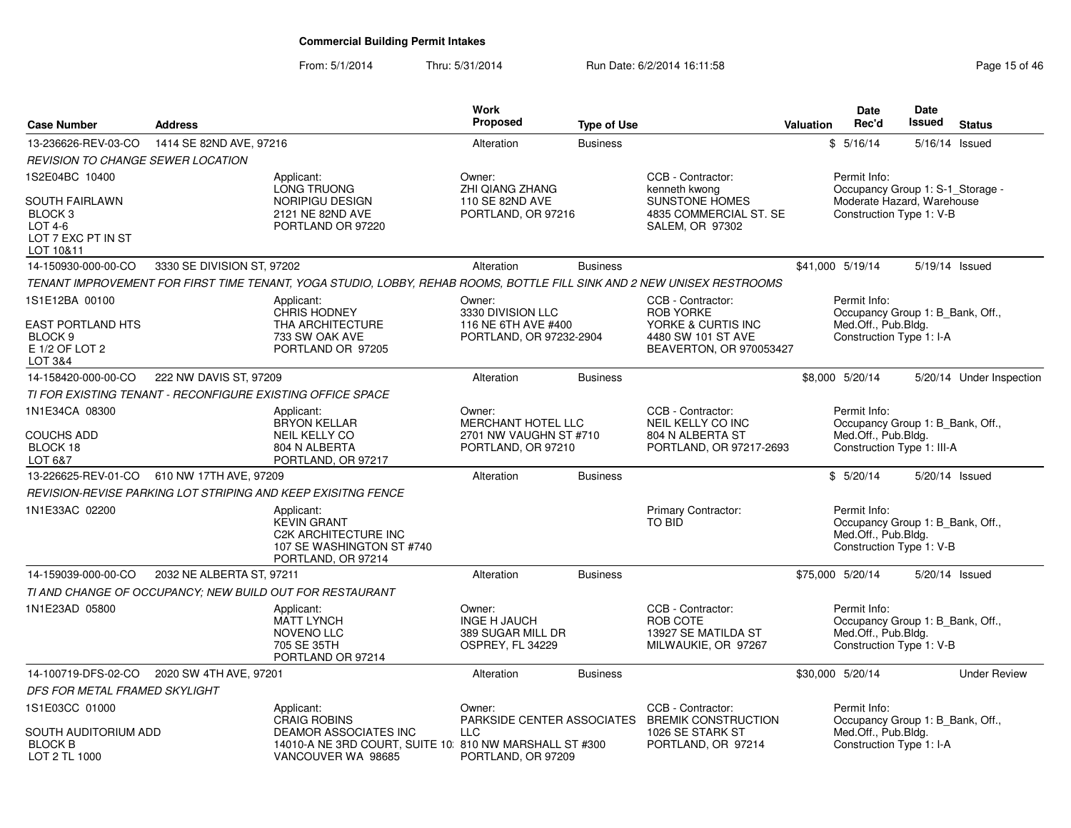| <b>Case Number</b>                                                                            | <b>Address</b>             |                                                                                                                        | <b>Work</b><br><b>Proposed</b>                                                      | <b>Type of Use</b> |                                                                                                              | Valuation | <b>Date</b><br>Rec'd                                                                                  | <b>Date</b><br>Issued | <b>Status</b>            |
|-----------------------------------------------------------------------------------------------|----------------------------|------------------------------------------------------------------------------------------------------------------------|-------------------------------------------------------------------------------------|--------------------|--------------------------------------------------------------------------------------------------------------|-----------|-------------------------------------------------------------------------------------------------------|-----------------------|--------------------------|
| 13-236626-REV-03-CO                                                                           | 1414 SE 82ND AVE, 97216    |                                                                                                                        | Alteration                                                                          | <b>Business</b>    |                                                                                                              |           | \$5/16/14                                                                                             | 5/16/14 Issued        |                          |
| <b>REVISION TO CHANGE SEWER LOCATION</b>                                                      |                            |                                                                                                                        |                                                                                     |                    |                                                                                                              |           |                                                                                                       |                       |                          |
| 1S2E04BC 10400                                                                                |                            | Applicant:<br>LONG TRUONG                                                                                              | Owner:<br>ZHI QIANG ZHANG                                                           |                    | CCB - Contractor:<br>kenneth kwong                                                                           |           | Permit Info:<br>Occupancy Group 1: S-1_Storage -                                                      |                       |                          |
| <b>SOUTH FAIRLAWN</b><br>BLOCK 3<br><b>LOT 4-6</b><br>LOT 7 EXC PT IN ST<br>LOT 10&11         |                            | NORIPIGU DESIGN<br>2121 NE 82ND AVE<br>PORTLAND OR 97220                                                               | 110 SE 82ND AVE<br>PORTLAND, OR 97216                                               |                    | <b>SUNSTONE HOMES</b><br>4835 COMMERCIAL ST. SE<br>SALEM, OR 97302                                           |           | Moderate Hazard, Warehouse<br>Construction Type 1: V-B                                                |                       |                          |
| 14-150930-000-00-CO                                                                           | 3330 SE DIVISION ST, 97202 |                                                                                                                        | Alteration                                                                          | <b>Business</b>    |                                                                                                              |           | \$41,000 5/19/14                                                                                      | 5/19/14 Issued        |                          |
|                                                                                               |                            | TENANT IMPROVEMENT FOR FIRST TIME TENANT, YOGA STUDIO, LOBBY, REHAB ROOMS, BOTTLE FILL SINK AND 2 NEW UNISEX RESTROOMS |                                                                                     |                    |                                                                                                              |           |                                                                                                       |                       |                          |
| 1S1E12BA 00100<br><b>EAST PORTLAND HTS</b><br>BLOCK <sub>9</sub><br>E 1/2 OF LOT 2<br>LOT 3&4 |                            | Applicant:<br><b>CHRIS HODNEY</b><br>THA ARCHITECTURE<br>733 SW OAK AVE<br>PORTLAND OR 97205                           | Owner:<br>3330 DIVISION LLC<br>116 NE 6TH AVE #400<br>PORTLAND, OR 97232-2904       |                    | CCB - Contractor:<br><b>ROB YORKE</b><br>YORKE & CURTIS INC<br>4480 SW 101 ST AVE<br>BEAVERTON, OR 970053427 |           | Permit Info:<br>Occupancy Group 1: B_Bank, Off.,<br>Med.Off., Pub.Bldg.<br>Construction Type 1: I-A   |                       |                          |
| 14-158420-000-00-CO                                                                           | 222 NW DAVIS ST, 97209     |                                                                                                                        | Alteration                                                                          | <b>Business</b>    |                                                                                                              |           | \$8,000 5/20/14                                                                                       |                       | 5/20/14 Under Inspection |
|                                                                                               |                            | TI FOR EXISTING TENANT - RECONFIGURE EXISTING OFFICE SPACE                                                             |                                                                                     |                    |                                                                                                              |           |                                                                                                       |                       |                          |
| 1N1E34CA 08300<br><b>COUCHS ADD</b><br>BLOCK 18<br>LOT 6&7                                    |                            | Applicant:<br><b>BRYON KELLAR</b><br><b>NEIL KELLY CO</b><br>804 N ALBERTA<br>PORTLAND, OR 97217                       | Owner:<br><b>MERCHANT HOTEL LLC</b><br>2701 NW VAUGHN ST #710<br>PORTLAND, OR 97210 |                    | CCB - Contractor:<br><b>NEIL KELLY CO INC</b><br>804 N ALBERTA ST<br>PORTLAND, OR 97217-2693                 |           | Permit Info:<br>Occupancy Group 1: B_Bank, Off.,<br>Med.Off., Pub.Bldg.<br>Construction Type 1: III-A |                       |                          |
| 13-226625-REV-01-CO                                                                           | 610 NW 17TH AVE, 97209     |                                                                                                                        | Alteration                                                                          | <b>Business</b>    |                                                                                                              |           | \$5/20/14                                                                                             | 5/20/14 Issued        |                          |
|                                                                                               |                            | REVISION-REVISE PARKING LOT STRIPING AND KEEP EXISITNG FENCE                                                           |                                                                                     |                    |                                                                                                              |           |                                                                                                       |                       |                          |
| 1N1E33AC 02200                                                                                |                            | Applicant:<br><b>KEVIN GRANT</b><br><b>C2K ARCHITECTURE INC</b><br>107 SE WASHINGTON ST #740<br>PORTLAND, OR 97214     |                                                                                     |                    | Primary Contractor:<br>TO BID                                                                                |           | Permit Info:<br>Occupancy Group 1: B_Bank, Off.,<br>Med.Off., Pub.Bldg.<br>Construction Type 1: V-B   |                       |                          |
| 14-159039-000-00-CO                                                                           | 2032 NE ALBERTA ST, 97211  |                                                                                                                        | Alteration                                                                          | <b>Business</b>    |                                                                                                              |           | \$75,000 5/20/14                                                                                      | 5/20/14 Issued        |                          |
|                                                                                               |                            | TI AND CHANGE OF OCCUPANCY; NEW BUILD OUT FOR RESTAURANT                                                               |                                                                                     |                    |                                                                                                              |           |                                                                                                       |                       |                          |
| 1N1E23AD 05800                                                                                |                            | Applicant:<br><b>MATT LYNCH</b><br><b>NOVENO LLC</b><br>705 SE 35TH<br>PORTLAND OR 97214                               | Owner:<br><b>INGE H JAUCH</b><br>389 SUGAR MILL DR<br>OSPREY, FL 34229              |                    | CCB - Contractor:<br>ROB COTE<br>13927 SE MATILDA ST<br>MILWAUKIE, OR 97267                                  |           | Permit Info:<br>Occupancy Group 1: B Bank, Off.,<br>Med.Off., Pub.Bldg.<br>Construction Type 1: V-B   |                       |                          |
| 14-100719-DFS-02-CO                                                                           | 2020 SW 4TH AVE, 97201     |                                                                                                                        | Alteration                                                                          | <b>Business</b>    |                                                                                                              |           | \$30,000 5/20/14                                                                                      |                       | <b>Under Review</b>      |
| DFS FOR METAL FRAMED SKYLIGHT                                                                 |                            |                                                                                                                        |                                                                                     |                    |                                                                                                              |           |                                                                                                       |                       |                          |
| 1S1E03CC 01000                                                                                |                            | Applicant:<br><b>CRAIG ROBINS</b>                                                                                      | Owner:                                                                              |                    | CCB - Contractor:<br>PARKSIDE CENTER ASSOCIATES BREMIK CONSTRUCTION                                          |           | Permit Info:<br>Occupancy Group 1: B_Bank, Off.,                                                      |                       |                          |
| SOUTH AUDITORIUM ADD<br><b>BLOCK B</b><br>LOT 2 TL 1000                                       |                            | <b>DEAMOR ASSOCIATES INC</b><br>14010-A NE 3RD COURT, SUITE 10 810 NW MARSHALL ST #300<br>VANCOUVER WA 98685           | <b>LLC</b><br>PORTLAND, OR 97209                                                    |                    | 1026 SE STARK ST<br>PORTLAND, OR 97214                                                                       |           | Med.Off., Pub.Bldg.<br>Construction Type 1: I-A                                                       |                       |                          |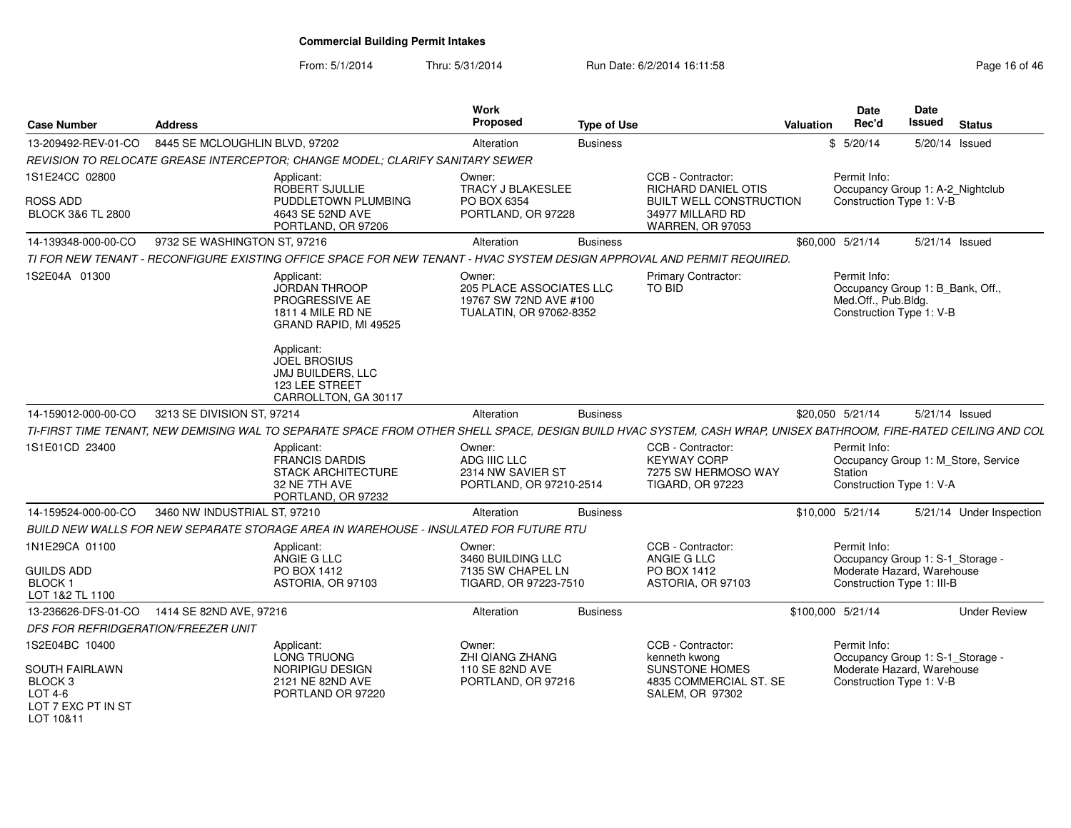| <b>Case Number</b>                                                                    | <b>Address</b>                 |                                                                                                                                                                   | Work<br>Proposed                                                                        | <b>Type of Use</b> |                                                                                           | <b>Valuation</b> | Date<br>Rec'd                                                                                       | Date<br><b>Issued</b> | <b>Status</b>                       |
|---------------------------------------------------------------------------------------|--------------------------------|-------------------------------------------------------------------------------------------------------------------------------------------------------------------|-----------------------------------------------------------------------------------------|--------------------|-------------------------------------------------------------------------------------------|------------------|-----------------------------------------------------------------------------------------------------|-----------------------|-------------------------------------|
| 13-209492-REV-01-CO                                                                   | 8445 SE MCLOUGHLIN BLVD, 97202 |                                                                                                                                                                   | Alteration                                                                              | <b>Business</b>    |                                                                                           |                  | \$5/20/14                                                                                           | 5/20/14 Issued        |                                     |
|                                                                                       |                                | REVISION TO RELOCATE GREASE INTERCEPTOR: CHANGE MODEL: CLARIFY SANITARY SEWER                                                                                     |                                                                                         |                    |                                                                                           |                  |                                                                                                     |                       |                                     |
| 1S1E24CC 02800                                                                        |                                | Applicant:<br>ROBERT SJULLIE                                                                                                                                      | Owner:<br><b>TRACY J BLAKESLEE</b>                                                      |                    | CCB - Contractor:<br>RICHARD DANIEL OTIS                                                  |                  | Permit Info:<br>Occupancy Group 1: A-2_Nightclub                                                    |                       |                                     |
| ROSS ADD<br><b>BLOCK 3&amp;6 TL 2800</b>                                              |                                | PUDDLETOWN PLUMBING<br>4643 SE 52ND AVE<br>PORTLAND, OR 97206                                                                                                     | PO BOX 6354<br>PORTLAND, OR 97228                                                       |                    | <b>BUILT WELL CONSTRUCTION</b><br>34977 MILLARD RD<br>WARREN, OR 97053                    |                  | Construction Type 1: V-B                                                                            |                       |                                     |
| 14-139348-000-00-CO                                                                   | 9732 SE WASHINGTON ST, 97216   |                                                                                                                                                                   | Alteration                                                                              | <b>Business</b>    |                                                                                           |                  | \$60,000 5/21/14                                                                                    | 5/21/14 Issued        |                                     |
|                                                                                       |                                | TI FOR NEW TENANT - RECONFIGURE EXISTING OFFICE SPACE FOR NEW TENANT - HVAC SYSTEM DESIGN APPROVAL AND PERMIT REQUIRED.                                           |                                                                                         |                    |                                                                                           |                  |                                                                                                     |                       |                                     |
| 1S2E04A 01300                                                                         |                                | Applicant:<br><b>JORDAN THROOP</b><br>PROGRESSIVE AE<br>1811 4 MILE RD NE<br>GRAND RAPID, MI 49525                                                                | Owner:<br>205 PLACE ASSOCIATES LLC<br>19767 SW 72ND AVE #100<br>TUALATIN, OR 97062-8352 |                    | Primary Contractor:<br>TO BID                                                             |                  | Permit Info:<br>Occupancy Group 1: B Bank, Off.,<br>Med.Off., Pub.Bldg.<br>Construction Type 1: V-B |                       |                                     |
|                                                                                       |                                | Applicant:<br><b>JOEL BROSIUS</b><br>JMJ BUILDERS, LLC<br>123 LEE STREET<br>CARROLLTON, GA 30117                                                                  |                                                                                         |                    |                                                                                           |                  |                                                                                                     |                       |                                     |
| 14-159012-000-00-CO                                                                   | 3213 SE DIVISION ST, 97214     |                                                                                                                                                                   | Alteration                                                                              | <b>Business</b>    |                                                                                           |                  | \$20.050 5/21/14                                                                                    | 5/21/14 Issued        |                                     |
|                                                                                       |                                | TI-FIRST TIME TENANT, NEW DEMISING WAL TO SEPARATE SPACE FROM OTHER SHELL SPACE, DESIGN BUILD HVAC SYSTEM, CASH WRAP, UNISEX BATHROOM, FIRE-RATED CEILING AND COL |                                                                                         |                    |                                                                                           |                  |                                                                                                     |                       |                                     |
| 1S1E01CD 23400                                                                        |                                | Applicant:<br><b>FRANCIS DARDIS</b><br><b>STACK ARCHITECTURE</b><br>32 NE 7TH AVE<br>PORTLAND, OR 97232                                                           | Owner:<br>ADG IIIC LLC<br>2314 NW SAVIER ST<br>PORTLAND, OR 97210-2514                  |                    | CCB - Contractor:<br><b>KEYWAY CORP</b><br>7275 SW HERMOSO WAY<br><b>TIGARD, OR 97223</b> |                  | Permit Info:<br>Station<br>Construction Type 1: V-A                                                 |                       | Occupancy Group 1: M_Store, Service |
| 14-159524-000-00-CO                                                                   | 3460 NW INDUSTRIAL ST, 97210   |                                                                                                                                                                   | Alteration                                                                              | <b>Business</b>    |                                                                                           |                  | \$10,000 5/21/14                                                                                    |                       | 5/21/14 Under Inspection            |
|                                                                                       |                                | BUILD NEW WALLS FOR NEW SEPARATE STORAGE AREA IN WAREHOUSE - INSULATED FOR FUTURE RTU                                                                             |                                                                                         |                    |                                                                                           |                  |                                                                                                     |                       |                                     |
| 1N1E29CA 01100                                                                        |                                | Applicant:<br>ANGIE G LLC                                                                                                                                         | Owner:<br>3460 BUILDING LLC                                                             |                    | CCB - Contractor:<br>ANGIE G LLC                                                          |                  | Permit Info:<br>Occupancy Group 1: S-1_Storage -                                                    |                       |                                     |
| <b>GUILDS ADD</b><br><b>BLOCK1</b><br>LOT 1&2 TL 1100                                 |                                | PO BOX 1412<br>ASTORIA, OR 97103                                                                                                                                  | 7135 SW CHAPEL LN<br>TIGARD, OR 97223-7510                                              |                    | PO BOX 1412<br>ASTORIA, OR 97103                                                          |                  | Moderate Hazard, Warehouse<br>Construction Type 1: III-B                                            |                       |                                     |
| 13-236626-DFS-01-CO                                                                   | 1414 SE 82ND AVE, 97216        |                                                                                                                                                                   | Alteration                                                                              | <b>Business</b>    |                                                                                           |                  | \$100,000 5/21/14                                                                                   |                       | <b>Under Review</b>                 |
| DFS FOR REFRIDGERATION/FREEZER UNIT                                                   |                                |                                                                                                                                                                   |                                                                                         |                    |                                                                                           |                  |                                                                                                     |                       |                                     |
| 1S2E04BC 10400                                                                        |                                | Applicant:<br>LONG TRUONG                                                                                                                                         | Owner:<br>ZHI QIANG ZHANG                                                               |                    | CCB - Contractor:<br>kenneth kwong                                                        |                  | Permit Info:<br>Occupancy Group 1: S-1_Storage -                                                    |                       |                                     |
| <b>SOUTH FAIRLAWN</b><br><b>BLOCK3</b><br>$LOT4-6$<br>LOT 7 EXC PT IN ST<br>LOT 10&11 |                                | NORIPIGU DESIGN<br>2121 NE 82ND AVE<br>PORTLAND OR 97220                                                                                                          | 110 SE 82ND AVE<br>PORTLAND, OR 97216                                                   |                    | <b>SUNSTONE HOMES</b><br>4835 COMMERCIAL ST. SE<br>SALEM, OR 97302                        |                  | Moderate Hazard, Warehouse<br>Construction Type 1: V-B                                              |                       |                                     |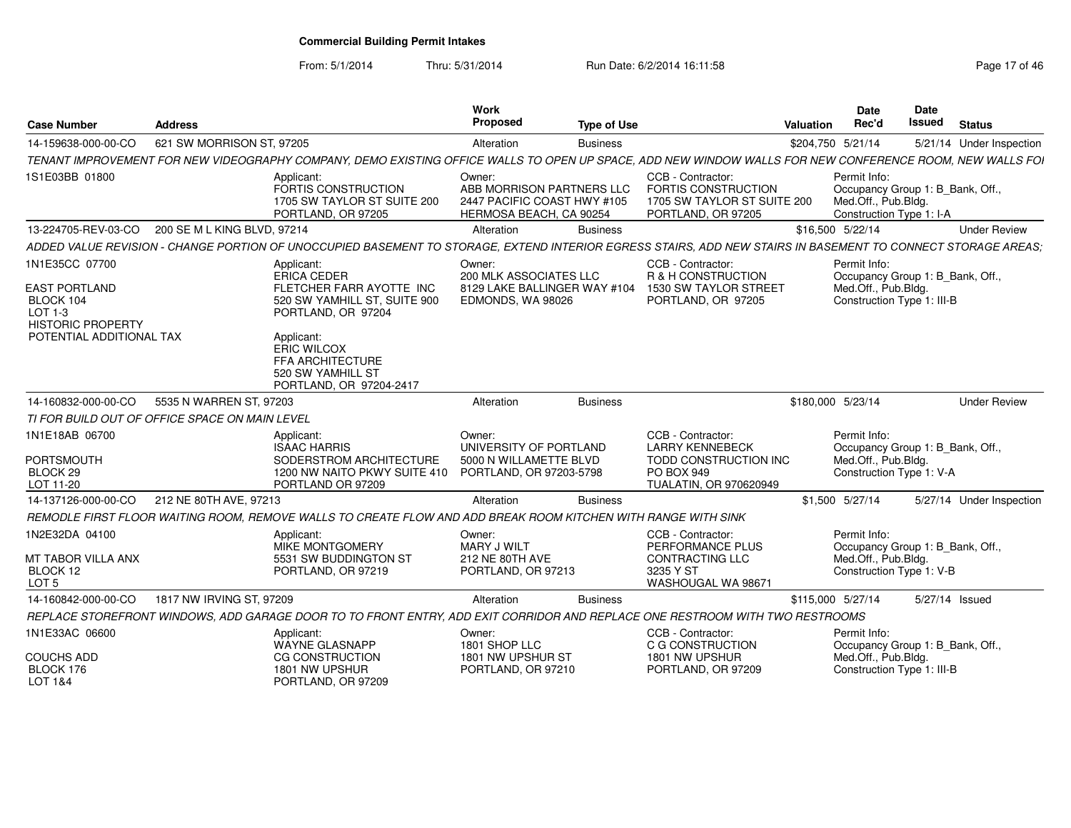From: 5/1/2014

Thru: 5/31/2014 Run Date: 6/2/2014 16:11:58 Research 2010 17 of 46

| <b>Case Number</b>                                                                         | <b>Address</b>                                 |                                                                                                                                                              | Work<br>Proposed                                                                              | <b>Type of Use</b> |                                                                                                                     | Valuation | Date<br>Rec'd                                                                                         | <b>Date</b><br><b>Issued</b> | <b>Status</b>            |
|--------------------------------------------------------------------------------------------|------------------------------------------------|--------------------------------------------------------------------------------------------------------------------------------------------------------------|-----------------------------------------------------------------------------------------------|--------------------|---------------------------------------------------------------------------------------------------------------------|-----------|-------------------------------------------------------------------------------------------------------|------------------------------|--------------------------|
| 14-159638-000-00-CO                                                                        | 621 SW MORRISON ST, 97205                      |                                                                                                                                                              | Alteration                                                                                    | <b>Business</b>    |                                                                                                                     |           | \$204,750 5/21/14                                                                                     |                              | 5/21/14 Under Inspection |
|                                                                                            |                                                | TENANT IMPROVEMENT FOR NEW VIDEOGRAPHY COMPANY, DEMO EXISTING OFFICE WALLS TO OPEN UP SPACE, ADD NEW WINDOW WALLS FOR NEW CONFERENCE ROOM, NEW WALLS FOI     |                                                                                               |                    |                                                                                                                     |           |                                                                                                       |                              |                          |
| 1S1E03BB 01800                                                                             |                                                | Applicant:<br>FORTIS CONSTRUCTION<br>1705 SW TAYLOR ST SUITE 200<br>PORTLAND, OR 97205                                                                       | Owner:<br>ABB MORRISON PARTNERS LLC<br>2447 PACIFIC COAST HWY #105<br>HERMOSA BEACH, CA 90254 |                    | CCB - Contractor:<br><b>FORTIS CONSTRUCTION</b><br>1705 SW TAYLOR ST SUITE 200<br>PORTLAND, OR 97205                |           | Permit Info:<br>Occupancy Group 1: B_Bank, Off.,<br>Med.Off., Pub.Bldg.<br>Construction Type 1: I-A   |                              |                          |
| 13-224705-REV-03-CO                                                                        | 200 SE M L KING BLVD, 97214                    |                                                                                                                                                              | Alteration                                                                                    | <b>Business</b>    |                                                                                                                     |           | \$16,500 5/22/14                                                                                      |                              | <b>Under Review</b>      |
|                                                                                            |                                                | ADDED VALUE REVISION - CHANGE PORTION OF UNOCCUPIED BASEMENT TO STORAGE, EXTEND INTERIOR EGRESS STAIRS, ADD NEW STAIRS IN BASEMENT TO CONNECT STORAGE AREAS; |                                                                                               |                    |                                                                                                                     |           |                                                                                                       |                              |                          |
| 1N1E35CC 07700<br><b>EAST PORTLAND</b><br>BLOCK 104<br>LOT 1-3<br><b>HISTORIC PROPERTY</b> |                                                | Applicant<br><b>ERICA CEDER</b><br>FLETCHER FARR AYOTTE INC<br>520 SW YAMHILL ST, SUITE 900<br>PORTLAND, OR 97204                                            | Owner:<br>200 MLK ASSOCIATES LLC<br>8129 LAKE BALLINGER WAY #104<br>EDMONDS, WA 98026         |                    | CCB - Contractor:<br>R & H CONSTRUCTION<br>1530 SW TAYLOR STREET<br>PORTLAND, OR 97205                              |           | Permit Info:<br>Occupancy Group 1: B Bank, Off.,<br>Med.Off., Pub.Bldg.<br>Construction Type 1: III-B |                              |                          |
| POTENTIAL ADDITIONAL TAX                                                                   |                                                | Applicant:<br><b>ERIC WILCOX</b><br>FFA ARCHITECTURE<br>520 SW YAMHILL ST<br>PORTLAND, OR 97204-2417                                                         |                                                                                               |                    |                                                                                                                     |           |                                                                                                       |                              |                          |
| 14-160832-000-00-CO                                                                        | 5535 N WARREN ST, 97203                        |                                                                                                                                                              | Alteration                                                                                    | <b>Business</b>    |                                                                                                                     |           | \$180,000 5/23/14                                                                                     |                              | <b>Under Review</b>      |
|                                                                                            | TI FOR BUILD OUT OF OFFICE SPACE ON MAIN LEVEL |                                                                                                                                                              |                                                                                               |                    |                                                                                                                     |           |                                                                                                       |                              |                          |
| 1N1E18AB 06700<br><b>PORTSMOUTH</b><br>BLOCK 29<br>LOT 11-20                               |                                                | Applicant:<br><b>ISAAC HARRIS</b><br>SODERSTROM ARCHITECTURE<br>1200 NW NAITO PKWY SUITE 410<br>PORTLAND OR 97209                                            | Owner:<br>UNIVERSITY OF PORTLAND<br>5000 N WILLAMETTE BLVD<br>PORTLAND, OR 97203-5798         |                    | CCB - Contractor:<br><b>LARRY KENNEBECK</b><br>TODD CONSTRUCTION INC<br><b>PO BOX 949</b><br>TUALATIN, OR 970620949 |           | Permit Info:<br>Occupancy Group 1: B_Bank, Off.,<br>Med.Off., Pub.Bldg.<br>Construction Type 1: V-A   |                              |                          |
| 14-137126-000-00-CO                                                                        | 212 NE 80TH AVE, 97213                         |                                                                                                                                                              | Alteration                                                                                    | <b>Business</b>    |                                                                                                                     |           | \$1,500 5/27/14                                                                                       |                              | 5/27/14 Under Inspection |
|                                                                                            |                                                | REMODLE FIRST FLOOR WAITING ROOM, REMOVE WALLS TO CREATE FLOW AND ADD BREAK ROOM KITCHEN WITH RANGE WITH SINK                                                |                                                                                               |                    |                                                                                                                     |           |                                                                                                       |                              |                          |
| 1N2E32DA 04100<br>MT TABOR VILLA ANX<br>BLOCK 12<br>LOT <sub>5</sub>                       |                                                | Applicant:<br>MIKE MONTGOMERY<br>5531 SW BUDDINGTON ST<br>PORTLAND, OR 97219                                                                                 | Owner:<br>MARY J WILT<br><b>212 NE 80TH AVE</b><br>PORTLAND, OR 97213                         |                    | CCB - Contractor:<br>PERFORMANCE PLUS<br><b>CONTRACTING LLC</b><br>3235 Y ST<br>WASHOUGAL WA 98671                  |           | Permit Info:<br>Occupancy Group 1: B_Bank, Off.,<br>Med.Off., Pub.Bldg.<br>Construction Type 1: V-B   |                              |                          |
| 14-160842-000-00-CO                                                                        | 1817 NW IRVING ST, 97209                       |                                                                                                                                                              | Alteration                                                                                    | <b>Business</b>    |                                                                                                                     |           | \$115,000 5/27/14                                                                                     |                              | 5/27/14 Issued           |
|                                                                                            |                                                | REPLACE STOREFRONT WINDOWS, ADD GARAGE DOOR TO TO FRONT ENTRY, ADD EXIT CORRIDOR AND REPLACE ONE RESTROOM WITH TWO RESTROOMS                                 |                                                                                               |                    |                                                                                                                     |           |                                                                                                       |                              |                          |
| 1N1E33AC 06600                                                                             |                                                | Applicant:<br><b>WAYNE GLASNAPP</b>                                                                                                                          | Owner:<br>1801 SHOP LLC                                                                       |                    | CCB - Contractor:<br>C G CONSTRUCTION                                                                               |           | Permit Info:<br>Occupancy Group 1: B_Bank, Off.,                                                      |                              |                          |
| <b>COUCHS ADD</b><br>BLOCK 176<br>LOT 1&4                                                  |                                                | <b>CG CONSTRUCTION</b><br>1801 NW UPSHUR<br>PORTLAND, OR 97209                                                                                               | 1801 NW UPSHUR ST<br>PORTLAND, OR 97210                                                       |                    | 1801 NW UPSHUR<br>PORTLAND, OR 97209                                                                                |           | Med.Off., Pub.Bldg.<br>Construction Type 1: III-B                                                     |                              |                          |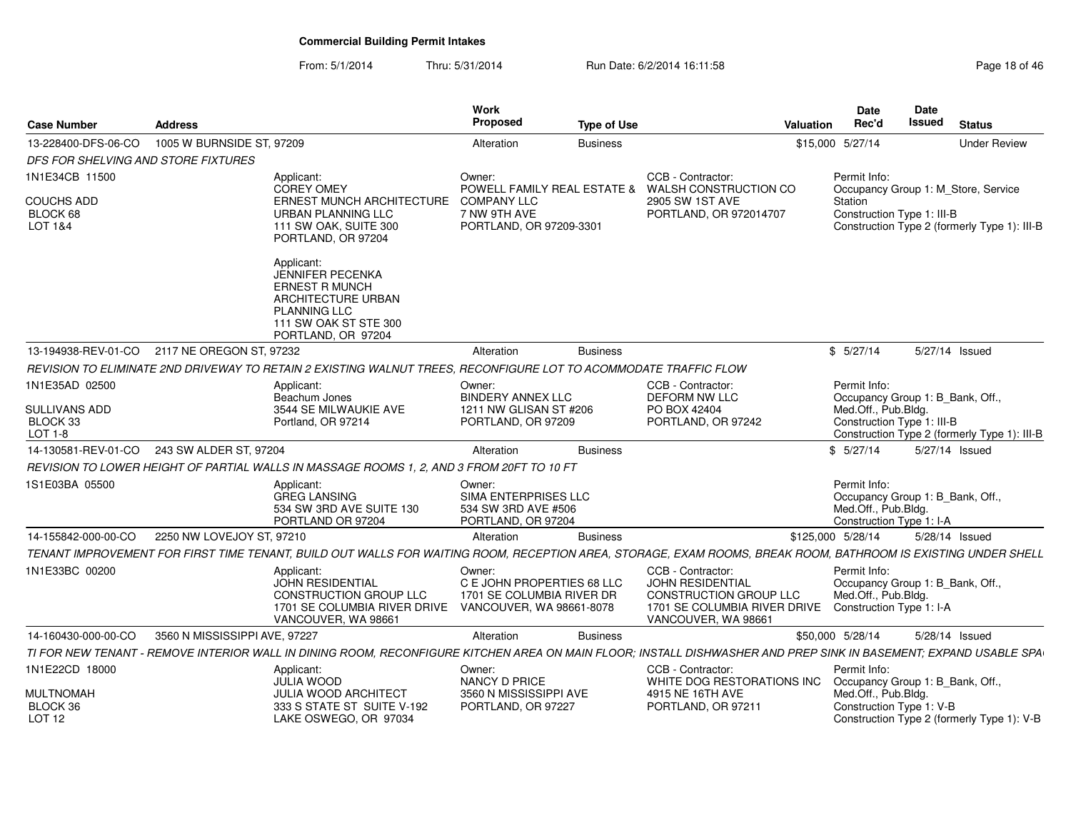| <b>Case Number</b>                         | <b>Address</b>                                                                                                                                                   | Work<br><b>Proposed</b>                                                                       | <b>Type of Use</b> |                                                                                                                                      | <b>Date</b><br>Rec'd<br>Valuation                                                                   | <b>Date</b><br><b>Issued</b> | <b>Status</b>                                |
|--------------------------------------------|------------------------------------------------------------------------------------------------------------------------------------------------------------------|-----------------------------------------------------------------------------------------------|--------------------|--------------------------------------------------------------------------------------------------------------------------------------|-----------------------------------------------------------------------------------------------------|------------------------------|----------------------------------------------|
| 13-228400-DFS-06-CO                        | 1005 W BURNSIDE ST, 97209                                                                                                                                        | Alteration                                                                                    | <b>Business</b>    |                                                                                                                                      | \$15,000 5/27/14                                                                                    |                              | <b>Under Review</b>                          |
| DFS FOR SHELVING AND STORE FIXTURES        |                                                                                                                                                                  |                                                                                               |                    |                                                                                                                                      |                                                                                                     |                              |                                              |
| 1N1E34CB 11500                             | Applicant:<br><b>COREY OMEY</b>                                                                                                                                  | Owner:<br><b>POWELL FAMILY REAL ESTATE &amp;</b>                                              |                    | CCB - Contractor:<br>WALSH CONSTRUCTION CO                                                                                           | Permit Info:                                                                                        |                              | Occupancy Group 1: M Store, Service          |
| <b>COUCHS ADD</b><br>BLOCK 68<br>LOT 1&4   | ERNEST MUNCH ARCHITECTURE<br>URBAN PLANNING LLC<br>111 SW OAK, SUITE 300<br>PORTLAND, OR 97204                                                                   | <b>COMPANY LLC</b><br>7 NW 9TH AVE<br>PORTLAND, OR 97209-3301                                 |                    | 2905 SW 1ST AVE<br>PORTLAND, OR 972014707                                                                                            | Station<br>Construction Type 1: III-B                                                               |                              | Construction Type 2 (formerly Type 1): III-B |
|                                            | Applicant:<br><b>JENNIFER PECENKA</b><br><b>ERNEST R MUNCH</b><br>ARCHITECTURE URBAN<br><b>PLANNING LLC</b><br>111 SW OAK ST STE 300<br>PORTLAND, OR 97204       |                                                                                               |                    |                                                                                                                                      |                                                                                                     |                              |                                              |
|                                            | 13-194938-REV-01-CO 2117 NE OREGON ST, 97232                                                                                                                     | Alteration                                                                                    | <b>Business</b>    |                                                                                                                                      | \$5/27/14                                                                                           |                              | 5/27/14 Issued                               |
|                                            | REVISION TO ELIMINATE 2ND DRIVEWAY TO RETAIN 2 EXISTING WALNUT TREES. RECONFIGURE LOT TO ACOMMODATE TRAFFIC FLOW                                                 |                                                                                               |                    |                                                                                                                                      |                                                                                                     |                              |                                              |
| 1N1E35AD 02500                             | Applicant:<br>Beachum Jones                                                                                                                                      | Owner:<br><b>BINDERY ANNEX LLC</b>                                                            |                    | CCB - Contractor:<br><b>DEFORM NW LLC</b>                                                                                            | Permit Info:<br>Occupancy Group 1: B_Bank, Off.,                                                    |                              |                                              |
| SULLIVANS ADD<br>BLOCK 33<br>LOT 1-8       | 3544 SE MILWAUKIE AVE<br>Portland, OR 97214                                                                                                                      | 1211 NW GLISAN ST #206<br>PORTLAND, OR 97209                                                  |                    | PO BOX 42404<br>PORTLAND, OR 97242                                                                                                   | Med.Off., Pub.Bldg.<br>Construction Type 1: III-B                                                   |                              | Construction Type 2 (formerly Type 1): III-B |
|                                            | 14-130581-REV-01-CO 243 SW ALDER ST, 97204                                                                                                                       | Alteration                                                                                    | <b>Business</b>    |                                                                                                                                      | \$5/27/14                                                                                           |                              | 5/27/14 Issued                               |
|                                            | REVISION TO LOWER HEIGHT OF PARTIAL WALLS IN MASSAGE ROOMS 1, 2, AND 3 FROM 20FT TO 10 FT                                                                        |                                                                                               |                    |                                                                                                                                      |                                                                                                     |                              |                                              |
| 1S1E03BA 05500                             | Applicant:<br><b>GREG LANSING</b><br>534 SW 3RD AVE SUITE 130<br>PORTLAND OR 97204                                                                               | Owner:<br>SIMA ENTERPRISES LLC<br>534 SW 3RD AVE #506<br>PORTLAND, OR 97204                   |                    |                                                                                                                                      | Permit Info:<br>Occupancy Group 1: B Bank, Off.<br>Med.Off., Pub.Bldg.<br>Construction Type 1: I-A  |                              |                                              |
| 14-155842-000-00-CO                        | 2250 NW LOVEJOY ST, 97210                                                                                                                                        | Alteration                                                                                    | <b>Business</b>    |                                                                                                                                      | \$125,000 5/28/14                                                                                   |                              | 5/28/14 Issued                               |
|                                            | TENANT IMPROVEMENT FOR FIRST TIME TENANT, BUILD OUT WALLS FOR WAITING ROOM, RECEPTION AREA, STORAGE, EXAM ROOMS, BREAK ROOM, BATHROOM IS EXISTING UNDER SHELL    |                                                                                               |                    |                                                                                                                                      |                                                                                                     |                              |                                              |
| 1N1E33BC 00200                             | Applicant:<br>JOHN RESIDENTIAL<br><b>CONSTRUCTION GROUP LLC</b><br>1701 SE COLUMBIA RIVER DRIVE<br>VANCOUVER, WA 98661                                           | Owner:<br>C E JOHN PROPERTIES 68 LLC<br>1701 SE COLUMBIA RIVER DR<br>VANCOUVER, WA 98661-8078 |                    | CCB - Contractor:<br><b>JOHN RESIDENTIAL</b><br><b>CONSTRUCTION GROUP LLC</b><br>1701 SE COLUMBIA RIVER DRIVE<br>VANCOUVER, WA 98661 | Permit Info:<br>Occupancy Group 1: B Bank, Off.,<br>Med.Off., Pub.Bldg.<br>Construction Type 1: I-A |                              |                                              |
| 14-160430-000-00-CO                        | 3560 N MISSISSIPPI AVE, 97227                                                                                                                                    | Alteration                                                                                    | <b>Business</b>    |                                                                                                                                      | \$50,000 5/28/14                                                                                    |                              | 5/28/14 Issued                               |
|                                            | TI FOR NEW TENANT - REMOVE INTERIOR WALL IN DINING ROOM, RECONFIGURE KITCHEN AREA ON MAIN FLOOR; INSTALL DISHWASHER AND PREP SINK IN BASEMENT; EXPAND USABLE SPA |                                                                                               |                    |                                                                                                                                      |                                                                                                     |                              |                                              |
| 1N1E22CD 18000                             | Applicant:                                                                                                                                                       | Owner:                                                                                        |                    | CCB - Contractor:                                                                                                                    | Permit Info:                                                                                        |                              |                                              |
| MULTNOMAH<br>BLOCK 36<br>LOT <sub>12</sub> | <b>JULIA WOOD</b><br><b>JULIA WOOD ARCHITECT</b><br>333 S STATE ST SUITE V-192<br>LAKE OSWEGO, OR 97034                                                          | NANCY D PRICE<br>3560 N MISSISSIPPI AVE<br>PORTLAND, OR 97227                                 |                    | WHITE DOG RESTORATIONS INC<br>4915 NE 16TH AVE<br>PORTLAND, OR 97211                                                                 | Occupancy Group 1: B_Bank, Off.,<br>Med.Off., Pub.Bldg.<br>Construction Type 1: V-B                 |                              | Construction Type 2 (formerly Type 1): V-B   |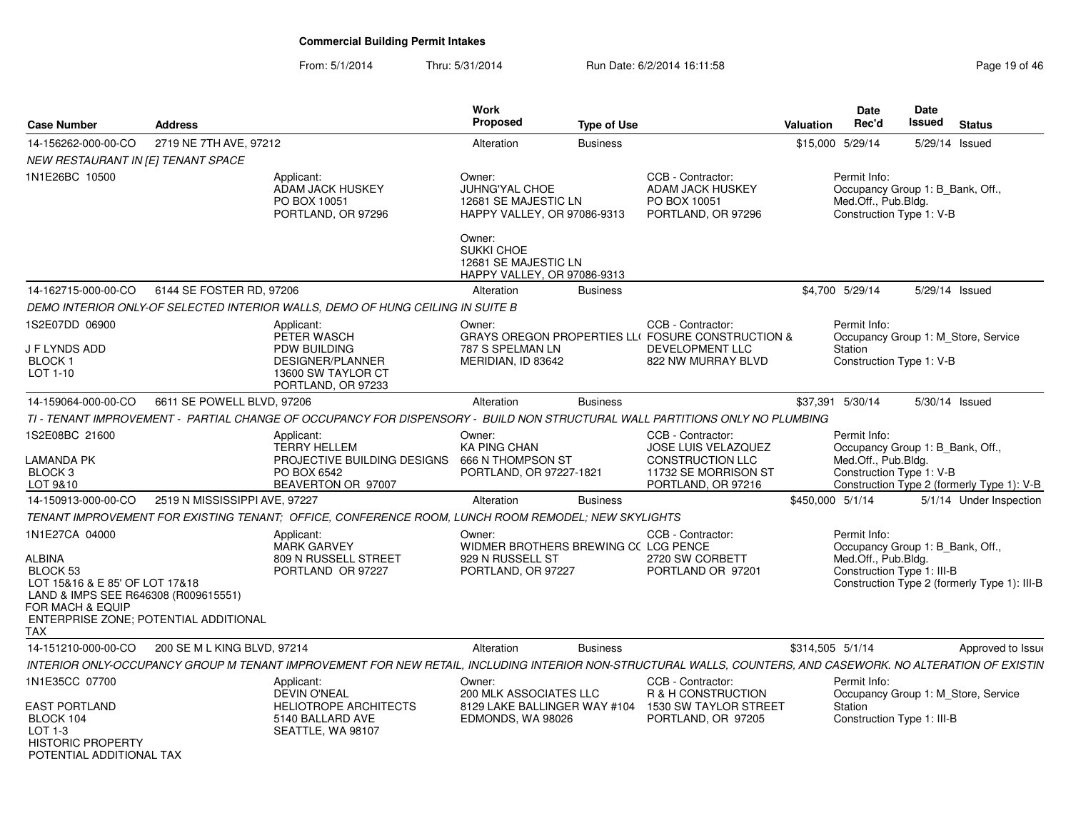### From: 5/1/2014Thru: 5/31/2014 Run Date: 6/2/2014 16:11:58 Research 2010 19:01:46

| <b>Case Number</b>                                                                                                                                                                 | <b>Address</b>                |                                                                                                                                                              | Work<br><b>Proposed</b>                                                                  | <b>Type of Use</b> |                                                                                                                          | Valuation        | <b>Date</b><br>Rec'd                                                                                  | Date<br>Issued | <b>Status</b>                                |
|------------------------------------------------------------------------------------------------------------------------------------------------------------------------------------|-------------------------------|--------------------------------------------------------------------------------------------------------------------------------------------------------------|------------------------------------------------------------------------------------------|--------------------|--------------------------------------------------------------------------------------------------------------------------|------------------|-------------------------------------------------------------------------------------------------------|----------------|----------------------------------------------|
| 14-156262-000-00-CO                                                                                                                                                                | 2719 NE 7TH AVE, 97212        |                                                                                                                                                              | Alteration                                                                               | <b>Business</b>    |                                                                                                                          |                  | \$15,000 5/29/14                                                                                      |                | 5/29/14 Issued                               |
| NEW RESTAURANT IN [E] TENANT SPACE                                                                                                                                                 |                               |                                                                                                                                                              |                                                                                          |                    |                                                                                                                          |                  |                                                                                                       |                |                                              |
| 1N1E26BC 10500                                                                                                                                                                     |                               | Applicant:<br><b>ADAM JACK HUSKEY</b><br>PO BOX 10051<br>PORTLAND, OR 97296                                                                                  | Owner:<br>JUHNG'YAL CHOE<br>12681 SE MAJESTIC LN<br>HAPPY VALLEY, OR 97086-9313          |                    | CCB - Contractor:<br><b>ADAM JACK HUSKEY</b><br>PO BOX 10051<br>PORTLAND, OR 97296                                       |                  | Permit Info:<br>Occupancy Group 1: B_Bank, Off.,<br>Med.Off., Pub.Bldg.<br>Construction Type 1: V-B   |                |                                              |
|                                                                                                                                                                                    |                               |                                                                                                                                                              | Owner:<br>SUKKI CHOE<br>12681 SE MAJESTIC LN<br>HAPPY VALLEY, OR 97086-9313              |                    |                                                                                                                          |                  |                                                                                                       |                |                                              |
| 14-162715-000-00-CO                                                                                                                                                                | 6144 SE FOSTER RD, 97206      |                                                                                                                                                              | Alteration                                                                               | <b>Business</b>    |                                                                                                                          |                  | \$4,700 5/29/14                                                                                       |                | 5/29/14 Issued                               |
|                                                                                                                                                                                    |                               | DEMO INTERIOR ONLY-OF SELECTED INTERIOR WALLS, DEMO OF HUNG CEILING IN SUITE B                                                                               |                                                                                          |                    |                                                                                                                          |                  |                                                                                                       |                |                                              |
| 1S2E07DD 06900<br>J F LYNDS ADD<br><b>BLOCK1</b><br>LOT 1-10                                                                                                                       |                               | Applicant:<br>PETER WASCH<br>PDW BUILDING<br>DESIGNER/PLANNER<br>13600 SW TAYLOR CT<br>PORTLAND, OR 97233                                                    | Owner:<br>787 S SPELMAN LN<br>MERIDIAN, ID 83642                                         |                    | CCB - Contractor:<br>GRAYS OREGON PROPERTIES LLI FOSURE CONSTRUCTION &<br><b>DEVELOPMENT LLC</b><br>822 NW MURRAY BLVD   |                  | Permit Info:<br>Station<br>Construction Type 1: V-B                                                   |                | Occupancy Group 1: M_Store, Service          |
| 14-159064-000-00-CO                                                                                                                                                                | 6611 SE POWELL BLVD, 97206    |                                                                                                                                                              | Alteration                                                                               | <b>Business</b>    |                                                                                                                          |                  | \$37,391 5/30/14                                                                                      |                | 5/30/14 Issued                               |
|                                                                                                                                                                                    |                               | TI - TENANT IMPROVEMENT - PARTIAL CHANGE OF OCCUPANCY FOR DISPENSORY - BUILD NON STRUCTURAL WALL PARTITIONS ONLY NO PLUMBING                                 |                                                                                          |                    |                                                                                                                          |                  |                                                                                                       |                |                                              |
| 1S2E08BC 21600<br>LAMANDA PK<br>BLOCK <sub>3</sub><br>LOT 9&10                                                                                                                     |                               | Applicant:<br><b>TERRY HELLEM</b><br>PROJECTIVE BUILDING DESIGNS<br>PO BOX 6542<br>BEAVERTON OR 97007                                                        | Owner:<br><b>KA PING CHAN</b><br>666 N THOMPSON ST<br>PORTLAND, OR 97227-1821            |                    | CCB - Contractor:<br><b>JOSE LUIS VELAZQUEZ</b><br><b>CONSTRUCTION LLC</b><br>11732 SE MORRISON ST<br>PORTLAND, OR 97216 |                  | Permit Info:<br>Occupancy Group 1: B_Bank, Off.,<br>Med.Off., Pub.Bldg.<br>Construction Type 1: V-B   |                | Construction Type 2 (formerly Type 1): V-B   |
| 14-150913-000-00-CO                                                                                                                                                                | 2519 N MISSISSIPPI AVE, 97227 |                                                                                                                                                              | Alteration                                                                               | <b>Business</b>    |                                                                                                                          | \$450,000 5/1/14 |                                                                                                       |                | 5/1/14 Under Inspection                      |
|                                                                                                                                                                                    |                               | TENANT IMPROVEMENT FOR EXISTING TENANT: OFFICE. CONFERENCE ROOM. LUNCH ROOM REMODEL: NEW SKYLIGHTS                                                           |                                                                                          |                    |                                                                                                                          |                  |                                                                                                       |                |                                              |
|                                                                                                                                                                                    |                               |                                                                                                                                                              |                                                                                          |                    |                                                                                                                          |                  |                                                                                                       |                |                                              |
| 1N1E27CA 04000<br>ALBINA<br>BLOCK 53<br>LOT 15&16 & E 85' OF LOT 17&18<br>LAND & IMPS SEE R646308 (R009615551)<br>FOR MACH & EQUIP<br>ENTERPRISE ZONE; POTENTIAL ADDITIONAL<br>TAX |                               | Applicant:<br><b>MARK GARVEY</b><br>809 N RUSSELL STREET<br>PORTLAND OR 97227                                                                                | Owner:<br>WIDMER BROTHERS BREWING CC LCG PENCE<br>929 N RUSSELL ST<br>PORTLAND, OR 97227 |                    | CCB - Contractor:<br>2720 SW CORBETT<br>PORTLAND OR 97201                                                                |                  | Permit Info:<br>Occupancy Group 1: B_Bank, Off.,<br>Med.Off., Pub.Bldg.<br>Construction Type 1: III-B |                | Construction Type 2 (formerly Type 1): III-B |
| 14-151210-000-00-CO                                                                                                                                                                | 200 SE M L KING BLVD, 97214   |                                                                                                                                                              | Alteration                                                                               | <b>Business</b>    |                                                                                                                          | \$314,505 5/1/14 |                                                                                                       |                | Approved to Issue                            |
|                                                                                                                                                                                    |                               | INTERIOR ONLY-OCCUPANCY GROUP M TENANT IMPROVEMENT FOR NEW RETAIL, INCLUDING INTERIOR NON-STRUCTURAL WALLS, COUNTERS, AND CASEWORK. NO ALTERATION OF EXISTIN |                                                                                          |                    |                                                                                                                          |                  |                                                                                                       |                |                                              |
| 1N1E35CC 07700                                                                                                                                                                     |                               | Applicant:<br><b>DEVIN O'NEAL</b>                                                                                                                            | Owner:<br>200 MLK ASSOCIATES LLC                                                         |                    | CCB - Contractor:<br>R & H CONSTRUCTION                                                                                  |                  | Permit Info:                                                                                          |                | Occupancy Group 1: M_Store, Service          |
| <b>EAST PORTLAND</b><br>BLOCK 104<br>LOT 1-3<br><b>HISTORIC PROPERTY</b><br>POTENTIAI ADDITIONAI TAX                                                                               |                               | <b>HELIOTROPE ARCHITECTS</b><br>5140 BALLARD AVE<br>SEATTLE, WA 98107                                                                                        | 8129 LAKE BALLINGER WAY #104<br>EDMONDS, WA 98026                                        |                    | 1530 SW TAYLOR STREET<br>PORTLAND, OR 97205                                                                              |                  | Station<br>Construction Type 1: III-B                                                                 |                |                                              |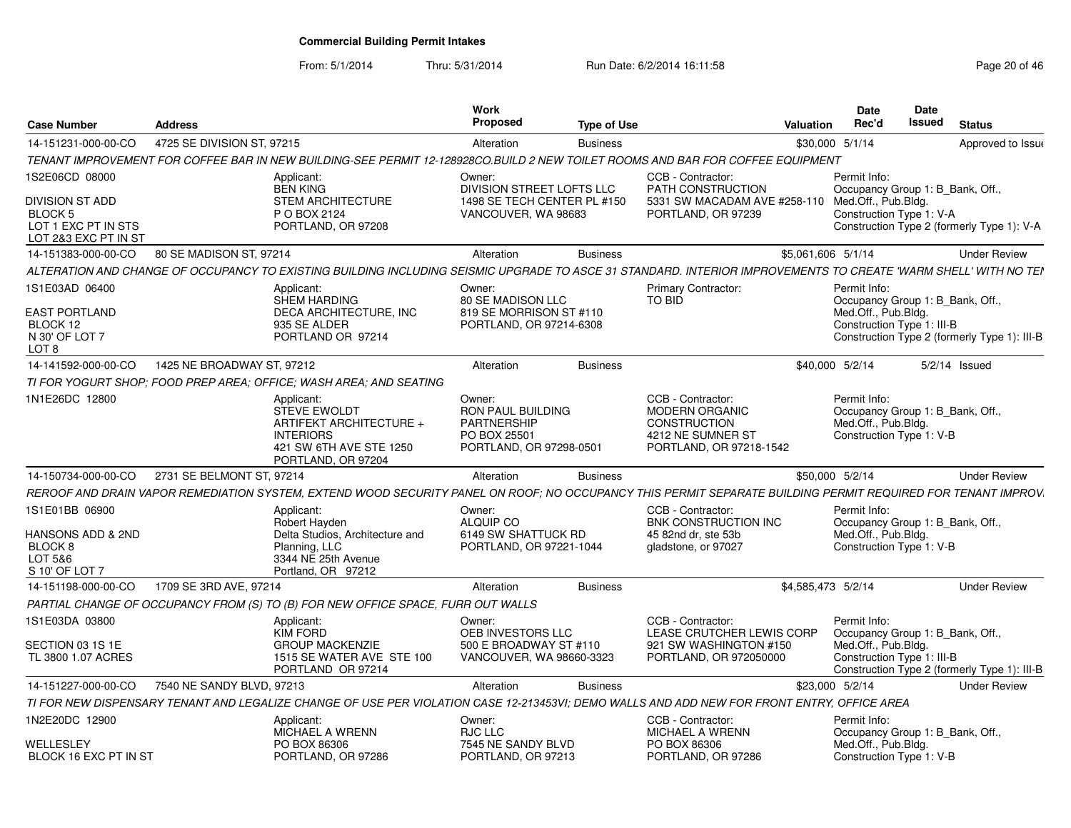From: 5/1/2014

| <b>Case Number</b>                                                                                | <b>Address</b>             |                                                                                                                                                                 | Work<br><b>Proposed</b>                                                                             | <b>Type of Use</b> |                                                                                                            | Valuation          | <b>Date</b><br><b>Rec'd</b>                                                                           | <b>Date</b><br>Issued | <b>Status</b>                                |
|---------------------------------------------------------------------------------------------------|----------------------------|-----------------------------------------------------------------------------------------------------------------------------------------------------------------|-----------------------------------------------------------------------------------------------------|--------------------|------------------------------------------------------------------------------------------------------------|--------------------|-------------------------------------------------------------------------------------------------------|-----------------------|----------------------------------------------|
| 14-151231-000-00-CO                                                                               | 4725 SE DIVISION ST, 97215 |                                                                                                                                                                 | Alteration                                                                                          | <b>Business</b>    |                                                                                                            | \$30,000 5/1/14    |                                                                                                       |                       | Approved to Issue                            |
|                                                                                                   |                            | TENANT IMPROVEMENT FOR COFFEE BAR IN NEW BUILDING-SEE PERMIT 12-128928CO.BUILD 2 NEW TOILET ROOMS AND BAR FOR COFFEE EQUIPMENT                                  |                                                                                                     |                    |                                                                                                            |                    |                                                                                                       |                       |                                              |
| 1S2E06CD 08000                                                                                    |                            | Applicant:<br><b>BEN KING</b>                                                                                                                                   | Owner:<br>DIVISION STREET LOFTS LLC                                                                 |                    | CCB - Contractor:<br>PATH CONSTRUCTION                                                                     |                    | Permit Info:<br>Occupancy Group 1: B_Bank, Off.,                                                      |                       |                                              |
| DIVISION ST ADD<br><b>BLOCK 5</b><br>LOT 1 EXC PT IN STS                                          |                            | <b>STEM ARCHITECTURE</b><br>P O BOX 2124<br>PORTLAND, OR 97208                                                                                                  | 1498 SE TECH CENTER PL #150<br>VANCOUVER, WA 98683                                                  |                    | 5331 SW MACADAM AVE #258-110<br>PORTLAND, OR 97239                                                         |                    | Med.Off., Pub.Bldg.<br>Construction Type 1: V-A                                                       |                       | Construction Type 2 (formerly Type 1): V-A   |
| LOT 2&3 EXC PT IN ST                                                                              |                            |                                                                                                                                                                 |                                                                                                     |                    |                                                                                                            |                    |                                                                                                       |                       |                                              |
| 14-151383-000-00-CO                                                                               | 80 SE MADISON ST, 97214    |                                                                                                                                                                 | Alteration                                                                                          | <b>Business</b>    |                                                                                                            | \$5,061,606 5/1/14 |                                                                                                       |                       | <b>Under Review</b>                          |
|                                                                                                   |                            | ALTERATION AND CHANGE OF OCCUPANCY TO EXISTING BUILDING INCLUDING SEISMIC UPGRADE TO ASCE 31 STANDARD. INTERIOR IMPROVEMENTS TO CREATE 'WARM SHELL' WITH NO TEI |                                                                                                     |                    |                                                                                                            |                    |                                                                                                       |                       |                                              |
| 1S1E03AD 06400<br><b>EAST PORTLAND</b><br>BLOCK 12<br>N 30' OF LOT 7                              |                            | Applicant:<br>SHEM HARDING<br>DECA ARCHITECTURE, INC<br>935 SE ALDER<br>PORTLAND OR 97214                                                                       | Owner:<br>80 SE MADISON LLC<br>819 SE MORRISON ST #110<br>PORTLAND, OR 97214-6308                   |                    | <b>Primary Contractor:</b><br>TO BID                                                                       |                    | Permit Info:<br>Occupancy Group 1: B Bank, Off.,<br>Med.Off., Pub.Bldg.<br>Construction Type 1: III-B |                       | Construction Type 2 (formerly Type 1): III-B |
| LOT <sub>8</sub>                                                                                  |                            |                                                                                                                                                                 |                                                                                                     |                    |                                                                                                            |                    |                                                                                                       |                       |                                              |
| 14-141592-000-00-CO                                                                               | 1425 NE BROADWAY ST, 97212 |                                                                                                                                                                 | Alteration                                                                                          | <b>Business</b>    |                                                                                                            | \$40,000 5/2/14    |                                                                                                       |                       | $5/2/14$ Issued                              |
|                                                                                                   |                            | TI FOR YOGURT SHOP: FOOD PREP AREA: OFFICE: WASH AREA: AND SEATING                                                                                              |                                                                                                     |                    |                                                                                                            |                    |                                                                                                       |                       |                                              |
| 1N1E26DC 12800                                                                                    |                            | Applicant:<br><b>STEVE EWOLDT</b><br>ARTIFEKT ARCHITECTURE +<br><b>INTERIORS</b><br>421 SW 6TH AVE STE 1250<br>PORTLAND, OR 97204                               | Owner:<br><b>RON PAUL BUILDING</b><br><b>PARTNERSHIP</b><br>PO BOX 25501<br>PORTLAND, OR 97298-0501 |                    | CCB - Contractor:<br>MODERN ORGANIC<br><b>CONSTRUCTION</b><br>4212 NE SUMNER ST<br>PORTLAND, OR 97218-1542 |                    | Permit Info:<br>Occupancy Group 1: B Bank, Off.,<br>Med.Off., Pub.Bldg.<br>Construction Type 1: V-B   |                       |                                              |
| 14-150734-000-00-CO                                                                               | 2731 SE BELMONT ST, 97214  |                                                                                                                                                                 | Alteration                                                                                          | <b>Business</b>    |                                                                                                            | \$50,000 5/2/14    |                                                                                                       |                       | <b>Under Review</b>                          |
|                                                                                                   |                            | REROOF AND DRAIN VAPOR REMEDIATION SYSTEM. EXTEND WOOD SECURITY PANEL ON ROOF: NO OCCUPANCY THIS PERMIT SEPARATE BUILDING PERMIT REQUIRED FOR TENANT IMPROV.    |                                                                                                     |                    |                                                                                                            |                    |                                                                                                       |                       |                                              |
| 1S1E01BB 06900<br><b>HANSONS ADD &amp; 2ND</b><br>BLOCK <sub>8</sub><br>LOT 5&6<br>S 10' OF LOT 7 |                            | Applicant:<br>Robert Hayden<br>Delta Studios, Architecture and<br>Planning, LLC<br>3344 NE 25th Avenue<br>Portland, OR 97212                                    | Owner:<br>ALQUIP CO<br>6149 SW SHATTUCK RD<br>PORTLAND, OR 97221-1044                               |                    | CCB - Contractor:<br>BNK CONSTRUCTION INC<br>45 82nd dr. ste 53b<br>gladstone, or 97027                    |                    | Permit Info:<br>Occupancy Group 1: B_Bank, Off.,<br>Med.Off., Pub.Bldg.<br>Construction Type 1: V-B   |                       |                                              |
| 14-151198-000-00-CO                                                                               | 1709 SE 3RD AVE, 97214     |                                                                                                                                                                 | Alteration                                                                                          | <b>Business</b>    |                                                                                                            | \$4,585,473 5/2/14 |                                                                                                       |                       | <b>Under Review</b>                          |
|                                                                                                   |                            | PARTIAL CHANGE OF OCCUPANCY FROM (S) TO (B) FOR NEW OFFICE SPACE, FURR OUT WALLS                                                                                |                                                                                                     |                    |                                                                                                            |                    |                                                                                                       |                       |                                              |
| 1S1E03DA 03800                                                                                    |                            | Applicant:<br>KIM FORD                                                                                                                                          | Owner:<br>OEB INVESTORS LLC                                                                         |                    | CCB - Contractor:<br>LEASE CRUTCHER LEWIS CORP                                                             |                    | Permit Info:<br>Occupancy Group 1: B_Bank, Off.,                                                      |                       |                                              |
| SECTION 03 1S 1E<br>TL 3800 1.07 ACRES                                                            |                            | <b>GROUP MACKENZIE</b><br>1515 SE WATER AVE STE 100<br>PORTLAND OR 97214                                                                                        | 500 E BROADWAY ST #110<br>VANCOUVER, WA 98660-3323                                                  |                    | 921 SW WASHINGTON #150<br>PORTLAND, OR 972050000                                                           |                    | Med.Off., Pub.Bldg.<br>Construction Type 1: III-B                                                     |                       | Construction Type 2 (formerly Type 1): III-B |
| 14-151227-000-00-CO                                                                               | 7540 NE SANDY BLVD, 97213  |                                                                                                                                                                 | Alteration                                                                                          | <b>Business</b>    |                                                                                                            | \$23,000 5/2/14    |                                                                                                       |                       | <b>Under Review</b>                          |
|                                                                                                   |                            | TI FOR NEW DISPENSARY TENANT AND LEGALIZE CHANGE OF USE PER VIOLATION CASE 12-213453VI; DEMO WALLS AND ADD NEW FOR FRONT ENTRY, OFFICE AREA                     |                                                                                                     |                    |                                                                                                            |                    |                                                                                                       |                       |                                              |
| 1N2E20DC 12900                                                                                    |                            | Applicant:<br>MICHAEL A WRENN                                                                                                                                   | Owner:<br>RJC LLC                                                                                   |                    | CCB - Contractor:<br>MICHAEL A WRENN                                                                       |                    | Permit Info:<br>Occupancy Group 1: B_Bank, Off.,                                                      |                       |                                              |
| WELLESLEY<br>BLOCK 16 EXC PT IN ST                                                                |                            | PO BOX 86306<br>PORTLAND, OR 97286                                                                                                                              | 7545 NE SANDY BLVD<br>PORTLAND, OR 97213                                                            |                    | PO BOX 86306<br>PORTLAND, OR 97286                                                                         |                    | Med.Off., Pub.Blda.<br>Construction Type 1: V-B                                                       |                       |                                              |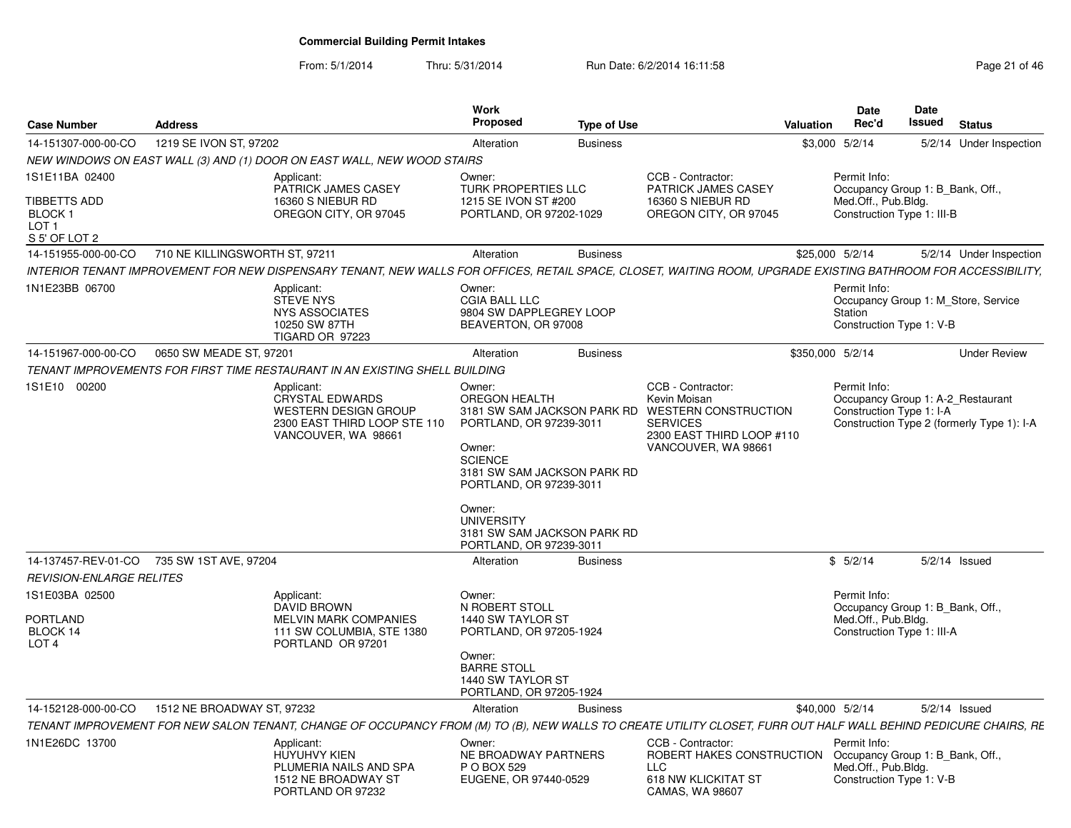| <b>Case Number</b>                                | <b>Address</b>                 |                                                                                                                                                                 | <b>Work</b><br><b>Proposed</b>                                                                                                                                          | <b>Type of Use</b> |                                                                                                                    | <b>Valuation</b> | Date<br>Rec'd                                                                                       | Date<br>Issued | <b>Status</b>                              |
|---------------------------------------------------|--------------------------------|-----------------------------------------------------------------------------------------------------------------------------------------------------------------|-------------------------------------------------------------------------------------------------------------------------------------------------------------------------|--------------------|--------------------------------------------------------------------------------------------------------------------|------------------|-----------------------------------------------------------------------------------------------------|----------------|--------------------------------------------|
| 14-151307-000-00-CO                               | 1219 SE IVON ST, 97202         |                                                                                                                                                                 | Alteration                                                                                                                                                              | <b>Business</b>    |                                                                                                                    |                  | \$3,000 5/2/14                                                                                      |                | 5/2/14 Under Inspection                    |
|                                                   |                                | NEW WINDOWS ON EAST WALL (3) AND (1) DOOR ON EAST WALL, NEW WOOD STAIRS                                                                                         |                                                                                                                                                                         |                    |                                                                                                                    |                  |                                                                                                     |                |                                            |
| 1S1E11BA 02400                                    |                                | Applicant:<br>PATRICK JAMES CASEY                                                                                                                               | Owner:<br>TURK PROPERTIES LLC                                                                                                                                           |                    | CCB - Contractor:<br>PATRICK JAMES CASEY                                                                           |                  | Permit Info:<br>Occupancy Group 1: B Bank, Off.,                                                    |                |                                            |
| TIBBETTS ADD<br>BLOCK 1<br>LOT 1                  |                                | 16360 S NIEBUR RD<br>OREGON CITY, OR 97045                                                                                                                      | 1215 SE IVON ST #200<br>PORTLAND, OR 97202-1029                                                                                                                         |                    | 16360 S NIEBUR RD<br>OREGON CITY, OR 97045                                                                         |                  | Med.Off., Pub.Bldg.<br>Construction Type 1: III-B                                                   |                |                                            |
| S 5' OF LOT 2<br>14-151955-000-00-CO              | 710 NE KILLINGSWORTH ST, 97211 |                                                                                                                                                                 | Alteration                                                                                                                                                              | <b>Business</b>    |                                                                                                                    |                  | \$25,000 5/2/14                                                                                     |                | 5/2/14 Under Inspection                    |
|                                                   |                                | INTERIOR TENANT IMPROVEMENT FOR NEW DISPENSARY TENANT, NEW WALLS FOR OFFICES, RETAIL SPACE, CLOSET, WAITING ROOM, UPGRADE EXISTING BATHROOM FOR ACCESSIBILITY,  |                                                                                                                                                                         |                    |                                                                                                                    |                  |                                                                                                     |                |                                            |
| 1N1E23BB 06700                                    |                                | Applicant:                                                                                                                                                      | Owner:                                                                                                                                                                  |                    |                                                                                                                    |                  | Permit Info:                                                                                        |                |                                            |
|                                                   |                                | <b>STEVE NYS</b><br><b>NYS ASSOCIATES</b><br>10250 SW 87TH<br>TIGARD OR 97223                                                                                   | <b>CGIA BALL LLC</b><br>9804 SW DAPPLEGREY LOOP<br>BEAVERTON, OR 97008                                                                                                  |                    |                                                                                                                    |                  | Station<br>Construction Type 1: V-B                                                                 |                | Occupancy Group 1: M Store, Service        |
| 14-151967-000-00-CO                               | 0650 SW MEADE ST, 97201        |                                                                                                                                                                 | Alteration                                                                                                                                                              | <b>Business</b>    |                                                                                                                    |                  | \$350,000 5/2/14                                                                                    |                | <b>Under Review</b>                        |
|                                                   |                                | TENANT IMPROVEMENTS FOR FIRST TIME RESTAURANT IN AN EXISTING SHELL BUILDING                                                                                     |                                                                                                                                                                         |                    |                                                                                                                    |                  |                                                                                                     |                |                                            |
| 1S1E10 00200                                      |                                | Applicant:                                                                                                                                                      | Owner:                                                                                                                                                                  |                    | CCB - Contractor:                                                                                                  |                  | Permit Info:                                                                                        |                |                                            |
|                                                   |                                | <b>CRYSTAL EDWARDS</b><br><b>WESTERN DESIGN GROUP</b><br>2300 EAST THIRD LOOP STE 110<br>VANCOUVER, WA 98661                                                    | OREGON HEALTH<br>3181 SW SAM JACKSON PARK RD<br>PORTLAND, OR 97239-3011<br>Owner:<br><b>SCIENCE</b><br>3181 SW SAM JACKSON PARK RD<br>PORTLAND, OR 97239-3011<br>Owner: |                    | Kevin Moisan<br><b>WESTERN CONSTRUCTION</b><br><b>SERVICES</b><br>2300 EAST THIRD LOOP #110<br>VANCOUVER, WA 98661 |                  | Occupancy Group 1: A-2 Restaurant<br>Construction Type 1: I-A                                       |                | Construction Type 2 (formerly Type 1): I-A |
|                                                   |                                |                                                                                                                                                                 | <b>UNIVERSITY</b><br>3181 SW SAM JACKSON PARK RD<br>PORTLAND, OR 97239-3011                                                                                             |                    |                                                                                                                    |                  |                                                                                                     |                |                                            |
| 14-137457-REV-01-CO 735 SW 1ST AVE, 97204         |                                |                                                                                                                                                                 | Alteration                                                                                                                                                              | <b>Business</b>    |                                                                                                                    |                  | \$5/2/14                                                                                            |                | $5/2/14$ Issued                            |
| <b>REVISION-ENLARGE RELITES</b><br>1S1E03BA 02500 |                                | Applicant:                                                                                                                                                      | Owner:                                                                                                                                                                  |                    |                                                                                                                    |                  | Permit Info:                                                                                        |                |                                            |
| <b>PORTLAND</b><br>BLOCK 14<br>LOT <sub>4</sub>   |                                | <b>DAVID BROWN</b><br><b>MELVIN MARK COMPANIES</b><br>111 SW COLUMBIA, STE 1380<br>PORTLAND OR 97201                                                            | N ROBERT STOLL<br>1440 SW TAYLOR ST<br>PORTLAND, OR 97205-1924                                                                                                          |                    |                                                                                                                    |                  | Occupancy Group 1: B Bank, Off.,<br>Med.Off., Pub.Bldg.<br>Construction Type 1: III-A               |                |                                            |
|                                                   |                                |                                                                                                                                                                 | Owner:<br><b>BARRE STOLL</b><br>1440 SW TAYLOR ST<br>PORTLAND, OR 97205-1924                                                                                            |                    |                                                                                                                    |                  |                                                                                                     |                |                                            |
| 14-152128-000-00-CO                               | 1512 NE BROADWAY ST, 97232     |                                                                                                                                                                 | Alteration                                                                                                                                                              | <b>Business</b>    |                                                                                                                    |                  | \$40,000 5/2/14                                                                                     |                | $5/2/14$ Issued                            |
|                                                   |                                | TENANT IMPROVEMENT FOR NEW SALON TENANT, CHANGE OF OCCUPANCY FROM (M) TO (B), NEW WALLS TO CREATE UTILITY CLOSET, FURR OUT HALF WALL BEHIND PEDICURE CHAIRS, RE |                                                                                                                                                                         |                    |                                                                                                                    |                  |                                                                                                     |                |                                            |
| 1N1E26DC 13700                                    |                                | Applicant:<br>HUYUHVY KIEN<br>PLUMERIA NAILS AND SPA<br>1512 NE BROADWAY ST<br>PORTLAND OR 97232                                                                | Owner:<br>NE BROADWAY PARTNERS<br>P O BOX 529<br>EUGENE, OR 97440-0529                                                                                                  |                    | CCB - Contractor:<br>ROBERT HAKES CONSTRUCTION<br><b>LLC</b><br>618 NW KLICKITAT ST<br>CAMAS, WA 98607             |                  | Permit Info:<br>Occupancy Group 1: B_Bank, Off.,<br>Med.Off., Pub.Bldg.<br>Construction Type 1: V-B |                |                                            |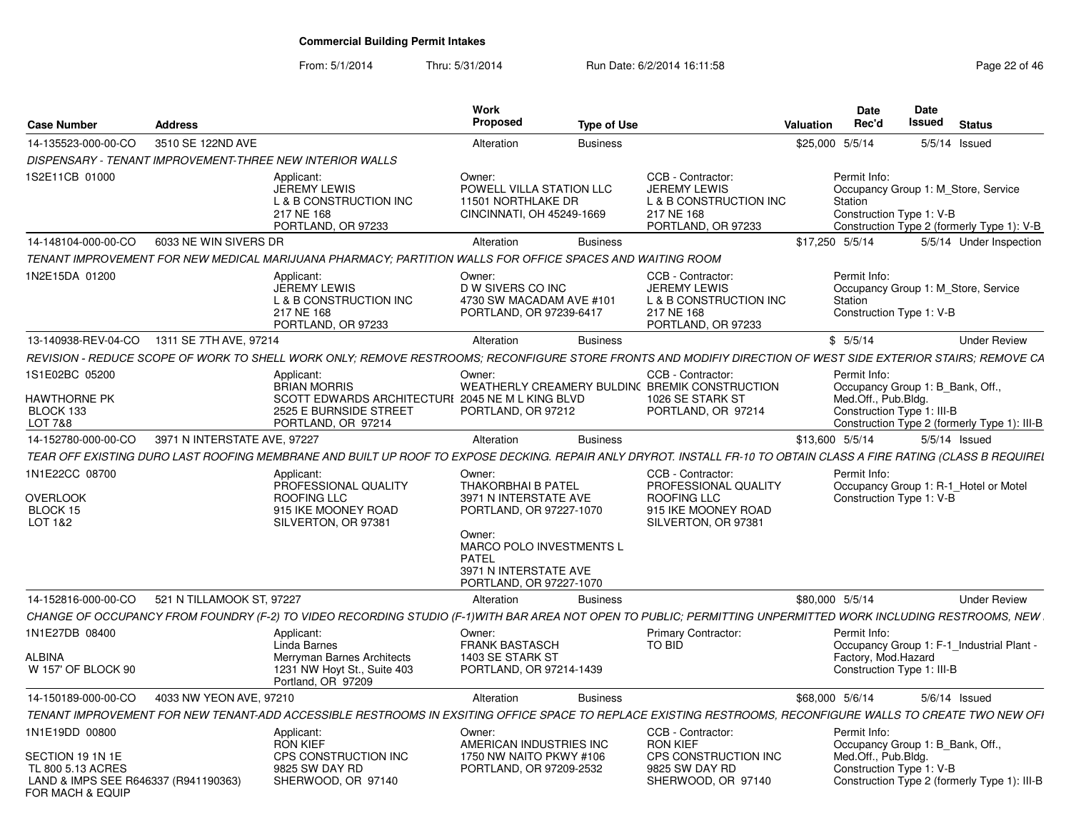| <b>Case Number</b>                                                                                | <b>Address</b>               |                                                                                                                                                                     | Work<br><b>Proposed</b>                                                                         | <b>Type of Use</b> |                                                                                         | Date<br>Rec'd<br>Valuation                        | <b>Date</b><br>Issued<br><b>Status</b>                                            |                     |
|---------------------------------------------------------------------------------------------------|------------------------------|---------------------------------------------------------------------------------------------------------------------------------------------------------------------|-------------------------------------------------------------------------------------------------|--------------------|-----------------------------------------------------------------------------------------|---------------------------------------------------|-----------------------------------------------------------------------------------|---------------------|
| 14-135523-000-00-CO                                                                               | 3510 SE 122ND AVE            |                                                                                                                                                                     | Alteration                                                                                      | <b>Business</b>    |                                                                                         | \$25,000 5/5/14                                   | $5/5/14$ Issued                                                                   |                     |
|                                                                                                   |                              | DISPENSARY - TENANT IMPROVEMENT-THREE NEW INTERIOR WALLS                                                                                                            |                                                                                                 |                    |                                                                                         |                                                   |                                                                                   |                     |
| 1S2E11CB 01000                                                                                    |                              | Applicant:                                                                                                                                                          | Owner:                                                                                          |                    | CCB - Contractor:                                                                       | Permit Info:                                      |                                                                                   |                     |
|                                                                                                   |                              | <b>JEREMY LEWIS</b><br>L & B CONSTRUCTION INC<br>217 NE 168<br>PORTLAND, OR 97233                                                                                   | POWELL VILLA STATION LLC<br>11501 NORTHLAKE DR<br>CINCINNATI, OH 45249-1669                     |                    | <b>JEREMY LEWIS</b><br>L & B CONSTRUCTION INC<br>217 NE 168<br>PORTLAND, OR 97233       | Station<br>Construction Type 1: V-B               | Occupancy Group 1: M_Store, Service<br>Construction Type 2 (formerly Type 1): V-B |                     |
| 14-148104-000-00-CO   6033 NE WIN SIVERS DR                                                       |                              |                                                                                                                                                                     | Alteration                                                                                      | <b>Business</b>    |                                                                                         | \$17,250 5/5/14                                   | 5/5/14 Under Inspection                                                           |                     |
|                                                                                                   |                              | TENANT IMPROVEMENT FOR NEW MEDICAL MARIJUANA PHARMACY: PARTITION WALLS FOR OFFICE SPACES AND WAITING ROOM                                                           |                                                                                                 |                    |                                                                                         |                                                   |                                                                                   |                     |
| 1N2E15DA 01200                                                                                    |                              | Applicant:                                                                                                                                                          | Owner:                                                                                          |                    | CCB - Contractor:                                                                       | Permit Info:                                      |                                                                                   |                     |
|                                                                                                   |                              | JEREMY LEWIS<br>L & B CONSTRUCTION INC<br>217 NE 168<br>PORTLAND, OR 97233                                                                                          | D W SIVERS CO INC<br>4730 SW MACADAM AVE #101<br>PORTLAND, OR 97239-6417                        |                    | <b>JEREMY LEWIS</b><br>L & B CONSTRUCTION INC<br>217 NE 168<br>PORTLAND, OR 97233       | Station<br>Construction Type 1: V-B               | Occupancy Group 1: M_Store, Service                                               |                     |
| 13-140938-REV-04-CO 1311 SE 7TH AVE, 97214                                                        |                              |                                                                                                                                                                     | Alteration                                                                                      | <b>Business</b>    |                                                                                         | \$5/5/14                                          |                                                                                   | <b>Under Review</b> |
|                                                                                                   |                              | REVISION - REDUCE SCOPE OF WORK TO SHELL WORK ONLY; REMOVE RESTROOMS; RECONFIGURE STORE FRONTS AND MODIFIY DIRECTION OF WEST SIDE EXTERIOR STAIRS; REMOVE CA        |                                                                                                 |                    |                                                                                         |                                                   |                                                                                   |                     |
| 1S1E02BC 05200<br><b>HAWTHORNE PK</b>                                                             |                              | Applicant:<br><b>BRIAN MORRIS</b><br>SCOTT EDWARDS ARCHITECTURI 2045 NE M L KING BLVD                                                                               | Owner:                                                                                          |                    | CCB - Contractor:<br>WEATHERLY CREAMERY BULDIN( BREMIK CONSTRUCTION<br>1026 SE STARK ST | Permit Info:<br>Med.Off., Pub.Bldg.               | Occupancy Group 1: B Bank, Off.,                                                  |                     |
| BLOCK 133<br>LOT 7&8                                                                              |                              | 2525 E BURNSIDE STREET<br>PORTLAND, OR 97214                                                                                                                        | PORTLAND, OR 97212                                                                              |                    | PORTLAND, OR 97214                                                                      | Construction Type 1: III-B                        | Construction Type 2 (formerly Type 1): III-B                                      |                     |
| 14-152780-000-00-CO                                                                               | 3971 N INTERSTATE AVE, 97227 |                                                                                                                                                                     | Alteration                                                                                      | <b>Business</b>    |                                                                                         | \$13,600 5/5/14                                   | 5/5/14 Issued                                                                     |                     |
|                                                                                                   |                              | TEAR OFF EXISTING DURO LAST ROOFING MEMBRANE AND BUILT UP ROOF TO EXPOSE DECKING. REPAIR ANLY DRYROT. INSTALL FR-10 TO OBTAIN CLASS A FIRE RATING (CLASS B REQUIREL |                                                                                                 |                    |                                                                                         |                                                   |                                                                                   |                     |
| 1N1E22CC 08700                                                                                    |                              | Applicant:                                                                                                                                                          | Owner:                                                                                          |                    | CCB - Contractor:                                                                       | Permit Info:                                      |                                                                                   |                     |
| OVERLOOK<br>BLOCK 15<br>LOT 1&2                                                                   |                              | PROFESSIONAL QUALITY<br><b>ROOFING LLC</b><br>915 IKE MOONEY ROAD<br>SILVERTON, OR 97381                                                                            | THAKORBHAI B PATEL<br>3971 N INTERSTATE AVE<br>PORTLAND, OR 97227-1070                          |                    | PROFESSIONAL QUALITY<br>ROOFING LLC<br>915 IKE MOONEY ROAD<br>SILVERTON, OR 97381       | Construction Type 1: V-B                          | Occupancy Group 1: R-1_Hotel or Motel                                             |                     |
|                                                                                                   |                              |                                                                                                                                                                     | Owner:<br>MARCO POLO INVESTMENTS L<br>PATEL<br>3971 N INTERSTATE AVE<br>PORTLAND, OR 97227-1070 |                    |                                                                                         |                                                   |                                                                                   |                     |
| 14-152816-000-00-CO                                                                               | 521 N TILLAMOOK ST, 97227    |                                                                                                                                                                     | Alteration                                                                                      | Business           |                                                                                         | \$80,000 5/5/14                                   |                                                                                   | <b>Under Review</b> |
|                                                                                                   |                              | CHANGE OF OCCUPANCY FROM FOUNDRY (F-2) TO VIDEO RECORDING STUDIO (F-1)WITH BAR AREA NOT OPEN TO PUBLIC; PERMITTING UNPERMITTED WORK INCLUDING RESTROOMS, NEW        |                                                                                                 |                    |                                                                                         |                                                   |                                                                                   |                     |
| 1N1E27DB 08400<br><b>ALBINA</b>                                                                   |                              | Applicant:<br>Linda Barnes                                                                                                                                          | Owner:<br><b>FRANK BASTASCH</b><br>1403 SE STARK ST                                             |                    | <b>Primary Contractor:</b><br>TO BID                                                    | Permit Info:                                      | Occupancy Group 1: F-1_Industrial Plant -                                         |                     |
| W 157' OF BLOCK 90                                                                                |                              | Merryman Barnes Architects<br>1231 NW Hoyt St., Suite 403<br>Portland, OR 97209                                                                                     | PORTLAND, OR 97214-1439                                                                         |                    |                                                                                         | Factory, Mod.Hazard<br>Construction Type 1: III-B |                                                                                   |                     |
| 14-150189-000-00-CO                                                                               | 4033 NW YEON AVE, 97210      |                                                                                                                                                                     | Alteration                                                                                      | <b>Business</b>    |                                                                                         | \$68,000 5/6/14                                   | 5/6/14 Issued                                                                     |                     |
|                                                                                                   |                              | TENANT IMPROVEMENT FOR NEW TENANT-ADD ACCESSIBLE RESTROOMS IN EXSITING OFFICE SPACE TO REPLACE EXISTING RESTROOMS, RECONFIGURE WALLS TO CREATE TWO NEW OFI          |                                                                                                 |                    |                                                                                         |                                                   |                                                                                   |                     |
| 1N1E19DD 00800                                                                                    |                              | Applicant:<br><b>RON KIEF</b>                                                                                                                                       | Owner:<br>AMERICAN INDUSTRIES INC                                                               |                    | CCB - Contractor:<br><b>RON KIEF</b>                                                    | Permit Info:                                      | Occupancy Group 1: B_Bank, Off.,                                                  |                     |
| SECTION 19 1N 1E<br>TL 800 5.13 ACRES<br>LAND & IMPS SEE R646337 (R941190363)<br>FOR MACH & EQUIP |                              | <b>CPS CONSTRUCTION INC</b><br>9825 SW DAY RD<br>SHERWOOD, OR 97140                                                                                                 | 1750 NW NAITO PKWY #106<br>PORTLAND, OR 97209-2532                                              |                    | CPS CONSTRUCTION INC<br>9825 SW DAY RD<br>SHERWOOD, OR 97140                            | Med.Off., Pub.Bldg.<br>Construction Type 1: V-B   | Construction Type 2 (formerly Type 1): III-B                                      |                     |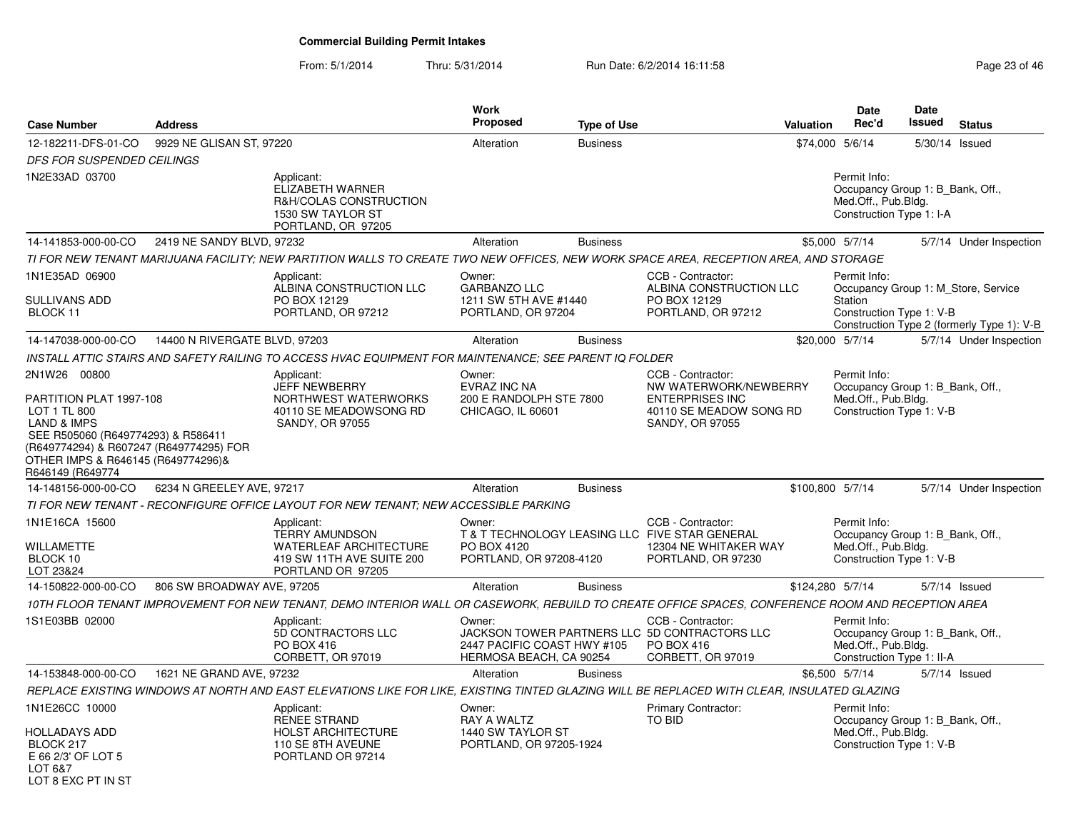| <b>Case Number</b>                                                                                                                                                                                                           | <b>Address</b>                |                                                                                                                                                   | Work<br><b>Proposed</b>                                                      | <b>Type of Use</b> |                                                                                                                    | <b>Valuation</b> | <b>Date</b><br>Rec'd                                                                                 | Date<br>Issued | <b>Status</b>                                                                     |
|------------------------------------------------------------------------------------------------------------------------------------------------------------------------------------------------------------------------------|-------------------------------|---------------------------------------------------------------------------------------------------------------------------------------------------|------------------------------------------------------------------------------|--------------------|--------------------------------------------------------------------------------------------------------------------|------------------|------------------------------------------------------------------------------------------------------|----------------|-----------------------------------------------------------------------------------|
| 12-182211-DFS-01-CO                                                                                                                                                                                                          | 9929 NE GLISAN ST, 97220      |                                                                                                                                                   | Alteration                                                                   | <b>Business</b>    |                                                                                                                    |                  | \$74,000 5/6/14                                                                                      |                | 5/30/14 Issued                                                                    |
| DFS FOR SUSPENDED CEILINGS                                                                                                                                                                                                   |                               |                                                                                                                                                   |                                                                              |                    |                                                                                                                    |                  |                                                                                                      |                |                                                                                   |
| 1N2E33AD 03700                                                                                                                                                                                                               |                               | Applicant:<br>ELIZABETH WARNER<br>R&H/COLAS CONSTRUCTION<br>1530 SW TAYLOR ST<br>PORTLAND, OR 97205                                               |                                                                              |                    |                                                                                                                    |                  | Permit Info:<br>Occupancy Group 1: B Bank, Off.,<br>Med.Off., Pub.Bldg.<br>Construction Type 1: I-A  |                |                                                                                   |
| 14-141853-000-00-CO                                                                                                                                                                                                          | 2419 NE SANDY BLVD, 97232     |                                                                                                                                                   | Alteration                                                                   | <b>Business</b>    |                                                                                                                    |                  | \$5,000 5/7/14                                                                                       |                | 5/7/14 Under Inspection                                                           |
|                                                                                                                                                                                                                              |                               | TI FOR NEW TENANT MARIJUANA FACILITY; NEW PARTITION WALLS TO CREATE TWO NEW OFFICES, NEW WORK SPACE AREA, RECEPTION AREA, AND STORAGE             |                                                                              |                    |                                                                                                                    |                  |                                                                                                      |                |                                                                                   |
| 1N1E35AD 06900<br>SULLIVANS ADD<br>BLOCK 11                                                                                                                                                                                  |                               | Applicant:<br>ALBINA CONSTRUCTION LLC<br>PO BOX 12129<br>PORTLAND, OR 97212                                                                       | Owner:<br><b>GARBANZO LLC</b><br>1211 SW 5TH AVE #1440<br>PORTLAND, OR 97204 |                    | CCB - Contractor:<br>ALBINA CONSTRUCTION LLC<br>PO BOX 12129<br>PORTLAND, OR 97212                                 |                  | Permit Info:<br>Station<br>Construction Type 1: V-B                                                  |                | Occupancy Group 1: M Store, Service<br>Construction Type 2 (formerly Type 1): V-B |
| 14-147038-000-00-CO                                                                                                                                                                                                          | 14400 N RIVERGATE BLVD, 97203 |                                                                                                                                                   | Alteration                                                                   | <b>Business</b>    |                                                                                                                    |                  | \$20,000 5/7/14                                                                                      |                | 5/7/14 Under Inspection                                                           |
|                                                                                                                                                                                                                              |                               | INSTALL ATTIC STAIRS AND SAFETY RAILING TO ACCESS HVAC EQUIPMENT FOR MAINTENANCE; SEE PARENT IQ FOLDER                                            |                                                                              |                    |                                                                                                                    |                  |                                                                                                      |                |                                                                                   |
| 2N1W26 00800<br>PARTITION PLAT 1997-108<br>LOT 1 TL 800<br><b>LAND &amp; IMPS</b><br>SEE R505060 (R649774293) & R586411<br>(R649774294) & R607247 (R649774295) FOR<br>OTHER IMPS & R646145 (R649774296)&<br>R646149 (R649774 |                               | Applicant:<br><b>JEFF NEWBERRY</b><br>NORTHWEST WATERWORKS<br>40110 SE MEADOWSONG RD<br><b>SANDY, OR 97055</b>                                    | Owner:<br>EVRAZ INC NA<br>200 E RANDOLPH STE 7800<br>CHICAGO, IL 60601       |                    | CCB - Contractor:<br>NW WATERWORK/NEWBERRY<br><b>ENTERPRISES INC</b><br>40110 SE MEADOW SONG RD<br>SANDY, OR 97055 |                  | Permit Info:<br>Occupancy Group 1: B Bank, Off.,<br>Med.Off., Pub.Bldg.<br>Construction Type 1: V-B  |                |                                                                                   |
| 14-148156-000-00-CO                                                                                                                                                                                                          | 6234 N GREELEY AVE, 97217     |                                                                                                                                                   | Alteration                                                                   | <b>Business</b>    |                                                                                                                    | \$100,800 5/7/14 |                                                                                                      |                | 5/7/14 Under Inspection                                                           |
|                                                                                                                                                                                                                              |                               | TI FOR NEW TENANT - RECONFIGURE OFFICE LAYOUT FOR NEW TENANT; NEW ACCESSIBLE PARKING                                                              |                                                                              |                    |                                                                                                                    |                  |                                                                                                      |                |                                                                                   |
| 1N1E16CA 15600<br><b>WILLAMETTE</b><br>BLOCK 10<br>LOT 23&24                                                                                                                                                                 |                               | Applicant:<br><b>TERRY AMUNDSON</b><br><b>WATERLEAF ARCHITECTURE</b><br>419 SW 11TH AVE SUITE 200<br>PORTLAND OR 97205                            | Owner:<br>PO BOX 4120<br>PORTLAND, OR 97208-4120                             |                    | CCB - Contractor:<br>T & T TECHNOLOGY LEASING LLC FIVE STAR GENERAL<br>12304 NE WHITAKER WAY<br>PORTLAND, OR 97230 |                  | Permit Info:<br>Occupancy Group 1: B Bank, Off.,<br>Med.Off., Pub.Bldg.<br>Construction Type 1: V-B  |                |                                                                                   |
| 14-150822-000-00-CO                                                                                                                                                                                                          | 806 SW BROADWAY AVE, 97205    |                                                                                                                                                   | Alteration                                                                   | <b>Business</b>    |                                                                                                                    | \$124,280 5/7/14 |                                                                                                      |                | $5/7/14$ Issued                                                                   |
|                                                                                                                                                                                                                              |                               | 10TH FLOOR TENANT IMPROVEMENT FOR NEW TENANT, DEMO INTERIOR WALL OR CASEWORK, REBUILD TO CREATE OFFICE SPACES, CONFERENCE ROOM AND RECEPTION AREA |                                                                              |                    |                                                                                                                    |                  |                                                                                                      |                |                                                                                   |
| 1S1E03BB 02000                                                                                                                                                                                                               |                               | Applicant:<br>5D CONTRACTORS LLC<br><b>PO BOX 416</b><br>CORBETT, OR 97019                                                                        | Owner:<br>2447 PACIFIC COAST HWY #105<br>HERMOSA BEACH, CA 90254             |                    | CCB - Contractor:<br>JACKSON TOWER PARTNERS LLC 5D CONTRACTORS LLC<br>PO BOX 416<br>CORBETT, OR 97019              |                  | Permit Info:<br>Occupancy Group 1: B Bank, Off.,<br>Med.Off., Pub.Bldg.<br>Construction Type 1: II-A |                |                                                                                   |
| 14-153848-000-00-CO                                                                                                                                                                                                          | 1621 NE GRAND AVE, 97232      |                                                                                                                                                   | Alteration                                                                   | <b>Business</b>    |                                                                                                                    |                  | \$6,500 5/7/14                                                                                       |                | $5/7/14$ Issued                                                                   |
|                                                                                                                                                                                                                              |                               | REPLACE EXISTING WINDOWS AT NORTH AND EAST ELEVATIONS LIKE FOR LIKE, EXISTING TINTED GLAZING WILL BE REPLACED WITH CLEAR, INSULATED GLAZING       |                                                                              |                    |                                                                                                                    |                  |                                                                                                      |                |                                                                                   |
| 1N1E26CC 10000<br><b>HOLLADAYS ADD</b><br>BLOCK 217<br>E 66 2/3' OF LOT 5<br>LOT 6&7<br>IOT 8 FXC PT IN ST                                                                                                                   |                               | Applicant:<br><b>RENEE STRAND</b><br><b>HOLST ARCHITECTURE</b><br>110 SE 8TH AVEUNE<br>PORTLAND OR 97214                                          | Owner:<br><b>RAY A WALTZ</b><br>1440 SW TAYLOR ST<br>PORTLAND, OR 97205-1924 |                    | Primary Contractor:<br><b>TO BID</b>                                                                               |                  | Permit Info:<br>Occupancy Group 1: B_Bank, Off.,<br>Med.Off., Pub.Bldg.<br>Construction Type 1: V-B  |                |                                                                                   |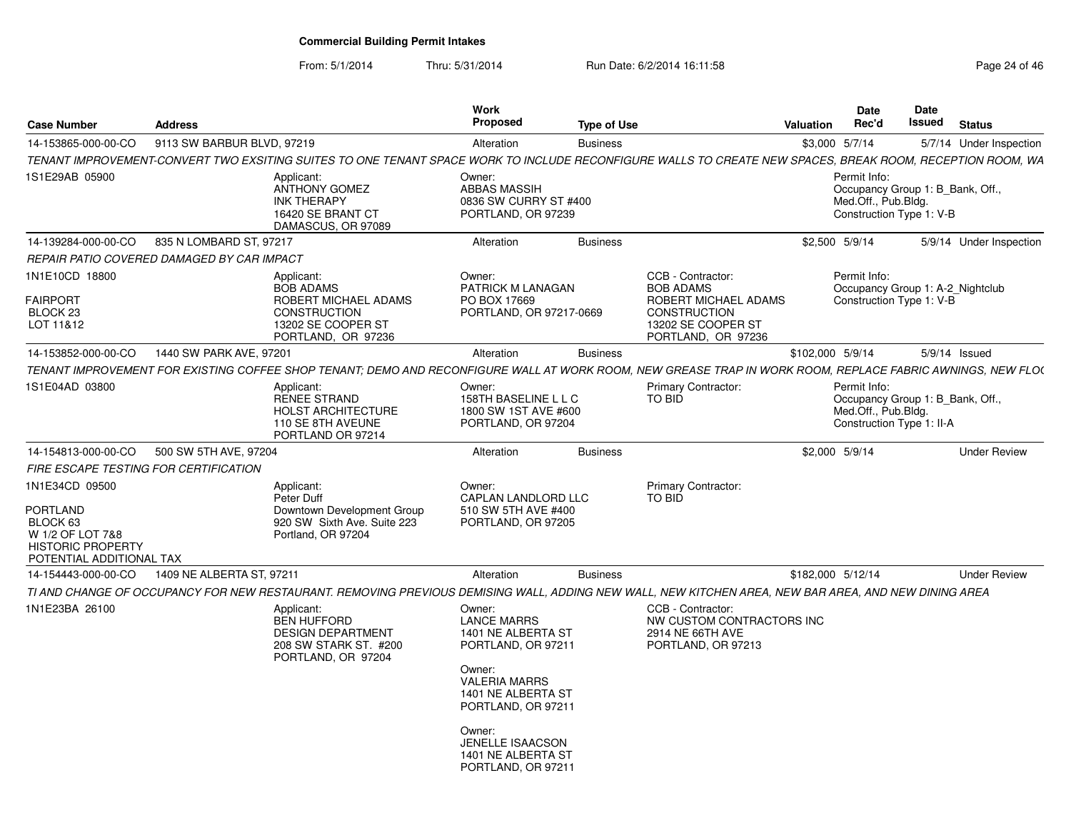| <b>Case Number</b>                                                                   | <b>Address</b>                                                                                                                                             | Work<br><b>Proposed</b>                                                                                                                                                                                                          | <b>Type of Use</b> |                                                                                          | Valuation         | <b>Date</b><br>Rec'd                | Date<br>Issued                                                | <b>Status</b>           |
|--------------------------------------------------------------------------------------|------------------------------------------------------------------------------------------------------------------------------------------------------------|----------------------------------------------------------------------------------------------------------------------------------------------------------------------------------------------------------------------------------|--------------------|------------------------------------------------------------------------------------------|-------------------|-------------------------------------|---------------------------------------------------------------|-------------------------|
| 14-153865-000-00-CO                                                                  | 9113 SW BARBUR BLVD, 97219                                                                                                                                 | Alteration                                                                                                                                                                                                                       | <b>Business</b>    |                                                                                          | \$3,000 5/7/14    |                                     |                                                               | 5/7/14 Under Inspection |
|                                                                                      | TENANT IMPROVEMENT-CONVERT TWO EXSITING SUITES TO ONE TENANT SPACE WORK TO INCLUDE RECONFIGURE WALLS TO CREATE NEW SPACES. BREAK ROOM, RECEPTION ROOM, WA  |                                                                                                                                                                                                                                  |                    |                                                                                          |                   |                                     |                                                               |                         |
| 1S1E29AB 05900                                                                       | Applicant:<br><b>ANTHONY GOMEZ</b><br><b>INK THERAPY</b><br>16420 SE BRANT CT<br>DAMASCUS, OR 97089                                                        | Owner:<br><b>ABBAS MASSIH</b><br>0836 SW CURRY ST #400<br>PORTLAND, OR 97239                                                                                                                                                     |                    |                                                                                          |                   | Permit Info:<br>Med.Off., Pub.Bldg. | Occupancy Group 1: B Bank, Off.,<br>Construction Type 1: V-B  |                         |
| 14-139284-000-00-CO                                                                  | 835 N LOMBARD ST, 97217                                                                                                                                    | Alteration                                                                                                                                                                                                                       | <b>Business</b>    |                                                                                          | \$2,500 5/9/14    |                                     |                                                               | 5/9/14 Under Inspection |
|                                                                                      | REPAIR PATIO COVERED DAMAGED BY CAR IMPACT                                                                                                                 |                                                                                                                                                                                                                                  |                    |                                                                                          |                   |                                     |                                                               |                         |
| 1N1E10CD 18800<br><b>FAIRPORT</b>                                                    | Applicant:<br><b>BOB ADAMS</b><br>ROBERT MICHAEL ADAMS                                                                                                     | Owner:<br>PATRICK M LANAGAN<br>PO BOX 17669                                                                                                                                                                                      |                    | CCB - Contractor:<br><b>BOB ADAMS</b><br>ROBERT MICHAEL ADAMS                            |                   | Permit Info:                        | Occupancy Group 1: A-2_Nightclub<br>Construction Type 1: V-B  |                         |
| BLOCK 23<br>LOT 11&12                                                                | <b>CONSTRUCTION</b><br>13202 SE COOPER ST<br>PORTLAND, OR 97236                                                                                            | PORTLAND, OR 97217-0669                                                                                                                                                                                                          |                    | <b>CONSTRUCTION</b><br>13202 SE COOPER ST<br>PORTLAND, OR 97236                          |                   |                                     |                                                               |                         |
| 14-153852-000-00-CO                                                                  | 1440 SW PARK AVE, 97201                                                                                                                                    | Alteration                                                                                                                                                                                                                       | <b>Business</b>    |                                                                                          | \$102,000 5/9/14  |                                     |                                                               | $5/9/14$ Issued         |
|                                                                                      | TENANT IMPROVEMENT FOR EXISTING COFFEE SHOP TENANT: DEMO AND RECONFIGURE WALL AT WORK ROOM. NEW GREASE TRAP IN WORK ROOM. REPLACE FABRIC AWNINGS. NEW FLO( |                                                                                                                                                                                                                                  |                    |                                                                                          |                   |                                     |                                                               |                         |
| 1S1E04AD 03800                                                                       | Applicant:<br><b>RENEE STRAND</b><br><b>HOLST ARCHITECTURE</b><br>110 SE 8TH AVEUNE<br>PORTLAND OR 97214                                                   | Owner:<br>158TH BASELINE L L C<br>1800 SW 1ST AVE #600<br>PORTLAND, OR 97204                                                                                                                                                     |                    | <b>Primary Contractor:</b><br>TO BID                                                     |                   | Permit Info:<br>Med.Off., Pub.Bldg. | Occupancy Group 1: B_Bank, Off.,<br>Construction Type 1: II-A |                         |
| 14-154813-000-00-CO                                                                  | 500 SW 5TH AVE, 97204                                                                                                                                      | Alteration                                                                                                                                                                                                                       | <b>Business</b>    |                                                                                          | \$2,000 5/9/14    |                                     |                                                               | <b>Under Review</b>     |
| FIRE ESCAPE TESTING FOR CERTIFICATION                                                |                                                                                                                                                            |                                                                                                                                                                                                                                  |                    |                                                                                          |                   |                                     |                                                               |                         |
| 1N1E34CD 09500<br>PORTLAND                                                           | Applicant:<br>Peter Duff<br>Downtown Development Group                                                                                                     | Owner:<br>CAPLAN LANDLORD LLC<br>510 SW 5TH AVE #400                                                                                                                                                                             |                    | <b>Primary Contractor:</b><br>TO BID                                                     |                   |                                     |                                                               |                         |
| BLOCK 63<br>W 1/2 OF LOT 7&8<br><b>HISTORIC PROPERTY</b><br>POTENTIAL ADDITIONAL TAX | 920 SW Sixth Ave. Suite 223<br>Portland, OR 97204                                                                                                          | PORTLAND, OR 97205                                                                                                                                                                                                               |                    |                                                                                          |                   |                                     |                                                               |                         |
| 14-154443-000-00-CO                                                                  | 1409 NE ALBERTA ST. 97211                                                                                                                                  | Alteration                                                                                                                                                                                                                       | <b>Business</b>    |                                                                                          | \$182,000 5/12/14 |                                     |                                                               | <b>Under Review</b>     |
|                                                                                      | TI AND CHANGE OF OCCUPANCY FOR NEW RESTAURANT. REMOVING PREVIOUS DEMISING WALL, ADDING NEW WALL, NEW KITCHEN AREA, NEW BAR AREA, AND NEW DINING AREA       |                                                                                                                                                                                                                                  |                    |                                                                                          |                   |                                     |                                                               |                         |
| 1N1E23BA 26100                                                                       | Applicant:<br><b>BEN HUFFORD</b><br><b>DESIGN DEPARTMENT</b><br>208 SW STARK ST. #200<br>PORTLAND, OR 97204                                                | Owner:<br><b>LANCE MARRS</b><br>1401 NE ALBERTA ST<br>PORTLAND, OR 97211<br>Owner:<br><b>VALERIA MARRS</b><br>1401 NE ALBERTA ST<br>PORTLAND, OR 97211<br>Owner:<br>JENELLE ISAACSON<br>1401 NE ALBERTA ST<br>PORTLAND, OR 97211 |                    | CCB - Contractor:<br>NW CUSTOM CONTRACTORS INC<br>2914 NE 66TH AVE<br>PORTLAND, OR 97213 |                   |                                     |                                                               |                         |
|                                                                                      |                                                                                                                                                            |                                                                                                                                                                                                                                  |                    |                                                                                          |                   |                                     |                                                               |                         |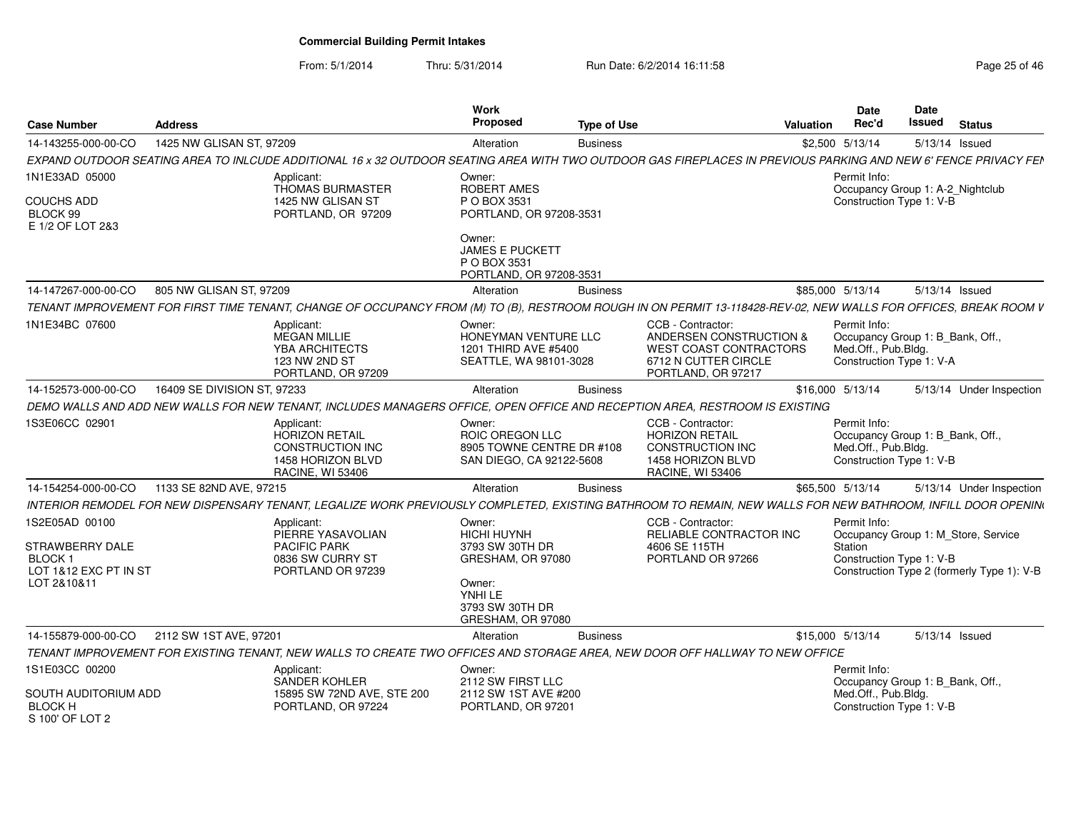From: 5/1/2014

| <b>Case Number</b>                                        | <b>Address</b>              |                                                                                                                                                                  | Work<br>Proposed                                                                   | <b>Type of Use</b> |                                                                                                                     | <b>Valuation</b> | Date<br>Rec'd                                                                                       | <b>Date</b><br>Issued | <b>Status</b>                              |
|-----------------------------------------------------------|-----------------------------|------------------------------------------------------------------------------------------------------------------------------------------------------------------|------------------------------------------------------------------------------------|--------------------|---------------------------------------------------------------------------------------------------------------------|------------------|-----------------------------------------------------------------------------------------------------|-----------------------|--------------------------------------------|
| 14-143255-000-00-CO                                       | 1425 NW GLISAN ST, 97209    |                                                                                                                                                                  | Alteration                                                                         | <b>Business</b>    |                                                                                                                     |                  | \$2,500 5/13/14                                                                                     | 5/13/14 Issued        |                                            |
|                                                           |                             | EXPAND OUTDOOR SEATING AREA TO INLCUDE ADDITIONAL 16 x 32 OUTDOOR SEATING AREA WITH TWO OUTDOOR GAS FIREPLACES IN PREVIOUS PARKING AND NEW 6' FENCE PRIVACY FEN  |                                                                                    |                    |                                                                                                                     |                  |                                                                                                     |                       |                                            |
| 1N1E33AD 05000                                            |                             | Applicant:<br>THOMAS BURMASTER                                                                                                                                   | Owner:<br><b>ROBERT AMES</b>                                                       |                    |                                                                                                                     |                  | Permit Info:<br>Occupancy Group 1: A-2_Nightclub                                                    |                       |                                            |
| <b>COUCHS ADD</b><br>BLOCK 99<br>E 1/2 OF LOT 2&3         |                             | 1425 NW GLISAN ST<br>PORTLAND, OR 97209                                                                                                                          | P O BOX 3531<br>PORTLAND, OR 97208-3531                                            |                    |                                                                                                                     |                  | Construction Type 1: V-B                                                                            |                       |                                            |
|                                                           |                             |                                                                                                                                                                  | Owner:<br><b>JAMES E PUCKETT</b><br>P O BOX 3531<br>PORTLAND, OR 97208-3531        |                    |                                                                                                                     |                  |                                                                                                     |                       |                                            |
| 14-147267-000-00-CO                                       | 805 NW GLISAN ST, 97209     |                                                                                                                                                                  | Alteration                                                                         | <b>Business</b>    |                                                                                                                     | \$85,000 5/13/14 |                                                                                                     | 5/13/14 Issued        |                                            |
|                                                           |                             | TENANT IMPROVEMENT FOR FIRST TIME TENANT, CHANGE OF OCCUPANCY FROM (M) TO (B), RESTROOM ROUGH IN ON PERMIT 13-118428-REV-02, NEW WALLS FOR OFFICES, BREAK ROOM V |                                                                                    |                    |                                                                                                                     |                  |                                                                                                     |                       |                                            |
| 1N1E34BC 07600                                            |                             | Applicant:<br>MEGAN MILLIE<br>YBA ARCHITECTS<br><b>123 NW 2ND ST</b><br>PORTLAND, OR 97209                                                                       | Owner:<br>HONEYMAN VENTURE LLC<br>1201 THIRD AVE #5400<br>SEATTLE, WA 98101-3028   |                    | CCB - Contractor<br>ANDERSEN CONSTRUCTION &<br>WEST COAST CONTRACTORS<br>6712 N CUTTER CIRCLE<br>PORTLAND, OR 97217 |                  | Permit Info:<br>Occupancy Group 1: B_Bank, Off.,<br>Med.Off., Pub.Bldg.<br>Construction Type 1: V-A |                       |                                            |
| 14-152573-000-00-CO                                       | 16409 SE DIVISION ST, 97233 |                                                                                                                                                                  | Alteration                                                                         | <b>Business</b>    |                                                                                                                     | \$16,000 5/13/14 |                                                                                                     |                       | 5/13/14 Under Inspection                   |
|                                                           |                             | DEMO WALLS AND ADD NEW WALLS FOR NEW TENANT, INCLUDES MANAGERS OFFICE, OPEN OFFICE AND RECEPTION AREA, RESTROOM IS EXISTING                                      |                                                                                    |                    |                                                                                                                     |                  |                                                                                                     |                       |                                            |
| 1S3E06CC 02901                                            |                             | Applicant:<br><b>HORIZON RETAIL</b><br><b>CONSTRUCTION INC</b><br>1458 HORIZON BLVD<br><b>RACINE, WI 53406</b>                                                   | Owner:<br>ROIC OREGON LLC<br>8905 TOWNE CENTRE DR #108<br>SAN DIEGO, CA 92122-5608 |                    | CCB - Contractor:<br><b>HORIZON RETAIL</b><br>CONSTRUCTION INC<br>1458 HORIZON BLVD<br><b>RACINE, WI 53406</b>      |                  | Permit Info:<br>Occupancy Group 1: B Bank, Off.,<br>Med.Off., Pub.Bldg.<br>Construction Type 1: V-B |                       |                                            |
| 14-154254-000-00-CO                                       | 1133 SE 82ND AVE, 97215     |                                                                                                                                                                  | Alteration                                                                         | <b>Business</b>    |                                                                                                                     | \$65,500 5/13/14 |                                                                                                     |                       | 5/13/14 Under Inspection                   |
|                                                           |                             | INTERIOR REMODEL FOR NEW DISPENSARY TENANT, LEGALIZE WORK PREVIOUSLY COMPLETED, EXISTING BATHROOM TO REMAIN, NEW WALLS FOR NEW BATHROOM, INFILL DOOR OPENIN      |                                                                                    |                    |                                                                                                                     |                  |                                                                                                     |                       |                                            |
| 1S2E05AD 00100                                            |                             | Applicant:<br>PIERRE YASAVOLIAN                                                                                                                                  | Owner:<br><b>HICHI HUYNH</b>                                                       |                    | CCB - Contractor:<br>RELIABLE CONTRACTOR INC                                                                        |                  | Permit Info:<br>Occupancy Group 1: M_Store, Service                                                 |                       |                                            |
| STRAWBERRY DALE                                           |                             | <b>PACIFIC PARK</b>                                                                                                                                              | 3793 SW 30TH DR                                                                    |                    | 4606 SE 115TH                                                                                                       |                  | Station                                                                                             |                       |                                            |
| BLOCK 1<br>LOT 1&12 EXC PT IN ST                          |                             | 0836 SW CURRY ST<br>PORTLAND OR 97239                                                                                                                            | GRESHAM, OR 97080                                                                  |                    | PORTLAND OR 97266                                                                                                   |                  | Construction Type 1: V-B                                                                            |                       | Construction Type 2 (formerly Type 1): V-B |
| LOT 2&10&11                                               |                             |                                                                                                                                                                  | Owner:<br>YNHI LE<br>3793 SW 30TH DR<br>GRESHAM, OR 97080                          |                    |                                                                                                                     |                  |                                                                                                     |                       |                                            |
| 14-155879-000-00-CO                                       | 2112 SW 1ST AVE, 97201      |                                                                                                                                                                  | Alteration                                                                         | <b>Business</b>    |                                                                                                                     | \$15,000 5/13/14 |                                                                                                     | 5/13/14 Issued        |                                            |
|                                                           |                             | TENANT IMPROVEMENT FOR EXISTING TENANT, NEW WALLS TO CREATE TWO OFFICES AND STORAGE AREA, NEW DOOR OFF HALLWAY TO NEW OFFICE                                     |                                                                                    |                    |                                                                                                                     |                  |                                                                                                     |                       |                                            |
| 1S1E03CC 00200                                            |                             | Applicant:                                                                                                                                                       | Owner:                                                                             |                    |                                                                                                                     |                  | Permit Info:                                                                                        |                       |                                            |
| SOUTH AUDITORIUM ADD<br><b>BLOCK H</b><br>S 100' OF LOT 2 |                             | <b>SANDER KOHLER</b><br>15895 SW 72ND AVE, STE 200<br>PORTLAND, OR 97224                                                                                         | 2112 SW FIRST LLC<br>2112 SW 1ST AVE #200<br>PORTLAND, OR 97201                    |                    |                                                                                                                     |                  | Occupancy Group 1: B_Bank, Off.,<br>Med.Off., Pub.Bldg.<br>Construction Type 1: V-B                 |                       |                                            |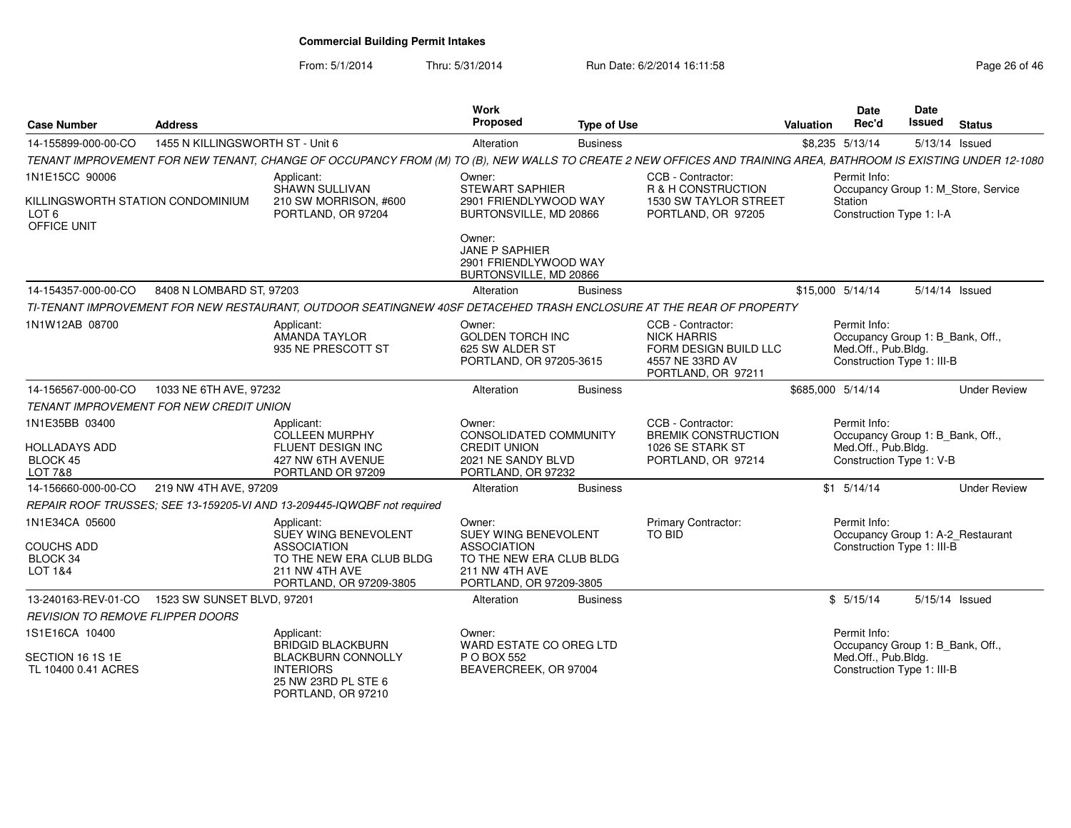From: 5/1/2014

Thru: 5/31/2014 Run Date: 6/2/2014 16:11:58 Research 2010 12:58 Page 26 of 46

| <b>Case Number</b>                                                       | <b>Address</b>                   |                                                                                                                                                                 | Work<br><b>Proposed</b>                                                                                                       | <b>Type of Use</b> |                                                                                                           | <b>Valuation</b> | <b>Date</b><br>Rec'd                                                                                  | Date<br>Issued | <b>Status</b>                       |
|--------------------------------------------------------------------------|----------------------------------|-----------------------------------------------------------------------------------------------------------------------------------------------------------------|-------------------------------------------------------------------------------------------------------------------------------|--------------------|-----------------------------------------------------------------------------------------------------------|------------------|-------------------------------------------------------------------------------------------------------|----------------|-------------------------------------|
| 14-155899-000-00-CO                                                      | 1455 N KILLINGSWORTH ST - Unit 6 |                                                                                                                                                                 | Alteration                                                                                                                    | <b>Business</b>    |                                                                                                           |                  | \$8,235 5/13/14                                                                                       | 5/13/14 Issued |                                     |
|                                                                          |                                  | TENANT IMPROVEMENT FOR NEW TENANT, CHANGE OF OCCUPANCY FROM (M) TO (B), NEW WALLS TO CREATE 2 NEW OFFICES AND TRAINING AREA, BATHROOM IS EXISTING UNDER 12-1080 |                                                                                                                               |                    |                                                                                                           |                  |                                                                                                       |                |                                     |
| 1N1E15CC 90006                                                           |                                  | Applicant:<br>SHAWN SULLIVAN                                                                                                                                    | Owner:<br>STEWART SAPHIER                                                                                                     |                    | CCB - Contractor:<br>R & H CONSTRUCTION                                                                   |                  | Permit Info:                                                                                          |                | Occupancy Group 1: M Store, Service |
| KILLINGSWORTH STATION CONDOMINIUM<br>LOT 6<br>OFFICE UNIT                |                                  | 210 SW MORRISON, #600<br>PORTLAND, OR 97204                                                                                                                     | 2901 FRIENDLYWOOD WAY<br>BURTONSVILLE, MD 20866                                                                               |                    | 1530 SW TAYLOR STREET<br>PORTLAND, OR 97205                                                               |                  | Station<br>Construction Type 1: I-A                                                                   |                |                                     |
|                                                                          |                                  |                                                                                                                                                                 | Owner:<br><b>JANE P SAPHIER</b><br>2901 FRIENDLYWOOD WAY<br>BURTONSVILLE, MD 20866                                            |                    |                                                                                                           |                  |                                                                                                       |                |                                     |
| 14-154357-000-00-CO                                                      | 8408 N LOMBARD ST, 97203         |                                                                                                                                                                 | Alteration                                                                                                                    | <b>Business</b>    |                                                                                                           |                  | \$15,000 5/14/14                                                                                      | 5/14/14 Issued |                                     |
|                                                                          |                                  | TI-TENANT IMPROVEMENT FOR NEW RESTAURANT, OUTDOOR SEATINGNEW 40SF DETACEHED TRASH ENCLOSURE AT THE REAR OF PROPERTY                                             |                                                                                                                               |                    |                                                                                                           |                  |                                                                                                       |                |                                     |
| 1N1W12AB 08700                                                           |                                  | Applicant:<br><b>AMANDA TAYLOR</b><br>935 NE PRESCOTT ST                                                                                                        | Owner:<br><b>GOLDEN TORCH INC</b><br>625 SW ALDER ST<br>PORTLAND, OR 97205-3615                                               |                    | CCB - Contractor:<br><b>NICK HARRIS</b><br>FORM DESIGN BUILD LLC<br>4557 NE 33RD AV<br>PORTLAND, OR 97211 |                  | Permit Info:<br>Occupancy Group 1: B Bank, Off.,<br>Med.Off., Pub.Bldg.<br>Construction Type 1: III-B |                |                                     |
| 14-156567-000-00-CO                                                      | 1033 NE 6TH AVE, 97232           |                                                                                                                                                                 | Alteration                                                                                                                    | <b>Business</b>    |                                                                                                           |                  | \$685,000 5/14/14                                                                                     |                | <b>Under Review</b>                 |
| TENANT IMPROVEMENT FOR NEW CREDIT UNION                                  |                                  |                                                                                                                                                                 |                                                                                                                               |                    |                                                                                                           |                  |                                                                                                       |                |                                     |
| 1N1E35BB 03400<br><b>HOLLADAYS ADD</b><br>BLOCK 45<br><b>LOT 7&amp;8</b> |                                  | Applicant:<br><b>COLLEEN MURPHY</b><br>FLUENT DESIGN INC<br>427 NW 6TH AVENUE<br>PORTLAND OR 97209                                                              | Owner:<br><b>CONSOLIDATED COMMUNITY</b><br><b>CREDIT UNION</b><br>2021 NE SANDY BLVD<br>PORTLAND, OR 97232                    |                    | CCB - Contractor:<br><b>BREMIK CONSTRUCTION</b><br>1026 SE STARK ST<br>PORTLAND, OR 97214                 |                  | Permit Info:<br>Occupancy Group 1: B_Bank, Off.,<br>Med.Off., Pub.Bldg.<br>Construction Type 1: V-B   |                |                                     |
| 14-156660-000-00-CO                                                      | 219 NW 4TH AVE, 97209            |                                                                                                                                                                 | Alteration                                                                                                                    | <b>Business</b>    |                                                                                                           |                  | $$1$ $5/14/14$                                                                                        |                | <b>Under Review</b>                 |
|                                                                          |                                  | REPAIR ROOF TRUSSES; SEE 13-159205-VI AND 13-209445-IQWQBF not required                                                                                         |                                                                                                                               |                    |                                                                                                           |                  |                                                                                                       |                |                                     |
| 1N1E34CA 05600<br><b>COUCHS ADD</b><br>BLOCK 34<br>LOT 1&4               |                                  | Applicant:<br>SUEY WING BENEVOLENT<br><b>ASSOCIATION</b><br>TO THE NEW ERA CLUB BLDG<br>211 NW 4TH AVE<br>PORTLAND, OR 97209-3805                               | Owner:<br>SUEY WING BENEVOLENT<br><b>ASSOCIATION</b><br>TO THE NEW ERA CLUB BLDG<br>211 NW 4TH AVE<br>PORTLAND, OR 97209-3805 |                    | <b>Primary Contractor:</b><br>TO BID                                                                      |                  | Permit Info:<br>Occupancy Group 1: A-2_Restaurant<br>Construction Type 1: III-B                       |                |                                     |
| 13-240163-REV-01-CO  1523 SW SUNSET BLVD, 97201                          |                                  |                                                                                                                                                                 | Alteration                                                                                                                    | <b>Business</b>    |                                                                                                           |                  | \$5/15/14                                                                                             | 5/15/14 Issued |                                     |
| REVISION TO REMOVE FLIPPER DOORS                                         |                                  |                                                                                                                                                                 |                                                                                                                               |                    |                                                                                                           |                  |                                                                                                       |                |                                     |
| 1S1E16CA 10400                                                           |                                  | Applicant:<br><b>BRIDGID BLACKBURN</b>                                                                                                                          | Owner:<br>WARD ESTATE CO OREG LTD                                                                                             |                    |                                                                                                           |                  | Permit Info:<br>Occupancy Group 1: B_Bank, Off.,                                                      |                |                                     |
| SECTION 16 1S 1E<br>TL 10400 0.41 ACRES                                  |                                  | <b>BLACKBURN CONNOLLY</b><br><b>INTERIORS</b><br>25 NW 23RD PL STE 6<br>PORTLAND, OR 97210                                                                      | P O BOX 552<br>BEAVERCREEK, OR 97004                                                                                          |                    |                                                                                                           |                  | Med.Off., Pub.Bldg.<br>Construction Type 1: III-B                                                     |                |                                     |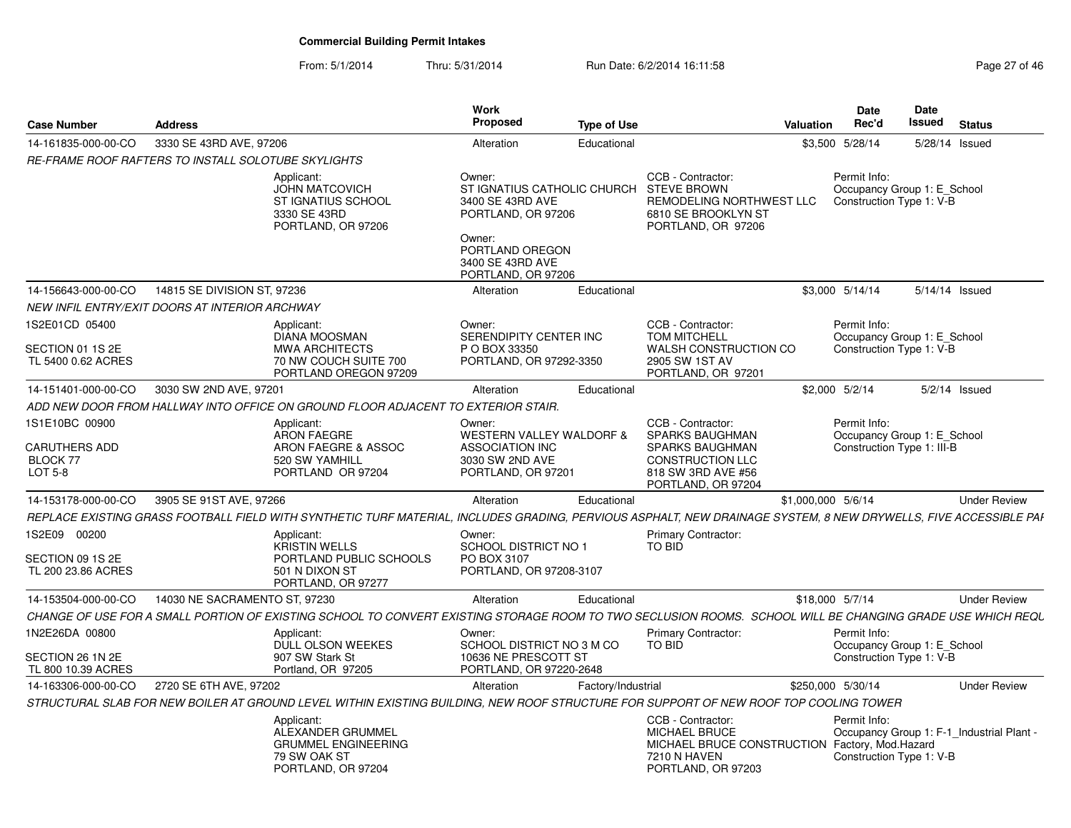| <b>Case Number</b>                                       | <b>Address</b>                |                                                                                                                                                                  | Work<br><b>Proposed</b>                                                                                                                                | <b>Type of Use</b> |                                                                                                                                          | <b>Valuation</b>   | Date<br>Rec'd                                                                         | Date<br>Issued | <b>Status</b>   |                     |
|----------------------------------------------------------|-------------------------------|------------------------------------------------------------------------------------------------------------------------------------------------------------------|--------------------------------------------------------------------------------------------------------------------------------------------------------|--------------------|------------------------------------------------------------------------------------------------------------------------------------------|--------------------|---------------------------------------------------------------------------------------|----------------|-----------------|---------------------|
| 14-161835-000-00-CO                                      | 3330 SE 43RD AVE, 97206       |                                                                                                                                                                  | Alteration                                                                                                                                             | Educational        |                                                                                                                                          |                    | \$3,500 5/28/14                                                                       |                | 5/28/14 Issued  |                     |
| RE-FRAME ROOF RAFTERS TO INSTALL SOLOTUBE SKYLIGHTS      |                               |                                                                                                                                                                  |                                                                                                                                                        |                    |                                                                                                                                          |                    |                                                                                       |                |                 |                     |
|                                                          |                               | Applicant:<br><b>JOHN MATCOVICH</b><br>ST IGNATIUS SCHOOL<br>3330 SE 43RD<br>PORTLAND, OR 97206                                                                  | Owner:<br>ST IGNATIUS CATHOLIC CHURCH<br>3400 SE 43RD AVE<br>PORTLAND, OR 97206<br>Owner:<br>PORTLAND OREGON<br>3400 SE 43RD AVE<br>PORTLAND, OR 97206 |                    | CCB - Contractor:<br><b>STEVE BROWN</b><br>REMODELING NORTHWEST LLC<br>6810 SE BROOKLYN ST<br>PORTLAND, OR 97206                         |                    | Permit Info:<br>Occupancy Group 1: E School<br>Construction Type 1: V-B               |                |                 |                     |
| 14-156643-000-00-CO                                      | 14815 SE DIVISION ST, 97236   |                                                                                                                                                                  | Alteration                                                                                                                                             | Educational        |                                                                                                                                          |                    | \$3,000 5/14/14                                                                       |                | 5/14/14 Issued  |                     |
| NEW INFIL ENTRY/EXIT DOORS AT INTERIOR ARCHWAY           |                               |                                                                                                                                                                  |                                                                                                                                                        |                    |                                                                                                                                          |                    |                                                                                       |                |                 |                     |
| 1S2E01CD 05400<br>SECTION 01 1S 2E<br>TL 5400 0.62 ACRES |                               | Applicant:<br><b>DIANA MOOSMAN</b><br><b>MWA ARCHITECTS</b><br>70 NW COUCH SUITE 700<br>PORTLAND OREGON 97209                                                    | Owner:<br>SERENDIPITY CENTER INC<br>P O BOX 33350<br>PORTLAND, OR 97292-3350                                                                           |                    | CCB - Contractor:<br><b>TOM MITCHELL</b><br>WALSH CONSTRUCTION CO<br>2905 SW 1ST AV<br>PORTLAND, OR 97201                                |                    | Permit Info:<br>Occupancy Group 1: E School<br>Construction Type 1: V-B               |                |                 |                     |
| 14-151401-000-00-CO                                      | 3030 SW 2ND AVE, 97201        |                                                                                                                                                                  | Alteration                                                                                                                                             | Educational        |                                                                                                                                          |                    | \$2,000 5/2/14                                                                        |                | $5/2/14$ Issued |                     |
|                                                          |                               | ADD NEW DOOR FROM HALLWAY INTO OFFICE ON GROUND FLOOR ADJACENT TO EXTERIOR STAIR.                                                                                |                                                                                                                                                        |                    |                                                                                                                                          |                    |                                                                                       |                |                 |                     |
| 1S1E10BC 00900                                           |                               | Applicant:                                                                                                                                                       | Owner:                                                                                                                                                 |                    | CCB - Contractor:                                                                                                                        |                    | Permit Info:                                                                          |                |                 |                     |
| <b>CARUTHERS ADD</b><br>BLOCK 77<br>LOT 5-8              |                               | <b>ARON FAEGRE</b><br>ARON FAEGRE & ASSOC<br>520 SW YAMHILL<br>PORTLAND OR 97204                                                                                 | WESTERN VALLEY WALDORF &<br><b>ASSOCIATION INC</b><br>3030 SW 2ND AVE<br>PORTLAND, OR 97201                                                            |                    | <b>SPARKS BAUGHMAN</b><br><b>SPARKS BAUGHMAN</b><br><b>CONSTRUCTION LLC</b><br>818 SW 3RD AVE #56<br>PORTLAND, OR 97204                  |                    | Occupancy Group 1: E School<br>Construction Type 1: III-B                             |                |                 |                     |
| 14-153178-000-00-CO                                      | 3905 SE 91ST AVE, 97266       |                                                                                                                                                                  | Alteration                                                                                                                                             | Educational        |                                                                                                                                          | \$1,000,000 5/6/14 |                                                                                       |                |                 | <b>Under Review</b> |
|                                                          |                               | REPLACE EXISTING GRASS FOOTBALL FIELD WITH SYNTHETIC TURF MATERIAL, INCLUDES GRADING, PERVIOUS ASPHALT, NEW DRAINAGE SYSTEM, 8 NEW DRYWELLS, FIVE ACCESSIBLE PAI |                                                                                                                                                        |                    |                                                                                                                                          |                    |                                                                                       |                |                 |                     |
| 1S2E09 00200<br>SECTION 09 1S 2E<br>TL 200 23.86 ACRES   |                               | Applicant:<br><b>KRISTIN WELLS</b><br>PORTLAND PUBLIC SCHOOLS<br>501 N DIXON ST<br>PORTLAND, OR 97277                                                            | Owner:<br>SCHOOL DISTRICT NO 1<br>PO BOX 3107<br>PORTLAND, OR 97208-3107                                                                               |                    | <b>Primary Contractor:</b><br>TO BID                                                                                                     |                    |                                                                                       |                |                 |                     |
| 14-153504-000-00-CO                                      | 14030 NE SACRAMENTO ST, 97230 |                                                                                                                                                                  | Alteration                                                                                                                                             | Educational        |                                                                                                                                          | \$18,000 5/7/14    |                                                                                       |                |                 | <b>Under Review</b> |
|                                                          |                               | CHANGE OF USE FOR A SMALL PORTION OF EXISTING SCHOOL TO CONVERT EXISTING STORAGE ROOM TO TWO SECLUSION ROOMS.  SCHOOL WILL BE CHANGING GRADE USE WHICH REQL      |                                                                                                                                                        |                    |                                                                                                                                          |                    |                                                                                       |                |                 |                     |
| 1N2E26DA 00800                                           |                               | Applicant:<br>DULL OLSON WEEKES                                                                                                                                  | Owner:<br>SCHOOL DISTRICT NO 3 M CO                                                                                                                    |                    | <b>Primary Contractor:</b><br>TO BID                                                                                                     |                    | Permit Info:<br>Occupancy Group 1: E_School                                           |                |                 |                     |
| SECTION 26 1N 2E<br>TL 800 10.39 ACRES                   |                               | 907 SW Stark St<br>Portland, OR 97205                                                                                                                            | 10636 NE PRESCOTT ST<br>PORTLAND, OR 97220-2648                                                                                                        |                    |                                                                                                                                          |                    | Construction Type 1: V-B                                                              |                |                 |                     |
| 14-163306-000-00-CO                                      | 2720 SE 6TH AVE, 97202        |                                                                                                                                                                  | Alteration                                                                                                                                             | Factory/Industrial |                                                                                                                                          | \$250,000 5/30/14  |                                                                                       |                |                 | <b>Under Review</b> |
|                                                          |                               | STRUCTURAL SLAB FOR NEW BOILER AT GROUND LEVEL WITHIN EXISTING BUILDING. NEW ROOF STRUCTURE FOR SUPPORT OF NEW ROOF TOP COOLING TOWER                            |                                                                                                                                                        |                    |                                                                                                                                          |                    |                                                                                       |                |                 |                     |
|                                                          |                               | Applicant:<br>ALEXANDER GRUMMEL<br><b>GRUMMEL ENGINEERING</b><br>79 SW OAK ST<br>PORTLAND, OR 97204                                                              |                                                                                                                                                        |                    | CCB - Contractor:<br><b>MICHAEL BRUCE</b><br>MICHAEL BRUCE CONSTRUCTION Factory, Mod.Hazard<br><b>7210 N HAVEN</b><br>PORTLAND, OR 97203 |                    | Permit Info:<br>Occupancy Group 1: F-1 Industrial Plant -<br>Construction Type 1: V-B |                |                 |                     |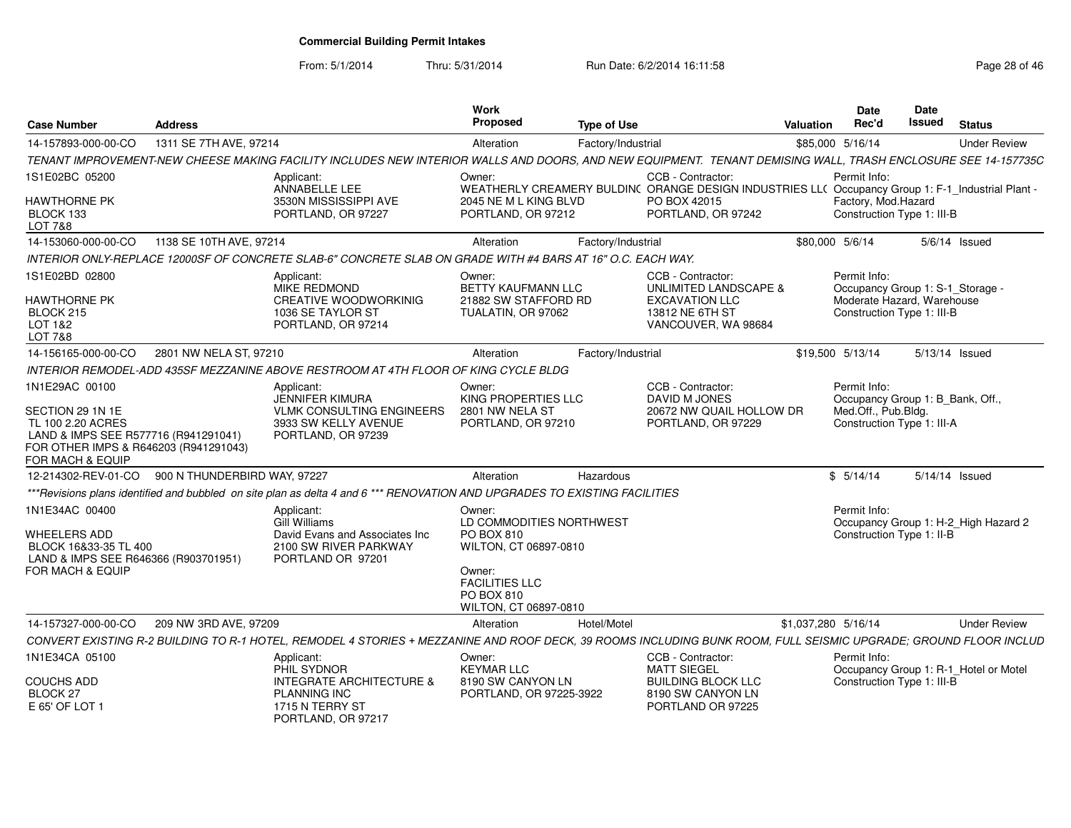From: 5/1/2014

Thru: 5/31/2014 Run Date: 6/2/2014 16:11:58 Research 2010 12:00 Page 28 of 46

| Case Number<br>Address                                                                                                                                           |                                                                                                                        | Work<br>Propose                                                                                               | <b>Type of Use</b>                                                                                                     | Date<br>Rec'd<br>Valuation                                        | Date<br>Issued<br>Status                                     |
|------------------------------------------------------------------------------------------------------------------------------------------------------------------|------------------------------------------------------------------------------------------------------------------------|---------------------------------------------------------------------------------------------------------------|------------------------------------------------------------------------------------------------------------------------|-------------------------------------------------------------------|--------------------------------------------------------------|
|                                                                                                                                                                  |                                                                                                                        | Alteration                                                                                                    | Factory/Industrial                                                                                                     | \$85,000 5/16/14                                                  | <b>Under Review</b>                                          |
| TENANT IMPROVEMENT-NEW CHEESE MAKING FACILITY INCLUDES NEW INTERIOR WALLS AND DOORS, AND NEW EQUIPMENT. TENANT DEMISING WALL, TRASH ENCLOSURE SEE 14-157735C     |                                                                                                                        |                                                                                                               |                                                                                                                        |                                                                   |                                                              |
| 1S1E02BC 05200                                                                                                                                                   | Applicant:<br>ANNABELLE LEE                                                                                            | Owner:                                                                                                        | CCB - Contractor:<br>WEATHERLY CREAMERY BULDIN( ORANGE DESIGN INDUSTRIES LL( Occupancy Group 1: F-1_Industrial Plant - | Permit Info:                                                      |                                                              |
| <b>HAWTHORNE PK</b><br>BLOCK 133<br>LOT 7&8                                                                                                                      | 3530N MISSISSIPPI AVE<br>PORTLAND, OR 97227                                                                            | 2045 NE M L KING BLVD<br>PORTLAND, OR 97212                                                                   | PO BOX 42015<br>PORTLAND, OR 97242                                                                                     | Factory, Mod.Hazard<br>Construction Type 1: III-B                 |                                                              |
| 14-153060-000-00-CO 1138 SE 10TH AVE, 97214                                                                                                                      |                                                                                                                        | Alteration                                                                                                    | Factory/Industrial                                                                                                     | \$80,000 5/6/14                                                   | 5/6/14 Issued                                                |
| INTERIOR ONLY-REPLACE 12000SF OF CONCRETE SLAB-6" CONCRETE SLAB ON GRADE WITH #4 BARS AT 16" O.C. EACH WAY.                                                      |                                                                                                                        |                                                                                                               |                                                                                                                        |                                                                   |                                                              |
| 1S1E02BD 02800                                                                                                                                                   | Applicant:                                                                                                             | Owner:                                                                                                        | CCB - Contractor:                                                                                                      | Permit Info:                                                      |                                                              |
| <b>HAWTHORNE PK</b><br>BLOCK 215<br>LOT 1&2<br><b>LOT 7&amp;8</b>                                                                                                | MIKE REDMOND<br>CREATIVE WOODWORKINIG<br>1036 SE TAYLOR ST<br>PORTLAND, OR 97214                                       | BETTY KAUFMANN LLC<br>21882 SW STAFFORD RD<br>TUALATIN, OR 97062                                              | UNLIMITED LANDSCAPE &<br><b>EXCAVATION LLC</b><br>13812 NE 6TH ST<br>VANCOUVER, WA 98684                               | Construction Type 1: III-B                                        | Occupancy Group 1: S-1 Storage<br>Moderate Hazard, Warehouse |
| 14-156165-000-00-CO 2801 NW NELA ST, 97210                                                                                                                       |                                                                                                                        | Alteration                                                                                                    | Factory/Industrial                                                                                                     | \$19,500 5/13/14                                                  | 5/13/14 Issued                                               |
| INTERIOR REMODEL-ADD 435SF MEZZANINE ABOVE RESTROOM AT 4TH FLOOR OF KING CYCLE BLDG                                                                              |                                                                                                                        |                                                                                                               |                                                                                                                        |                                                                   |                                                              |
| 1N1E29AC 00100<br>SECTION 29 1N 1E<br>TL 100 2.20 ACRES<br>LAND & IMPS SEE R577716 (R941291041)<br>FOR OTHER IMPS & R646203 (R941291043)<br>FOR MACH & EQUIP     | Applicant:<br><b>JENNIFER KIMURA</b><br><b>VLMK CONSULTING ENGINEERS</b><br>3933 SW KELLY AVENUE<br>PORTLAND, OR 97239 | Owner:<br>KING PROPERTIES LLC<br>2801 NW NELA ST<br>PORTLAND, OR 97210                                        | CCB - Contractor:<br>DAVID M JONES<br>20672 NW QUAIL HOLLOW DR<br>PORTLAND, OR 97229                                   | Permit Info:<br>Med.Off., Pub.Bldg.<br>Construction Type 1: III-A | Occupancy Group 1: B_Bank, Off.,                             |
| 12-214302-REV-01-CO 900 N THUNDERBIRD WAY, 97227                                                                                                                 |                                                                                                                        | Alteration                                                                                                    | Hazardous                                                                                                              | \$5/14/14                                                         | 5/14/14 Issued                                               |
| ***Revisions plans identified and bubbled on site plan as delta 4 and 6 *** RENOVATION AND UPGRADES TO EXISTING FACILITIES                                       |                                                                                                                        |                                                                                                               |                                                                                                                        |                                                                   |                                                              |
| 1N1E34AC 00400                                                                                                                                                   | Applicant:<br>Gill Williams                                                                                            | Owner:<br>LD COMMODITIES NORTHWEST                                                                            |                                                                                                                        | Permit Info:                                                      | Occupancy Group 1: H-2_High Hazard 2                         |
| WHEELERS ADD<br>BLOCK 16&33-35 TL 400<br>LAND & IMPS SEE R646366 (R903701951)<br>FOR MACH & EQUIP                                                                | David Evans and Associates Inc<br>2100 SW RIVER PARKWAY<br>PORTLAND OR 97201                                           | PO BOX 810<br>WILTON, CT 06897-0810<br>Owner:<br><b>FACILITIES LLC</b><br>PO BOX 810<br>WILTON, CT 06897-0810 |                                                                                                                        | Construction Type 1: II-B                                         |                                                              |
| 14-157327-000-00-CO 209 NW 3RD AVE, 97209                                                                                                                        |                                                                                                                        | Alteration                                                                                                    | Hotel/Motel                                                                                                            | \$1,037,280 5/16/14                                               | <b>Under Review</b>                                          |
| CONVERT EXISTING R-2 BUILDING TO R-1 HOTEL, REMODEL 4 STORIES + MEZZANINE AND ROOF DECK, 39 ROOMS INCLUDING BUNK ROOM, FULL SEISMIC UPGRADE; GROUND FLOOR INCLUD |                                                                                                                        |                                                                                                               |                                                                                                                        |                                                                   |                                                              |
| 1N1E34CA 05100                                                                                                                                                   | Applicant:<br>PHIL SYDNOR                                                                                              | Owner:<br><b>KEYMAR LLC</b>                                                                                   | CCB - Contractor:<br><b>MATT SIEGEL</b>                                                                                | Permit Info:                                                      | Occupancy Group 1: R-1_Hotel or Motel                        |
| <b>COUCHS ADD</b><br>BLOCK 27<br>E 65' OF LOT 1                                                                                                                  | <b>INTEGRATE ARCHITECTURE &amp;</b><br><b>PLANNING INC</b><br>1715 N TERRY ST<br>PORTLAND, OR 97217                    | 8190 SW CANYON LN<br>PORTLAND, OR 97225-3922                                                                  | <b>BUILDING BLOCK LLC</b><br>8190 SW CANYON LN<br>PORTLAND OR 97225                                                    | Construction Type 1: III-B                                        |                                                              |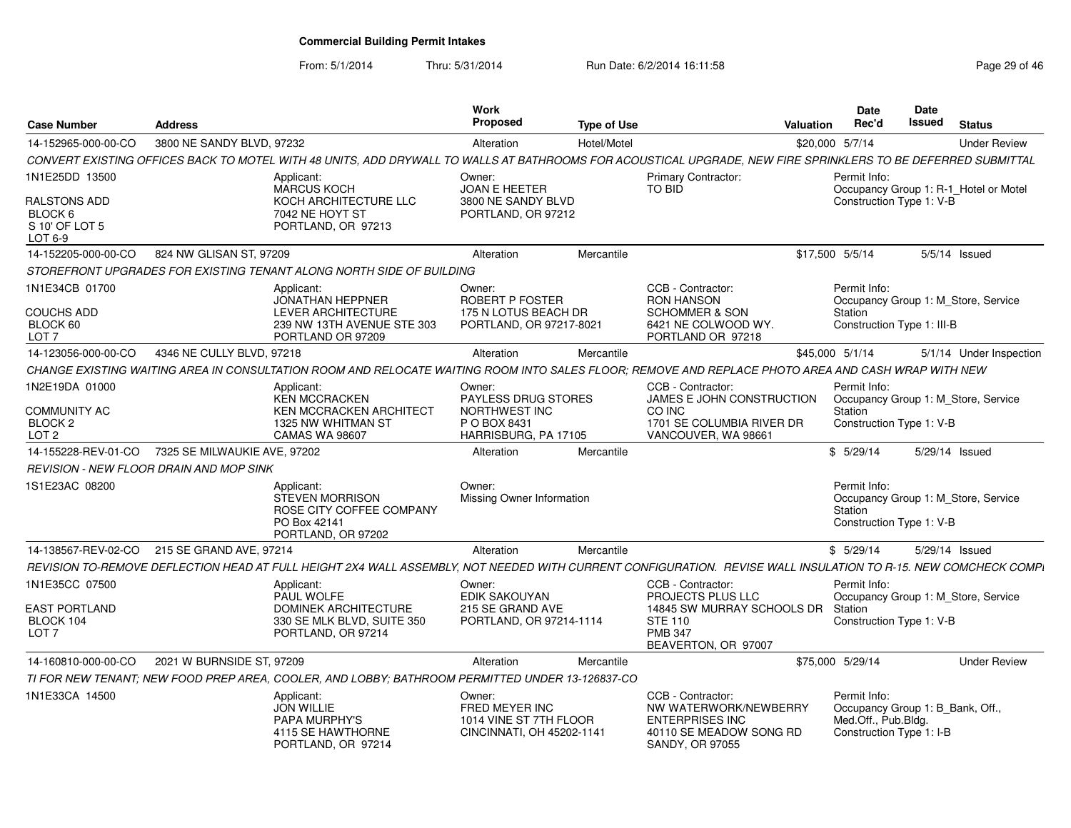| <b>Case Number</b>                                     | <b>Address</b>               |                                                                                                                                                                 | Work<br><b>Proposed</b>                                                         | <b>Type of Use</b> |                                                                                                                    | Valuation | <b>Date</b><br>Rec'd                                                                                | Date<br>Issued | <b>Status</b>                         |
|--------------------------------------------------------|------------------------------|-----------------------------------------------------------------------------------------------------------------------------------------------------------------|---------------------------------------------------------------------------------|--------------------|--------------------------------------------------------------------------------------------------------------------|-----------|-----------------------------------------------------------------------------------------------------|----------------|---------------------------------------|
| 14-152965-000-00-CO                                    | 3800 NE SANDY BLVD, 97232    |                                                                                                                                                                 | Alteration                                                                      | Hotel/Motel        |                                                                                                                    |           | \$20,000 5/7/14                                                                                     |                | <b>Under Review</b>                   |
|                                                        |                              | CONVERT EXISTING OFFICES BACK TO MOTEL WITH 48 UNITS, ADD DRYWALL TO WALLS AT BATHROOMS FOR ACOUSTICAL UPGRADE, NEW FIRE SPRINKLERS TO BE DEFERRED SUBMITTAL    |                                                                                 |                    |                                                                                                                    |           |                                                                                                     |                |                                       |
| 1N1E25DD 13500                                         |                              | Applicant:<br><b>MARCUS KOCH</b>                                                                                                                                | Owner:<br><b>JOAN E HEETER</b>                                                  |                    | <b>Primary Contractor:</b><br><b>TO BID</b>                                                                        |           | Permit Info:                                                                                        |                | Occupancy Group 1: R-1_Hotel or Motel |
| RALSTONS ADD<br>BLOCK 6<br>S 10' OF LOT 5<br>LOT 6-9   |                              | KOCH ARCHITECTURE LLC<br>7042 NE HOYT ST<br>PORTLAND, OR 97213                                                                                                  | 3800 NE SANDY BLVD<br>PORTLAND, OR 97212                                        |                    |                                                                                                                    |           | Construction Type 1: V-B                                                                            |                |                                       |
| 14-152205-000-00-CO                                    | 824 NW GLISAN ST, 97209      |                                                                                                                                                                 | Alteration                                                                      | Mercantile         |                                                                                                                    |           | \$17,500 5/5/14                                                                                     |                | $5/5/14$ Issued                       |
|                                                        |                              | STOREFRONT UPGRADES FOR EXISTING TENANT ALONG NORTH SIDE OF BUILDING                                                                                            |                                                                                 |                    |                                                                                                                    |           |                                                                                                     |                |                                       |
| 1N1E34CB 01700                                         |                              | Applicant:<br><b>JONATHAN HEPPNER</b>                                                                                                                           | Owner:<br>ROBERT P FOSTER                                                       |                    | CCB - Contractor:<br><b>RON HANSON</b>                                                                             |           | Permit Info:                                                                                        |                | Occupancy Group 1: M_Store, Service   |
| COUCHS ADD<br>BLOCK 60<br>LOT <sub>7</sub>             |                              | LEVER ARCHITECTURE<br>239 NW 13TH AVENUE STE 303<br>PORTLAND OR 97209                                                                                           | 175 N LOTUS BEACH DR<br>PORTLAND, OR 97217-8021                                 |                    | <b>SCHOMMER &amp; SON</b><br>6421 NE COLWOOD WY.<br>PORTLAND OR 97218                                              |           | Station<br>Construction Type 1: III-B                                                               |                |                                       |
| 14-123056-000-00-CO                                    | 4346 NE CULLY BLVD, 97218    |                                                                                                                                                                 | Alteration                                                                      | Mercantile         |                                                                                                                    |           | \$45,000 5/1/14                                                                                     |                | 5/1/14 Under Inspection               |
|                                                        |                              | CHANGE EXISTING WAITING AREA IN CONSULTATION ROOM AND RELOCATE WAITING ROOM INTO SALES FLOOR: REMOVE AND REPLACE PHOTO AREA AND CASH WRAP WITH NEW              |                                                                                 |                    |                                                                                                                    |           |                                                                                                     |                |                                       |
| 1N2E19DA 01000                                         |                              | Applicant:<br><b>KEN MCCRACKEN</b>                                                                                                                              | Owner:<br><b>PAYLESS DRUG STORES</b>                                            |                    | CCB - Contractor:<br>JAMES E JOHN CONSTRUCTION                                                                     |           | Permit Info:                                                                                        |                | Occupancy Group 1: M Store, Service   |
| COMMUNITY AC<br>BLOCK <sub>2</sub><br>LOT <sub>2</sub> |                              | <b>KEN MCCRACKEN ARCHITECT</b><br>1325 NW WHITMAN ST<br><b>CAMAS WA 98607</b>                                                                                   | NORTHWEST INC<br>P O BOX 8431<br>HARRISBURG, PA 17105                           |                    | CO INC<br>1701 SE COLUMBIA RIVER DR<br>VANCOUVER, WA 98661                                                         |           | Station<br>Construction Type 1: V-B                                                                 |                |                                       |
| 14-155228-REV-01-CO                                    | 7325 SE MILWAUKIE AVE, 97202 |                                                                                                                                                                 | Alteration                                                                      | Mercantile         |                                                                                                                    |           | \$5/29/14                                                                                           |                | 5/29/14 Issued                        |
| REVISION - NEW FLOOR DRAIN AND MOP SINK                |                              |                                                                                                                                                                 |                                                                                 |                    |                                                                                                                    |           |                                                                                                     |                |                                       |
| 1S1E23AC 08200                                         |                              | Applicant:<br><b>STEVEN MORRISON</b><br>ROSE CITY COFFEE COMPANY<br>PO Box 42141<br>PORTLAND, OR 97202                                                          | Owner:<br>Missing Owner Information                                             |                    |                                                                                                                    |           | Permit Info:<br>Station<br>Construction Type 1: V-B                                                 |                | Occupancy Group 1: M_Store, Service   |
| 14-138567-REV-02-CO                                    | 215 SE GRAND AVE, 97214      |                                                                                                                                                                 | Alteration                                                                      | Mercantile         |                                                                                                                    |           | \$5/29/14                                                                                           | 5/29/14 Issued |                                       |
|                                                        |                              | REVISION TO-REMOVE DEFLECTION HEAD AT FULL HEIGHT 2X4 WALL ASSEMBLY. NOT NEEDED WITH CURRENT CONFIGURATION.  REVISE WALL INSULATION TO R-15. NEW COMCHECK COMPI |                                                                                 |                    |                                                                                                                    |           |                                                                                                     |                |                                       |
| 1N1E35CC 07500                                         |                              | Applicant:<br>PAUL WOLFE                                                                                                                                        | Owner:<br><b>EDIK SAKOUYAN</b>                                                  |                    | CCB - Contractor:<br>PROJECTS PLUS LLC                                                                             |           | Permit Info:                                                                                        |                | Occupancy Group 1: M_Store, Service   |
| <b>EAST PORTLAND</b><br>BLOCK 104<br>LOT <sub>7</sub>  |                              | <b>DOMINEK ARCHITECTURE</b><br>330 SE MLK BLVD, SUITE 350<br>PORTLAND, OR 97214                                                                                 | 215 SE GRAND AVE<br>PORTLAND, OR 97214-1114                                     |                    | 14845 SW MURRAY SCHOOLS DR Station<br><b>STE 110</b><br><b>PMB 347</b><br>BEAVERTON, OR 97007                      |           | Construction Type 1: V-B                                                                            |                |                                       |
| 14-160810-000-00-CO                                    | 2021 W BURNSIDE ST, 97209    |                                                                                                                                                                 | Alteration                                                                      | Mercantile         |                                                                                                                    |           | \$75,000 5/29/14                                                                                    |                | <b>Under Review</b>                   |
|                                                        |                              | TI FOR NEW TENANT; NEW FOOD PREP AREA, COOLER, AND LOBBY; BATHROOM PERMITTED UNDER 13-126837-CO                                                                 |                                                                                 |                    |                                                                                                                    |           |                                                                                                     |                |                                       |
| 1N1E33CA 14500                                         |                              | Applicant:<br><b>JON WILLIE</b><br>PAPA MURPHY'S<br>4115 SE HAWTHORNE<br>PORTLAND, OR 97214                                                                     | Owner:<br>FRED MEYER INC<br>1014 VINE ST 7TH FLOOR<br>CINCINNATI, OH 45202-1141 |                    | CCB - Contractor:<br>NW WATERWORK/NEWBERRY<br><b>ENTERPRISES INC</b><br>40110 SE MEADOW SONG RD<br>SANDY, OR 97055 |           | Permit Info:<br>Occupancy Group 1: B_Bank, Off.,<br>Med.Off., Pub.Bldg.<br>Construction Type 1: I-B |                |                                       |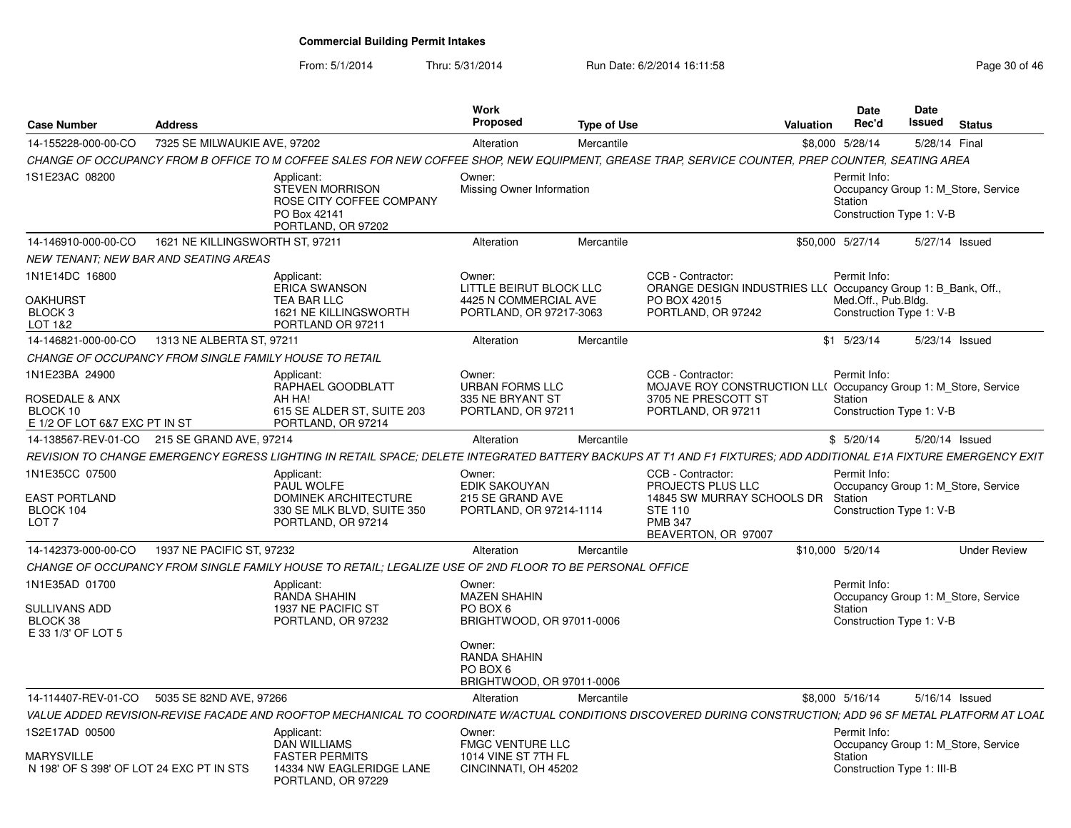| <b>Case Number</b>                                                            | Address                         |                                                                                                                                                                  | Work<br><b>Proposed</b>                                                               | <b>Type of Use</b> | Valuation                                                                                                                                |                  | Date<br>Rec'd                                                                   | <b>Date</b><br><b>Issued</b> | <b>Status</b> |                     |
|-------------------------------------------------------------------------------|---------------------------------|------------------------------------------------------------------------------------------------------------------------------------------------------------------|---------------------------------------------------------------------------------------|--------------------|------------------------------------------------------------------------------------------------------------------------------------------|------------------|---------------------------------------------------------------------------------|------------------------------|---------------|---------------------|
| 14-155228-000-00-CO                                                           | 7325 SE MILWAUKIE AVE, 97202    |                                                                                                                                                                  | Alteration                                                                            | Mercantile         |                                                                                                                                          | \$8,000 5/28/14  |                                                                                 | 5/28/14 Final                |               |                     |
|                                                                               |                                 | CHANGE OF OCCUPANCY FROM B OFFICE TO M COFFEE SALES FOR NEW COFFEE SHOP, NEW EQUIPMENT, GREASE TRAP, SERVICE COUNTER, PREP COUNTER, SEATING AREA                 |                                                                                       |                    |                                                                                                                                          |                  |                                                                                 |                              |               |                     |
| 1S1E23AC 08200                                                                |                                 | Applicant:<br><b>STEVEN MORRISON</b><br>ROSE CITY COFFEE COMPANY<br>PO Box 42141<br>PORTLAND, OR 97202                                                           | Owner:<br>Missing Owner Information                                                   |                    |                                                                                                                                          | Station          | Permit Info:<br>Occupancy Group 1: M Store, Service<br>Construction Type 1: V-B |                              |               |                     |
| 14-146910-000-00-CO                                                           | 1621 NE KILLINGSWORTH ST. 97211 |                                                                                                                                                                  | Alteration                                                                            | Mercantile         |                                                                                                                                          | \$50,000 5/27/14 |                                                                                 | 5/27/14 Issued               |               |                     |
| NEW TENANT: NEW BAR AND SEATING AREAS                                         |                                 |                                                                                                                                                                  |                                                                                       |                    |                                                                                                                                          |                  |                                                                                 |                              |               |                     |
| 1N1E14DC 16800<br><b>OAKHURST</b><br>BLOCK 3<br>LOT 1&2                       |                                 | Applicant:<br><b>ERICA SWANSON</b><br>TEA BAR LLC<br>1621 NE KILLINGSWORTH<br>PORTLAND OR 97211                                                                  | Owner:<br>LITTLE BEIRUT BLOCK LLC<br>4425 N COMMERCIAL AVE<br>PORTLAND, OR 97217-3063 |                    | CCB - Contractor:<br>ORANGE DESIGN INDUSTRIES LL( Occupancy Group 1: B_Bank, Off.,<br>PO BOX 42015<br>PORTLAND, OR 97242                 |                  | Permit Info:<br>Med.Off., Pub.Bldg.<br>Construction Type 1: V-B                 |                              |               |                     |
| 14-146821-000-00-CO                                                           | 1313 NE ALBERTA ST. 97211       |                                                                                                                                                                  | Alteration                                                                            | Mercantile         |                                                                                                                                          | $$1$ $5/23/14$   |                                                                                 | 5/23/14 Issued               |               |                     |
| CHANGE OF OCCUPANCY FROM SINGLE FAMILY HOUSE TO RETAIL                        |                                 |                                                                                                                                                                  |                                                                                       |                    |                                                                                                                                          |                  |                                                                                 |                              |               |                     |
| 1N1E23BA 24900<br>ROSEDALE & ANX<br>BLOCK 10<br>E 1/2 OF LOT 6&7 EXC PT IN ST |                                 | Applicant:<br>RAPHAEL GOODBLATT<br>AH HA!<br>615 SE ALDER ST, SUITE 203<br>PORTLAND, OR 97214                                                                    | Owner:<br><b>URBAN FORMS LLC</b><br>335 NE BRYANT ST<br>PORTLAND, OR 97211            |                    | CCB - Contractor:<br><b>MOJAVE ROY CONSTRUCTION LL( Occupancy Group 1: M Store, Service</b><br>3705 NE PRESCOTT ST<br>PORTLAND, OR 97211 | Station          | Permit Info:<br>Construction Type 1: V-B                                        |                              |               |                     |
| 14-138567-REV-01-CO                                                           | 215 SE GRAND AVE, 97214         |                                                                                                                                                                  | Alteration                                                                            | Mercantile         |                                                                                                                                          |                  | \$5/20/14                                                                       | 5/20/14 Issued               |               |                     |
|                                                                               |                                 | REVISION TO CHANGE EMERGENCY EGRESS LIGHTING IN RETAIL SPACE: DELETE INTEGRATED BATTERY BACKUPS AT T1 AND F1 FIXTURES: ADD ADDITIONAL E1A FIXTURE EMERGENCY EXIT |                                                                                       |                    |                                                                                                                                          |                  |                                                                                 |                              |               |                     |
| 1N1E35CC 07500<br><b>EAST PORTLAND</b><br>BLOCK 104<br>LOT <sub>7</sub>       |                                 | Applicant:<br>PAUL WOLFE<br><b>DOMINEK ARCHITECTURE</b><br>330 SE MLK BLVD, SUITE 350<br>PORTLAND, OR 97214                                                      | Owner:<br>EDIK SAKOUYAN<br>215 SE GRAND AVE<br>PORTLAND, OR 97214-1114                |                    | CCB - Contractor:<br>PROJECTS PLUS LLC<br>14845 SW MURRAY SCHOOLS DR<br><b>STE 110</b><br><b>PMR 347</b><br>BEAVERTON, OR 97007          | Station          | Permit Info:<br>Occupancy Group 1: M Store, Service<br>Construction Type 1: V-B |                              |               |                     |
| 14-142373-000-00-CO                                                           | 1937 NE PACIFIC ST, 97232       |                                                                                                                                                                  | Alteration                                                                            | Mercantile         |                                                                                                                                          | \$10,000 5/20/14 |                                                                                 |                              |               | <b>Under Review</b> |
|                                                                               |                                 | CHANGE OF OCCUPANCY FROM SINGLE FAMILY HOUSE TO RETAIL: LEGALIZE USE OF 2ND FLOOR TO BE PERSONAL OFFICE                                                          |                                                                                       |                    |                                                                                                                                          |                  |                                                                                 |                              |               |                     |
| 1N1E35AD 01700<br>SULLIVANS ADD<br>BLOCK 38<br>E 33 1/3' OF LOT 5             |                                 | Applicant:<br>RANDA SHAHIN<br>1937 NE PACIFIC ST<br>PORTLAND, OR 97232                                                                                           | Owner:<br><b>MAZEN SHAHIN</b><br>PO BOX 6<br>BRIGHTWOOD, OR 97011-0006<br>Owner:      |                    |                                                                                                                                          | Station          | Permit Info:<br>Occupancy Group 1: M Store, Service<br>Construction Type 1: V-B |                              |               |                     |
|                                                                               |                                 |                                                                                                                                                                  | RANDA SHAHIN<br>PO BOX 6<br>BRIGHTWOOD, OR 97011-0006                                 |                    |                                                                                                                                          |                  |                                                                                 |                              |               |                     |
| 14-114407-REV-01-CO                                                           | 5035 SE 82ND AVE, 97266         |                                                                                                                                                                  | Alteration                                                                            | Mercantile         |                                                                                                                                          | \$8,000 5/16/14  |                                                                                 | 5/16/14 Issued               |               |                     |
|                                                                               |                                 | VALUE ADDED REVISION-REVISE FACADE AND ROOFTOP MECHANICAL TO COORDINATE W/ACTUAL CONDITIONS DISCOVERED DURING CONSTRUCTION: ADD 96 SF METAL PLATFORM AT LOAL     |                                                                                       |                    |                                                                                                                                          |                  |                                                                                 |                              |               |                     |
| 1S2E17AD 00500                                                                |                                 | Applicant:<br>DAN WILLIAMS                                                                                                                                       | Owner:<br><b>FMGC VENTURE LLC</b>                                                     |                    |                                                                                                                                          |                  | Permit Info:<br>Occupancy Group 1: M Store, Service                             |                              |               |                     |
| MARYSVILLE<br>N 198' OF S 398' OF LOT 24 EXC PT IN STS                        |                                 | <b>FASTER PERMITS</b><br>14334 NW EAGLERIDGE LANE<br>PORTLAND, OR 97229                                                                                          | 1014 VINE ST 7TH FL<br>CINCINNATI, OH 45202                                           |                    |                                                                                                                                          | Station          | Construction Type 1: III-B                                                      |                              |               |                     |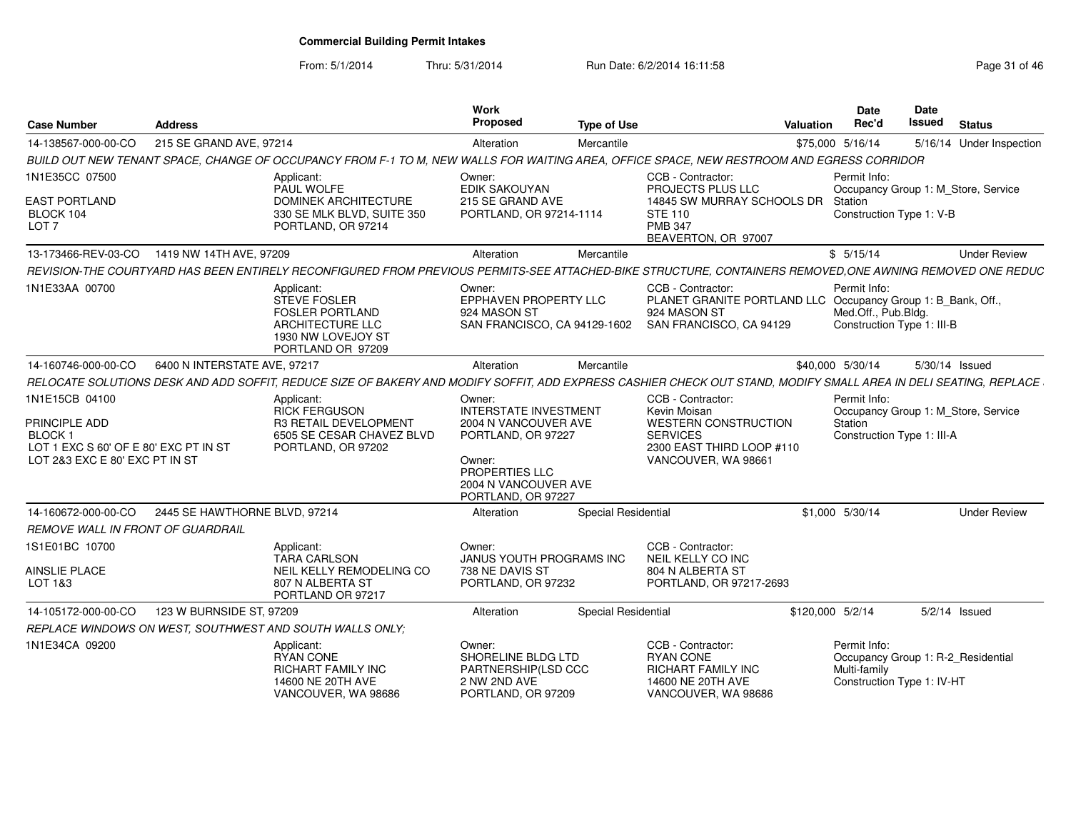From: 5/1/2014

| <b>Case Number</b>                                                                                                    | <b>Address</b>                |                                                                                                                                                                  | Work<br><b>Proposed</b>                                                                                                                                        | <b>Type of Use</b>         |                                                                                                                                         | <b>Valuation</b> | <b>Date</b><br>Rec'd                                              | Date<br>Issued | <b>Status</b>                       |
|-----------------------------------------------------------------------------------------------------------------------|-------------------------------|------------------------------------------------------------------------------------------------------------------------------------------------------------------|----------------------------------------------------------------------------------------------------------------------------------------------------------------|----------------------------|-----------------------------------------------------------------------------------------------------------------------------------------|------------------|-------------------------------------------------------------------|----------------|-------------------------------------|
| 14-138567-000-00-CO                                                                                                   | 215 SE GRAND AVE, 97214       |                                                                                                                                                                  | Alteration                                                                                                                                                     | Mercantile                 |                                                                                                                                         | \$75,000 5/16/14 |                                                                   |                | 5/16/14 Under Inspection            |
|                                                                                                                       |                               | BUILD OUT NEW TENANT SPACE, CHANGE OF OCCUPANCY FROM F-1 TO M, NEW WALLS FOR WAITING AREA, OFFICE SPACE, NEW RESTROOM AND EGRESS CORRIDOR                        |                                                                                                                                                                |                            |                                                                                                                                         |                  |                                                                   |                |                                     |
| 1N1E35CC 07500<br><b>EAST PORTLAND</b><br>BLOCK 104<br>LOT <sub>7</sub>                                               |                               | Applicant:<br>PAUL WOLFE<br><b>DOMINEK ARCHITECTURE</b><br>330 SE MLK BLVD, SUITE 350<br>PORTLAND, OR 97214                                                      | Owner:<br><b>EDIK SAKOUYAN</b><br>215 SE GRAND AVE<br>PORTLAND, OR 97214-1114                                                                                  |                            | CCB - Contractor:<br>PROJECTS PLUS LLC<br>14845 SW MURRAY SCHOOLS DR<br>STE 110<br><b>PMB 347</b><br>BEAVERTON, OR 97007                |                  | Permit Info:<br>Station<br>Construction Type 1: V-B               |                | Occupancy Group 1: M_Store, Service |
| 13-173466-REV-03-CO                                                                                                   | 1419 NW 14TH AVE, 97209       |                                                                                                                                                                  | Alteration                                                                                                                                                     | Mercantile                 |                                                                                                                                         |                  | \$5/15/14                                                         |                | <b>Under Review</b>                 |
|                                                                                                                       |                               | REVISION-THE COURTYARD HAS BEEN ENTIRELY RECONFIGURED FROM PREVIOUS PERMITS-SEE ATTACHED-BIKE STRUCTURE. CONTAINERS REMOVED.ONE AWNING REMOVED ONE REDUC         |                                                                                                                                                                |                            |                                                                                                                                         |                  |                                                                   |                |                                     |
| 1N1E33AA 00700                                                                                                        |                               | Applicant:<br><b>STEVE FOSLER</b><br><b>FOSLER PORTLAND</b><br>ARCHITECTURE LLC<br>1930 NW LOVEJOY ST<br>PORTLAND OR 97209                                       | Owner:<br>EPPHAVEN PROPERTY LLC<br>924 MASON ST<br>SAN FRANCISCO, CA 94129-1602                                                                                |                            | CCB - Contractor:<br>PLANET GRANITE PORTLAND LLC Occupancy Group 1: B_Bank, Off.,<br>924 MASON ST<br>SAN FRANCISCO, CA 94129            |                  | Permit Info:<br>Med.Off., Pub.Bldg.<br>Construction Type 1: III-B |                |                                     |
| 14-160746-000-00-CO                                                                                                   | 6400 N INTERSTATE AVE, 97217  |                                                                                                                                                                  | Alteration                                                                                                                                                     | Mercantile                 |                                                                                                                                         | \$40,000 5/30/14 |                                                                   |                | 5/30/14 Issued                      |
|                                                                                                                       |                               | RELOCATE SOLUTIONS DESK AND ADD SOFFIT, REDUCE SIZE OF BAKERY AND MODIFY SOFFIT, ADD EXPRESS CASHIER CHECK OUT STAND, MODIFY SMALL AREA IN DELI SEATING, REPLACE |                                                                                                                                                                |                            |                                                                                                                                         |                  |                                                                   |                |                                     |
| 1N1E15CB 04100<br>PRINCIPLE ADD<br>BLOCK 1<br>LOT 1 EXC S 60' OF E 80' EXC PT IN ST<br>LOT 2&3 EXC E 80' EXC PT IN ST |                               | Applicant:<br><b>RICK FERGUSON</b><br><b>R3 RETAIL DEVELOPMENT</b><br>6505 SE CESAR CHAVEZ BLVD<br>PORTLAND, OR 97202                                            | Owner:<br><b>INTERSTATE INVESTMENT</b><br>2004 N VANCOUVER AVE<br>PORTLAND, OR 97227<br>Owner:<br>PROPERTIES LLC<br>2004 N VANCOUVER AVE<br>PORTLAND, OR 97227 |                            | CCB - Contractor:<br>Kevin Moisan<br><b>WESTERN CONSTRUCTION</b><br><b>SERVICES</b><br>2300 EAST THIRD LOOP #110<br>VANCOUVER, WA 98661 |                  | Permit Info:<br>Station<br>Construction Type 1: III-A             |                | Occupancy Group 1: M_Store, Service |
| 14-160672-000-00-CO                                                                                                   | 2445 SE HAWTHORNE BLVD, 97214 |                                                                                                                                                                  | Alteration                                                                                                                                                     | Special Residential        |                                                                                                                                         |                  | \$1,000 5/30/14                                                   |                | <b>Under Review</b>                 |
| REMOVE WALL IN FRONT OF GUARDRAIL                                                                                     |                               |                                                                                                                                                                  |                                                                                                                                                                |                            |                                                                                                                                         |                  |                                                                   |                |                                     |
| 1S1E01BC 10700<br>AINSLIE PLACE<br>LOT 1&3                                                                            |                               | Applicant:<br><b>TARA CARLSON</b><br>NEIL KELLY REMODELING CO<br>807 N ALBERTA ST<br>PORTLAND OR 97217                                                           | Owner:<br>JANUS YOUTH PROGRAMS INC<br>738 NE DAVIS ST<br>PORTLAND, OR 97232                                                                                    |                            | CCB - Contractor:<br>NEIL KELLY CO INC<br>804 N ALBERTA ST<br>PORTLAND, OR 97217-2693                                                   |                  |                                                                   |                |                                     |
| 14-105172-000-00-CO                                                                                                   | 123 W BURNSIDE ST, 97209      |                                                                                                                                                                  | Alteration                                                                                                                                                     | <b>Special Residential</b> |                                                                                                                                         | \$120,000 5/2/14 |                                                                   |                | $5/2/14$ Issued                     |
|                                                                                                                       |                               | REPLACE WINDOWS ON WEST, SOUTHWEST AND SOUTH WALLS ONLY:                                                                                                         |                                                                                                                                                                |                            |                                                                                                                                         |                  |                                                                   |                |                                     |
| 1N1E34CA 09200                                                                                                        |                               | Applicant:<br><b>RYAN CONE</b><br><b>RICHART FAMILY INC</b><br>14600 NE 20TH AVE<br>VANCOUVER, WA 98686                                                          | Owner:<br>SHORELINE BLDG LTD<br>PARTNERSHIP(LSD CCC<br>2 NW 2ND AVE<br>PORTLAND, OR 97209                                                                      |                            | CCB - Contractor:<br><b>RYAN CONE</b><br>RICHART FAMILY INC<br>14600 NE 20TH AVE<br>VANCOUVER, WA 98686                                 |                  | Permit Info:<br>Multi-family<br>Construction Type 1: IV-HT        |                | Occupancy Group 1: R-2 Residential  |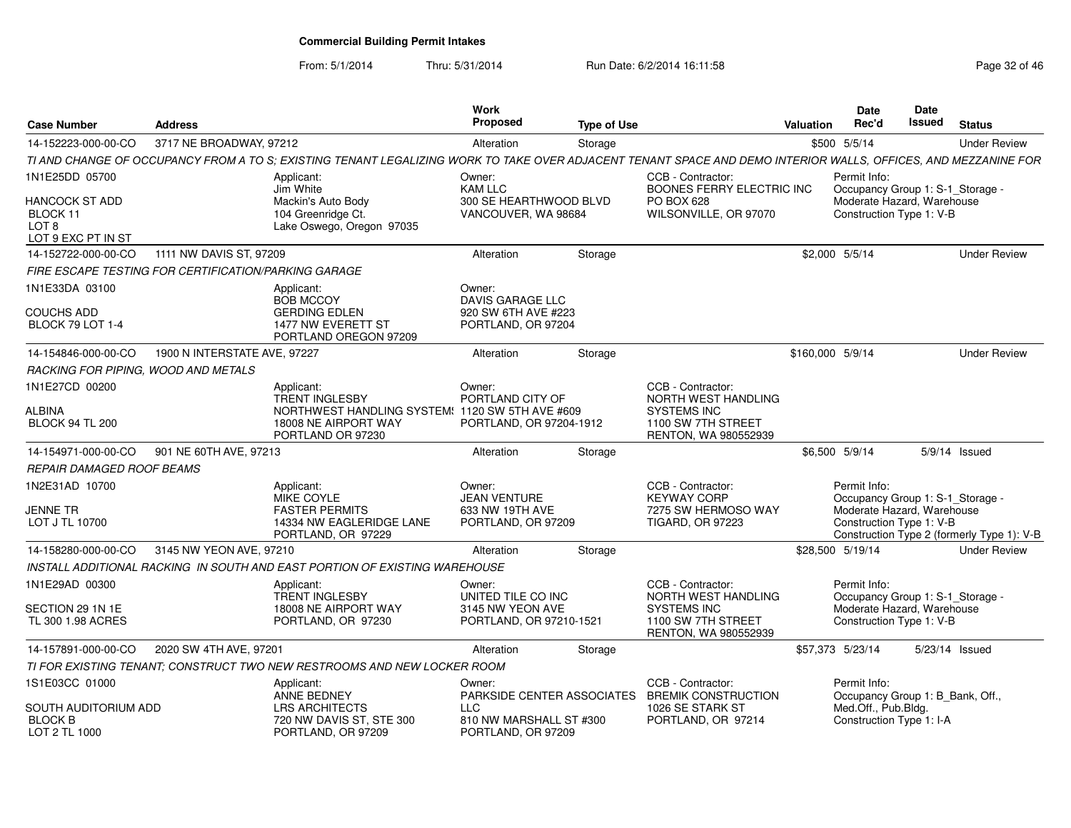| <b>Case Number</b>                                                                     | <b>Address</b>               |                                                                                                                                                                | Work<br><b>Proposed</b>                                                                             | <b>Type of Use</b> |                                                                                                              | Valuation        | <b>Date</b><br>Rec'd                                                                                       | <b>Date</b><br>Issued | <b>Status</b>                              |
|----------------------------------------------------------------------------------------|------------------------------|----------------------------------------------------------------------------------------------------------------------------------------------------------------|-----------------------------------------------------------------------------------------------------|--------------------|--------------------------------------------------------------------------------------------------------------|------------------|------------------------------------------------------------------------------------------------------------|-----------------------|--------------------------------------------|
| 14-152223-000-00-CO                                                                    | 3717 NE BROADWAY, 97212      |                                                                                                                                                                | Alteration                                                                                          | Storage            |                                                                                                              |                  | \$500 5/5/14                                                                                               |                       | <b>Under Review</b>                        |
|                                                                                        |                              | TI AND CHANGE OF OCCUPANCY FROM A TO S; EXISTING TENANT LEGALIZING WORK TO TAKE OVER ADJACENT TENANT SPACE AND DEMO INTERIOR WALLS, OFFICES, AND MEZZANINE FOR |                                                                                                     |                    |                                                                                                              |                  |                                                                                                            |                       |                                            |
| 1N1E25DD 05700<br>HANCOCK ST ADD<br>BLOCK 11<br>LOT <sub>8</sub><br>LOT 9 EXC PT IN ST |                              | Applicant:<br>Jim White<br>Mackin's Auto Body<br>104 Greenridge Ct.<br>Lake Oswego, Oregon 97035                                                               | Owner:<br><b>KAM LLC</b><br>300 SE HEARTHWOOD BLVD<br>VANCOUVER, WA 98684                           |                    | CCB - Contractor:<br>BOONES FERRY ELECTRIC INC<br><b>PO BOX 628</b><br>WILSONVILLE, OR 97070                 |                  | Permit Info:<br>Occupancy Group 1: S-1_Storage -<br>Moderate Hazard, Warehouse<br>Construction Type 1: V-B |                       |                                            |
| 14-152722-000-00-CO                                                                    | 1111 NW DAVIS ST, 97209      |                                                                                                                                                                | Alteration                                                                                          | Storage            |                                                                                                              |                  | \$2,000 5/5/14                                                                                             |                       | <b>Under Review</b>                        |
| FIRE ESCAPE TESTING FOR CERTIFICATION/PARKING GARAGE                                   |                              |                                                                                                                                                                |                                                                                                     |                    |                                                                                                              |                  |                                                                                                            |                       |                                            |
| 1N1E33DA 03100<br><b>COUCHS ADD</b><br>BLOCK 79 LOT 1-4                                |                              | Applicant:<br><b>BOB MCCOY</b><br><b>GERDING EDLEN</b><br>1477 NW EVERETT ST<br>PORTLAND OREGON 97209                                                          | Owner:<br>DAVIS GARAGE LLC<br>920 SW 6TH AVE #223<br>PORTLAND, OR 97204                             |                    |                                                                                                              |                  |                                                                                                            |                       |                                            |
| 14-154846-000-00-CO                                                                    | 1900 N INTERSTATE AVE, 97227 |                                                                                                                                                                | Alteration                                                                                          | Storage            |                                                                                                              | \$160,000 5/9/14 |                                                                                                            |                       | <b>Under Review</b>                        |
| RACKING FOR PIPING, WOOD AND METALS                                                    |                              |                                                                                                                                                                |                                                                                                     |                    |                                                                                                              |                  |                                                                                                            |                       |                                            |
| 1N1E27CD 00200<br>ALBINA<br><b>BLOCK 94 TL 200</b>                                     |                              | Applicant:<br><b>TRENT INGLESBY</b><br>NORTHWEST HANDLING SYSTEM: 1120 SW 5TH AVE #609<br>18008 NE AIRPORT WAY<br>PORTLAND OR 97230                            | Owner:<br>PORTLAND CITY OF<br>PORTLAND, OR 97204-1912                                               |                    | CCB - Contractor:<br>NORTH WEST HANDLING<br><b>SYSTEMS INC</b><br>1100 SW 7TH STREET<br>RENTON, WA 980552939 |                  |                                                                                                            |                       |                                            |
| 14-154971-000-00-CO                                                                    | 901 NE 60TH AVE, 97213       |                                                                                                                                                                | Alteration                                                                                          | Storage            |                                                                                                              |                  | \$6,500 5/9/14                                                                                             |                       | 5/9/14 Issued                              |
| <i>REPAIR DAMAGED ROOF BEAMS</i>                                                       |                              |                                                                                                                                                                |                                                                                                     |                    |                                                                                                              |                  |                                                                                                            |                       |                                            |
| 1N2E31AD 10700<br>Jenne tr<br>LOT J TL 10700                                           |                              | Applicant:<br>MIKE COYLE<br><b>FASTER PERMITS</b><br>14334 NW EAGLERIDGE LANE<br>PORTLAND, OR 97229                                                            | Owner:<br><b>JEAN VENTURE</b><br>633 NW 19TH AVE<br>PORTLAND, OR 97209                              |                    | CCB - Contractor:<br><b>KEYWAY CORP</b><br>7275 SW HERMOSO WAY<br><b>TIGARD, OR 97223</b>                    |                  | Permit Info:<br>Occupancy Group 1: S-1_Storage -<br>Moderate Hazard, Warehouse<br>Construction Type 1: V-B |                       | Construction Type 2 (formerly Type 1): V-B |
| 14-158280-000-00-CO                                                                    | 3145 NW YEON AVE, 97210      |                                                                                                                                                                | Alteration                                                                                          | Storage            |                                                                                                              |                  | \$28,500 5/19/14                                                                                           |                       | <b>Under Review</b>                        |
|                                                                                        |                              | INSTALL ADDITIONAL RACKING IN SOUTH AND EAST PORTION OF EXISTING WAREHOUSE                                                                                     |                                                                                                     |                    |                                                                                                              |                  |                                                                                                            |                       |                                            |
| 1N1E29AD 00300<br>SECTION 29 1N 1E<br>TL 300 1.98 ACRES                                |                              | Applicant:<br><b>TRENT INGLESBY</b><br>18008 NE AIRPORT WAY<br>PORTLAND, OR 97230                                                                              | Owner:<br>UNITED TILE CO INC<br>3145 NW YEON AVE<br>PORTLAND, OR 97210-1521                         |                    | CCB - Contractor:<br>NORTH WEST HANDLING<br><b>SYSTEMS INC</b><br>1100 SW 7TH STREET<br>RENTON, WA 980552939 |                  | Permit Info:<br>Occupancy Group 1: S-1_Storage -<br>Moderate Hazard, Warehouse<br>Construction Type 1: V-B |                       |                                            |
| 14-157891-000-00-CO                                                                    | 2020 SW 4TH AVE, 97201       |                                                                                                                                                                | Alteration                                                                                          | Storage            |                                                                                                              |                  | \$57,373 5/23/14                                                                                           |                       | 5/23/14 Issued                             |
|                                                                                        |                              | TI FOR EXISTING TENANT; CONSTRUCT TWO NEW RESTROOMS AND NEW LOCKER ROOM                                                                                        |                                                                                                     |                    |                                                                                                              |                  |                                                                                                            |                       |                                            |
| 1S1E03CC 01000<br>SOUTH AUDITORIUM ADD<br><b>BLOCK B</b><br>LOT 2 TL 1000              |                              | Applicant:<br>ANNE BEDNEY<br><b>LRS ARCHITECTS</b><br>720 NW DAVIS ST, STE 300<br>PORTLAND, OR 97209                                                           | Owner:<br>PARKSIDE CENTER ASSOCIATES<br><b>LLC</b><br>810 NW MARSHALL ST #300<br>PORTLAND, OR 97209 |                    | CCB - Contractor:<br><b>BREMIK CONSTRUCTION</b><br>1026 SE STARK ST<br>PORTLAND, OR 97214                    |                  | Permit Info:<br>Occupancy Group 1: B_Bank, Off.,<br>Med.Off., Pub.Bldg.<br>Construction Type 1: I-A        |                       |                                            |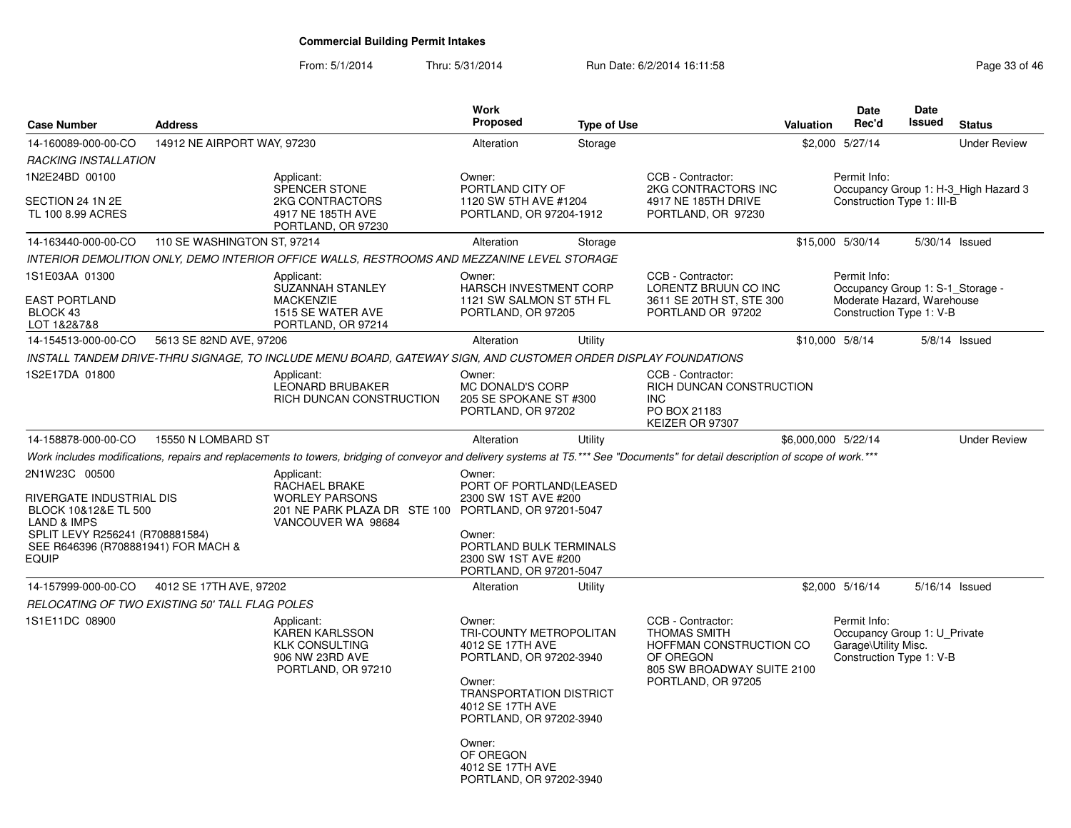| <b>Case Number</b>                                                                                                                                                  | <b>Address</b>              |                                                                                                                                                                                  | <b>Work</b><br><b>Proposed</b>                                                                                                                                                                                                                    | <b>Type of Use</b> |                                                                                                                                      | <b>Valuation</b>    | <b>Date</b><br>Rec'd                                                                                       | Date<br>Issued | <b>Status</b>                        |
|---------------------------------------------------------------------------------------------------------------------------------------------------------------------|-----------------------------|----------------------------------------------------------------------------------------------------------------------------------------------------------------------------------|---------------------------------------------------------------------------------------------------------------------------------------------------------------------------------------------------------------------------------------------------|--------------------|--------------------------------------------------------------------------------------------------------------------------------------|---------------------|------------------------------------------------------------------------------------------------------------|----------------|--------------------------------------|
| 14-160089-000-00-CO                                                                                                                                                 | 14912 NE AIRPORT WAY, 97230 |                                                                                                                                                                                  | Alteration                                                                                                                                                                                                                                        | Storage            |                                                                                                                                      |                     | \$2,000 5/27/14                                                                                            |                | <b>Under Review</b>                  |
| <b>RACKING INSTALLATION</b>                                                                                                                                         |                             |                                                                                                                                                                                  |                                                                                                                                                                                                                                                   |                    |                                                                                                                                      |                     |                                                                                                            |                |                                      |
| 1N2E24BD 00100<br>SECTION 24 1N 2E<br>TL 100 8.99 ACRES                                                                                                             |                             | Applicant:<br>SPENCER STONE<br>2KG CONTRACTORS<br>4917 NE 185TH AVE<br>PORTLAND, OR 97230                                                                                        | Owner:<br>PORTLAND CITY OF<br>1120 SW 5TH AVE #1204<br>PORTLAND, OR 97204-1912                                                                                                                                                                    |                    | CCB - Contractor:<br>2KG CONTRACTORS INC<br>4917 NE 185TH DRIVE<br>PORTLAND, OR 97230                                                |                     | Permit Info:<br>Construction Type 1: III-B                                                                 |                | Occupancy Group 1: H-3_High Hazard 3 |
| 14-163440-000-00-CO                                                                                                                                                 | 110 SE WASHINGTON ST, 97214 |                                                                                                                                                                                  | Alteration                                                                                                                                                                                                                                        | Storage            |                                                                                                                                      |                     | \$15,000 5/30/14                                                                                           | 5/30/14 Issued |                                      |
|                                                                                                                                                                     |                             | INTERIOR DEMOLITION ONLY, DEMO INTERIOR OFFICE WALLS, RESTROOMS AND MEZZANINE LEVEL STORAGE                                                                                      |                                                                                                                                                                                                                                                   |                    |                                                                                                                                      |                     |                                                                                                            |                |                                      |
| 1S1E03AA 01300<br>EAST PORTLAND<br>BLOCK 43<br>LOT 1&2&7&8                                                                                                          |                             | Applicant:<br>SUZANNAH STANLEY<br><b>MACKENZIE</b><br>1515 SE WATER AVE<br>PORTLAND, OR 97214                                                                                    | Owner:<br>HARSCH INVESTMENT CORP<br>1121 SW SALMON ST 5TH FL<br>PORTLAND, OR 97205                                                                                                                                                                |                    | CCB - Contractor:<br>LORENTZ BRUUN CO INC<br>3611 SE 20TH ST, STE 300<br>PORTLAND OR 97202                                           |                     | Permit Info:<br>Occupancy Group 1: S-1 Storage -<br>Moderate Hazard, Warehouse<br>Construction Type 1: V-B |                |                                      |
| 14-154513-000-00-CO                                                                                                                                                 | 5613 SE 82ND AVE, 97206     |                                                                                                                                                                                  | Alteration                                                                                                                                                                                                                                        | Utility            |                                                                                                                                      |                     | \$10,000 5/8/14                                                                                            |                | $5/8/14$ Issued                      |
|                                                                                                                                                                     |                             | INSTALL TANDEM DRIVE-THRU SIGNAGE, TO INCLUDE MENU BOARD, GATEWAY SIGN, AND CUSTOMER ORDER DISPLAY FOUNDATIONS                                                                   |                                                                                                                                                                                                                                                   |                    |                                                                                                                                      |                     |                                                                                                            |                |                                      |
| 1S2E17DA 01800                                                                                                                                                      |                             | Applicant:<br><b>LEONARD BRUBAKER</b><br>RICH DUNCAN CONSTRUCTION                                                                                                                | Owner:<br>MC DONALD'S CORP<br>205 SE SPOKANE ST #300<br>PORTLAND, OR 97202                                                                                                                                                                        |                    | CCB - Contractor:<br>RICH DUNCAN CONSTRUCTION<br><b>INC</b><br>PO BOX 21183<br>KEIZER OR 97307                                       |                     |                                                                                                            |                |                                      |
| 14-158878-000-00-CO                                                                                                                                                 | 15550 N LOMBARD ST          |                                                                                                                                                                                  | Alteration                                                                                                                                                                                                                                        | Utility            |                                                                                                                                      | \$6,000,000 5/22/14 |                                                                                                            |                | <b>Under Review</b>                  |
|                                                                                                                                                                     |                             | Work includes modifications, repairs and replacements to towers, bridging of conveyor and delivery systems at T5.*** See "Documents" for detail description of scope of work.*** |                                                                                                                                                                                                                                                   |                    |                                                                                                                                      |                     |                                                                                                            |                |                                      |
| 2N1W23C 00500<br>RIVERGATE INDUSTRIAL DIS<br>BLOCK 10&12&E TL 500<br>LAND & IMPS<br>SPLIT LEVY R256241 (R708881584)<br>SEE R646396 (R708881941) FOR MACH &<br>EQUIP |                             | Applicant:<br>RACHAEL BRAKE<br><b>WORLEY PARSONS</b><br>201 NE PARK PLAZA DR STE 100 PORTLAND, OR 97201-5047<br>VANCOUVER WA 98684                                               | Owner:<br>PORT OF PORTLAND(LEASED<br>2300 SW 1ST AVE #200<br>Owner:<br>PORTLAND BULK TERMINALS<br>2300 SW 1ST AVE #200<br>PORTLAND, OR 97201-5047                                                                                                 |                    |                                                                                                                                      |                     |                                                                                                            |                |                                      |
| 14-157999-000-00-CO                                                                                                                                                 | 4012 SE 17TH AVE, 97202     |                                                                                                                                                                                  | Alteration                                                                                                                                                                                                                                        | Utility            |                                                                                                                                      |                     | \$2,000 5/16/14                                                                                            | 5/16/14 Issued |                                      |
| RELOCATING OF TWO EXISTING 50' TALL FLAG POLES                                                                                                                      |                             |                                                                                                                                                                                  |                                                                                                                                                                                                                                                   |                    |                                                                                                                                      |                     |                                                                                                            |                |                                      |
| 1S1E11DC 08900                                                                                                                                                      |                             | Applicant:<br><b>KAREN KARLSSON</b><br><b>KLK CONSULTING</b><br>906 NW 23RD AVE<br>PORTLAND, OR 97210                                                                            | Owner:<br>TRI-COUNTY METROPOLITAN<br>4012 SE 17TH AVE<br>PORTLAND, OR 97202-3940<br>Owner:<br><b>TRANSPORTATION DISTRICT</b><br>4012 SE 17TH AVE<br>PORTLAND, OR 97202-3940<br>Owner:<br>OF OREGON<br>4012 SE 17TH AVE<br>PORTLAND, OR 97202-3940 |                    | CCB - Contractor:<br><b>THOMAS SMITH</b><br>HOFFMAN CONSTRUCTION CO<br>OF OREGON<br>805 SW BROADWAY SUITE 2100<br>PORTLAND, OR 97205 |                     | Permit Info:<br>Occupancy Group 1: U_Private<br>Garage\Utility Misc.<br>Construction Type 1: V-B           |                |                                      |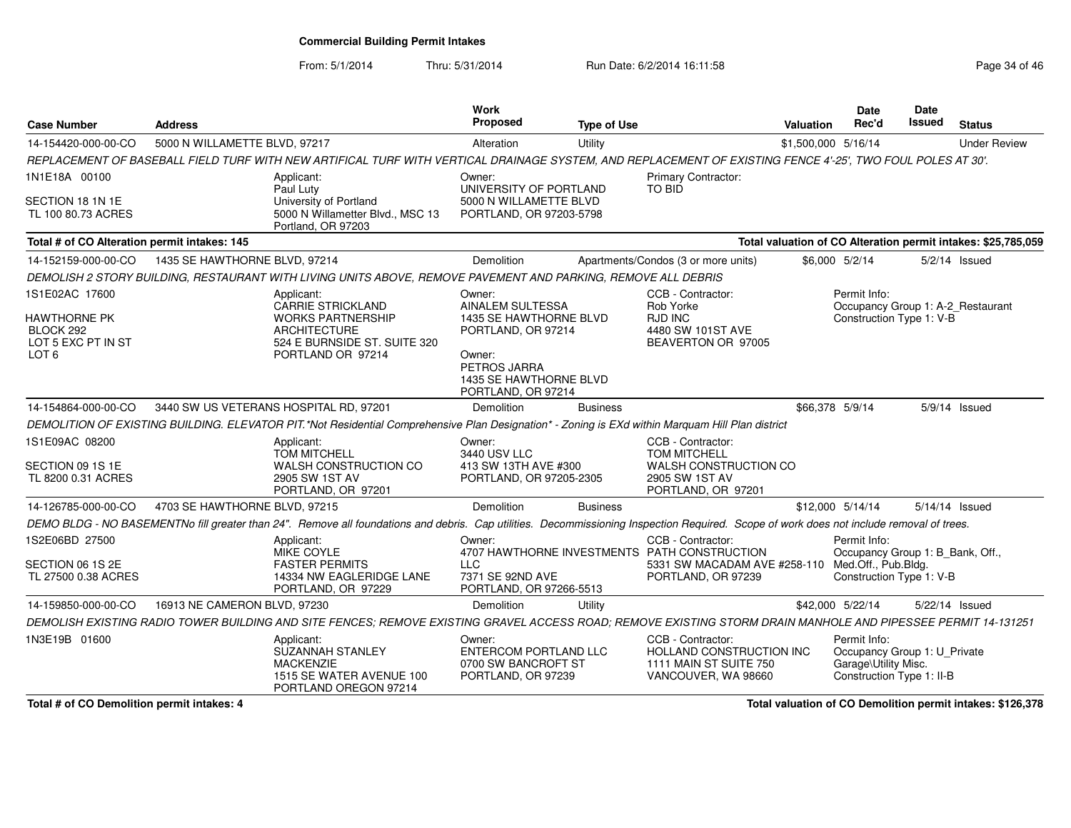From: 5/1/2014

Thru: 5/31/2014 Run Date: 6/2/2014 16:11:58 Run Date: 6/2/2014 16:11:58

| <b>Case Number</b>                                                                           | <b>Address</b>                |                                                                                                                                                                                          | <b>Work</b><br>Proposed                                                                                                                              | <b>Type of Use</b> |                                                                                                                                             | <b>Valuation</b>    | <b>Date</b><br>Rec'd                                                                              | <b>Date</b><br>Issued | <b>Status</b>                                                 |
|----------------------------------------------------------------------------------------------|-------------------------------|------------------------------------------------------------------------------------------------------------------------------------------------------------------------------------------|------------------------------------------------------------------------------------------------------------------------------------------------------|--------------------|---------------------------------------------------------------------------------------------------------------------------------------------|---------------------|---------------------------------------------------------------------------------------------------|-----------------------|---------------------------------------------------------------|
| 14-154420-000-00-CO                                                                          | 5000 N WILLAMETTE BLVD, 97217 |                                                                                                                                                                                          | Alteration                                                                                                                                           | Utility            |                                                                                                                                             | \$1,500,000 5/16/14 |                                                                                                   |                       | <b>Under Review</b>                                           |
|                                                                                              |                               | REPLACEMENT OF BASEBALL FIELD TURF WITH NEW ARTIFICAL TURF WITH VERTICAL DRAINAGE SYSTEM, AND REPLACEMENT OF EXISTING FENCE 4'-25', TWO FOUL POLES AT 30'.                               |                                                                                                                                                      |                    |                                                                                                                                             |                     |                                                                                                   |                       |                                                               |
| 1N1E18A 00100<br>SECTION 18 1N 1E<br>TL 100 80.73 ACRES                                      |                               | Applicant:<br>Paul Luty<br>University of Portland<br>5000 N Willametter Blvd., MSC 13<br>Portland, OR 97203                                                                              | Owner:<br>UNIVERSITY OF PORTLAND<br>5000 N WILLAMETTE BLVD<br>PORTLAND, OR 97203-5798                                                                |                    | Primary Contractor:<br>TO BID                                                                                                               |                     |                                                                                                   |                       |                                                               |
| Total # of CO Alteration permit intakes: 145                                                 |                               |                                                                                                                                                                                          |                                                                                                                                                      |                    |                                                                                                                                             |                     |                                                                                                   |                       | Total valuation of CO Alteration permit intakes: \$25,785,059 |
| 14-152159-000-00-CO                                                                          | 1435 SE HAWTHORNE BLVD, 97214 |                                                                                                                                                                                          | <b>Demolition</b>                                                                                                                                    |                    | Apartments/Condos (3 or more units)                                                                                                         |                     | \$6,000 5/2/14                                                                                    |                       | $5/2/14$ Issued                                               |
|                                                                                              |                               | DEMOLISH 2 STORY BUILDING, RESTAURANT WITH LIVING UNITS ABOVE, REMOVE PAVEMENT AND PARKING, REMOVE ALL DEBRIS                                                                            |                                                                                                                                                      |                    |                                                                                                                                             |                     |                                                                                                   |                       |                                                               |
| 1S1E02AC 17600<br><b>HAWTHORNE PK</b><br>BLOCK 292<br>LOT 5 EXC PT IN ST<br>LOT <sub>6</sub> |                               | Applicant:<br><b>CARRIE STRICKLAND</b><br><b>WORKS PARTNERSHIP</b><br><b>ARCHITECTURE</b><br>524 E BURNSIDE ST. SUITE 320<br>PORTLAND OR 97214                                           | Owner:<br>AINALEM SULTESSA<br>1435 SE HAWTHORNE BLVD<br>PORTLAND, OR 97214<br>Owner:<br>PETROS JARRA<br>1435 SE HAWTHORNE BLVD<br>PORTLAND, OR 97214 |                    | CCB - Contractor:<br>Rob Yorke<br>RJD INC<br>4480 SW 101ST AVE<br>BEAVERTON OR 97005                                                        |                     | Permit Info:<br>Occupancy Group 1: A-2_Restaurant<br>Construction Type 1: V-B                     |                       |                                                               |
| 14-154864-000-00-CO                                                                          |                               | 3440 SW US VETERANS HOSPITAL RD, 97201                                                                                                                                                   | <b>Demolition</b>                                                                                                                                    | <b>Business</b>    |                                                                                                                                             |                     | \$66.378 5/9/14                                                                                   |                       | 5/9/14 Issued                                                 |
|                                                                                              |                               | DEMOLITION OF EXISTING BUILDING. ELEVATOR PIT.*Not Residential Comprehensive Plan Designation* - Zoning is EXd within Marquam Hill Plan district                                         |                                                                                                                                                      |                    |                                                                                                                                             |                     |                                                                                                   |                       |                                                               |
| 1S1E09AC 08200<br>SECTION 09 1S 1E<br>TL 8200 0.31 ACRES                                     |                               | Applicant:<br><b>TOM MITCHELL</b><br>WALSH CONSTRUCTION CO<br>2905 SW 1ST AV<br>PORTLAND, OR 97201                                                                                       | Owner:<br>3440 USV LLC<br>413 SW 13TH AVE #300<br>PORTLAND, OR 97205-2305                                                                            |                    | CCB - Contractor:<br><b>TOM MITCHELL</b><br>WALSH CONSTRUCTION CO<br>2905 SW 1ST AV<br>PORTLAND, OR 97201                                   |                     |                                                                                                   |                       |                                                               |
| 14-126785-000-00-CO                                                                          | 4703 SE HAWTHORNE BLVD, 97215 |                                                                                                                                                                                          | Demolition                                                                                                                                           | <b>Business</b>    |                                                                                                                                             |                     | \$12,000 5/14/14                                                                                  |                       | 5/14/14 Issued                                                |
|                                                                                              |                               | DEMO BLDG - NO BASEMENTNo fill greater than 24". Remove all foundations and debris. Cap utilities. Decommissioning Inspection Required. Scope of work does not include removal of trees. |                                                                                                                                                      |                    |                                                                                                                                             |                     |                                                                                                   |                       |                                                               |
| 1S2E06BD 27500<br>SECTION 06 1S 2E<br>TL 27500 0.38 ACRES                                    |                               | Applicant:<br><b>MIKE COYLE</b><br><b>FASTER PERMITS</b><br>14334 NW EAGLERIDGE LANE<br>PORTLAND, OR 97229                                                                               | Owner:<br><b>LLC</b><br>7371 SE 92ND AVE<br>PORTLAND, OR 97266-5513                                                                                  |                    | CCB - Contractor:<br>4707 HAWTHORNE INVESTMENTS PATH CONSTRUCTION<br>5331 SW MACADAM AVE #258-110 Med.Off., Pub.Bldg.<br>PORTLAND, OR 97239 |                     | Permit Info:<br>Occupancy Group 1: B_Bank, Off.,<br>Construction Type 1: V-B                      |                       |                                                               |
| 14-159850-000-00-CO                                                                          | 16913 NE CAMERON BLVD, 97230  |                                                                                                                                                                                          | <b>Demolition</b>                                                                                                                                    | Utility            |                                                                                                                                             |                     | \$42,000 5/22/14                                                                                  |                       | 5/22/14 Issued                                                |
|                                                                                              |                               | DEMOLISH EXISTING RADIO TOWER BUILDING AND SITE FENCES; REMOVE EXISTING GRAVEL ACCESS ROAD; REMOVE EXISTING STORM DRAIN MANHOLE AND PIPESSEE PERMIT 14-131251                            |                                                                                                                                                      |                    |                                                                                                                                             |                     |                                                                                                   |                       |                                                               |
| 1N3E19B 01600                                                                                |                               | Applicant:<br><b>SUZANNAH STANLEY</b><br><b>MACKENZIE</b><br>1515 SE WATER AVENUE 100<br>PORTLAND OREGON 97214                                                                           | Owner:<br><b>ENTERCOM PORTLAND LLC</b><br>0700 SW BANCROFT ST<br>PORTLAND, OR 97239                                                                  |                    | CCB - Contractor:<br>HOLLAND CONSTRUCTION INC<br>1111 MAIN ST SUITE 750<br>VANCOUVER, WA 98660                                              |                     | Permit Info:<br>Occupancy Group 1: U Private<br>Garage\Utility Misc.<br>Construction Type 1: II-B |                       |                                                               |

**Total # of CO Demolition permit intakes: 4**

**Total valuation of CO Demolition permit intakes: \$126,378**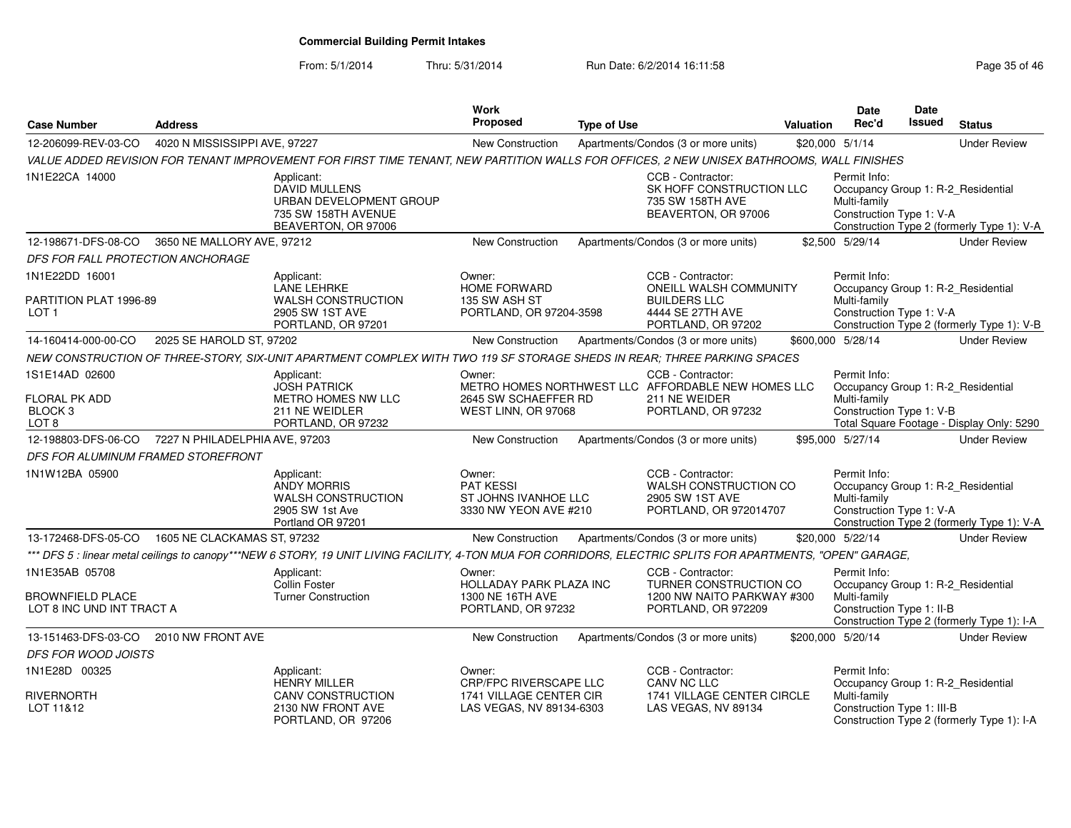| <b>Case Number</b>                                                        | <b>Address</b>                |                                                                                                                                                             | Work<br>Proposed                                                                   | <b>Type of Use</b> |                                                                                                                | <b>Valuation</b> | <b>Date</b><br>Rec'd                                                                            | Date<br><b>Issued</b> | <b>Status</b>                              |
|---------------------------------------------------------------------------|-------------------------------|-------------------------------------------------------------------------------------------------------------------------------------------------------------|------------------------------------------------------------------------------------|--------------------|----------------------------------------------------------------------------------------------------------------|------------------|-------------------------------------------------------------------------------------------------|-----------------------|--------------------------------------------|
| 12-206099-REV-03-CO                                                       | 4020 N MISSISSIPPI AVE, 97227 |                                                                                                                                                             | New Construction                                                                   |                    | Apartments/Condos (3 or more units)                                                                            |                  | \$20,000 5/1/14                                                                                 |                       | <b>Under Review</b>                        |
|                                                                           |                               | VALUE ADDED REVISION FOR TENANT IMPROVEMENT FOR FIRST TIME TENANT, NEW PARTITION WALLS FOR OFFICES, 2 NEW UNISEX BATHROOMS, WALL FINISHES                   |                                                                                    |                    |                                                                                                                |                  |                                                                                                 |                       |                                            |
| 1N1E22CA 14000                                                            |                               | Applicant:<br><b>DAVID MULLENS</b><br>URBAN DEVELOPMENT GROUP<br>735 SW 158TH AVENUE<br>BEAVERTON, OR 97006                                                 |                                                                                    |                    | CCB - Contractor:<br>SK HOFF CONSTRUCTION LLC<br>735 SW 158TH AVE<br>BEAVERTON, OR 97006                       |                  | Permit Info:<br>Occupancy Group 1: R-2_Residential<br>Multi-family<br>Construction Type 1: V-A  |                       | Construction Type 2 (formerly Type 1): V-A |
| 12-198671-DFS-08-CO                                                       | 3650 NE MALLORY AVE, 97212    |                                                                                                                                                             | <b>New Construction</b>                                                            |                    | Apartments/Condos (3 or more units)                                                                            |                  | \$2,500 5/29/14                                                                                 |                       | <b>Under Review</b>                        |
| DFS FOR FALL PROTECTION ANCHORAGE                                         |                               |                                                                                                                                                             |                                                                                    |                    |                                                                                                                |                  |                                                                                                 |                       |                                            |
| 1N1E22DD 16001<br>PARTITION PLAT 1996-89<br>LOT <sub>1</sub>              |                               | Applicant:<br><b>LANE LEHRKE</b><br>WALSH CONSTRUCTION<br>2905 SW 1ST AVE<br>PORTLAND, OR 97201                                                             | Owner:<br><b>HOME FORWARD</b><br>135 SW ASH ST<br>PORTLAND, OR 97204-3598          |                    | CCB - Contractor:<br>ONEILL WALSH COMMUNITY<br><b>BUILDERS LLC</b><br>4444 SE 27TH AVE<br>PORTLAND, OR 97202   |                  | Permit Info:<br>Occupancy Group 1: R-2_Residential<br>Multi-family<br>Construction Type 1: V-A  |                       | Construction Type 2 (formerly Type 1): V-B |
| 14-160414-000-00-CO                                                       | 2025 SE HAROLD ST, 97202      |                                                                                                                                                             | New Construction                                                                   |                    | Apartments/Condos (3 or more units)                                                                            |                  | \$600,000 5/28/14                                                                               |                       | <b>Under Review</b>                        |
|                                                                           |                               | NEW CONSTRUCTION OF THREE-STORY, SIX-UNIT APARTMENT COMPLEX WITH TWO 119 SF STORAGE SHEDS IN REAR; THREE PARKING SPACES                                     |                                                                                    |                    |                                                                                                                |                  |                                                                                                 |                       |                                            |
| 1S1E14AD 02600<br>FLORAL PK ADD<br>BLOCK <sub>3</sub><br>LOT <sub>8</sub> |                               | Applicant:<br><b>JOSH PATRICK</b><br>METRO HOMES NW LLC<br>211 NE WEIDLER<br>PORTLAND, OR 97232                                                             | Owner:<br>2645 SW SCHAEFFER RD<br>WEST LINN, OR 97068                              |                    | CCB - Contractor:<br>METRO HOMES NORTHWEST LLC AFFORDABLE NEW HOMES LLC<br>211 NE WEIDER<br>PORTLAND, OR 97232 |                  | Permit Info:<br>Occupancy Group 1: R-2_Residential<br>Multi-family<br>Construction Type 1: V-B  |                       | Total Square Footage - Display Only: 5290  |
| 12-198803-DFS-06-CO 7227 N PHILADELPHIA AVE, 97203                        |                               |                                                                                                                                                             | <b>New Construction</b>                                                            |                    | Apartments/Condos (3 or more units)                                                                            |                  | \$95,000 5/27/14                                                                                |                       | <b>Under Review</b>                        |
| DFS FOR ALUMINUM FRAMED STOREFRONT                                        |                               |                                                                                                                                                             |                                                                                    |                    |                                                                                                                |                  |                                                                                                 |                       |                                            |
| 1N1W12BA 05900                                                            |                               | Applicant:<br><b>ANDY MORRIS</b><br><b>WALSH CONSTRUCTION</b><br>2905 SW 1st Ave<br>Portland OR 97201                                                       | Owner:<br><b>PAT KESSI</b><br>ST JOHNS IVANHOE LLC<br>3330 NW YEON AVE #210        |                    | CCB - Contractor:<br>WALSH CONSTRUCTION CO<br>2905 SW 1ST AVE<br>PORTLAND, OR 972014707                        |                  | Permit Info:<br>Occupancy Group 1: R-2_Residential<br>Multi-family<br>Construction Type 1: V-A  |                       | Construction Type 2 (formerly Type 1): V-A |
| 13-172468-DFS-05-CO                                                       | 1605 NE CLACKAMAS ST, 97232   |                                                                                                                                                             | <b>New Construction</b>                                                            |                    | Apartments/Condos (3 or more units)                                                                            |                  | \$20,000 5/22/14                                                                                |                       | <b>Under Review</b>                        |
|                                                                           |                               | *** DFS 5 : linear metal ceilings to canopy***NEW 6 STORY, 19 UNIT LIVING FACILITY, 4-TON MUA FOR CORRIDORS, ELECTRIC SPLITS FOR APARTMENTS, "OPEN" GARAGE, |                                                                                    |                    |                                                                                                                |                  |                                                                                                 |                       |                                            |
| 1N1E35AB 05708<br>BROWNFIELD PLACE<br>LOT 8 INC UND INT TRACT A           |                               | Applicant:<br>Collin Foster<br><b>Turner Construction</b>                                                                                                   | Owner:<br><b>HOLLADAY PARK PLAZA INC</b><br>1300 NE 16TH AVE<br>PORTLAND, OR 97232 |                    | CCB - Contractor:<br>TURNER CONSTRUCTION CO<br>1200 NW NAITO PARKWAY #300<br>PORTLAND, OR 972209               |                  | Permit Info:<br>Occupancy Group 1: R-2 Residential<br>Multi-family<br>Construction Type 1: II-B |                       | Construction Type 2 (formerly Type 1): I-A |
| 13-151463-DFS-03-CO                                                       | 2010 NW FRONT AVE             |                                                                                                                                                             | <b>New Construction</b>                                                            |                    | Apartments/Condos (3 or more units)                                                                            |                  | \$200,000 5/20/14                                                                               |                       | <b>Under Review</b>                        |
| <b>DFS FOR WOOD JOISTS</b>                                                |                               |                                                                                                                                                             |                                                                                    |                    |                                                                                                                |                  |                                                                                                 |                       |                                            |
| 1N1E28D 00325<br>RIVERNORTH                                               |                               | Applicant:<br><b>HENRY MILLER</b><br>CANV CONSTRUCTION                                                                                                      | Owner:<br><b>CRP/FPC RIVERSCAPE LLC</b><br>1741 VILLAGE CENTER CIR                 |                    | CCB - Contractor:<br>CANV NC LLC<br>1741 VILLAGE CENTER CIRCLE                                                 |                  | Permit Info:<br>Occupancy Group 1: R-2_Residential<br>Multi-family                              |                       |                                            |
| LOT 11&12                                                                 |                               | 2130 NW FRONT AVE<br>PORTLAND, OR 97206                                                                                                                     | LAS VEGAS, NV 89134-6303                                                           |                    | LAS VEGAS, NV 89134                                                                                            |                  | Construction Type 1: III-B                                                                      |                       | Construction Type 2 (formerly Type 1): I-A |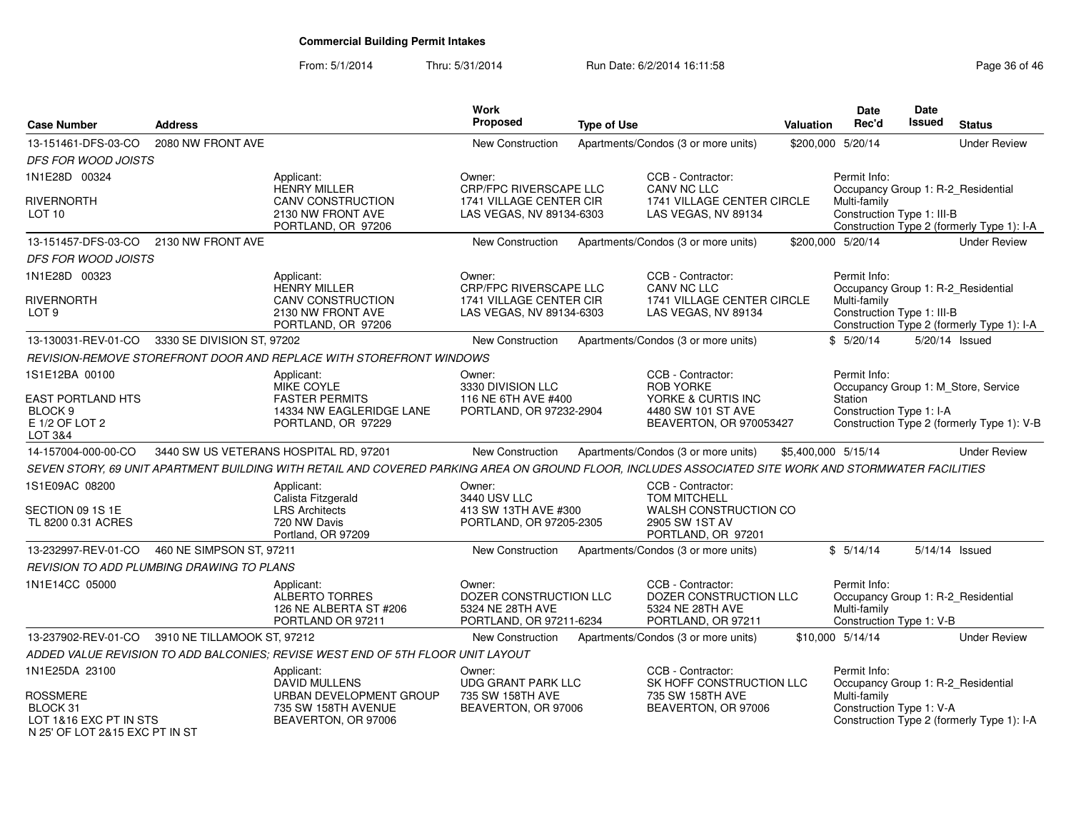| <b>Case Number</b>                                                               | <b>Address</b>                            |                                                                                                                                                       | <b>Work</b><br><b>Proposed</b>                                                       | <b>Type of Use</b> |                                                                                       | Valuation           | <b>Date</b><br>Rec'd                                                                           | <b>Date</b><br>Issued | <b>Status</b>                              |
|----------------------------------------------------------------------------------|-------------------------------------------|-------------------------------------------------------------------------------------------------------------------------------------------------------|--------------------------------------------------------------------------------------|--------------------|---------------------------------------------------------------------------------------|---------------------|------------------------------------------------------------------------------------------------|-----------------------|--------------------------------------------|
| 13-151461-DFS-03-CO                                                              | 2080 NW FRONT AVE                         |                                                                                                                                                       | <b>New Construction</b>                                                              |                    | Apartments/Condos (3 or more units)                                                   |                     | \$200,000 5/20/14                                                                              |                       | <b>Under Review</b>                        |
| <b>DFS FOR WOOD JOISTS</b>                                                       |                                           |                                                                                                                                                       |                                                                                      |                    |                                                                                       |                     |                                                                                                |                       |                                            |
| 1N1E28D 00324                                                                    |                                           | Applicant:                                                                                                                                            | Owner:                                                                               |                    | CCB - Contractor:                                                                     |                     | Permit Info:                                                                                   |                       |                                            |
| RIVERNORTH<br>LOT <sub>10</sub>                                                  |                                           | <b>HENRY MILLER</b><br><b>CANV CONSTRUCTION</b><br>2130 NW FRONT AVE<br>PORTLAND, OR 97206                                                            | CRP/FPC RIVERSCAPE LLC<br>1741 VILLAGE CENTER CIR<br>LAS VEGAS, NV 89134-6303        |                    | CANV NC LLC<br><b>1741 VILLAGE CENTER CIRCLE</b><br>LAS VEGAS, NV 89134               |                     | Occupancy Group 1: R-2_Residential<br>Multi-family<br>Construction Type 1: III-B               |                       | Construction Type 2 (formerly Type 1): I-A |
| 13-151457-DFS-03-CO                                                              | 2130 NW FRONT AVE                         |                                                                                                                                                       | <b>New Construction</b>                                                              |                    | Apartments/Condos (3 or more units)                                                   |                     | \$200,000 5/20/14                                                                              |                       | <b>Under Review</b>                        |
| DFS FOR WOOD JOISTS                                                              |                                           |                                                                                                                                                       |                                                                                      |                    |                                                                                       |                     |                                                                                                |                       |                                            |
| 1N1E28D 00323                                                                    |                                           | Applicant:                                                                                                                                            | Owner:                                                                               |                    | CCB - Contractor:                                                                     |                     | Permit Info:                                                                                   |                       |                                            |
| RIVERNORTH<br>LOT <sub>9</sub>                                                   |                                           | <b>HENRY MILLER</b><br><b>CANV CONSTRUCTION</b><br>2130 NW FRONT AVE<br>PORTLAND, OR 97206                                                            | <b>CRP/FPC RIVERSCAPE LLC</b><br>1741 VILLAGE CENTER CIR<br>LAS VEGAS, NV 89134-6303 |                    | CANV NC LLC<br>1741 VILLAGE CENTER CIRCLE<br>LAS VEGAS, NV 89134                      |                     | Occupancy Group 1: R-2_Residential<br>Multi-family<br>Construction Type 1: III-B               |                       | Construction Type 2 (formerly Type 1): I-A |
| 13-130031-REV-01-CO                                                              | 3330 SE DIVISION ST, 97202                |                                                                                                                                                       | <b>New Construction</b>                                                              |                    | Apartments/Condos (3 or more units)                                                   |                     | \$5/20/14                                                                                      |                       | 5/20/14 Issued                             |
|                                                                                  |                                           | REVISION-REMOVE STOREFRONT DOOR AND REPLACE WITH STOREFRONT WINDOWS                                                                                   |                                                                                      |                    |                                                                                       |                     |                                                                                                |                       |                                            |
| 1S1E12BA 00100                                                                   |                                           | Applicant:<br><b>MIKE COYLE</b>                                                                                                                       | Owner:<br>3330 DIVISION LLC                                                          |                    | CCB - Contractor:<br><b>ROB YORKE</b>                                                 |                     | Permit Info:                                                                                   |                       | Occupancy Group 1: M_Store, Service        |
| EAST PORTLAND HTS<br>BLOCK <sub>9</sub><br>E 1/2 OF LOT 2<br>LOT 3&4             |                                           | <b>FASTER PERMITS</b><br>14334 NW EAGLERIDGE LANE<br>PORTLAND, OR 97229                                                                               | 116 NE 6TH AVE #400<br>PORTLAND, OR 97232-2904                                       |                    | YORKE & CURTIS INC<br>4480 SW 101 ST AVE<br>BEAVERTON, OR 970053427                   |                     | Station<br>Construction Type 1: I-A                                                            |                       | Construction Type 2 (formerly Type 1): V-B |
| 14-157004-000-00-CO                                                              |                                           | 3440 SW US VETERANS HOSPITAL RD, 97201                                                                                                                | <b>New Construction</b>                                                              |                    | Apartments/Condos (3 or more units)                                                   | \$5,400,000 5/15/14 |                                                                                                |                       | <b>Under Review</b>                        |
|                                                                                  |                                           | SEVEN STORY, 69 UNIT APARTMENT BUILDING WITH RETAIL AND COVERED PARKING AREA ON GROUND FLOOR, INCLUDES ASSOCIATED SITE WORK AND STORMWATER FACILITIES |                                                                                      |                    |                                                                                       |                     |                                                                                                |                       |                                            |
| 1S1E09AC 08200                                                                   |                                           | Applicant:<br>Calista Fitzgerald                                                                                                                      | Owner:<br>3440 USV LLC                                                               |                    | CCB - Contractor:<br><b>TOM MITCHELL</b>                                              |                     |                                                                                                |                       |                                            |
| SECTION 09 1S 1E<br>TL 8200 0.31 ACRES                                           |                                           | <b>LRS Architects</b><br>720 NW Davis<br>Portland, OR 97209                                                                                           | 413 SW 13TH AVE #300<br>PORTLAND, OR 97205-2305                                      |                    | WALSH CONSTRUCTION CO<br>2905 SW 1ST AV<br>PORTLAND, OR 97201                         |                     |                                                                                                |                       |                                            |
| 13-232997-REV-01-CO                                                              | 460 NE SIMPSON ST, 97211                  |                                                                                                                                                       | New Construction                                                                     |                    | Apartments/Condos (3 or more units)                                                   |                     | \$5/14/14                                                                                      |                       | 5/14/14 Issued                             |
|                                                                                  | REVISION TO ADD PLUMBING DRAWING TO PLANS |                                                                                                                                                       |                                                                                      |                    |                                                                                       |                     |                                                                                                |                       |                                            |
| 1N1E14CC 05000                                                                   |                                           | Applicant:<br>ALBERTO TORRES<br>126 NE ALBERTA ST #206<br>PORTLAND OR 97211                                                                           | Owner:<br>DOZER CONSTRUCTION LLC<br>5324 NE 28TH AVE<br>PORTLAND, OR 97211-6234      |                    | CCB - Contractor:<br>DOZER CONSTRUCTION LLC<br>5324 NE 28TH AVE<br>PORTLAND, OR 97211 |                     | Permit Info:<br>Occupancy Group 1: R-2_Residential<br>Multi-family<br>Construction Type 1: V-B |                       |                                            |
| 13-237902-REV-01-CO                                                              | 3910 NE TILLAMOOK ST, 97212               |                                                                                                                                                       | <b>New Construction</b>                                                              |                    | Apartments/Condos (3 or more units)                                                   |                     | \$10,000 5/14/14                                                                               |                       | <b>Under Review</b>                        |
|                                                                                  |                                           | ADDED VALUE REVISION TO ADD BALCONIES; REVISE WEST END OF 5TH FLOOR UNIT LAYOUT                                                                       |                                                                                      |                    |                                                                                       |                     |                                                                                                |                       |                                            |
| 1N1E25DA 23100                                                                   |                                           | Applicant:<br><b>DAVID MULLENS</b>                                                                                                                    | Owner:<br><b>UDG GRANT PARK LLC</b>                                                  |                    | CCB - Contractor:<br>SK HOFF CONSTRUCTION LLC                                         |                     | Permit Info:<br>Occupancy Group 1: R-2_Residential                                             |                       |                                            |
| ROSSMERE<br>BLOCK 31<br>LOT 1&16 EXC PT IN STS<br>N 25' OF LOT 2&15 FXC PT IN ST |                                           | URBAN DEVELOPMENT GROUP<br>735 SW 158TH AVENUE<br>BEAVERTON, OR 97006                                                                                 | 735 SW 158TH AVE<br>BEAVERTON, OR 97006                                              |                    | 735 SW 158TH AVE<br>BEAVERTON, OR 97006                                               |                     | Multi-family<br>Construction Type 1: V-A                                                       |                       | Construction Type 2 (formerly Type 1): I-A |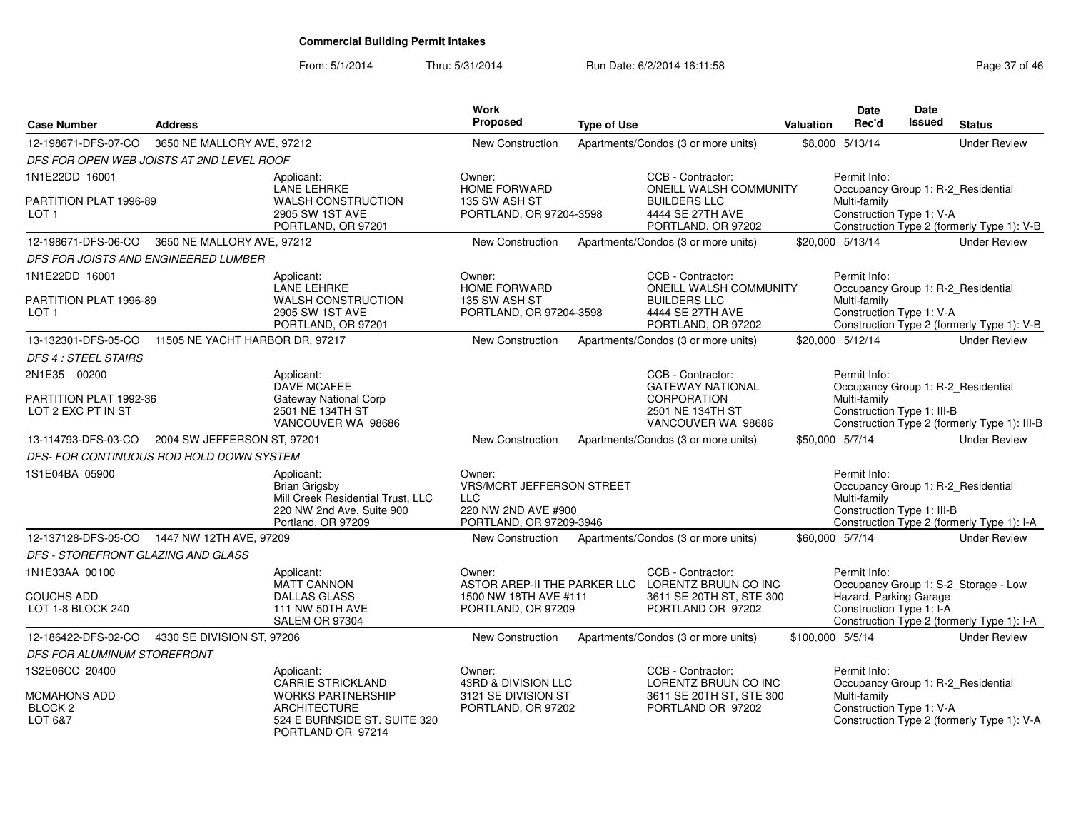### From: 5/1/2014Thru: 5/31/2014 Run Date: 6/2/2014 16:11:58 Research 2010 12:00 Page 37 of 46

| <b>Case Number</b>                                           | <b>Address</b>              |                                                                                                                            | Work<br>Proposed                                                                                    | <b>Type of Use</b> |                                                                                                              | Valuation        | Date<br>Rec'd                                                                                    | Date<br>Issued | <b>Status</b>                                |
|--------------------------------------------------------------|-----------------------------|----------------------------------------------------------------------------------------------------------------------------|-----------------------------------------------------------------------------------------------------|--------------------|--------------------------------------------------------------------------------------------------------------|------------------|--------------------------------------------------------------------------------------------------|----------------|----------------------------------------------|
| 12-198671-DFS-07-CO                                          | 3650 NE MALLORY AVE, 97212  |                                                                                                                            | <b>New Construction</b>                                                                             |                    | Apartments/Condos (3 or more units)                                                                          |                  | \$8,000 5/13/14                                                                                  |                | <b>Under Review</b>                          |
| DFS FOR OPEN WEB JOISTS AT 2ND LEVEL ROOF                    |                             |                                                                                                                            |                                                                                                     |                    |                                                                                                              |                  |                                                                                                  |                |                                              |
| 1N1E22DD 16001                                               |                             | Applicant:<br><b>LANE LEHRKE</b>                                                                                           | Owner:<br>HOME FORWARD                                                                              |                    | CCB - Contractor:<br>ONEILL WALSH COMMUNITY                                                                  |                  | Permit Info:<br>Occupancy Group 1: R-2_Residential                                               |                |                                              |
| PARTITION PLAT 1996-89<br>LOT <sub>1</sub>                   |                             | WALSH CONSTRUCTION<br>2905 SW 1ST AVE<br>PORTLAND, OR 97201                                                                | 135 SW ASH ST<br>PORTLAND, OR 97204-3598                                                            |                    | <b>BUILDERS LLC</b><br>4444 SE 27TH AVE<br>PORTLAND, OR 97202                                                |                  | Multi-family<br>Construction Type 1: V-A                                                         |                | Construction Type 2 (formerly Type 1): V-B   |
| 12-198671-DFS-06-CO                                          | 3650 NE MALLORY AVE, 97212  |                                                                                                                            | New Construction                                                                                    |                    | Apartments/Condos (3 or more units)                                                                          |                  | \$20,000 5/13/14                                                                                 |                | <b>Under Review</b>                          |
| DFS FOR JOISTS AND ENGINEERED LUMBER                         |                             |                                                                                                                            |                                                                                                     |                    |                                                                                                              |                  |                                                                                                  |                |                                              |
| 1N1E22DD 16001<br>PARTITION PLAT 1996-89<br>LOT <sub>1</sub> |                             | Applicant:<br><b>LANE LEHRKE</b><br><b>WALSH CONSTRUCTION</b><br>2905 SW 1ST AVE<br>PORTLAND, OR 97201                     | Owner:<br><b>HOME FORWARD</b><br>135 SW ASH ST<br>PORTLAND, OR 97204-3598                           |                    | CCB - Contractor:<br>ONEILL WALSH COMMUNITY<br><b>BUILDERS LLC</b><br>4444 SE 27TH AVE<br>PORTLAND, OR 97202 |                  | Permit Info:<br>Occupancy Group 1: R-2_Residential<br>Multi-family<br>Construction Type 1: V-A   |                | Construction Type 2 (formerly Type 1): V-B   |
| 13-132301-DFS-05-CO 11505 NE YACHT HARBOR DR. 97217          |                             |                                                                                                                            | <b>New Construction</b>                                                                             |                    | Apartments/Condos (3 or more units)                                                                          |                  | \$20,000 5/12/14                                                                                 |                | <b>Under Review</b>                          |
| <b>DFS 4: STEEL STAIRS</b>                                   |                             |                                                                                                                            |                                                                                                     |                    |                                                                                                              |                  |                                                                                                  |                |                                              |
| 2N1E35 00200                                                 |                             | Applicant:<br>DAVE MCAFEE                                                                                                  |                                                                                                     |                    | CCB - Contractor:<br><b>GATEWAY NATIONAL</b>                                                                 |                  | Permit Info:<br>Occupancy Group 1: R-2_Residential                                               |                |                                              |
| PARTITION PLAT 1992-36<br>LOT 2 EXC PT IN ST                 |                             | Gateway National Corp<br>2501 NÉ 134TH ST<br>VANCOUVER WA 98686                                                            |                                                                                                     |                    | <b>CORPORATION</b><br>2501 NE 134TH ST<br>VANCOUVER WA 98686                                                 |                  | Multi-family<br>Construction Type 1: III-B                                                       |                | Construction Type 2 (formerly Type 1): III-B |
| 13-114793-DFS-03-CO                                          | 2004 SW JEFFERSON ST, 97201 |                                                                                                                            | <b>New Construction</b>                                                                             |                    | Apartments/Condos (3 or more units)                                                                          |                  | \$50,000 5/7/14                                                                                  |                | <b>Under Review</b>                          |
| DFS- FOR CONTINUOUS ROD HOLD DOWN SYSTEM                     |                             |                                                                                                                            |                                                                                                     |                    |                                                                                                              |                  |                                                                                                  |                |                                              |
| 1S1E04BA 05900                                               |                             | Applicant:<br><b>Brian Grigsby</b><br>Mill Creek Residential Trust, LLC<br>220 NW 2nd Ave, Suite 900<br>Portland, OR 97209 | Owner:<br>VRS/MCRT JEFFERSON STREET<br><b>LLC</b><br>220 NW 2ND AVE #900<br>PORTLAND, OR 97209-3946 |                    |                                                                                                              |                  | Permit Info:<br>Occupancy Group 1: R-2_Residential<br>Multi-family<br>Construction Type 1: III-B |                | Construction Type 2 (formerly Type 1): I-A   |
| 12-137128-DFS-05-CO 1447 NW 12TH AVE, 97209                  |                             |                                                                                                                            | New Construction                                                                                    |                    | Apartments/Condos (3 or more units)                                                                          |                  | \$60,000 5/7/14                                                                                  |                | <b>Under Review</b>                          |
| DFS - STOREFRONT GLAZING AND GLASS                           |                             |                                                                                                                            |                                                                                                     |                    |                                                                                                              |                  |                                                                                                  |                |                                              |
| 1N1E33AA 00100                                               |                             | Applicant:<br><b>MATT CANNON</b>                                                                                           | Owner:                                                                                              |                    | CCB - Contractor:<br>ASTOR AREP-II THE PARKER LLC LORENTZ BRUUN CO INC                                       |                  | Permit Info:                                                                                     |                | Occupancy Group 1: S-2_Storage - Low         |
| <b>COUCHS ADD</b><br>LOT 1-8 BLOCK 240                       |                             | <b>DALLAS GLASS</b><br><b>111 NW 50TH AVE</b><br>SALEM OR 97304                                                            | 1500 NW 18TH AVE #111<br>PORTLAND, OR 97209                                                         |                    | 3611 SE 20TH ST, STE 300<br>PORTLAND OR 97202                                                                |                  | Hazard, Parking Garage<br>Construction Type 1: I-A                                               |                | Construction Type 2 (formerly Type 1): I-A   |
| 12-186422-DFS-02-CO                                          | 4330 SE DIVISION ST, 97206  |                                                                                                                            | New Construction                                                                                    |                    | Apartments/Condos (3 or more units)                                                                          | \$100,000 5/5/14 |                                                                                                  |                | <b>Under Review</b>                          |
| DFS FOR ALUMINUM STOREFRONT                                  |                             |                                                                                                                            |                                                                                                     |                    |                                                                                                              |                  |                                                                                                  |                |                                              |
| 1S2E06CC 20400                                               |                             | Applicant:<br><b>CARRIE STRICKLAND</b>                                                                                     | Owner:<br>43RD & DIVISION LLC                                                                       |                    | CCB - Contractor:<br>LORENTZ BRUUN CO INC                                                                    |                  | Permit Info:<br>Occupancy Group 1: R-2_Residential                                               |                |                                              |
| MCMAHONS ADD<br>BLOCK <sub>2</sub><br>LOT 6&7                |                             | <b>WORKS PARTNERSHIP</b><br><b>ARCHITECTURE</b><br>524 E BURNSIDE ST. SUITE 320<br>PORTLAND OR 97214                       | 3121 SE DIVISION ST<br>PORTLAND, OR 97202                                                           |                    | 3611 SE 20TH ST, STE 300<br>PORTLAND OR 97202                                                                |                  | Multi-family<br>Construction Type 1: V-A                                                         |                | Construction Type 2 (formerly Type 1): V-A   |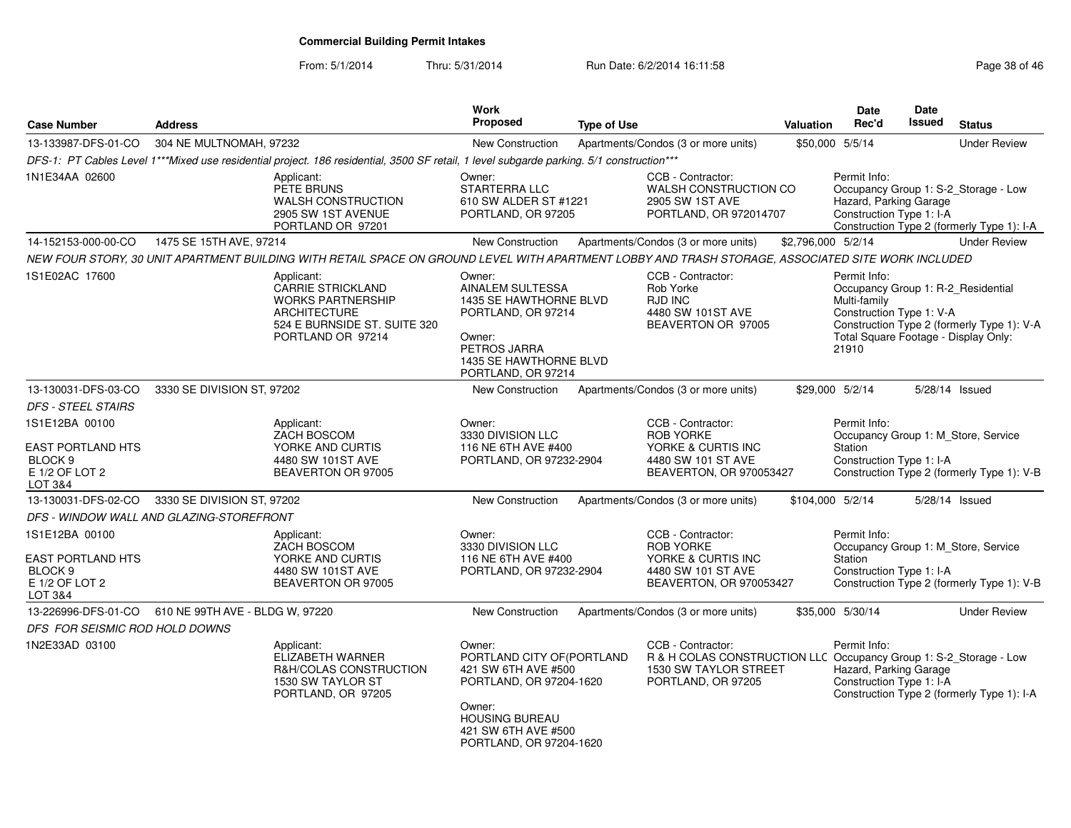| <b>Case Number</b>                                                                            | <b>Address</b>                  |                                                                                                                                                    | <b>Work</b><br><b>Proposed</b>                                                                                                                                              | <b>Type of Use</b> |                                                                                                                                       | Valuation          | Date<br>Rec'd                                                                                                                                   | <b>Date</b><br>Issued | <b>Status</b>                                                                      |
|-----------------------------------------------------------------------------------------------|---------------------------------|----------------------------------------------------------------------------------------------------------------------------------------------------|-----------------------------------------------------------------------------------------------------------------------------------------------------------------------------|--------------------|---------------------------------------------------------------------------------------------------------------------------------------|--------------------|-------------------------------------------------------------------------------------------------------------------------------------------------|-----------------------|------------------------------------------------------------------------------------|
| 13-133987-DFS-01-CO                                                                           | 304 NE MULTNOMAH, 97232         |                                                                                                                                                    | New Construction                                                                                                                                                            |                    | Apartments/Condos (3 or more units)                                                                                                   |                    | \$50,000 5/5/14                                                                                                                                 |                       | <b>Under Review</b>                                                                |
|                                                                                               |                                 | DFS-1: PT Cables Level 1***Mixed use residential project. 186 residential, 3500 SF retail, 1 level subgarde parking. 5/1 construction***           |                                                                                                                                                                             |                    |                                                                                                                                       |                    |                                                                                                                                                 |                       |                                                                                    |
| 1N1E34AA 02600                                                                                |                                 | Applicant:<br>PETE BRUNS<br><b>WALSH CONSTRUCTION</b><br>2905 SW 1ST AVENUE<br>PORTLAND OR 97201                                                   | Owner:<br>STARTERRA LLC<br>610 SW ALDER ST #1221<br>PORTLAND, OR 97205                                                                                                      |                    | CCB - Contractor:<br><b>WALSH CONSTRUCTION CO</b><br>2905 SW 1ST AVE<br>PORTLAND, OR 972014707                                        |                    | Permit Info:<br>Hazard, Parking Garage<br>Construction Type 1: I-A                                                                              |                       | Occupancy Group 1: S-2_Storage - Low<br>Construction Type 2 (formerly Type 1): I-A |
| 14-152153-000-00-CO                                                                           | 1475 SE 15TH AVE, 97214         |                                                                                                                                                    | New Construction                                                                                                                                                            |                    | Apartments/Condos (3 or more units)                                                                                                   | \$2,796,000 5/2/14 |                                                                                                                                                 |                       | <b>Under Review</b>                                                                |
|                                                                                               |                                 | NEW FOUR STORY, 30 UNIT APARTMENT BUILDING WITH RETAIL SPACE ON GROUND LEVEL WITH APARTMENT LOBBY AND TRASH STORAGE, ASSOCIATED SITE WORK INCLUDED |                                                                                                                                                                             |                    |                                                                                                                                       |                    |                                                                                                                                                 |                       |                                                                                    |
| 1S1E02AC 17600                                                                                |                                 | Applicant:<br>CARRIE STRICKLAND<br><b>WORKS PARTNERSHIP</b><br><b>ARCHITECTURE</b><br>524 E BURNSIDE ST. SUITE 320<br>PORTLAND OR 97214            | Owner:<br>AINALEM SULTESSA<br>1435 SE HAWTHORNE BLVD<br>PORTLAND, OR 97214<br>Owner:<br>PETROS JARRA<br>1435 SE HAWTHORNE BLVD<br>PORTLAND, OR 97214                        |                    | CCB - Contractor:<br>Rob Yorke<br>RJD INC<br>4480 SW 101ST AVE<br>BEAVERTON OR 97005                                                  |                    | Permit Info:<br>Occupancy Group 1: R-2_Residential<br>Multi-family<br>Construction Type 1: V-A<br>Total Square Footage - Display Only:<br>21910 |                       | Construction Type 2 (formerly Type 1): V-A                                         |
| 13-130031-DFS-03-CO                                                                           | 3330 SE DIVISION ST, 97202      |                                                                                                                                                    | New Construction                                                                                                                                                            |                    | Apartments/Condos (3 or more units)                                                                                                   |                    | \$29,000 5/2/14                                                                                                                                 |                       | 5/28/14 Issued                                                                     |
| <b>DFS - STEEL STAIRS</b>                                                                     |                                 |                                                                                                                                                    |                                                                                                                                                                             |                    |                                                                                                                                       |                    |                                                                                                                                                 |                       |                                                                                    |
| 1S1E12BA 00100<br><b>EAST PORTLAND HTS</b><br>BLOCK <sub>9</sub><br>E 1/2 OF LOT 2<br>LOT 3&4 |                                 | Applicant:<br>ZACH BOSCOM<br>YORKE AND CURTIS<br>4480 SW 101ST AVE<br>BEAVERTON OR 97005                                                           | Owner:<br>3330 DIVISION LLC<br>116 NE 6TH AVE #400<br>PORTLAND, OR 97232-2904                                                                                               |                    | CCB - Contractor:<br><b>ROB YORKE</b><br>YORKE & CURTIS INC<br>4480 SW 101 ST AVE<br>BEAVERTON, OR 970053427                          |                    | Permit Info:<br>Station<br>Construction Type 1: I-A                                                                                             |                       | Occupancy Group 1: M_Store, Service<br>Construction Type 2 (formerly Type 1): V-B  |
| 13-130031-DFS-02-CO                                                                           | 3330 SE DIVISION ST, 97202      |                                                                                                                                                    | <b>New Construction</b>                                                                                                                                                     |                    | Apartments/Condos (3 or more units)                                                                                                   | \$104,000 5/2/14   |                                                                                                                                                 |                       | 5/28/14 Issued                                                                     |
| DFS - WINDOW WALL AND GLAZING-STOREFRONT                                                      |                                 |                                                                                                                                                    |                                                                                                                                                                             |                    |                                                                                                                                       |                    |                                                                                                                                                 |                       |                                                                                    |
| 1S1E12BA 00100<br><b>EAST PORTLAND HTS</b><br>BLOCK <sub>9</sub><br>E 1/2 OF LOT 2<br>LOT 3&4 |                                 | Applicant:<br>ZACH BOSCOM<br>YORKE AND CURTIS<br>4480 SW 101ST AVE<br>BEAVERTON OR 97005                                                           | Owner:<br>3330 DIVISION LLC<br>116 NE 6TH AVE #400<br>PORTLAND, OR 97232-2904                                                                                               |                    | CCB - Contractor:<br><b>ROB YORKE</b><br>YORKE & CURTIS INC<br>4480 SW 101 ST AVE<br>BEAVERTON, OR 970053427                          |                    | Permit Info:<br>Station<br>Construction Type 1: I-A                                                                                             |                       | Occupancy Group 1: M_Store, Service<br>Construction Type 2 (formerly Type 1): V-B  |
| 13-226996-DFS-01-CO                                                                           | 610 NE 99TH AVE - BLDG W, 97220 |                                                                                                                                                    | New Construction                                                                                                                                                            |                    | Apartments/Condos (3 or more units)                                                                                                   |                    | \$35,000 5/30/14                                                                                                                                |                       | <b>Under Review</b>                                                                |
| DFS FOR SEISMIC ROD HOLD DOWNS                                                                |                                 |                                                                                                                                                    |                                                                                                                                                                             |                    |                                                                                                                                       |                    |                                                                                                                                                 |                       |                                                                                    |
| 1N2E33AD 03100                                                                                |                                 | Applicant:<br>ELIZABETH WARNER<br>R&H/COLAS CONSTRUCTION<br>1530 SW TAYLOR ST<br>PORTLAND, OR 97205                                                | Owner:<br>PORTLAND CITY OF (PORTLAND<br>421 SW 6TH AVE #500<br>PORTLAND, OR 97204-1620<br>Owner:<br><b>HOUSING BUREAU</b><br>421 SW 6TH AVE #500<br>PORTLAND, OR 97204-1620 |                    | CCB - Contractor:<br>R & H COLAS CONSTRUCTION LLC Occupancy Group 1: S-2_Storage - Low<br>1530 SW TAYLOR STREET<br>PORTLAND, OR 97205 |                    | Permit Info:<br>Hazard, Parking Garage<br>Construction Type 1: I-A                                                                              |                       | Construction Type 2 (formerly Type 1): I-A                                         |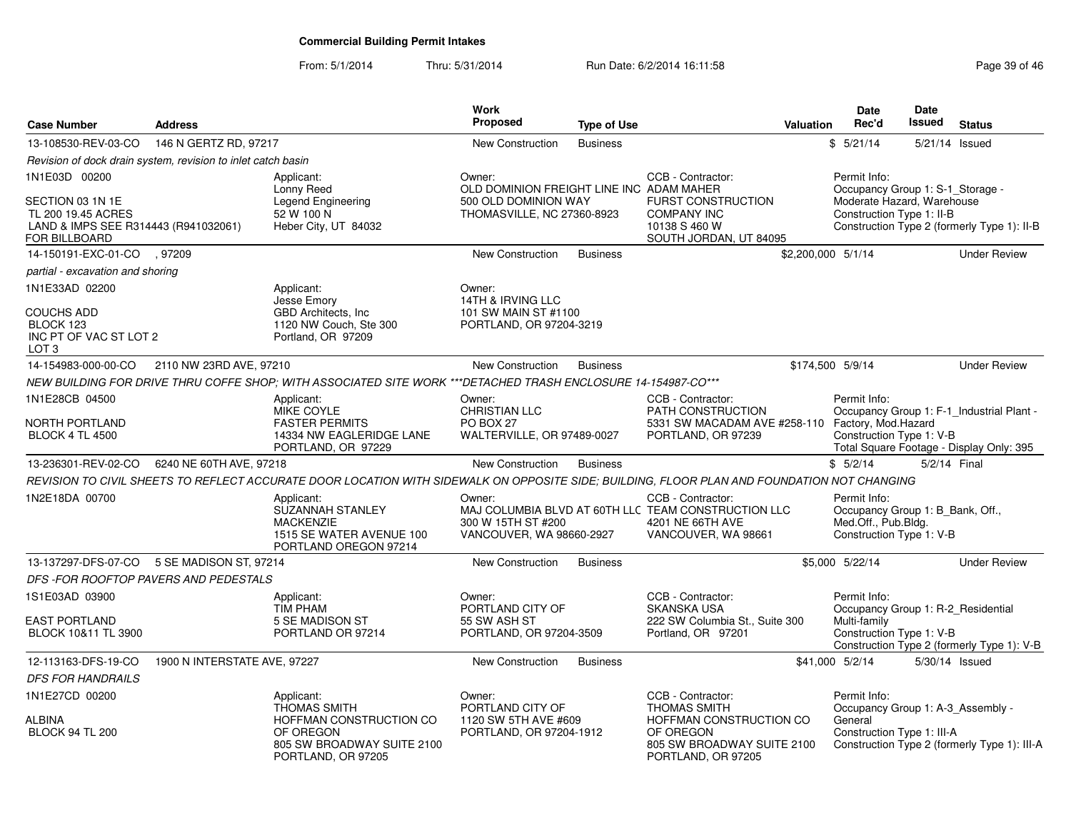| <b>Case Number</b>                                                                                               | <b>Address</b>               |                                                                                                                                             | Work<br>Proposed                                                                                         | <b>Type of Use</b> |                                                                                                                     | <b>Valuation</b>   | <b>Date</b><br>Rec'd                                                                                        | <b>Date</b><br><b>Issued</b> | <b>Status</b>                                                                         |
|------------------------------------------------------------------------------------------------------------------|------------------------------|---------------------------------------------------------------------------------------------------------------------------------------------|----------------------------------------------------------------------------------------------------------|--------------------|---------------------------------------------------------------------------------------------------------------------|--------------------|-------------------------------------------------------------------------------------------------------------|------------------------------|---------------------------------------------------------------------------------------|
| 13-108530-REV-03-CO                                                                                              | 146 N GERTZ RD, 97217        |                                                                                                                                             | <b>New Construction</b>                                                                                  | <b>Business</b>    |                                                                                                                     |                    | \$5/21/14                                                                                                   | 5/21/14 Issued               |                                                                                       |
| Revision of dock drain system, revision to inlet catch basin                                                     |                              |                                                                                                                                             |                                                                                                          |                    |                                                                                                                     |                    |                                                                                                             |                              |                                                                                       |
| 1N1E03D 00200<br>SECTION 03 1N 1E<br>TL 200 19.45 ACRES<br>LAND & IMPS SEE R314443 (R941032061)<br>FOR BILLBOARD |                              | Applicant:<br>Lonny Reed<br><b>Legend Engineering</b><br>52 W 100 N<br>Heber City, UT 84032                                                 | Owner:<br>OLD DOMINION FREIGHT LINE INC ADAM MAHER<br>500 OLD DOMINION WAY<br>THOMASVILLE, NC 27360-8923 |                    | CCB - Contractor:<br><b>FURST CONSTRUCTION</b><br><b>COMPANY INC</b><br>10138 S 460 W<br>SOUTH JORDAN, UT 84095     |                    | Permit Info:<br>Occupancy Group 1: S-1 Storage -<br>Moderate Hazard, Warehouse<br>Construction Type 1: II-B |                              | Construction Type 2 (formerly Type 1): II-B                                           |
| 14-150191-EXC-01-CO                                                                                              | .97209                       |                                                                                                                                             | <b>New Construction</b>                                                                                  | <b>Business</b>    |                                                                                                                     | \$2,200,000 5/1/14 |                                                                                                             |                              | <b>Under Review</b>                                                                   |
| partial - excavation and shoring                                                                                 |                              |                                                                                                                                             |                                                                                                          |                    |                                                                                                                     |                    |                                                                                                             |                              |                                                                                       |
| 1N1E33AD 02200<br>COUCHS ADD<br>BLOCK 123<br>INC PT OF VAC ST LOT 2<br>LOT <sub>3</sub>                          |                              | Applicant:<br>Jesse Emory<br>GBD Architects, Inc.<br>1120 NW Couch, Ste 300<br>Portland, OR 97209                                           | Owner:<br>14TH & IRVING LLC<br>101 SW MAIN ST #1100<br>PORTLAND, OR 97204-3219                           |                    |                                                                                                                     |                    |                                                                                                             |                              |                                                                                       |
| 14-154983-000-00-CO                                                                                              | 2110 NW 23RD AVE, 97210      |                                                                                                                                             | <b>New Construction</b>                                                                                  | <b>Business</b>    |                                                                                                                     |                    | \$174,500 5/9/14                                                                                            |                              | <b>Under Review</b>                                                                   |
|                                                                                                                  |                              | NEW BUILDING FOR DRIVE THRU COFFE SHOP; WITH ASSOCIATED SITE WORK ***DETACHED TRASH ENCLOSURE 14-154987-CO***                               |                                                                                                          |                    |                                                                                                                     |                    |                                                                                                             |                              |                                                                                       |
| 1N1E28CB 04500<br>NORTH PORTLAND<br><b>BLOCK 4 TL 4500</b>                                                       |                              | Applicant:<br><b>MIKE COYLE</b><br><b>FASTER PERMITS</b><br>14334 NW EAGLERIDGE LANE<br>PORTLAND, OR 97229                                  | Owner:<br><b>CHRISTIAN LLC</b><br>PO BOX 27<br>WALTERVILLE, OR 97489-0027                                |                    | CCB - Contractor:<br>PATH CONSTRUCTION<br>5331 SW MACADAM AVE #258-110 Factory, Mod.Hazard<br>PORTLAND, OR 97239    |                    | Permit Info:<br>Construction Type 1: V-B                                                                    |                              | Occupancy Group 1: F-1_Industrial Plant -<br>Total Square Footage - Display Only: 395 |
| 13-236301-REV-02-CO                                                                                              | 6240 NE 60TH AVE, 97218      |                                                                                                                                             | New Construction                                                                                         | <b>Business</b>    |                                                                                                                     |                    | \$5/2/14                                                                                                    | 5/2/14 Final                 |                                                                                       |
|                                                                                                                  |                              | REVISION TO CIVIL SHEETS TO REFLECT ACCURATE DOOR LOCATION WITH SIDEWALK ON OPPOSITE SIDE; BUILDING, FLOOR PLAN AND FOUNDATION NOT CHANGING |                                                                                                          |                    |                                                                                                                     |                    |                                                                                                             |                              |                                                                                       |
| 1N2E18DA 00700                                                                                                   |                              | Applicant:<br>SUZANNAH STANLEY<br><b>MACKENZIE</b><br>1515 SE WATER AVENUE 100<br>PORTLAND OREGON 97214                                     | Owner:<br>300 W 15TH ST #200<br>VANCOUVER, WA 98660-2927                                                 |                    | CCB - Contractor:<br>MAJ COLUMBIA BLVD AT 60TH LLC TEAM CONSTRUCTION LLC<br>4201 NE 66TH AVE<br>VANCOUVER, WA 98661 |                    | Permit Info:<br>Occupancy Group 1: B_Bank, Off.,<br>Med.Off., Pub.Bldg.<br>Construction Type 1: V-B         |                              |                                                                                       |
| 13-137297-DFS-07-CO                                                                                              | 5 SE MADISON ST, 97214       |                                                                                                                                             | New Construction                                                                                         | <b>Business</b>    |                                                                                                                     |                    | \$5,000 5/22/14                                                                                             |                              | <b>Under Review</b>                                                                   |
| DFS-FOR ROOFTOP PAVERS AND PEDESTALS                                                                             |                              |                                                                                                                                             |                                                                                                          |                    |                                                                                                                     |                    |                                                                                                             |                              |                                                                                       |
| 1S1E03AD 03900<br>EAST PORTLAND<br>BLOCK 10&11 TL 3900                                                           |                              | Applicant:<br><b>TIM PHAM</b><br>5 SE MADISON ST<br>PORTLAND OR 97214                                                                       | Owner:<br>PORTLAND CITY OF<br>55 SW ASH ST<br>PORTLAND, OR 97204-3509                                    |                    | CCB - Contractor:<br><b>SKANSKA USA</b><br>222 SW Columbia St., Suite 300<br>Portland, OR 97201                     |                    | Permit Info:<br>Occupancy Group 1: R-2_Residential<br>Multi-family<br>Construction Type 1: V-B              |                              | Construction Type 2 (formerly Type 1): V-B                                            |
| 12-113163-DFS-19-CO                                                                                              | 1900 N INTERSTATE AVE, 97227 |                                                                                                                                             | <b>New Construction</b>                                                                                  | <b>Business</b>    |                                                                                                                     |                    | \$41,000 5/2/14                                                                                             | 5/30/14 Issued               |                                                                                       |
| <b>DFS FOR HANDRAILS</b>                                                                                         |                              |                                                                                                                                             |                                                                                                          |                    |                                                                                                                     |                    |                                                                                                             |                              |                                                                                       |
| 1N1E27CD 00200                                                                                                   |                              | Applicant:<br><b>THOMAS SMITH</b>                                                                                                           | Owner:<br>PORTLAND CITY OF                                                                               |                    | CCB - Contractor:<br>THOMAS SMITH                                                                                   |                    | Permit Info:<br>Occupancy Group 1: A-3_Assembly -                                                           |                              |                                                                                       |
| ALBINA<br><b>BLOCK 94 TL 200</b>                                                                                 |                              | HOFFMAN CONSTRUCTION CO<br>OF OREGON<br>805 SW BROADWAY SUITE 2100<br>PORTLAND, OR 97205                                                    | 1120 SW 5TH AVE #609<br>PORTLAND, OR 97204-1912                                                          |                    | HOFFMAN CONSTRUCTION CO<br>OF OREGON<br>805 SW BROADWAY SUITE 2100<br>PORTLAND, OR 97205                            |                    | General<br>Construction Type 1: III-A                                                                       |                              | Construction Type 2 (formerly Type 1): III-A                                          |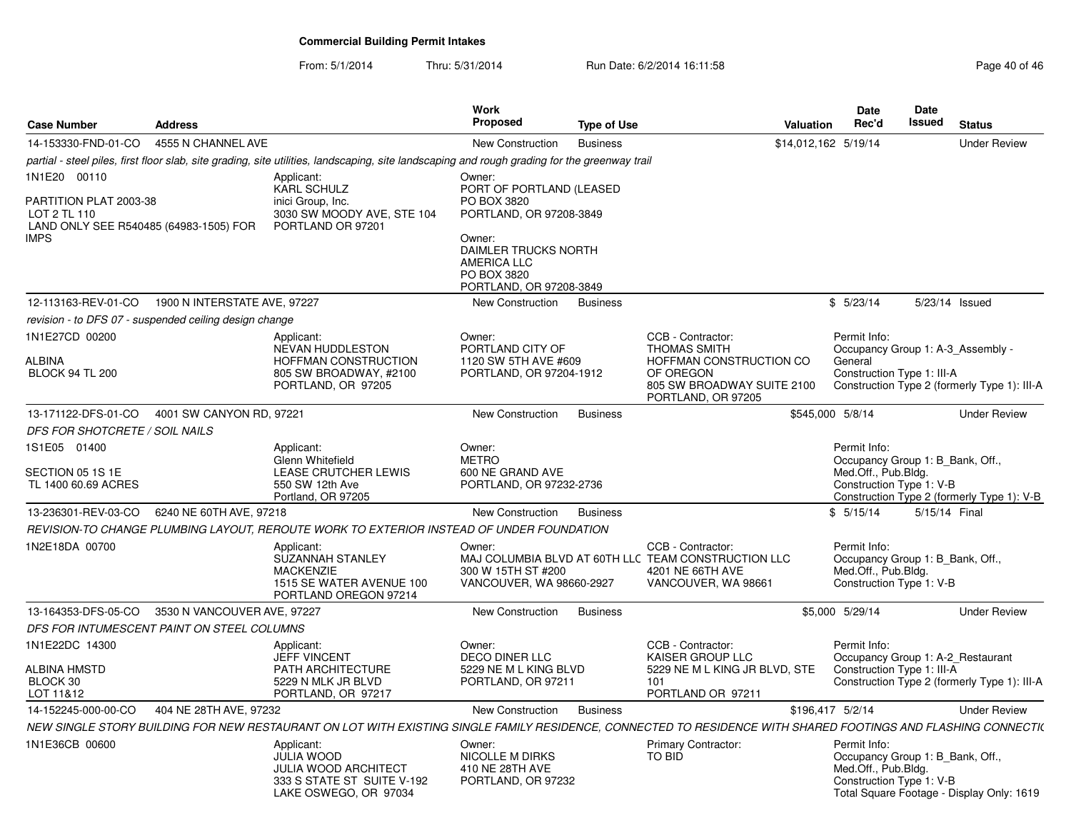| <b>Case Number</b>                                                               | <b>Address</b>               |                                                                                                                                                               | <b>Work</b><br><b>Proposed</b>                                                                 | <b>Type of Use</b> | Valuation                                                                                                           | <b>Date</b><br>Rec'd |                                                 | <b>Date</b><br>Issued | <b>Status</b>                                                                 |
|----------------------------------------------------------------------------------|------------------------------|---------------------------------------------------------------------------------------------------------------------------------------------------------------|------------------------------------------------------------------------------------------------|--------------------|---------------------------------------------------------------------------------------------------------------------|----------------------|-------------------------------------------------|-----------------------|-------------------------------------------------------------------------------|
| 14-153330-FND-01-CO                                                              | 4555 N CHANNEL AVE           |                                                                                                                                                               | New Construction                                                                               | <b>Business</b>    |                                                                                                                     | \$14,012,162 5/19/14 |                                                 |                       | <b>Under Review</b>                                                           |
|                                                                                  |                              | partial - steel piles, first floor slab, site grading, site utilities, landscaping, site landscaping and rough grading for the greenway trail                 |                                                                                                |                    |                                                                                                                     |                      |                                                 |                       |                                                                               |
| 1N1E20 00110                                                                     |                              | Applicant:<br>KARL SCHULZ                                                                                                                                     | Owner:<br>PORT OF PORTLAND (LEASED                                                             |                    |                                                                                                                     |                      |                                                 |                       |                                                                               |
| PARTITION PLAT 2003-38<br>LOT 2 TL 110<br>LAND ONLY SEE R540485 (64983-1505) FOR |                              | inici Group, Inc.<br>3030 SW MOODY AVE, STE 104<br>PORTLAND OR 97201                                                                                          | PO BOX 3820<br>PORTLAND, OR 97208-3849                                                         |                    |                                                                                                                     |                      |                                                 |                       |                                                                               |
| IMPS                                                                             |                              |                                                                                                                                                               | Owner:<br>DAIMLER TRUCKS NORTH<br><b>AMERICA LLC</b><br>PO BOX 3820<br>PORTLAND, OR 97208-3849 |                    |                                                                                                                     |                      |                                                 |                       |                                                                               |
| 12-113163-REV-01-CO                                                              | 1900 N INTERSTATE AVE, 97227 |                                                                                                                                                               | New Construction                                                                               | <b>Business</b>    |                                                                                                                     | \$5/23/14            |                                                 |                       | 5/23/14 Issued                                                                |
| revision - to DFS 07 - suspended ceiling design change                           |                              |                                                                                                                                                               |                                                                                                |                    |                                                                                                                     |                      |                                                 |                       |                                                                               |
| 1N1E27CD 00200                                                                   |                              | Applicant:<br>NEVAN HUDDLESTON                                                                                                                                | Owner:<br>PORTLAND CITY OF                                                                     |                    | CCB - Contractor:<br><b>THOMAS SMITH</b>                                                                            | Permit Info:         |                                                 |                       | Occupancy Group 1: A-3 Assembly -                                             |
| ALBINA<br><b>BLOCK 94 TL 200</b>                                                 |                              | HOFFMAN CONSTRUCTION<br>805 SW BROADWAY, #2100<br>PORTLAND, OR 97205                                                                                          | 1120 SW 5TH AVE #609<br>PORTLAND, OR 97204-1912                                                |                    | HOFFMAN CONSTRUCTION CO<br>OF OREGON<br>805 SW BROADWAY SUITE 2100<br>PORTLAND, OR 97205                            | General              | Construction Type 1: III-A                      |                       | Construction Type 2 (formerly Type 1): III-A                                  |
| 13-171122-DFS-01-CO                                                              | 4001 SW CANYON RD, 97221     |                                                                                                                                                               | New Construction                                                                               | <b>Business</b>    |                                                                                                                     | \$545,000 5/8/14     |                                                 |                       | <b>Under Review</b>                                                           |
| DFS FOR SHOTCRETE / SOIL NAILS                                                   |                              |                                                                                                                                                               |                                                                                                |                    |                                                                                                                     |                      |                                                 |                       |                                                                               |
| 1S1E05 01400                                                                     |                              | Applicant:<br>Glenn Whitefield                                                                                                                                | Owner:<br><b>METRO</b>                                                                         |                    |                                                                                                                     | Permit Info:         |                                                 |                       | Occupancy Group 1: B Bank, Off.,                                              |
| SECTION 05 1S 1E<br>TL 1400 60.69 ACRES                                          |                              | LEASE CRUTCHER LEWIS<br>550 SW 12th Ave<br>Portland, OR 97205                                                                                                 | 600 NE GRAND AVE<br>PORTLAND, OR 97232-2736                                                    |                    |                                                                                                                     |                      | Med.Off., Pub.Bldg.<br>Construction Type 1: V-B |                       | Construction Type 2 (formerly Type 1): V-B                                    |
| 13-236301-REV-03-CO                                                              | 6240 NE 60TH AVE, 97218      |                                                                                                                                                               | New Construction                                                                               | <b>Business</b>    |                                                                                                                     | \$5/15/14            |                                                 | 5/15/14 Final         |                                                                               |
|                                                                                  |                              | REVISION-TO CHANGE PLUMBING LAYOUT, REROUTE WORK TO EXTERIOR INSTEAD OF UNDER FOUNDATION                                                                      |                                                                                                |                    |                                                                                                                     |                      |                                                 |                       |                                                                               |
| 1N2E18DA 00700                                                                   |                              | Applicant:<br>SUZANNAH STANLEY<br><b>MACKENZIE</b><br>1515 SE WATER AVENUE 100<br>PORTLAND OREGON 97214                                                       | Owner:<br>300 W 15TH ST #200<br>VANCOUVER, WA 98660-2927                                       |                    | CCB - Contractor:<br>MAJ COLUMBIA BLVD AT 60TH LLC TEAM CONSTRUCTION LLC<br>4201 NE 66TH AVE<br>VANCOUVER, WA 98661 | Permit Info:         | Med.Off., Pub.Bldg.<br>Construction Type 1: V-B |                       | Occupancy Group 1: B_Bank, Off.,                                              |
| 13-164353-DFS-05-CO                                                              | 3530 N VANCOUVER AVE, 97227  |                                                                                                                                                               | New Construction                                                                               | <b>Business</b>    |                                                                                                                     | \$5,000 5/29/14      |                                                 |                       | <b>Under Review</b>                                                           |
| DFS FOR INTUMESCENT PAINT ON STEEL COLUMNS                                       |                              |                                                                                                                                                               |                                                                                                |                    |                                                                                                                     |                      |                                                 |                       |                                                                               |
| 1N1E22DC 14300                                                                   |                              | Applicant:<br><b>JEFF VINCENT</b>                                                                                                                             | Owner:<br><b>DECO DINER LLC</b>                                                                |                    | CCB - Contractor:<br>KAISER GROUP LLC                                                                               | Permit Info:         |                                                 |                       | Occupancy Group 1: A-2_Restaurant                                             |
| ALBINA HMSTD<br>BLOCK 30<br>LOT 11&12                                            |                              | PATH ARCHITECTURE<br>5229 N MLK JR BLVD<br>PORTLAND, OR 97217                                                                                                 | 5229 NE M L KING BLVD<br>PORTLAND, OR 97211                                                    |                    | 5229 NE M L KING JR BLVD, STE<br>101<br>PORTLAND OR 97211                                                           |                      | Construction Type 1: III-A                      |                       | Construction Type 2 (formerly Type 1): III-A                                  |
| 14-152245-000-00-CO                                                              | 404 NE 28TH AVE, 97232       |                                                                                                                                                               | <b>New Construction</b>                                                                        | <b>Business</b>    |                                                                                                                     | \$196,417 5/2/14     |                                                 |                       | <b>Under Review</b>                                                           |
|                                                                                  |                              | NEW SINGLE STORY BUILDING FOR NEW RESTAURANT ON LOT WITH EXISTING SINGLE FAMILY RESIDENCE, CONNECTED TO RESIDENCE WITH SHARED FOOTINGS AND FLASHING CONNECTI( |                                                                                                |                    |                                                                                                                     |                      |                                                 |                       |                                                                               |
| 1N1E36CB 00600                                                                   |                              | Applicant:<br><b>JULIA WOOD</b><br><b>JULIA WOOD ARCHITECT</b><br>333 S STATE ST SUITE V-192<br>LAKE OSWEGO, OR 97034                                         | Owner:<br>NICOLLE M DIRKS<br>410 NE 28TH AVE<br>PORTLAND, OR 97232                             |                    | Primary Contractor:<br>TO BID                                                                                       | Permit Info:         | Med.Off., Pub.Bldg.<br>Construction Type 1: V-B |                       | Occupancy Group 1: B_Bank, Off.,<br>Total Square Footage - Display Only: 1619 |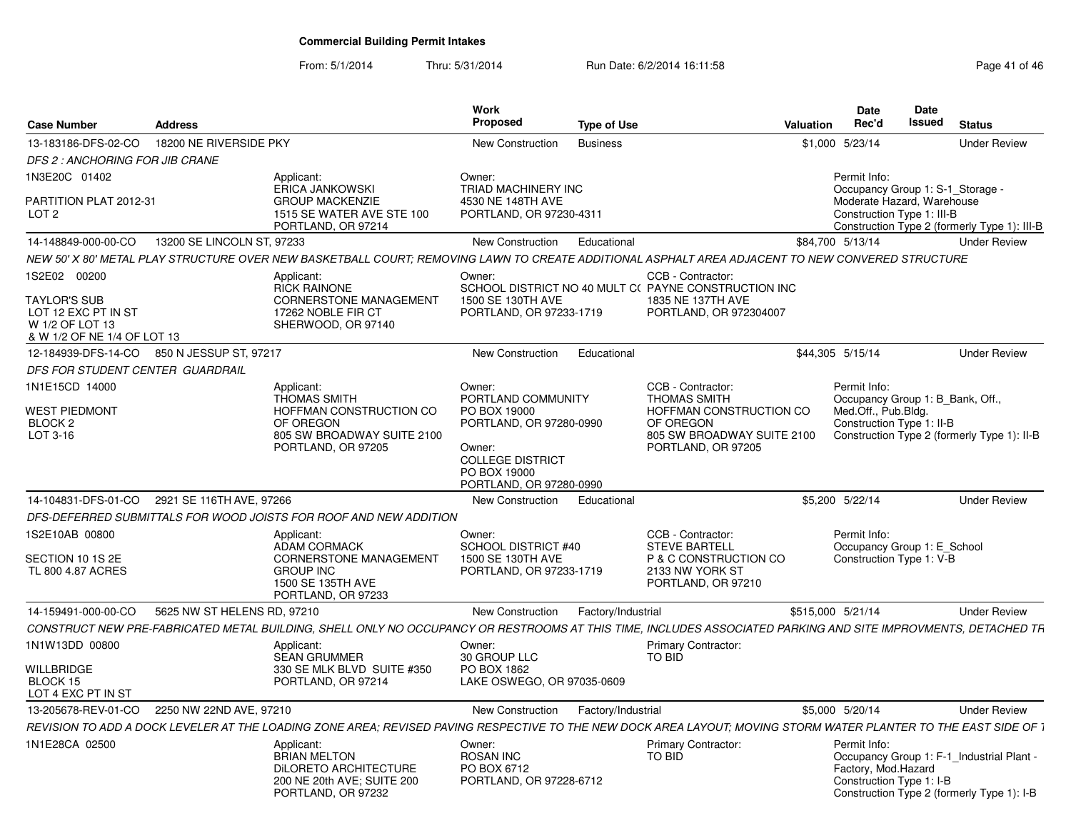| Case Number                                                                                  | <b>Address</b>              |                                                                                                                                                                  | Work<br>Proposed                                                             | <b>Type of Use</b> |                                                                                                     | Valuation         | <b>Date</b><br>Rec'd                | Date<br><b>Issued</b>                                                                        | <b>Status</b>                                                                           |
|----------------------------------------------------------------------------------------------|-----------------------------|------------------------------------------------------------------------------------------------------------------------------------------------------------------|------------------------------------------------------------------------------|--------------------|-----------------------------------------------------------------------------------------------------|-------------------|-------------------------------------|----------------------------------------------------------------------------------------------|-----------------------------------------------------------------------------------------|
| 13-183186-DFS-02-CO                                                                          | 18200 NE RIVERSIDE PKY      |                                                                                                                                                                  | <b>New Construction</b>                                                      | <b>Business</b>    |                                                                                                     |                   | \$1,000 5/23/14                     |                                                                                              | <b>Under Review</b>                                                                     |
| DFS 2 : ANCHORING FOR JIB CRANE                                                              |                             |                                                                                                                                                                  |                                                                              |                    |                                                                                                     |                   |                                     |                                                                                              |                                                                                         |
| 1N3E20C 01402                                                                                |                             | Applicant:                                                                                                                                                       | Owner:                                                                       |                    |                                                                                                     |                   | Permit Info:                        |                                                                                              |                                                                                         |
| PARTITION PLAT 2012-31<br>LOT <sub>2</sub>                                                   |                             | <b>ERICA JANKOWSKI</b><br><b>GROUP MACKENZIE</b><br>1515 SE WATER AVE STE 100<br>PORTLAND, OR 97214                                                              | TRIAD MACHINERY INC<br>4530 NE 148TH AVE<br>PORTLAND, OR 97230-4311          |                    |                                                                                                     |                   |                                     | Occupancy Group 1: S-1_Storage -<br>Moderate Hazard, Warehouse<br>Construction Type 1: III-B | Construction Type 2 (formerly Type 1): III-B                                            |
| 14-148849-000-00-CO                                                                          | 13200 SE LINCOLN ST, 97233  |                                                                                                                                                                  | New Construction                                                             | Educational        |                                                                                                     |                   | \$84,700 5/13/14                    |                                                                                              | <b>Under Review</b>                                                                     |
|                                                                                              |                             | NEW 50' X 80' METAL PLAY STRUCTURE OVER NEW BASKETBALL COURT: REMOVING LAWN TO CREATE ADDITIONAL ASPHALT AREA ADJACENT TO NEW CONVERED STRUCTURE                 |                                                                              |                    |                                                                                                     |                   |                                     |                                                                                              |                                                                                         |
| 1S2E02 00200                                                                                 |                             | Applicant                                                                                                                                                        | Owner:                                                                       |                    | CCB - Contractor:                                                                                   |                   |                                     |                                                                                              |                                                                                         |
| <b>TAYLOR'S SUB</b><br>LOT 12 EXC PT IN ST<br>W 1/2 OF LOT 13<br>& W 1/2 OF NE 1/4 OF LOT 13 |                             | RICK RAINONE<br><b>CORNERSTONE MANAGEMENT</b><br>17262 NOBLE FIR CT<br>SHERWOOD, OR 97140                                                                        | 1500 SE 130TH AVE<br>PORTLAND, OR 97233-1719                                 |                    | SCHOOL DISTRICT NO 40 MULT C( PAYNE CONSTRUCTION INC<br>1835 NE 137TH AVE<br>PORTLAND, OR 972304007 |                   |                                     |                                                                                              |                                                                                         |
| 12-184939-DFS-14-CO 850 N JESSUP ST, 97217                                                   |                             |                                                                                                                                                                  | <b>New Construction</b>                                                      | Educational        |                                                                                                     |                   | \$44.305 5/15/14                    |                                                                                              | <b>Under Review</b>                                                                     |
| DFS FOR STUDENT CENTER GUARDRAIL                                                             |                             |                                                                                                                                                                  |                                                                              |                    |                                                                                                     |                   |                                     |                                                                                              |                                                                                         |
| 1N1E15CD 14000                                                                               |                             | Applicant:                                                                                                                                                       | Owner:                                                                       |                    | CCB - Contractor:                                                                                   |                   | Permit Info:                        |                                                                                              |                                                                                         |
| <b>WEST PIEDMONT</b>                                                                         |                             | <b>THOMAS SMITH</b><br>HOFFMAN CONSTRUCTION CO                                                                                                                   | PORTLAND COMMUNITY<br>PO BOX 19000                                           |                    | <b>THOMAS SMITH</b><br>HOFFMAN CONSTRUCTION CO                                                      |                   | Med.Off., Pub.Bldg.                 | Occupancy Group 1: B Bank, Off.,                                                             |                                                                                         |
| BLOCK <sub>2</sub>                                                                           |                             | OF OREGON                                                                                                                                                        | PORTLAND, OR 97280-0990                                                      |                    | OF OREGON                                                                                           |                   |                                     | Construction Type 1: II-B                                                                    |                                                                                         |
| LOT 3-16                                                                                     |                             | 805 SW BROADWAY SUITE 2100<br>PORTLAND, OR 97205                                                                                                                 | Owner:<br><b>COLLEGE DISTRICT</b><br>PO BOX 19000<br>PORTLAND, OR 97280-0990 |                    | 805 SW BROADWAY SUITE 2100<br>PORTLAND, OR 97205                                                    |                   |                                     |                                                                                              | Construction Type 2 (formerly Type 1): II-B                                             |
| 14-104831-DFS-01-CO                                                                          | 2921 SE 116TH AVE, 97266    |                                                                                                                                                                  | <b>New Construction</b>                                                      | Educational        |                                                                                                     |                   | \$5,200 5/22/14                     |                                                                                              | <b>Under Review</b>                                                                     |
|                                                                                              |                             | DFS-DEFERRED SUBMITTALS FOR WOOD JOISTS FOR ROOF AND NEW ADDITION                                                                                                |                                                                              |                    |                                                                                                     |                   |                                     |                                                                                              |                                                                                         |
| 1S2E10AB 00800                                                                               |                             | Applicant:<br><b>ADAM CORMACK</b>                                                                                                                                | Owner:<br><b>SCHOOL DISTRICT #40</b>                                         |                    | CCB - Contractor:<br><b>STEVE BARTELL</b>                                                           |                   | Permit Info:                        | Occupancy Group 1: E_School                                                                  |                                                                                         |
| SECTION 10 1S 2E<br>TL 800 4.87 ACRES                                                        |                             | <b>CORNERSTONE MANAGEMENT</b><br><b>GROUP INC</b><br>1500 SE 135TH AVE<br>PORTLAND, OR 97233                                                                     | 1500 SE 130TH AVE<br>PORTLAND, OR 97233-1719                                 |                    | P & C CONSTRUCTION CO<br>2133 NW YORK ST<br>PORTLAND, OR 97210                                      |                   |                                     | Construction Type 1: V-B                                                                     |                                                                                         |
| 14-159491-000-00-CO                                                                          | 5625 NW ST HELENS RD, 97210 |                                                                                                                                                                  | <b>New Construction</b>                                                      | Factory/Industrial |                                                                                                     | \$515,000 5/21/14 |                                     |                                                                                              | <b>Under Review</b>                                                                     |
|                                                                                              |                             | CONSTRUCT NEW PRE-FABRICATED METAL BUILDING, SHELL ONLY NO OCCUPANCY OR RESTROOMS AT THIS TIME, INCLUDES ASSOCIATED PARKING AND SITE IMPROVMENTS, DETACHED TR    |                                                                              |                    |                                                                                                     |                   |                                     |                                                                                              |                                                                                         |
| 1N1W13DD 00800                                                                               |                             | Applicant                                                                                                                                                        | Owner:                                                                       |                    | Primary Contractor:                                                                                 |                   |                                     |                                                                                              |                                                                                         |
| <b>WILLBRIDGE</b>                                                                            |                             | <b>SEAN GRUMMER</b><br>330 SE MLK BLVD SUITE #350                                                                                                                | 30 GROUP LLC<br>PO BOX 1862                                                  |                    | TO BID                                                                                              |                   |                                     |                                                                                              |                                                                                         |
| BLOCK 15<br>LOT 4 EXC PT IN ST                                                               |                             | PORTLAND, OR 97214                                                                                                                                               | LAKE OSWEGO, OR 97035-0609                                                   |                    |                                                                                                     |                   |                                     |                                                                                              |                                                                                         |
| 13-205678-REV-01-CO                                                                          | 2250 NW 22ND AVE, 97210     |                                                                                                                                                                  | <b>New Construction</b>                                                      | Factory/Industrial |                                                                                                     |                   | \$5,000 5/20/14                     |                                                                                              | <b>Under Review</b>                                                                     |
|                                                                                              |                             | REVISION TO ADD A DOCK LEVELER AT THE LOADING ZONE AREA: REVISED PAVING RESPECTIVE TO THE NEW DOCK AREA LAYOUT: MOVING STORM WATER PLANTER TO THE EAST SIDE OF 1 |                                                                              |                    |                                                                                                     |                   |                                     |                                                                                              |                                                                                         |
| 1N1E28CA 02500                                                                               |                             | Applicant<br><b>BRIAN MELTON</b><br><b>DILORETO ARCHITECTURE</b><br>200 NE 20th AVE: SUITE 200<br>PORTLAND, OR 97232                                             | Owner:<br><b>ROSAN INC</b><br>PO BOX 6712<br>PORTLAND, OR 97228-6712         |                    | <b>Primary Contractor:</b><br>TO BID                                                                |                   | Permit Info:<br>Factory, Mod.Hazard | Construction Type 1: I-B                                                                     | Occupancy Group 1: F-1_Industrial Plant -<br>Construction Type 2 (formerly Type 1): I-B |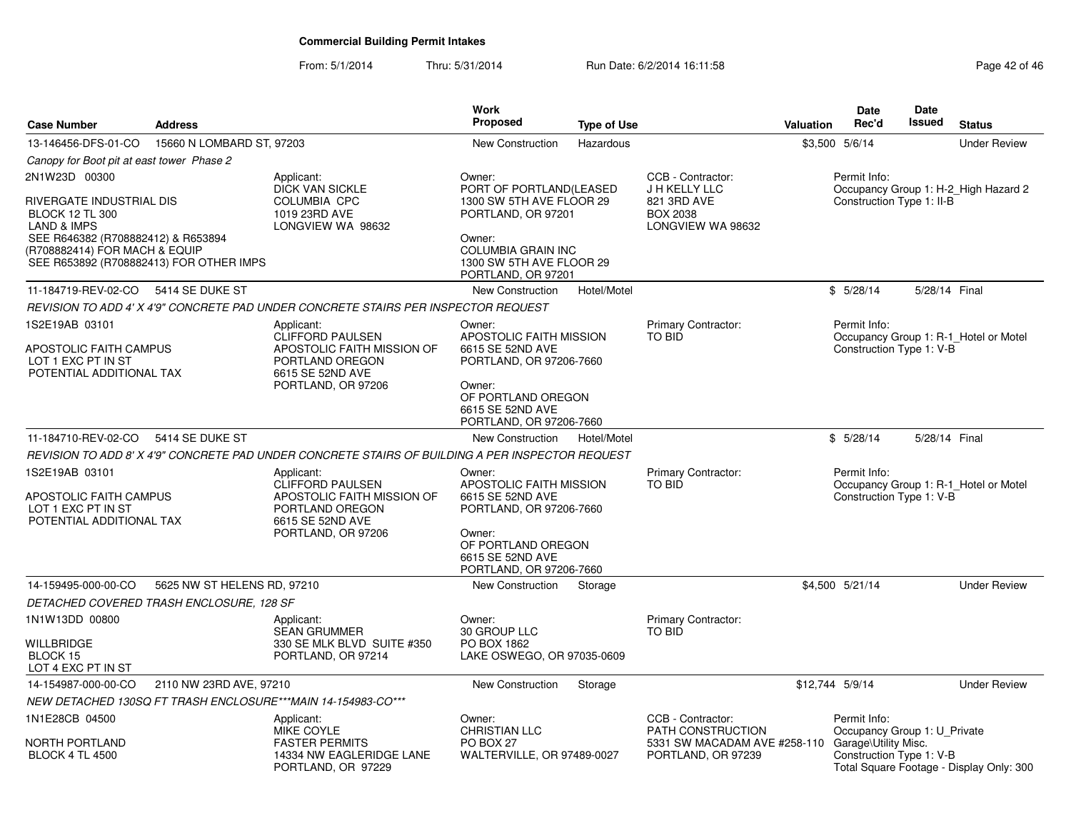| <b>Case Number</b>                                                                                             | <b>Address</b>                           |                                                                                                            | <b>Work</b><br><b>Proposed</b>                                                   | <b>Type of Use</b> |                                                                         | <b>Valuation</b> | <b>Date</b><br>Rec'd                         | <b>Date</b><br><b>Issued</b> | <b>Status</b>                            |
|----------------------------------------------------------------------------------------------------------------|------------------------------------------|------------------------------------------------------------------------------------------------------------|----------------------------------------------------------------------------------|--------------------|-------------------------------------------------------------------------|------------------|----------------------------------------------|------------------------------|------------------------------------------|
| 13-146456-DFS-01-CO                                                                                            | 15660 N LOMBARD ST, 97203                |                                                                                                            | <b>New Construction</b>                                                          | Hazardous          |                                                                         |                  | \$3,500 5/6/14                               |                              | <b>Under Review</b>                      |
| Canopy for Boot pit at east tower Phase 2                                                                      |                                          |                                                                                                            |                                                                                  |                    |                                                                         |                  |                                              |                              |                                          |
| 2N1W23D 00300                                                                                                  |                                          | Applicant:<br><b>DICK VAN SICKLE</b>                                                                       | Owner:<br>PORT OF PORTLAND(LEASED                                                |                    | CCB - Contractor:<br>J H KELLY LLC                                      |                  | Permit Info:                                 |                              | Occupancy Group 1: H-2_High Hazard 2     |
| RIVERGATE INDUSTRIAL DIS<br><b>BLOCK 12 TL 300</b><br><b>LAND &amp; IMPS</b>                                   |                                          | <b>COLUMBIA CPC</b><br>1019 23RD AVE<br>LONGVIEW WA 98632                                                  | 1300 SW 5TH AVE FLOOR 29<br>PORTLAND, OR 97201                                   |                    | 821 3RD AVE<br><b>BOX 2038</b><br>LONGVIEW WA 98632                     |                  | Construction Type 1: II-B                    |                              |                                          |
| SEE R646382 (R708882412) & R653894<br>(R708882414) FOR MACH & EQUIP<br>SEE R653892 (R708882413) FOR OTHER IMPS |                                          |                                                                                                            | Owner:<br>COLUMBIA GRAIN INC<br>1300 SW 5TH AVE FLOOR 29<br>PORTLAND, OR 97201   |                    |                                                                         |                  |                                              |                              |                                          |
| 11-184719-REV-02-CO                                                                                            | 5414 SE DUKE ST                          |                                                                                                            | New Construction                                                                 | Hotel/Motel        |                                                                         |                  | \$5/28/14                                    | 5/28/14 Final                |                                          |
|                                                                                                                |                                          | REVISION TO ADD 4' X 4'9" CONCRETE PAD UNDER CONCRETE STAIRS PER INSPECTOR REQUEST                         |                                                                                  |                    |                                                                         |                  |                                              |                              |                                          |
| 1S2E19AB 03101<br>APOSTOLIC FAITH CAMPUS<br>LOT 1 EXC PT IN ST<br>POTENTIAL ADDITIONAL TAX                     |                                          | Applicant:<br>CLIFFORD PAULSEN<br>APOSTOLIC FAITH MISSION OF<br>PORTLAND OREGON<br>6615 SE 52ND AVE        | Owner:<br>APOSTOLIC FAITH MISSION<br>6615 SE 52ND AVE<br>PORTLAND, OR 97206-7660 |                    | <b>Primary Contractor:</b><br>TO BID                                    |                  | Permit Info:<br>Construction Type 1: V-B     |                              | Occupancy Group 1: R-1_Hotel or Motel    |
|                                                                                                                |                                          | PORTLAND, OR 97206                                                                                         | Owner:<br>OF PORTLAND OREGON<br>6615 SE 52ND AVE<br>PORTLAND, OR 97206-7660      |                    |                                                                         |                  |                                              |                              |                                          |
| 11-184710-REV-02-CO                                                                                            | 5414 SE DUKE ST                          |                                                                                                            | <b>New Construction</b>                                                          | Hotel/Motel        |                                                                         |                  | \$5/28/14                                    | 5/28/14 Final                |                                          |
|                                                                                                                |                                          | REVISION TO ADD 8' X 4'9" CONCRETE PAD UNDER CONCRETE STAIRS OF BUILDING A PER INSPECTOR REQUEST           |                                                                                  |                    |                                                                         |                  |                                              |                              |                                          |
| 1S2E19AB 03101<br>APOSTOLIC FAITH CAMPUS<br>LOT 1 EXC PT IN ST<br>POTENTIAL ADDITIONAL TAX                     |                                          | Applicant:<br><b>CLIFFORD PAULSEN</b><br>APOSTOLIC FAITH MISSION OF<br>PORTLAND OREGON<br>6615 SE 52ND AVE | Owner:<br>APOSTOLIC FAITH MISSION<br>6615 SE 52ND AVE<br>PORTLAND, OR 97206-7660 |                    | Primary Contractor:<br><b>TO BID</b>                                    |                  | Permit Info:<br>Construction Type 1: V-B     |                              | Occupancy Group 1: R-1_Hotel or Motel    |
|                                                                                                                |                                          | PORTLAND, OR 97206                                                                                         | Owner:<br>OF PORTLAND OREGON<br>6615 SE 52ND AVE<br>PORTLAND, OR 97206-7660      |                    |                                                                         |                  |                                              |                              |                                          |
| 14-159495-000-00-CO                                                                                            | 5625 NW ST HELENS RD, 97210              |                                                                                                            | New Construction                                                                 | Storage            |                                                                         |                  | \$4.500 5/21/14                              |                              | <b>Under Review</b>                      |
|                                                                                                                | DETACHED COVERED TRASH ENCLOSURE, 128 SF |                                                                                                            |                                                                                  |                    |                                                                         |                  |                                              |                              |                                          |
| 1N1W13DD 00800                                                                                                 |                                          | Applicant:<br>SEAN GRUMMER                                                                                 | Owner:<br>30 GROUP LLC                                                           |                    | Primary Contractor:<br><b>TO BID</b>                                    |                  |                                              |                              |                                          |
| WILLBRIDGE<br>BLOCK 15<br>LOT 4 EXC PT IN ST                                                                   |                                          | 330 SE MLK BLVD SUITE #350<br>PORTLAND, OR 97214                                                           | PO BOX 1862<br>LAKE OSWEGO, OR 97035-0609                                        |                    |                                                                         |                  |                                              |                              |                                          |
| 14-154987-000-00-CO                                                                                            | 2110 NW 23RD AVE, 97210                  |                                                                                                            | New Construction                                                                 | Storage            |                                                                         | \$12.744 5/9/14  |                                              |                              | <b>Under Review</b>                      |
|                                                                                                                |                                          | NEW DETACHED 130SQ FT TRASH ENCLOSURE***MAIN 14-154983-CO***                                               |                                                                                  |                    |                                                                         |                  |                                              |                              |                                          |
| 1N1E28CB 04500                                                                                                 |                                          | Applicant:<br>MIKE COYLE                                                                                   | Owner:<br><b>CHRISTIAN LLC</b>                                                   |                    | CCB - Contractor:<br>PATH CONSTRUCTION                                  |                  | Permit Info:<br>Occupancy Group 1: U_Private |                              |                                          |
| <b>NORTH PORTLAND</b><br><b>BLOCK 4 TL 4500</b>                                                                |                                          | <b>FASTER PERMITS</b><br>14334 NW EAGLERIDGE LANE<br>PORTLAND, OR 97229                                    | PO BOX 27<br>WALTERVILLE, OR 97489-0027                                          |                    | 5331 SW MACADAM AVE #258-110 Garage\Utility Misc.<br>PORTLAND, OR 97239 |                  | Construction Type 1: V-B                     |                              | Total Square Footage - Display Only: 300 |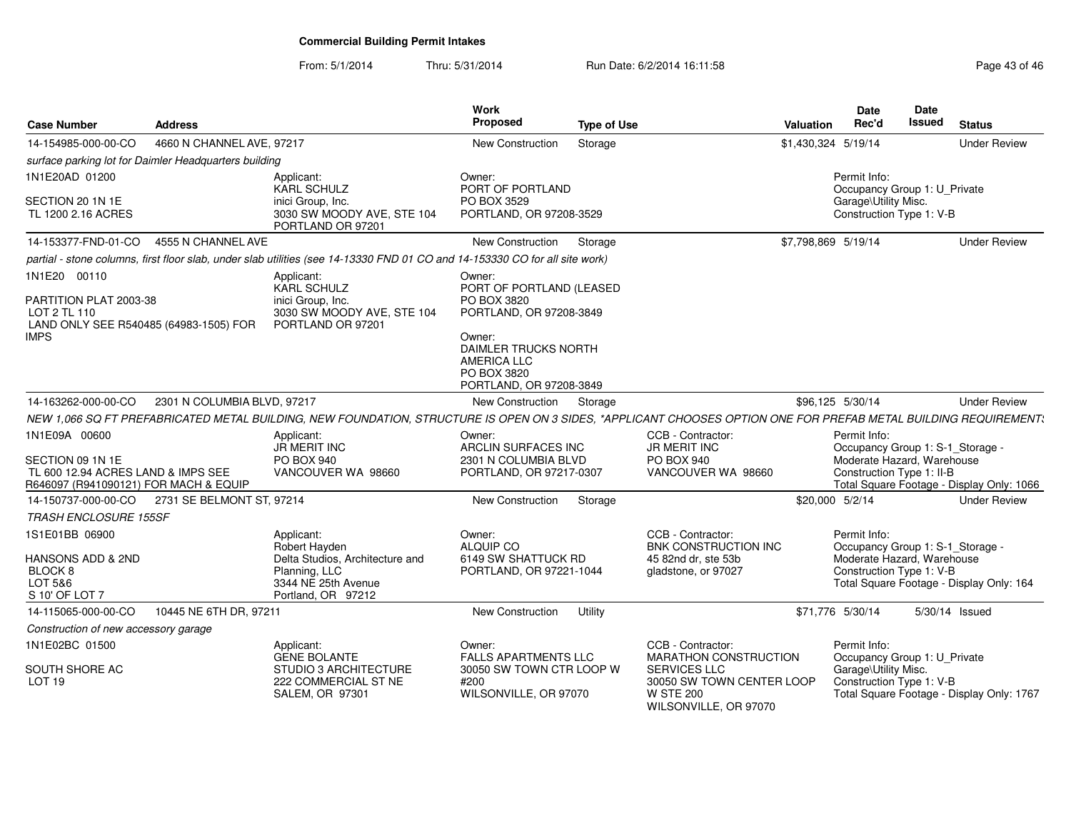| <b>Case Number</b>                                                                               | <b>Address</b>                                        |                                                                                                                                                                  | <b>Work</b><br><b>Proposed</b>                                                          | <b>Type of Use</b> |                                                                                                | <b>Valuation</b> | <b>Date</b><br>Rec'd                                                                                       | Date<br>Issued | <b>Status</b>                             |
|--------------------------------------------------------------------------------------------------|-------------------------------------------------------|------------------------------------------------------------------------------------------------------------------------------------------------------------------|-----------------------------------------------------------------------------------------|--------------------|------------------------------------------------------------------------------------------------|------------------|------------------------------------------------------------------------------------------------------------|----------------|-------------------------------------------|
| 14-154985-000-00-CO                                                                              | 4660 N CHANNEL AVE, 97217                             |                                                                                                                                                                  | <b>New Construction</b>                                                                 | Storage            |                                                                                                |                  | \$1,430,324 5/19/14                                                                                        |                | <b>Under Review</b>                       |
|                                                                                                  | surface parking lot for Daimler Headquarters building |                                                                                                                                                                  |                                                                                         |                    |                                                                                                |                  |                                                                                                            |                |                                           |
| 1N1E20AD 01200                                                                                   |                                                       | Applicant:<br><b>KARL SCHULZ</b>                                                                                                                                 | Owner:<br>PORT OF PORTLAND                                                              |                    |                                                                                                |                  | Permit Info:<br>Occupancy Group 1: U_Private                                                               |                |                                           |
| SECTION 20 1N 1E<br>TL 1200 2.16 ACRES                                                           |                                                       | inici Group, Inc.<br>3030 SW MOODY AVE, STE 104<br>PORTLAND OR 97201                                                                                             | PO BOX 3529<br>PORTLAND, OR 97208-3529                                                  |                    |                                                                                                |                  | Garage\Utility Misc.<br>Construction Type 1: V-B                                                           |                |                                           |
| 14-153377-FND-01-CO                                                                              | 4555 N CHANNEL AVE                                    |                                                                                                                                                                  | New Construction                                                                        | Storage            |                                                                                                |                  | \$7,798,869 5/19/14                                                                                        |                | <b>Under Review</b>                       |
|                                                                                                  |                                                       | partial - stone columns, first floor slab, under slab utilities (see 14-13330 FND 01 CO and 14-153330 CO for all site work)                                      |                                                                                         |                    |                                                                                                |                  |                                                                                                            |                |                                           |
| 1N1E20 00110<br>PARTITION PLAT 2003-38<br>LOT 2 TL 110<br>LAND ONLY SEE R540485 (64983-1505) FOR |                                                       | Applicant:<br><b>KARL SCHULZ</b><br>inici Group, Inc.<br>3030 SW MOODY AVE, STE 104<br>PORTLAND OR 97201                                                         | Owner:<br>PORT OF PORTLAND (LEASED<br>PO BOX 3820<br>PORTLAND, OR 97208-3849            |                    |                                                                                                |                  |                                                                                                            |                |                                           |
| IMPS                                                                                             |                                                       |                                                                                                                                                                  | Owner:<br>DAIMLER TRUCKS NORTH<br>AMERICA LLC<br>PO BOX 3820<br>PORTLAND, OR 97208-3849 |                    |                                                                                                |                  |                                                                                                            |                |                                           |
| 14-163262-000-00-CO                                                                              | 2301 N COLUMBIA BLVD, 97217                           |                                                                                                                                                                  | New Construction                                                                        | Storage            |                                                                                                |                  | \$96,125 5/30/14                                                                                           |                | <b>Under Review</b>                       |
|                                                                                                  |                                                       | NEW 1,066 SQ FT PREFABRICATED METAL BUILDING, NEW FOUNDATION, STRUCTURE IS OPEN ON 3 SIDES, *APPLICANT CHOOSES OPTION ONE FOR PREFAB METAL BUILDING REQUIREMENT: |                                                                                         |                    |                                                                                                |                  |                                                                                                            |                |                                           |
| 1N1E09A 00600                                                                                    |                                                       | Applicant:<br>JR MERIT INC                                                                                                                                       | Owner:<br>ARCLIN SURFACES INC                                                           |                    | CCB - Contractor:<br><b>JR MERIT INC</b>                                                       |                  | Permit Info:<br>Occupancy Group 1: S-1_Storage -                                                           |                |                                           |
| SECTION 09 1N 1E<br>TL 600 12.94 ACRES LAND & IMPS SEE<br>R646097 (R941090121) FOR MACH & EQUIP  |                                                       | <b>PO BOX 940</b><br>VANCOUVER WA 98660                                                                                                                          | 2301 N COLUMBIA BLVD<br>PORTLAND, OR 97217-0307                                         |                    | PO BOX 940<br>VANCOUVER WA 98660                                                               |                  | Moderate Hazard, Warehouse<br>Construction Type 1: II-B                                                    |                | Total Square Footage - Display Only: 1066 |
| 14-150737-000-00-CO                                                                              | 2731 SE BELMONT ST, 97214                             |                                                                                                                                                                  | New Construction                                                                        | Storage            |                                                                                                | \$20,000 5/2/14  |                                                                                                            |                | <b>Under Review</b>                       |
| <b>TRASH ENCLOSURE 155SF</b>                                                                     |                                                       |                                                                                                                                                                  |                                                                                         |                    |                                                                                                |                  |                                                                                                            |                |                                           |
| 1S1E01BB 06900<br>HANSONS ADD & 2ND<br>BLOCK <sub>8</sub><br>LOT 5&6<br>S 10' OF LOT 7           |                                                       | Applicant:<br>Robert Hayden<br>Delta Studios, Architecture and<br>Planning, LLC<br>3344 NE 25th Avenue<br>Portland, OR 97212                                     | Owner:<br>ALQUIP CO<br>6149 SW SHATTUCK RD<br>PORTLAND, OR 97221-1044                   |                    | CCB - Contractor:<br><b>BNK CONSTRUCTION INC</b><br>45 82nd dr, ste 53b<br>gladstone, or 97027 |                  | Permit Info:<br>Occupancy Group 1: S-1_Storage -<br>Moderate Hazard, Warehouse<br>Construction Type 1: V-B |                | Total Square Footage - Display Only: 164  |
| 14-115065-000-00-CO                                                                              | 10445 NE 6TH DR, 97211                                |                                                                                                                                                                  | New Construction                                                                        | Utility            |                                                                                                |                  | \$71,776 5/30/14                                                                                           |                | 5/30/14 Issued                            |
| Construction of new accessory garage                                                             |                                                       |                                                                                                                                                                  |                                                                                         |                    |                                                                                                |                  |                                                                                                            |                |                                           |
| 1N1E02BC 01500                                                                                   |                                                       | Applicant:<br><b>GENE BOLANTE</b>                                                                                                                                | Owner:<br><b>FALLS APARTMENTS LLC</b>                                                   |                    | CCB - Contractor:<br>MARATHON CONSTRUCTION                                                     |                  | Permit Info:<br>Occupancy Group 1: U_Private                                                               |                |                                           |
| SOUTH SHORE AC<br>LOT <sub>19</sub>                                                              |                                                       | STUDIO 3 ARCHITECTURE<br>222 COMMERCIAL ST NE<br><b>SALEM, OR 97301</b>                                                                                          | 30050 SW TOWN CTR LOOP W<br>#200<br>WILSONVILLE, OR 97070                               |                    | <b>SERVICES LLC</b><br>30050 SW TOWN CENTER LOOP<br><b>W STE 200</b><br>WILSONVILLE, OR 97070  |                  | Garage\Utility Misc.<br>Construction Type 1: V-B                                                           |                | Total Square Footage - Display Only: 1767 |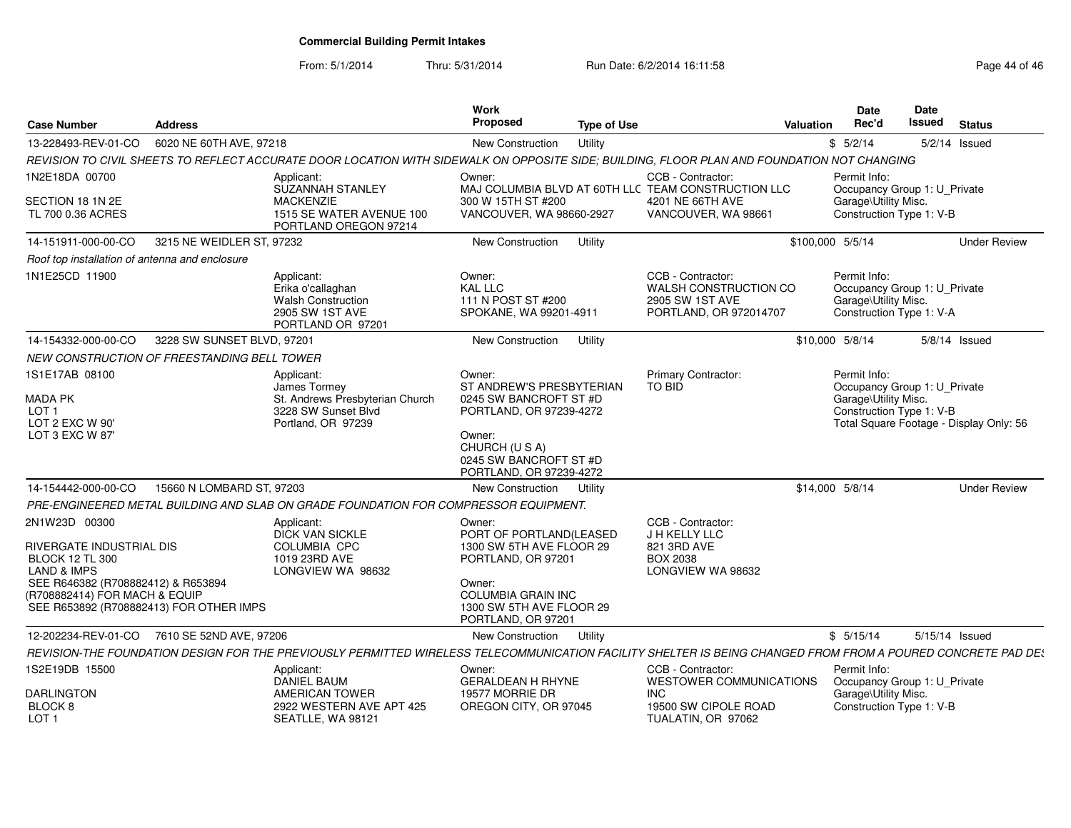From: 5/1/2014

| <b>Case Number</b>                                                                                                                                                                                              | <b>Address</b>             |                                                                                                                                                              | Work<br><b>Proposed</b>                                                                                                                                                      | <b>Type of Use</b> |                                                                                           | Valuation        | <b>Date</b><br>Rec'd                                                                             | Date<br><b>Issued</b> | <b>Status</b>                           |
|-----------------------------------------------------------------------------------------------------------------------------------------------------------------------------------------------------------------|----------------------------|--------------------------------------------------------------------------------------------------------------------------------------------------------------|------------------------------------------------------------------------------------------------------------------------------------------------------------------------------|--------------------|-------------------------------------------------------------------------------------------|------------------|--------------------------------------------------------------------------------------------------|-----------------------|-----------------------------------------|
| 13-228493-REV-01-CO                                                                                                                                                                                             | 6020 NE 60TH AVE, 97218    |                                                                                                                                                              | <b>New Construction</b>                                                                                                                                                      | Utility            |                                                                                           |                  | \$5/2/14                                                                                         |                       | $5/2/14$ Issued                         |
|                                                                                                                                                                                                                 |                            | REVISION TO CIVIL SHEETS TO REFLECT ACCURATE DOOR LOCATION WITH SIDEWALK ON OPPOSITE SIDE; BUILDING, FLOOR PLAN AND FOUNDATION NOT CHANGING                  |                                                                                                                                                                              |                    |                                                                                           |                  |                                                                                                  |                       |                                         |
| 1N2E18DA 00700                                                                                                                                                                                                  |                            | Applicant:<br>SUZANNAH STANLEY                                                                                                                               | Owner:                                                                                                                                                                       |                    | CCB - Contractor:<br>MAJ COLUMBIA BLVD AT 60TH LLC TEAM CONSTRUCTION LLC                  |                  | Permit Info:<br>Occupancy Group 1: U_Private                                                     |                       |                                         |
| SECTION 18 1N 2E<br>TL 700 0.36 ACRES                                                                                                                                                                           |                            | <b>MACKENZIE</b><br>1515 SE WATER AVENUE 100<br>PORTLAND OREGON 97214                                                                                        | 300 W 15TH ST #200<br>VANCOUVER, WA 98660-2927                                                                                                                               |                    | 4201 NE 66TH AVE<br>VANCOUVER, WA 98661                                                   |                  | Garage\Utility Misc.<br>Construction Type 1: V-B                                                 |                       |                                         |
| 14-151911-000-00-CO                                                                                                                                                                                             | 3215 NE WEIDLER ST, 97232  |                                                                                                                                                              | New Construction                                                                                                                                                             | Utility            |                                                                                           | \$100,000 5/5/14 |                                                                                                  |                       | <b>Under Review</b>                     |
| Roof top installation of antenna and enclosure                                                                                                                                                                  |                            |                                                                                                                                                              |                                                                                                                                                                              |                    |                                                                                           |                  |                                                                                                  |                       |                                         |
| 1N1E25CD 11900                                                                                                                                                                                                  |                            | Applicant:<br>Erika o'callaghan<br><b>Walsh Construction</b><br>2905 SW 1ST AVE<br>PORTLAND OR 97201                                                         | Owner:<br><b>KAL LLC</b><br>111 N POST ST #200<br>SPOKANE, WA 99201-4911                                                                                                     |                    | CCB - Contractor:<br>WALSH CONSTRUCTION CO<br>2905 SW 1ST AVE<br>PORTLAND, OR 972014707   |                  | Permit Info:<br>Occupancy Group 1: U_Private<br>Garage\Utility Misc.<br>Construction Type 1: V-A |                       |                                         |
| 14-154332-000-00-CO                                                                                                                                                                                             | 3228 SW SUNSET BLVD, 97201 |                                                                                                                                                              | New Construction                                                                                                                                                             | Utility            |                                                                                           |                  | \$10,000 5/8/14                                                                                  |                       | $5/8/14$ Issued                         |
| NEW CONSTRUCTION OF FREESTANDING BELL TOWER                                                                                                                                                                     |                            |                                                                                                                                                              |                                                                                                                                                                              |                    |                                                                                           |                  |                                                                                                  |                       |                                         |
| 1S1E17AB 08100                                                                                                                                                                                                  |                            | Applicant:<br>James Tormey                                                                                                                                   | Owner:<br>ST ANDREW'S PRESBYTERIAN                                                                                                                                           |                    | Primary Contractor:<br><b>TO BID</b>                                                      |                  | Permit Info:<br>Occupancy Group 1: U Private                                                     |                       |                                         |
| MADA PK<br>LOT <sub>1</sub><br>LOT 2 EXC W 90'<br>LOT 3 EXC W 87'                                                                                                                                               |                            | St. Andrews Presbyterian Church<br>3228 SW Sunset Blvd<br>Portland, OR 97239                                                                                 | 0245 SW BANCROFT ST #D<br>PORTLAND, OR 97239-4272<br>Owner:<br>CHURCH (U S A)<br>0245 SW BANCROFT ST #D<br>PORTLAND, OR 97239-4272                                           |                    |                                                                                           |                  | Garage\Utility Misc.<br>Construction Type 1: V-B                                                 |                       | Total Square Footage - Display Only: 56 |
| 14-154442-000-00-CO                                                                                                                                                                                             | 15660 N LOMBARD ST, 97203  |                                                                                                                                                              | New Construction                                                                                                                                                             | Utility            |                                                                                           |                  | \$14,000 5/8/14                                                                                  |                       | <b>Under Review</b>                     |
|                                                                                                                                                                                                                 |                            | PRE-ENGINEERED METAL BUILDING AND SLAB ON GRADE FOUNDATION FOR COMPRESSOR EQUIPMENT.                                                                         |                                                                                                                                                                              |                    |                                                                                           |                  |                                                                                                  |                       |                                         |
| 2N1W23D 00300<br>RIVERGATE INDUSTRIAL DIS<br><b>BLOCK 12 TL 300</b><br><b>LAND &amp; IMPS</b><br>SEE R646382 (R708882412) & R653894<br>(R708882414) FOR MACH & EQUIP<br>SEE R653892 (R708882413) FOR OTHER IMPS |                            | Applicant:<br><b>DICK VAN SICKLE</b><br>COLUMBIA CPC<br>1019 23RD AVE<br>LONGVIEW WA 98632                                                                   | Owner:<br>PORT OF PORTLAND(LEASED<br>1300 SW 5TH AVE FLOOR 29<br>PORTLAND, OR 97201<br>Owner:<br><b>COLUMBIA GRAIN INC</b><br>1300 SW 5TH AVE FLOOR 29<br>PORTLAND, OR 97201 |                    | CCB - Contractor:<br>J H KELLY LLC<br>821 3RD AVE<br><b>BOX 2038</b><br>LONGVIEW WA 98632 |                  |                                                                                                  |                       |                                         |
| 12-202234-REV-01-CO                                                                                                                                                                                             | 7610 SE 52ND AVE, 97206    |                                                                                                                                                              | New Construction                                                                                                                                                             | Utility            |                                                                                           |                  | \$5/15/14                                                                                        | 5/15/14 Issued        |                                         |
|                                                                                                                                                                                                                 |                            | REVISION-THE FOUNDATION DESIGN FOR THE PREVIOUSLY PERMITTED WIRELESS TELECOMMUNICATION FACILITY SHELTER IS BEING CHANGED FROM FROM A POURED CONCRETE PAD DE: |                                                                                                                                                                              |                    |                                                                                           |                  |                                                                                                  |                       |                                         |
| 1S2E19DB 15500                                                                                                                                                                                                  |                            | Applicant:<br>DANIEL BAUM                                                                                                                                    | Owner:                                                                                                                                                                       |                    | CCB - Contractor:                                                                         |                  | Permit Info:                                                                                     |                       |                                         |
| <b>DARLINGTON</b><br>BLOCK 8<br>LOT <sub>1</sub>                                                                                                                                                                |                            | <b>AMERICAN TOWER</b><br>2922 WESTERN AVE APT 425<br>SEATLLE, WA 98121                                                                                       | <b>GERALDEAN H RHYNE</b><br>19577 MORRIE DR<br>OREGON CITY, OR 97045                                                                                                         |                    | WESTOWER COMMUNICATIONS<br><b>INC</b><br>19500 SW CIPOLE ROAD<br>TUALATIN, OR 97062       |                  | Occupancy Group 1: U_Private<br>Garage\Utility Misc.<br>Construction Type 1: V-B                 |                       |                                         |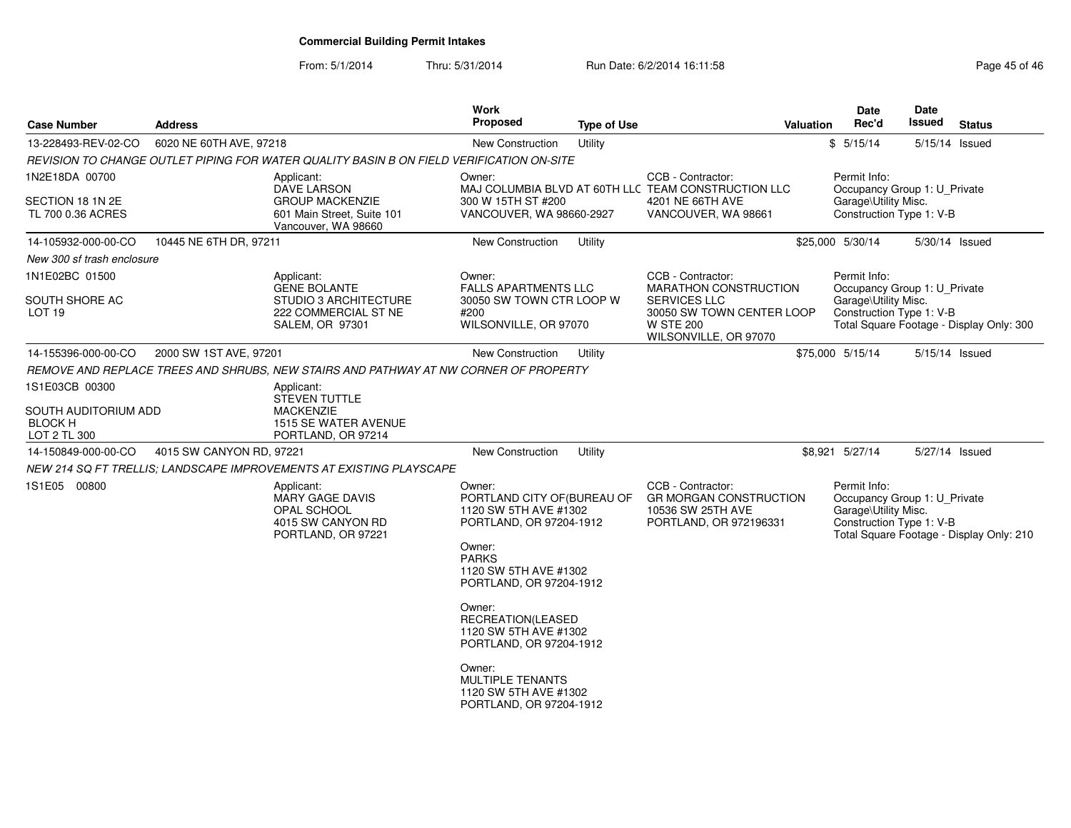From: 5/1/2014

| <b>Case Number</b>                                     | <b>Address</b>           |                                                                                          | Work<br>Proposed                                                                                      | <b>Type of Use</b>  |                                                                         | <b>Valuation</b>                                 | <b>Date</b><br>Rec'd                                                 | Date<br><b>Issued</b> | <b>Status</b>                            |  |
|--------------------------------------------------------|--------------------------|------------------------------------------------------------------------------------------|-------------------------------------------------------------------------------------------------------|---------------------|-------------------------------------------------------------------------|--------------------------------------------------|----------------------------------------------------------------------|-----------------------|------------------------------------------|--|
| 13-228493-REV-02-CO                                    | 6020 NE 60TH AVE, 97218  |                                                                                          | New Construction                                                                                      | Utility             |                                                                         |                                                  | \$5/15/14                                                            | 5/15/14 Issued        |                                          |  |
|                                                        |                          | REVISION TO CHANGE OUTLET PIPING FOR WATER QUALITY BASIN B ON FIELD VERIFICATION ON-SITE |                                                                                                       |                     |                                                                         |                                                  |                                                                      |                       |                                          |  |
| 1N2E18DA 00700                                         |                          | Applicant:<br>DAVE LARSON                                                                | CCB - Contractor:<br>Owner:<br>MAJ COLUMBIA BLVD AT 60TH LLC TEAM CONSTRUCTION LLC                    |                     |                                                                         |                                                  | Permit Info:<br>Occupancy Group 1: U Private                         |                       |                                          |  |
| SECTION 18 1N 2E<br>TL 700 0.36 ACRES                  |                          | <b>GROUP MACKENZIE</b><br>601 Main Street, Suite 101<br>Vancouver, WA 98660              | 300 W 15TH ST #200<br>VANCOUVER, WA 98660-2927                                                        |                     | 4201 NE 66TH AVE<br>VANCOUVER, WA 98661                                 | Garage\Utility Misc.<br>Construction Type 1: V-B |                                                                      |                       |                                          |  |
| 14-105932-000-00-CO                                    | 10445 NE 6TH DR, 97211   |                                                                                          | New Construction                                                                                      | Utility             |                                                                         |                                                  | \$25,000 5/30/14                                                     | 5/30/14 Issued        |                                          |  |
| New 300 sf trash enclosure                             |                          |                                                                                          |                                                                                                       |                     |                                                                         |                                                  |                                                                      |                       |                                          |  |
| 1N1E02BC 01500                                         |                          | Applicant:<br><b>GENE BOLANTE</b>                                                        | Owner:<br><b>FALLS APARTMENTS LLC</b>                                                                 |                     | CCB - Contractor:<br><b>MARATHON CONSTRUCTION</b>                       |                                                  | Permit Info:<br>Occupancy Group 1: U_Private                         |                       |                                          |  |
| SOUTH SHORE AC                                         |                          | STUDIO 3 ARCHITECTURE                                                                    | 30050 SW TOWN CTR LOOP W                                                                              | <b>SERVICES LLC</b> |                                                                         | Garage\Utility Misc.                             |                                                                      |                       |                                          |  |
| LOT 19                                                 |                          | 222 COMMERCIAL ST NE<br>SALEM, OR 97301                                                  | #200<br>WILSONVILLE, OR 97070                                                                         |                     | 30050 SW TOWN CENTER LOOP<br><b>W STE 200</b><br>WILSONVILLE, OR 97070  |                                                  | Construction Type 1: V-B                                             |                       | Total Square Footage - Display Only: 300 |  |
| 14-155396-000-00-CO                                    | 2000 SW 1ST AVE, 97201   |                                                                                          | <b>New Construction</b>                                                                               | Utility             |                                                                         |                                                  | \$75,000 5/15/14                                                     | 5/15/14 Issued        |                                          |  |
|                                                        |                          | REMOVE AND REPLACE TREES AND SHRUBS. NEW STAIRS AND PATHWAY AT NW CORNER OF PROPERTY     |                                                                                                       |                     |                                                                         |                                                  |                                                                      |                       |                                          |  |
| 1S1E03CB 00300                                         |                          | Applicant:<br><b>STEVEN TUTTLE</b>                                                       |                                                                                                       |                     |                                                                         |                                                  |                                                                      |                       |                                          |  |
| SOUTH AUDITORIUM ADD<br><b>BLOCK H</b><br>LOT 2 TL 300 |                          | <b>MACKENZIE</b><br>1515 SE WATER AVENUE<br>PORTLAND, OR 97214                           |                                                                                                       |                     |                                                                         |                                                  |                                                                      |                       |                                          |  |
| 14-150849-000-00-CO                                    | 4015 SW CANYON RD, 97221 |                                                                                          | <b>New Construction</b>                                                                               | Utility             |                                                                         |                                                  | \$8,921 5/27/14                                                      | 5/27/14 Issued        |                                          |  |
|                                                        |                          | NEW 214 SQ FT TRELLIS; LANDSCAPE IMPROVEMENTS AT EXISTING PLAYSCAPE                      |                                                                                                       |                     |                                                                         |                                                  |                                                                      |                       |                                          |  |
| 1S1E05 00800                                           |                          | Applicant:<br><b>MARY GAGE DAVIS</b><br><b>OPAL SCHOOL</b>                               | Owner:<br>PORTLAND CITY OF (BUREAU OF<br>1120 SW 5TH AVE #1302                                        |                     | CCB - Contractor:<br><b>GR MORGAN CONSTRUCTION</b><br>10536 SW 25TH AVE |                                                  | Permit Info:<br>Occupancy Group 1: U_Private<br>Garage\Utility Misc. |                       |                                          |  |
|                                                        |                          | 4015 SW CANYON RD<br>PORTLAND, OR 97221                                                  | PORTLAND, OR 97204-1912<br>Owner:<br><b>PARKS</b><br>1120 SW 5TH AVE #1302<br>PORTLAND, OR 97204-1912 |                     | PORTLAND, OR 972196331                                                  |                                                  | Construction Type 1: V-B                                             |                       | Total Square Footage - Display Only: 210 |  |